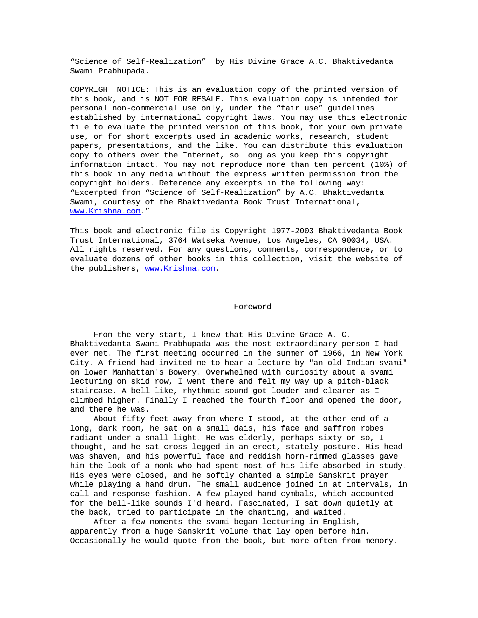"Science of Self-Realization" by His Divine Grace A.C. Bhaktivedanta Swami Prabhupada.

COPYRIGHT NOTICE: This is an evaluation copy of the printed version of this book, and is NOT FOR RESALE. This evaluation copy is intended for personal non-commercial use only, under the "fair use" guidelines established by international copyright laws. You may use this electronic file to evaluate the printed version of this book, for your own private use, or for short excerpts used in academic works, research, student papers, presentations, and the like. You can distribute this evaluation copy to others over the Internet, so long as you keep this copyright information intact. You may not reproduce more than ten percent (10%) of this book in any media without the express written permission from the copyright holders. Reference any excerpts in the following way: "Excerpted from "Science of Self-Realization" by A.C. Bhaktivedanta Swami, courtesy of the Bhaktivedanta Book Trust International, www.Krishna.com ."

This book and electronic file is Copyright 1977-2003 Bhaktivedanta Book Trust International, 3764 Watseka Avenue, Los Angeles, CA 90034, USA. All rights reserved. For any questions, comments, correspondence, or to evaluate dozens of other books in this collection, visit the website of the publishers, www.Krishna.com.

## Foreword

 From the very start, I knew that His Divine Grace A. C. Bhaktivedanta Swami Prabhupada was the most extraordinary person I had ever met. The first meeting occurred in the summer of 1966, in New York City. A friend had invited me to hear a lecture by "an old Indian svami" on lower Manhattan's Bowery. Overwhelmed with curiosity about a svami lecturing on skid row, I went there and felt my way up a pitch-black staircase. A bell-like, rhythmic sound got louder and clearer as I climbed higher. Finally I reached the fourth floor and opened the door, and there he was.

 About fifty feet away from where I stood, at the other end of a long, dark room, he sat on a small dais, his face and saffron robes radiant under a small light. He was elderly, perhaps sixty or so, I thought, and he sat cross-legged in an erect, stately posture. His head was shaven, and his powerful face and reddish horn-rimmed glasses gave him the look of a monk who had spent most of his life absorbed in study. His eyes were closed, and he softly chanted a simple Sanskrit prayer while playing a hand drum. The small audience joined in at intervals, in call-and-response fashion. A few played hand cymbals, which accounted for the bell-like sounds I'd heard. Fascinated, I sat down quietly at the back, tried to participate in the chanting, and waited.

 After a few moments the svami began lecturing in English, apparently from a huge Sanskrit volume that lay open before him. Occasionally he would quote from the book, but more often from memory.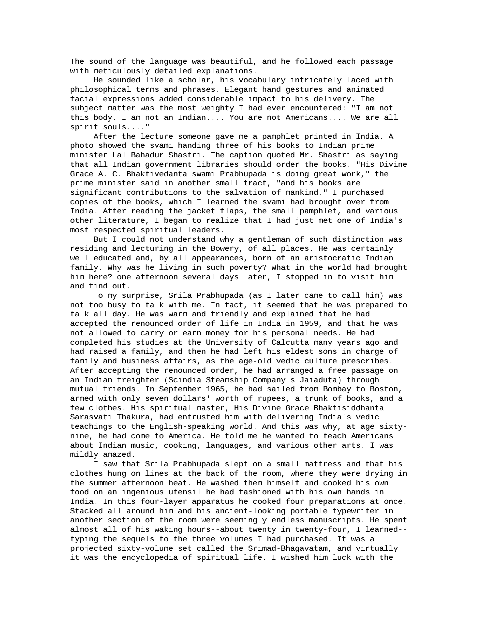The sound of the language was beautiful, and he followed each passage with meticulously detailed explanations.

 He sounded like a scholar, his vocabulary intricately laced with philosophical terms and phrases. Elegant hand gestures and animated facial expressions added considerable impact to his delivery. The subject matter was the most weighty I had ever encountered: "I am not this body. I am not an Indian.... You are not Americans.... We are all spirit souls...."

 After the lecture someone gave me a pamphlet printed in India. A photo showed the svami handing three of his books to Indian prime minister Lal Bahadur Shastri. The caption quoted Mr. Shastri as saying that all Indian government libraries should order the books. "His Divine Grace A. C. Bhaktivedanta swami Prabhupada is doing great work," the prime minister said in another small tract, "and his books are significant contributions to the salvation of mankind." I purchased copies of the books, which I learned the svami had brought over from India. After reading the jacket flaps, the small pamphlet, and various other literature, I began to realize that I had just met one of India's most respected spiritual leaders.

 But I could not understand why a gentleman of such distinction was residing and lecturing in the Bowery, of all places. He was certainly well educated and, by all appearances, born of an aristocratic Indian family. Why was he living in such poverty? What in the world had brought him here? one afternoon several days later, I stopped in to visit him and find out.

 To my surprise, Srila Prabhupada (as I later came to call him) was not too busy to talk with me. In fact, it seemed that he was prepared to talk all day. He was warm and friendly and explained that he had accepted the renounced order of life in India in 1959, and that he was not allowed to carry or earn money for his personal needs. He had completed his studies at the University of Calcutta many years ago and had raised a family, and then he had left his eldest sons in charge of family and business affairs, as the age-old vedic culture prescribes. After accepting the renounced order, he had arranged a free passage on an Indian freighter (Scindia Steamship Company's Jaiaduta) through mutual friends. In September 1965, he had sailed from Bombay to Boston, armed with only seven dollars' worth of rupees, a trunk of books, and a few clothes. His spiritual master, His Divine Grace Bhaktisiddhanta Sarasvati Thakura, had entrusted him with delivering India's vedic teachings to the English-speaking world. And this was why, at age sixtynine, he had come to America. He told me he wanted to teach Americans about Indian music, cooking, languages, and various other arts. I was mildly amazed.

 I saw that Srila Prabhupada slept on a small mattress and that his clothes hung on lines at the back of the room, where they were drying in the summer afternoon heat. He washed them himself and cooked his own food on an ingenious utensil he had fashioned with his own hands in India. In this four-layer apparatus he cooked four preparations at once. Stacked all around him and his ancient-looking portable typewriter in another section of the room were seemingly endless manuscripts. He spent almost all of his waking hours--about twenty in twenty-four, I learned- typing the sequels to the three volumes I had purchased. It was a projected sixty-volume set called the Srimad-Bhagavatam, and virtually it was the encyclopedia of spiritual life. I wished him luck with the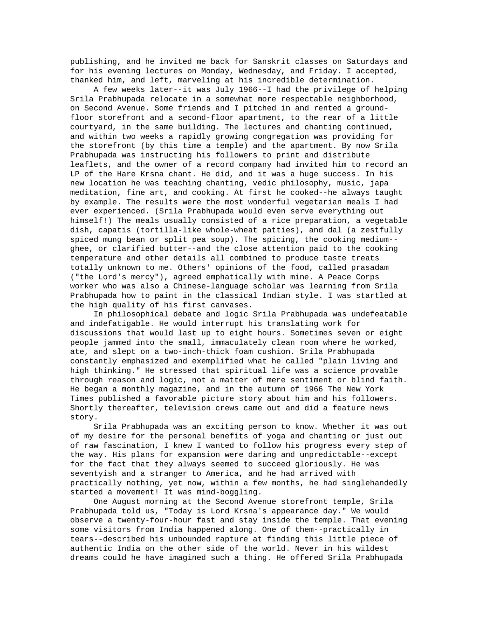publishing, and he invited me back for Sanskrit classes on Saturdays and for his evening lectures on Monday, Wednesday, and Friday. I accepted, thanked him, and left, marveling at his incredible determination.

 A few weeks later--it was July 1966--I had the privilege of helping Srila Prabhupada relocate in a somewhat more respectable neighborhood, on Second Avenue. Some friends and I pitched in and rented a groundfloor storefront and a second-floor apartment, to the rear of a little courtyard, in the same building. The lectures and chanting continued, and within two weeks a rapidly growing congregation was providing for the storefront (by this time a temple) and the apartment. By now Srila Prabhupada was instructing his followers to print and distribute leaflets, and the owner of a record company had invited him to record an LP of the Hare Krsna chant. He did, and it was a huge success. In his new location he was teaching chanting, vedic philosophy, music, japa meditation, fine art, and cooking. At first he cooked--he always taught by example. The results were the most wonderful vegetarian meals I had ever experienced. (Srila Prabhupada would even serve everything out himself!) The meals usually consisted of a rice preparation, a vegetable dish, capatis (tortilla-like whole-wheat patties), and dal (a zestfully spiced mung bean or split pea soup). The spicing, the cooking medium- ghee, or clarified butter--and the close attention paid to the cooking temperature and other details all combined to produce taste treats totally unknown to me. Others' opinions of the food, called prasadam ("the Lord's mercy"), agreed emphatically with mine. A Peace Corps worker who was also a Chinese-language scholar was learning from Srila Prabhupada how to paint in the classical Indian style. I was startled at the high quality of his first canvases.

 In philosophical debate and logic Srila Prabhupada was undefeatable and indefatigable. He would interrupt his translating work for discussions that would last up to eight hours. Sometimes seven or eight people jammed into the small, immaculately clean room where he worked, ate, and slept on a two-inch-thick foam cushion. Srila Prabhupada constantly emphasized and exemplified what he called "plain living and high thinking." He stressed that spiritual life was a science provable through reason and logic, not a matter of mere sentiment or blind faith. He began a monthly magazine, and in the autumn of 1966 The New York Times published a favorable picture story about him and his followers. Shortly thereafter, television crews came out and did a feature news story.

 Srila Prabhupada was an exciting person to know. Whether it was out of my desire for the personal benefits of yoga and chanting or just out of raw fascination, I knew I wanted to follow his progress every step of the way. His plans for expansion were daring and unpredictable--except for the fact that they always seemed to succeed gloriously. He was seventyish and a stranger to America, and he had arrived with practically nothing, yet now, within a few months, he had singlehandedly started a movement! It was mind-boggling.

 One August morning at the Second Avenue storefront temple, Srila Prabhupada told us, "Today is Lord Krsna's appearance day." We would observe a twenty-four-hour fast and stay inside the temple. That evening some visitors from India happened along. One of them--practically in tears--described his unbounded rapture at finding this little piece of authentic India on the other side of the world. Never in his wildest dreams could he have imagined such a thing. He offered Srila Prabhupada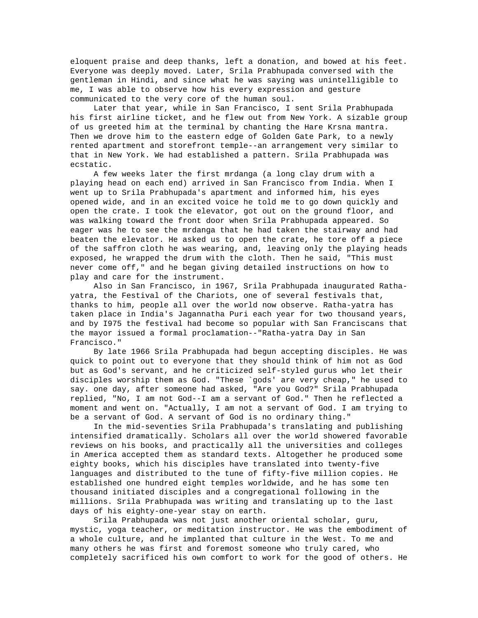eloquent praise and deep thanks, left a donation, and bowed at his feet. Everyone was deeply moved. Later, Srila Prabhupada conversed with the gentleman in Hindi, and since what he was saying was unintelligible to me, I was able to observe how his every expression and gesture communicated to the very core of the human soul.

 Later that year, while in San Francisco, I sent Srila Prabhupada his first airline ticket, and he flew out from New York. A sizable group of us greeted him at the terminal by chanting the Hare Krsna mantra. Then we drove him to the eastern edge of Golden Gate Park, to a newly rented apartment and storefront temple--an arrangement very similar to that in New York. We had established a pattern. Srila Prabhupada was ecstatic.

 A few weeks later the first mrdanga (a long clay drum with a playing head on each end) arrived in San Francisco from India. When I went up to Srila Prabhupada's apartment and informed him, his eyes opened wide, and in an excited voice he told me to go down quickly and open the crate. I took the elevator, got out on the ground floor, and was walking toward the front door when Srila Prabhupada appeared. So eager was he to see the mrdanga that he had taken the stairway and had beaten the elevator. He asked us to open the crate, he tore off a piece of the saffron cloth he was wearing, and, leaving only the playing heads exposed, he wrapped the drum with the cloth. Then he said, "This must never come off," and he began giving detailed instructions on how to play and care for the instrument.

 Also in San Francisco, in 1967, Srila Prabhupada inaugurated Rathayatra, the Festival of the Chariots, one of several festivals that, thanks to him, people all over the world now observe. Ratha-yatra has taken place in India's Jagannatha Puri each year for two thousand years, and by I975 the festival had become so popular with San Franciscans that the mayor issued a formal proclamation--"Ratha-yatra Day in San Francisco."

 By late 1966 Srila Prabhupada had begun accepting disciples. He was quick to point out to everyone that they should think of him not as God but as God's servant, and he criticized self-styled gurus who let their disciples worship them as God. "These `gods' are very cheap," he used to say. one day, after someone had asked, "Are you God?" Srila Prabhupada replied, "No, I am not God--I am a servant of God." Then he reflected a moment and went on. "Actually, I am not a servant of God. I am trying to be a servant of God. A servant of God is no ordinary thing."

 In the mid-seventies Srila Prabhupada's translating and publishing intensified dramatically. Scholars all over the world showered favorable reviews on his books, and practically all the universities and colleges in America accepted them as standard texts. Altogether he produced some eighty books, which his disciples have translated into twenty-five languages and distributed to the tune of fifty-five million copies. He established one hundred eight temples worldwide, and he has some ten thousand initiated disciples and a congregational following in the millions. Srila Prabhupada was writing and translating up to the last days of his eighty-one-year stay on earth.

 Srila Prabhupada was not just another oriental scholar, guru, mystic, yoga teacher, or meditation instructor. He was the embodiment of a whole culture, and he implanted that culture in the West. To me and many others he was first and foremost someone who truly cared, who completely sacrificed his own comfort to work for the good of others. He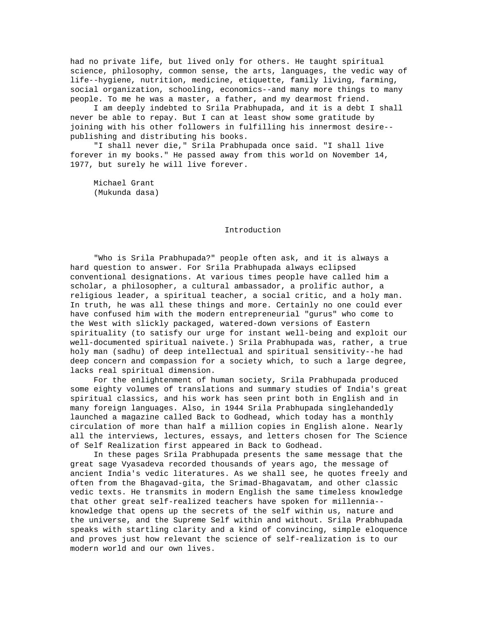had no private life, but lived only for others. He taught spiritual science, philosophy, common sense, the arts, languages, the vedic way of life--hygiene, nutrition, medicine, etiquette, family living, farming, social organization, schooling, economics--and many more things to many people. To me he was a master, a father, and my dearmost friend.

 I am deeply indebted to Srila Prabhupada, and it is a debt I shall never be able to repay. But I can at least show some gratitude by joining with his other followers in fulfilling his innermost desire- publishing and distributing his books.

 "I shall never die," Srila Prabhupada once said. "I shall live forever in my books." He passed away from this world on November 14, 1977, but surely he will live forever.

 Michael Grant (Mukunda dasa)

## Introduction

 "Who is Srila Prabhupada?" people often ask, and it is always a hard question to answer. For Srila Prabhupada always eclipsed conventional designations. At various times people have called him a scholar, a philosopher, a cultural ambassador, a prolific author, a religious leader, a spiritual teacher, a social critic, and a holy man. In truth, he was all these things and more. Certainly no one could ever have confused him with the modern entrepreneurial "gurus" who come to the West with slickly packaged, watered-down versions of Eastern spirituality (to satisfy our urge for instant well-being and exploit our well-documented spiritual naivete.) Srila Prabhupada was, rather, a true holy man (sadhu) of deep intellectual and spiritual sensitivity--he had deep concern and compassion for a society which, to such a large degree, lacks real spiritual dimension.

 For the enlightenment of human society, Srila Prabhupada produced some eighty volumes of translations and summary studies of India's great spiritual classics, and his work has seen print both in English and in many foreign languages. Also, in 1944 Srila Prabhupada singlehandedly launched a magazine called Back to Godhead, which today has a monthly circulation of more than half a million copies in English alone. Nearly all the interviews, lectures, essays, and letters chosen for The Science of Self Realization first appeared in Back to Godhead.

 In these pages Srila Prabhupada presents the same message that the great sage Vyasadeva recorded thousands of years ago, the message of ancient India's vedic literatures. As we shall see, he quotes freely and often from the Bhagavad-gita, the Srimad-Bhagavatam, and other classic vedic texts. He transmits in modern English the same timeless knowledge that other great self-realized teachers have spoken for millennia- knowledge that opens up the secrets of the self within us, nature and the universe, and the Supreme Self within and without. Srila Prabhupada speaks with startling clarity and a kind of convincing, simple eloquence and proves just how relevant the science of self-realization is to our modern world and our own lives.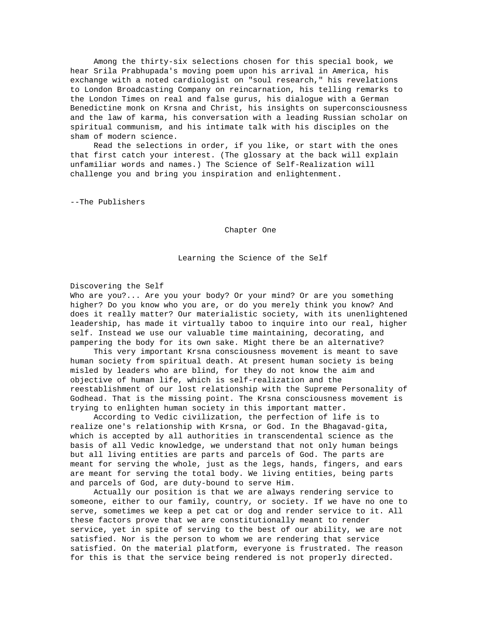Among the thirty-six selections chosen for this special book, we hear Srila Prabhupada's moving poem upon his arrival in America, his exchange with a noted cardiologist on "soul research," his revelations to London Broadcasting Company on reincarnation, his telling remarks to the London Times on real and false gurus, his dialogue with a German Benedictine monk on Krsna and Christ, his insights on superconsciousness and the law of karma, his conversation with a leading Russian scholar on spiritual communism, and his intimate talk with his disciples on the sham of modern science.

 Read the selections in order, if you like, or start with the ones that first catch your interest. (The glossary at the back will explain unfamiliar words and names.) The Science of Self-Realization will challenge you and bring you inspiration and enlightenment.

--The Publishers

Chapter One

Learning the Science of the Self

Discovering the Self

Who are you?... Are you your body? Or your mind? Or are you something higher? Do you know who you are, or do you merely think you know? And does it really matter? Our materialistic society, with its unenlightened leadership, has made it virtually taboo to inquire into our real, higher self. Instead we use our valuable time maintaining, decorating, and pampering the body for its own sake. Might there be an alternative?

 This very important Krsna consciousness movement is meant to save human society from spiritual death. At present human society is being misled by leaders who are blind, for they do not know the aim and objective of human life, which is self-realization and the reestablishment of our lost relationship with the Supreme Personality of Godhead. That is the missing point. The Krsna consciousness movement is trying to enlighten human society in this important matter.

 According to Vedic civilization, the perfection of life is to realize one's relationship with Krsna, or God. In the Bhagavad-gita, which is accepted by all authorities in transcendental science as the basis of all Vedic knowledge, we understand that not only human beings but all living entities are parts and parcels of God. The parts are meant for serving the whole, just as the legs, hands, fingers, and ears are meant for serving the total body. We living entities, being parts and parcels of God, are duty-bound to serve Him.

 Actually our position is that we are always rendering service to someone, either to our family, country, or society. If we have no one to serve, sometimes we keep a pet cat or dog and render service to it. All these factors prove that we are constitutionally meant to render service, yet in spite of serving to the best of our ability, we are not satisfied. Nor is the person to whom we are rendering that service satisfied. On the material platform, everyone is frustrated. The reason for this is that the service being rendered is not properly directed.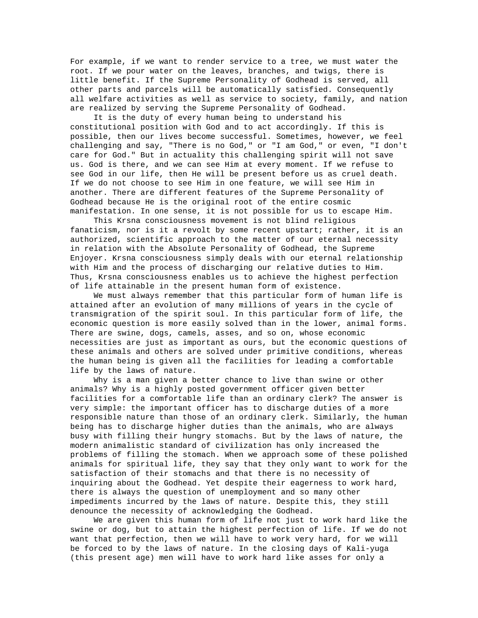For example, if we want to render service to a tree, we must water the root. If we pour water on the leaves, branches, and twigs, there is little benefit. If the Supreme Personality of Godhead is served, all other parts and parcels will be automatically satisfied. Consequently all welfare activities as well as service to society, family, and nation are realized by serving the Supreme Personality of Godhead.

 It is the duty of every human being to understand his constitutional position with God and to act accordingly. If this is possible, then our lives become successful. Sometimes, however, we feel challenging and say, "There is no God," or "I am God," or even, "I don't care for God." But in actuality this challenging spirit will not save us. God is there, and we can see Him at every moment. If we refuse to see God in our life, then He will be present before us as cruel death. If we do not choose to see Him in one feature, we will see Him in another. There are different features of the Supreme Personality of Godhead because He is the original root of the entire cosmic manifestation. In one sense, it is not possible for us to escape Him.

 This Krsna consciousness movement is not blind religious fanaticism, nor is it a revolt by some recent upstart; rather, it is an authorized, scientific approach to the matter of our eternal necessity in relation with the Absolute Personality of Godhead, the Supreme Enjoyer. Krsna consciousness simply deals with our eternal relationship with Him and the process of discharging our relative duties to Him. Thus, Krsna consciousness enables us to achieve the highest perfection of life attainable in the present human form of existence.

 We must always remember that this particular form of human life is attained after an evolution of many millions of years in the cycle of transmigration of the spirit soul. In this particular form of life, the economic question is more easily solved than in the lower, animal forms. There are swine, dogs, camels, asses, and so on, whose economic necessities are just as important as ours, but the economic questions of these animals and others are solved under primitive conditions, whereas the human being is given all the facilities for leading a comfortable life by the laws of nature.

 Why is a man given a better chance to live than swine or other animals? Why is a highly posted government officer given better facilities for a comfortable life than an ordinary clerk? The answer is very simple: the important officer has to discharge duties of a more responsible nature than those of an ordinary clerk. Similarly, the human being has to discharge higher duties than the animals, who are always busy with filling their hungry stomachs. But by the laws of nature, the modern animalistic standard of civilization has only increased the problems of filling the stomach. When we approach some of these polished animals for spiritual life, they say that they only want to work for the satisfaction of their stomachs and that there is no necessity of inquiring about the Godhead. Yet despite their eagerness to work hard, there is always the question of unemployment and so many other impediments incurred by the laws of nature. Despite this, they still denounce the necessity of acknowledging the Godhead.

 We are given this human form of life not just to work hard like the swine or dog, but to attain the highest perfection of life. If we do not want that perfection, then we will have to work very hard, for we will be forced to by the laws of nature. In the closing days of Kali-yuga (this present age) men will have to work hard like asses for only a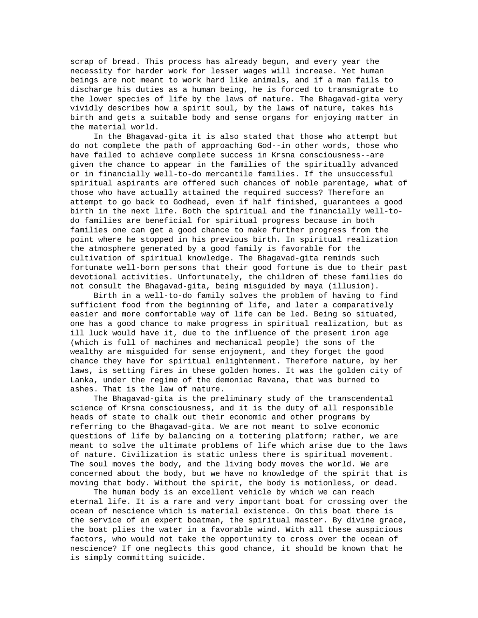scrap of bread. This process has already begun, and every year the necessity for harder work for lesser wages will increase. Yet human beings are not meant to work hard like animals, and if a man fails to discharge his duties as a human being, he is forced to transmigrate to the lower species of life by the laws of nature. The Bhagavad-gita very vividly describes how a spirit soul, by the laws of nature, takes his birth and gets a suitable body and sense organs for enjoying matter in the material world.

 In the Bhagavad-gita it is also stated that those who attempt but do not complete the path of approaching God--in other words, those who have failed to achieve complete success in Krsna consciousness--are given the chance to appear in the families of the spiritually advanced or in financially well-to-do mercantile families. If the unsuccessful spiritual aspirants are offered such chances of noble parentage, what of those who have actually attained the required success? Therefore an attempt to go back to Godhead, even if half finished, guarantees a good birth in the next life. Both the spiritual and the financially well-todo families are beneficial for spiritual progress because in both families one can get a good chance to make further progress from the point where he stopped in his previous birth. In spiritual realization the atmosphere generated by a good family is favorable for the cultivation of spiritual knowledge. The Bhagavad-gita reminds such fortunate well-born persons that their good fortune is due to their past devotional activities. Unfortunately, the children of these families do not consult the Bhagavad-gita, being misguided by maya (illusion).

 Birth in a well-to-do family solves the problem of having to find sufficient food from the beginning of life, and later a comparatively easier and more comfortable way of life can be led. Being so situated, one has a good chance to make progress in spiritual realization, but as ill luck would have it, due to the influence of the present iron age (which is full of machines and mechanical people) the sons of the wealthy are misguided for sense enjoyment, and they forget the good chance they have for spiritual enlightenment. Therefore nature, by her laws, is setting fires in these golden homes. It was the golden city of Lanka, under the regime of the demoniac Ravana, that was burned to ashes. That is the law of nature.

 The Bhagavad-gita is the preliminary study of the transcendental science of Krsna consciousness, and it is the duty of all responsible heads of state to chalk out their economic and other programs by referring to the Bhagavad-gita. We are not meant to solve economic questions of life by balancing on a tottering platform; rather, we are meant to solve the ultimate problems of life which arise due to the laws of nature. Civilization is static unless there is spiritual movement. The soul moves the body, and the living body moves the world. We are concerned about the body, but we have no knowledge of the spirit that is moving that body. Without the spirit, the body is motionless, or dead.

 The human body is an excellent vehicle by which we can reach eternal life. It is a rare and very important boat for crossing over the ocean of nescience which is material existence. On this boat there is the service of an expert boatman, the spiritual master. By divine grace, the boat plies the water in a favorable wind. With all these auspicious factors, who would not take the opportunity to cross over the ocean of nescience? If one neglects this good chance, it should be known that he is simply committing suicide.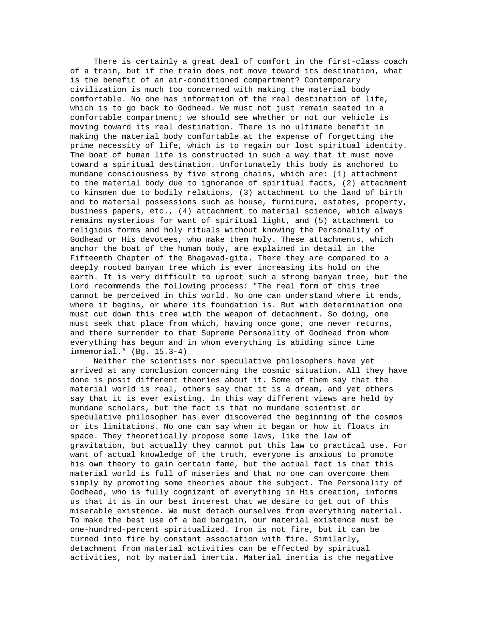There is certainly a great deal of comfort in the first-class coach of a train, but if the train does not move toward its destination, what is the benefit of an air-conditioned compartment? Contemporary civilization is much too concerned with making the material body comfortable. No one has information of the real destination of life, which is to go back to Godhead. We must not just remain seated in a comfortable compartment; we should see whether or not our vehicle is moving toward its real destination. There is no ultimate benefit in making the material body comfortable at the expense of forgetting the prime necessity of life, which is to regain our lost spiritual identity. The boat of human life is constructed in such a way that it must move toward a spiritual destination. Unfortunately this body is anchored to mundane consciousness by five strong chains, which are: (1) attachment to the material body due to ignorance of spiritual facts, (2) attachment to kinsmen due to bodily relations, (3) attachment to the land of birth and to material possessions such as house, furniture, estates, property, business papers, etc., (4) attachment to material science, which always remains mysterious for want of spiritual light, and (5) attachment to religious forms and holy rituals without knowing the Personality of Godhead or His devotees, who make them holy. These attachments, which anchor the boat of the human body, are explained in detail in the Fifteenth Chapter of the Bhagavad-gita. There they are compared to a deeply rooted banyan tree which is ever increasing its hold on the earth. It is very difficult to uproot such a strong banyan tree, but the Lord recommends the following process: "The real form of this tree cannot be perceived in this world. No one can understand where it ends, where it begins, or where its foundation is. But with determination one must cut down this tree with the weapon of detachment. So doing, one must seek that place from which, having once gone, one never returns, and there surrender to that Supreme Personality of Godhead from whom everything has begun and in whom everything is abiding since time immemorial." (Bg. 15.3-4)

 Neither the scientists nor speculative philosophers have yet arrived at any conclusion concerning the cosmic situation. All they have done is posit different theories about it. Some of them say that the material world is real, others say that it is a dream, and yet others say that it is ever existing. In this way different views are held by mundane scholars, but the fact is that no mundane scientist or speculative philosopher has ever discovered the beginning of the cosmos or its limitations. No one can say when it began or how it floats in space. They theoretically propose some laws, like the law of gravitation, but actually they cannot put this law to practical use. For want of actual knowledge of the truth, everyone is anxious to promote his own theory to gain certain fame, but the actual fact is that this material world is full of miseries and that no one can overcome them simply by promoting some theories about the subject. The Personality of Godhead, who is fully cognizant of everything in His creation, informs us that it is in our best interest that we desire to get out of this miserable existence. We must detach ourselves from everything material. To make the best use of a bad bargain, our material existence must be one-hundred-percent spiritualized. Iron is not fire, but it can be turned into fire by constant association with fire. Similarly, detachment from material activities can be effected by spiritual activities, not by material inertia. Material inertia is the negative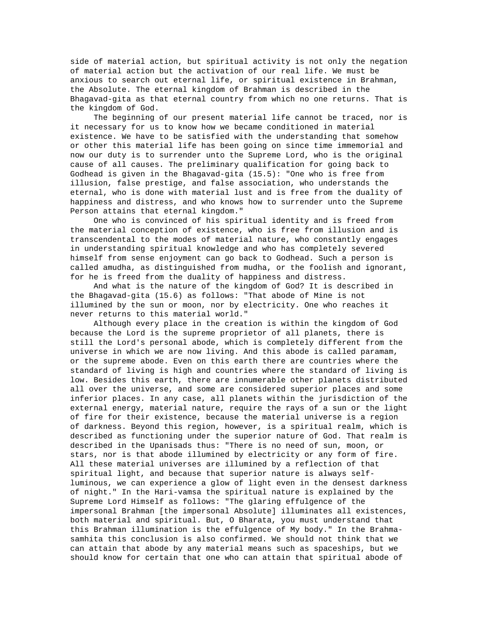side of material action, but spiritual activity is not only the negation of material action but the activation of our real life. We must be anxious to search out eternal life, or spiritual existence in Brahman, the Absolute. The eternal kingdom of Brahman is described in the Bhagavad-gita as that eternal country from which no one returns. That is the kingdom of God.

 The beginning of our present material life cannot be traced, nor is it necessary for us to know how we became conditioned in material existence. We have to be satisfied with the understanding that somehow or other this material life has been going on since time immemorial and now our duty is to surrender unto the Supreme Lord, who is the original cause of all causes. The preliminary qualification for going back to Godhead is given in the Bhagavad-gita (15.5): "One who is free from illusion, false prestige, and false association, who understands the eternal, who is done with material lust and is free from the duality of happiness and distress, and who knows how to surrender unto the Supreme Person attains that eternal kingdom."

 One who is convinced of his spiritual identity and is freed from the material conception of existence, who is free from illusion and is transcendental to the modes of material nature, who constantly engages in understanding spiritual knowledge and who has completely severed himself from sense enjoyment can go back to Godhead. Such a person is called amudha, as distinguished from mudha, or the foolish and ignorant, for he is freed from the duality of happiness and distress.

 And what is the nature of the kingdom of God? It is described in the Bhagavad-gita (15.6) as follows: "That abode of Mine is not illumined by the sun or moon, nor by electricity. One who reaches it never returns to this material world."

 Although every place in the creation is within the kingdom of God because the Lord is the supreme proprietor of all planets, there is still the Lord's personal abode, which is completely different from the universe in which we are now living. And this abode is called paramam, or the supreme abode. Even on this earth there are countries where the standard of living is high and countries where the standard of living is low. Besides this earth, there are innumerable other planets distributed all over the universe, and some are considered superior places and some inferior places. In any case, all planets within the jurisdiction of the external energy, material nature, require the rays of a sun or the light of fire for their existence, because the material universe is a region of darkness. Beyond this region, however, is a spiritual realm, which is described as functioning under the superior nature of God. That realm is described in the Upanisads thus: "There is no need of sun, moon, or stars, nor is that abode illumined by electricity or any form of fire. All these material universes are illumined by a reflection of that spiritual light, and because that superior nature is always selfluminous, we can experience a glow of light even in the densest darkness of night." In the Hari-vamsa the spiritual nature is explained by the Supreme Lord Himself as follows: "The glaring effulgence of the impersonal Brahman [the impersonal Absolute] illuminates all existences, both material and spiritual. But, O Bharata, you must understand that this Brahman illumination is the effulgence of My body." In the Brahmasamhita this conclusion is also confirmed. We should not think that we can attain that abode by any material means such as spaceships, but we should know for certain that one who can attain that spiritual abode of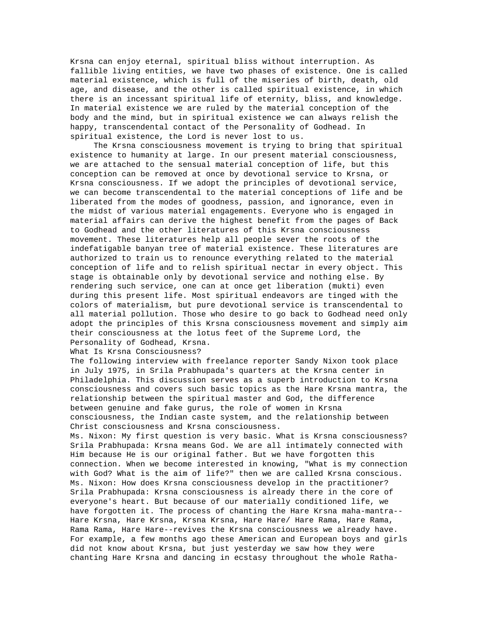Krsna can enjoy eternal, spiritual bliss without interruption. As fallible living entities, we have two phases of existence. One is called material existence, which is full of the miseries of birth, death, old age, and disease, and the other is called spiritual existence, in which there is an incessant spiritual life of eternity, bliss, and knowledge. In material existence we are ruled by the material conception of the body and the mind, but in spiritual existence we can always relish the happy, transcendental contact of the Personality of Godhead. In spiritual existence, the Lord is never lost to us.

 The Krsna consciousness movement is trying to bring that spiritual existence to humanity at large. In our present material consciousness, we are attached to the sensual material conception of life, but this conception can be removed at once by devotional service to Krsna, or Krsna consciousness. If we adopt the principles of devotional service, we can become transcendental to the material conceptions of life and be liberated from the modes of goodness, passion, and ignorance, even in the midst of various material engagements. Everyone who is engaged in material affairs can derive the highest benefit from the pages of Back to Godhead and the other literatures of this Krsna consciousness movement. These literatures help all people sever the roots of the indefatigable banyan tree of material existence. These literatures are authorized to train us to renounce everything related to the material conception of life and to relish spiritual nectar in every object. This stage is obtainable only by devotional service and nothing else. By rendering such service, one can at once get liberation (mukti) even during this present life. Most spiritual endeavors are tinged with the colors of materialism, but pure devotional service is transcendental to all material pollution. Those who desire to go back to Godhead need only adopt the principles of this Krsna consciousness movement and simply aim their consciousness at the lotus feet of the Supreme Lord, the Personality of Godhead, Krsna.

What Is Krsna Consciousness?

The following interview with freelance reporter Sandy Nixon took place in July 1975, in Srila Prabhupada's quarters at the Krsna center in Philadelphia. This discussion serves as a superb introduction to Krsna consciousness and covers such basic topics as the Hare Krsna mantra, the relationship between the spiritual master and God, the difference between genuine and fake gurus, the role of women in Krsna consciousness, the Indian caste system, and the relationship between Christ consciousness and Krsna consciousness.

Ms. Nixon: My first question is very basic. What is Krsna consciousness? Srila Prabhupada: Krsna means God. We are all intimately connected with Him because He is our original father. But we have forgotten this connection. When we become interested in knowing, "What is my connection with God? What is the aim of life?" then we are called Krsna conscious. Ms. Nixon: How does Krsna consciousness develop in the practitioner? Srila Prabhupada: Krsna consciousness is already there in the core of everyone's heart. But because of our materially conditioned life, we have forgotten it. The process of chanting the Hare Krsna maha-mantra-- Hare Krsna, Hare Krsna, Krsna Krsna, Hare Hare/ Hare Rama, Hare Rama, Rama Rama, Hare Hare--revives the Krsna consciousness we already have. For example, a few months ago these American and European boys and girls did not know about Krsna, but just yesterday we saw how they were chanting Hare Krsna and dancing in ecstasy throughout the whole Ratha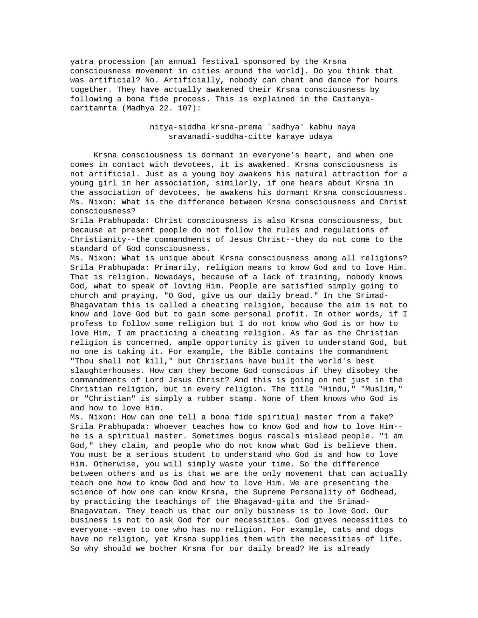yatra procession [an annual festival sponsored by the Krsna consciousness movement in cities around the world]. Do you think that was artificial? No. Artificially, nobody can chant and dance for hours together. They have actually awakened their Krsna consciousness by following a bona fide process. This is explained in the Caitanyacaritamrta (Madhya 22. 107):

> nitya-siddha krsna-prema `sadhya' kabhu naya sravanadi-suddha-citte karaye udaya

 Krsna consciousness is dormant in everyone's heart, and when one comes in contact with devotees, it is awakened. Krsna consciousness is not artificial. Just as a young boy awakens his natural attraction for a young girl in her association, similarly, if one hears about Krsna in the association of devotees, he awakens his dormant Krsna consciousness. Ms. Nixon: What is the difference between Krsna consciousness and Christ consciousness?

Srila Prabhupada: Christ consciousness is also Krsna consciousness, but because at present people do not follow the rules and regulations of Christianity--the commandments of Jesus Christ--they do not come to the standard of God consciousness.

Ms. Nixon: What is unique about Krsna consciousness among all religions? Srila Prabhupada: Primarily, religion means to know God and to love Him. That is religion. Nowadays, because of a lack of training, nobody knows God, what to speak of loving Him. People are satisfied simply going to church and praying, "O God, give us our daily bread." In the Srimad-Bhagavatam this is called a cheating religion, because the aim is not to know and love God but to gain some personal profit. In other words, if I profess to follow some religion but I do not know who God is or how to love Him, I am practicing a cheating religion. As far as the Christian religion is concerned, ample opportunity is given to understand God, but no one is taking it. For example, the Bible contains the commandment "Thou shall not kill," but Christians have built the world's best slaughterhouses. How can they become God conscious if they disobey the commandments of Lord Jesus Christ? And this is going on not just in the Christian religion, but in every religion. The title "Hindu," "Muslim," or "Christian" is simply a rubber stamp. None of them knows who God is and how to love Him.

Ms. Nixon: How can one tell a bona fide spiritual master from a fake? Srila Prabhupada: Whoever teaches how to know God and how to love Him- he is a spiritual master. Sometimes bogus rascals mislead people. "1 am God," they claim, and people who do not know what God is believe them. You must be a serious student to understand who God is and how to love Him. Otherwise, you will simply waste your time. So the difference between others and us is that we are the only movement that can actually teach one how to know God and how to love Him. We are presenting the science of how one can know Krsna, the Supreme Personality of Godhead, by practicing the teachings of the Bhagavad-gita and the Srimad-Bhagavatam. They teach us that our only business is to love God. Our business is not to ask God for our necessities. God gives necessities to everyone--even to one who has no religion. For example, cats and dogs have no religion, yet Krsna supplies them with the necessities of life. So why should we bother Krsna for our daily bread? He is already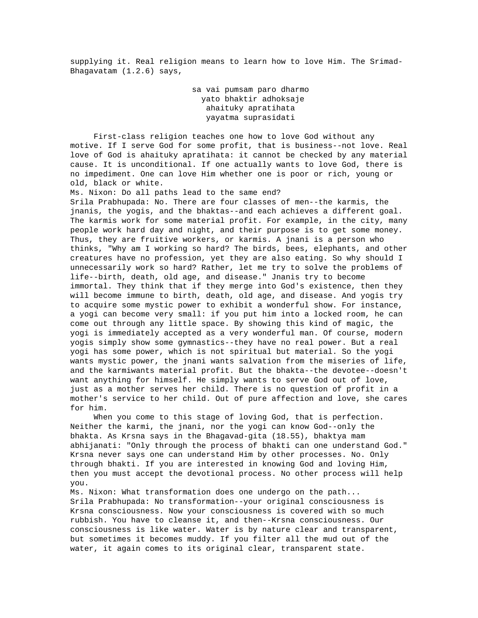supplying it. Real religion means to learn how to love Him. The Srimad-Bhagavatam (1.2.6) says,

> sa vai pumsam paro dharmo yato bhaktir adhoksaje ahaituky apratihata yayatma suprasidati

 First-class religion teaches one how to love God without any motive. If I serve God for some profit, that is business--not love. Real love of God is ahaituky apratihata: it cannot be checked by any material cause. It is unconditional. If one actually wants to love God, there is no impediment. One can love Him whether one is poor or rich, young or old, black or white.

Ms. Nixon: Do all paths lead to the same end? Srila Prabhupada: No. There are four classes of men--the karmis, the jnanis, the yogis, and the bhaktas--and each achieves a different goal. The karmis work for some material profit. For example, in the city, many people work hard day and night, and their purpose is to get some money. Thus, they are fruitive workers, or karmis. A jnani is a person who thinks, "Why am I working so hard? The birds, bees, elephants, and other creatures have no profession, yet they are also eating. So why should I unnecessarily work so hard? Rather, let me try to solve the problems of life--birth, death, old age, and disease." Jnanis try to become immortal. They think that if they merge into God's existence, then they will become immune to birth, death, old age, and disease. And yogis try to acquire some mystic power to exhibit a wonderful show. For instance, a yogi can become very small: if you put him into a locked room, he can come out through any little space. By showing this kind of magic, the yogi is immediately accepted as a very wonderful man. Of course, modern yogis simply show some gymnastics--they have no real power. But a real yogi has some power, which is not spiritual but material. So the yogi wants mystic power, the jnani wants salvation from the miseries of life, and the karmiwants material profit. But the bhakta--the devotee--doesn't want anything for himself. He simply wants to serve God out of love, just as a mother serves her child. There is no question of profit in a mother's service to her child. Out of pure affection and love, she cares for him.

 When you come to this stage of loving God, that is perfection. Neither the karmi, the jnani, nor the yogi can know God--only the bhakta. As Krsna says in the Bhagavad-gita (18.55), bhaktya mam abhijanati: "Only through the process of bhakti can one understand God." Krsna never says one can understand Him by other processes. No. Only through bhakti. If you are interested in knowing God and loving Him, then you must accept the devotional process. No other process will help you.

Ms. Nixon: What transformation does one undergo on the path... Srila Prabhupada: No transformation--your original consciousness is Krsna consciousness. Now your consciousness is covered with so much rubbish. You have to cleanse it, and then--Krsna consciousness. Our consciousness is like water. Water is by nature clear and transparent, but sometimes it becomes muddy. If you filter all the mud out of the water, it again comes to its original clear, transparent state.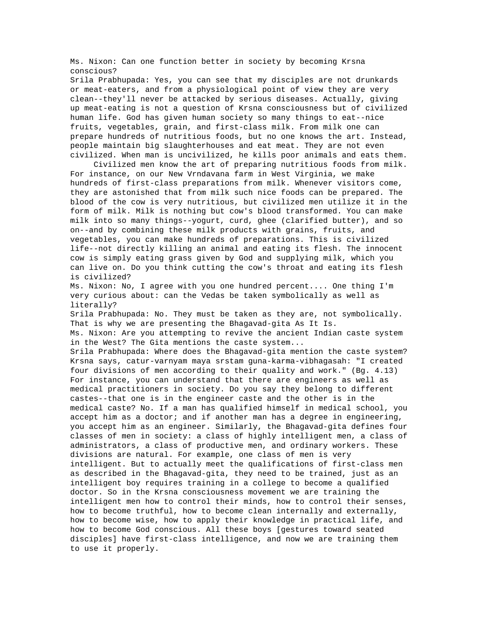Ms. Nixon: Can one function better in society by becoming Krsna conscious?

Srila Prabhupada: Yes, you can see that my disciples are not drunkards or meat-eaters, and from a physiological point of view they are very clean--they'll never be attacked by serious diseases. Actually, giving up meat-eating is not a question of Krsna consciousness but of civilized human life. God has given human society so many things to eat--nice fruits, vegetables, grain, and first-class milk. From milk one can prepare hundreds of nutritious foods, but no one knows the art. Instead, people maintain big slaughterhouses and eat meat. They are not even civilized. When man is uncivilized, he kills poor animals and eats them.

 Civilized men know the art of preparing nutritious foods from milk. For instance, on our New Vrndavana farm in West Virginia, we make hundreds of first-class preparations from milk. Whenever visitors come, they are astonished that from milk such nice foods can be prepared. The blood of the cow is very nutritious, but civilized men utilize it in the form of milk. Milk is nothing but cow's blood transformed. You can make milk into so many things--yogurt, curd, ghee (clarified butter), and so on--and by combining these milk products with grains, fruits, and vegetables, you can make hundreds of preparations. This is civilized life--not directly killing an animal and eating its flesh. The innocent cow is simply eating grass given by God and supplying milk, which you can live on. Do you think cutting the cow's throat and eating its flesh is civilized?

Ms. Nixon: No, I agree with you one hundred percent.... One thing I'm very curious about: can the Vedas be taken symbolically as well as literally?

Srila Prabhupada: No. They must be taken as they are, not symbolically. That is why we are presenting the Bhagavad-gita As It Is.

Ms. Nixon: Are you attempting to revive the ancient Indian caste system in the West? The Gita mentions the caste system...

Srila Prabhupada: Where does the Bhagavad-gita mention the caste system? Krsna says, catur-varnyam maya srstam guna-karma-vibhagasah: "I created four divisions of men according to their quality and work." (Bg. 4.13) For instance, you can understand that there are engineers as well as medical practitioners in society. Do you say they belong to different castes--that one is in the engineer caste and the other is in the medical caste? No. If a man has qualified himself in medical school, you accept him as a doctor; and if another man has a degree in engineering, you accept him as an engineer. Similarly, the Bhagavad-gita defines four classes of men in society: a class of highly intelligent men, a class of administrators, a class of productive men, and ordinary workers. These divisions are natural. For example, one class of men is very intelligent. But to actually meet the qualifications of first-class men as described in the Bhagavad-gita, they need to be trained, just as an intelligent boy requires training in a college to become a qualified doctor. So in the Krsna consciousness movement we are training the intelligent men how to control their minds, how to control their senses, how to become truthful, how to become clean internally and externally, how to become wise, how to apply their knowledge in practical life, and how to become God conscious. All these boys [gestures toward seated disciples] have first-class intelligence, and now we are training them to use it properly.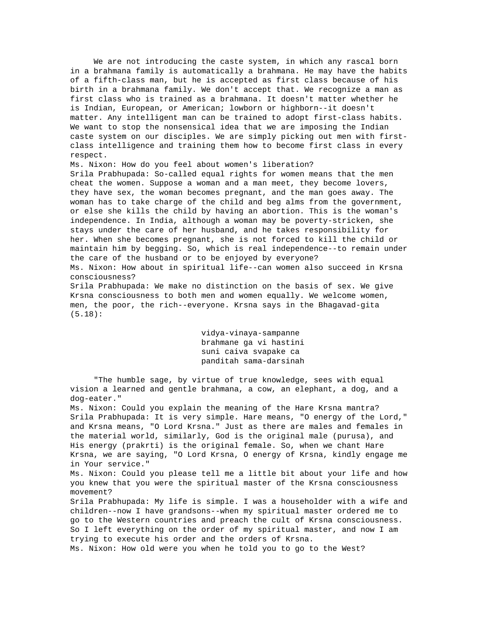We are not introducing the caste system, in which any rascal born in a brahmana family is automatically a brahmana. He may have the habits of a fifth-class man, but he is accepted as first class because of his birth in a brahmana family. We don't accept that. We recognize a man as first class who is trained as a brahmana. It doesn't matter whether he is Indian, European, or American; lowborn or highborn--it doesn't matter. Any intelligent man can be trained to adopt first-class habits. We want to stop the nonsensical idea that we are imposing the Indian caste system on our disciples. We are simply picking out men with firstclass intelligence and training them how to become first class in every respect.

Ms. Nixon: How do you feel about women's liberation? Srila Prabhupada: So-called equal rights for women means that the men cheat the women. Suppose a woman and a man meet, they become lovers, they have sex, the woman becomes pregnant, and the man goes away. The woman has to take charge of the child and beg alms from the government, or else she kills the child by having an abortion. This is the woman's independence. In India, although a woman may be poverty-stricken, she stays under the care of her husband, and he takes responsibility for her. When she becomes pregnant, she is not forced to kill the child or maintain him by begging. So, which is real independence--to remain under the care of the husband or to be enjoyed by everyone? Ms. Nixon: How about in spiritual life--can women also succeed in Krsna consciousness? Srila Prabhupada: We make no distinction on the basis of sex. We give

Krsna consciousness to both men and women equally. We welcome women, men, the poor, the rich--everyone. Krsna says in the Bhagavad-gita (5.18):

> vidya-vinaya-sampanne brahmane ga vi hastini suni caiva svapake ca panditah sama-darsinah

 "The humble sage, by virtue of true knowledge, sees with equal vision a learned and gentle brahmana, a cow, an elephant, a dog, and a dog-eater."

Ms. Nixon: Could you explain the meaning of the Hare Krsna mantra? Srila Prabhupada: It is very simple. Hare means, "O energy of the Lord," and Krsna means, "O Lord Krsna." Just as there are males and females in the material world, similarly, God is the original male (purusa), and His energy (prakrti) is the original female. So, when we chant Hare Krsna, we are saying, "O Lord Krsna, O energy of Krsna, kindly engage me in Your service."

Ms. Nixon: Could you please tell me a little bit about your life and how you knew that you were the spiritual master of the Krsna consciousness movement?

Srila Prabhupada: My life is simple. I was a householder with a wife and children--now I have grandsons--when my spiritual master ordered me to go to the Western countries and preach the cult of Krsna consciousness. So I left everything on the order of my spiritual master, and now I am trying to execute his order and the orders of Krsna. Ms. Nixon: How old were you when he told you to go to the West?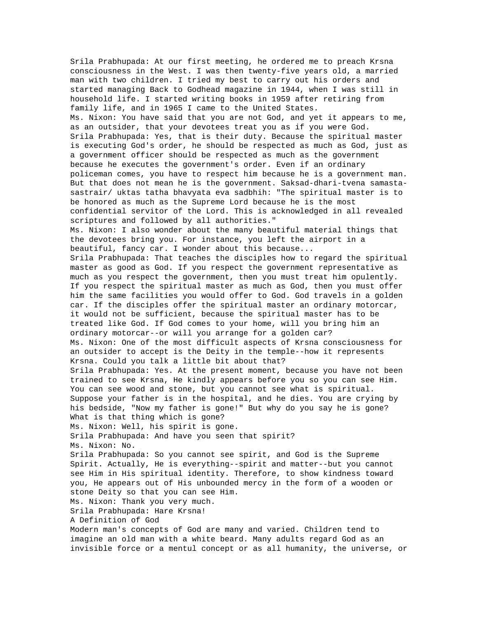Srila Prabhupada: At our first meeting, he ordered me to preach Krsna consciousness in the West. I was then twenty-five years old, a married man with two children. I tried my best to carry out his orders and started managing Back to Godhead magazine in 1944, when I was still in household life. I started writing books in 1959 after retiring from family life, and in 1965 I came to the United States. Ms. Nixon: You have said that you are not God, and yet it appears to me, as an outsider, that your devotees treat you as if you were God. Srila Prabhupada: Yes, that is their duty. Because the spiritual master is executing God's order, he should be respected as much as God, just as a government officer should be respected as much as the government because he executes the government's order. Even if an ordinary policeman comes, you have to respect him because he is a government man. But that does not mean he is the government. Saksad-dhari-tvena samastasastrair/ uktas tatha bhavyata eva sadbhih: "The spiritual master is to be honored as much as the Supreme Lord because he is the most confidential servitor of the Lord. This is acknowledged in all revealed scriptures and followed by all authorities." Ms. Nixon: I also wonder about the many beautiful material things that the devotees bring you. For instance, you left the airport in a beautiful, fancy car. I wonder about this because... Srila Prabhupada: That teaches the disciples how to regard the spiritual master as good as God. If you respect the government representative as much as you respect the government, then you must treat him opulently. If you respect the spiritual master as much as God, then you must offer him the same facilities you would offer to God. God travels in a golden car. If the disciples offer the spiritual master an ordinary motorcar, it would not be sufficient, because the spiritual master has to be treated like God. If God comes to your home, will you bring him an ordinary motorcar--or will you arrange for a golden car? Ms. Nixon: One of the most difficult aspects of Krsna consciousness for an outsider to accept is the Deity in the temple--how it represents Krsna. Could you talk a little bit about that? Srila Prabhupada: Yes. At the present moment, because you have not been trained to see Krsna, He kindly appears before you so you can see Him. You can see wood and stone, but you cannot see what is spiritual. Suppose your father is in the hospital, and he dies. You are crying by his bedside, "Now my father is gone!" But why do you say he is gone? What is that thing which is gone? Ms. Nixon: Well, his spirit is gone. Srila Prabhupada: And have you seen that spirit? Ms. Nixon: No. Srila Prabhupada: So you cannot see spirit, and God is the Supreme Spirit. Actually, He is everything--spirit and matter--but you cannot see Him in His spiritual identity. Therefore, to show kindness toward you, He appears out of His unbounded mercy in the form of a wooden or stone Deity so that you can see Him. Ms. Nixon: Thank you very much. Srila Prabhupada: Hare Krsna! A Definition of God Modern man's concepts of God are many and varied. Children tend to imagine an old man with a white beard. Many adults regard God as an invisible force or a mentul concept or as all humanity, the universe, or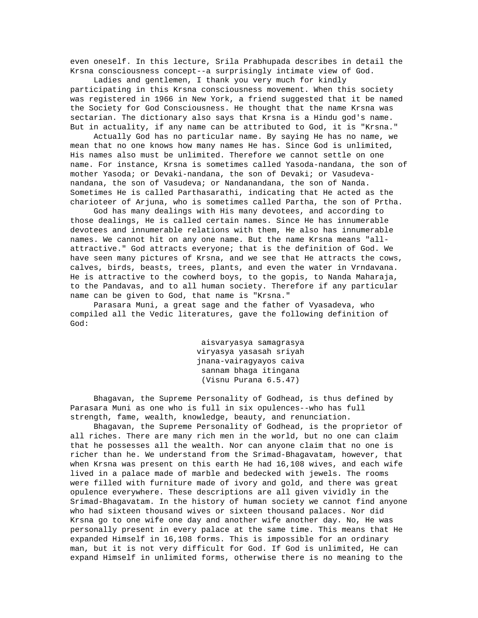even oneself. In this lecture, Srila Prabhupada describes in detail the Krsna consciousness concept--a surprisingly intimate view of God.

 Ladies and gentlemen, I thank you very much for kindly participating in this Krsna consciousness movement. When this society was registered in 1966 in New York, a friend suggested that it be named the Society for God Consciousness. He thought that the name Krsna was sectarian. The dictionary also says that Krsna is a Hindu god's name. But in actuality, if any name can be attributed to God, it is "Krsna."

 Actually God has no particular name. By saying He has no name, we mean that no one knows how many names He has. Since God is unlimited, His names also must be unlimited. Therefore we cannot settle on one name. For instance, Krsna is sometimes called Yasoda-nandana, the son of mother Yasoda; or Devaki-nandana, the son of Devaki; or Vasudevanandana, the son of Vasudeva; or Nandanandana, the son of Nanda. Sometimes He is called Parthasarathi, indicating that He acted as the charioteer of Arjuna, who is sometimes called Partha, the son of Prtha.

 God has many dealings with His many devotees, and according to those dealings, He is called certain names. Since He has innumerable devotees and innumerable relations with them, He also has innumerable names. We cannot hit on any one name. But the name Krsna means "allattractive." God attracts everyone; that is the definition of God. We have seen many pictures of Krsna, and we see that He attracts the cows, calves, birds, beasts, trees, plants, and even the water in Vrndavana. He is attractive to the cowherd boys, to the gopis, to Nanda Maharaja, to the Pandavas, and to all human society. Therefore if any particular name can be given to God, that name is "Krsna."

 Parasara Muni, a great sage and the father of Vyasadeva, who compiled all the Vedic literatures, gave the following definition of God:

> aisvaryasya samagrasya viryasya yasasah sriyah jnana-vairagyayos caiva sannam bhaga itingana (Visnu Purana 6.5.47)

 Bhagavan, the Supreme Personality of Godhead, is thus defined by Parasara Muni as one who is full in six opulences--who has full strength, fame, wealth, knowledge, beauty, and renunciation.

 Bhagavan, the Supreme Personality of Godhead, is the proprietor of all riches. There are many rich men in the world, but no one can claim that he possesses all the wealth. Nor can anyone claim that no one is richer than he. We understand from the Srimad-Bhagavatam, however, that when Krsna was present on this earth He had 16,108 wives, and each wife lived in a palace made of marble and bedecked with jewels. The rooms were filled with furniture made of ivory and gold, and there was great opulence everywhere. These descriptions are all given vividly in the Srimad-Bhagavatam. In the history of human society we cannot find anyone who had sixteen thousand wives or sixteen thousand palaces. Nor did Krsna go to one wife one day and another wife another day. No, He was personally present in every palace at the same time. This means that He expanded Himself in 16,108 forms. This is impossible for an ordinary man, but it is not very difficult for God. If God is unlimited, He can expand Himself in unlimited forms, otherwise there is no meaning to the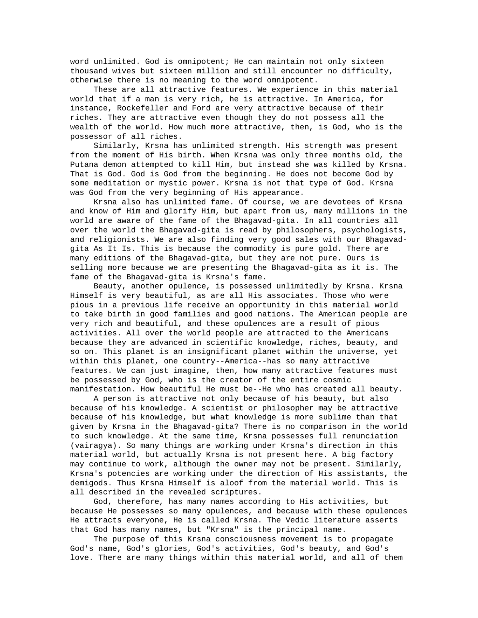word unlimited. God is omnipotent; He can maintain not only sixteen thousand wives but sixteen million and still encounter no difficulty, otherwise there is no meaning to the word omnipotent.

 These are all attractive features. We experience in this material world that if a man is very rich, he is attractive. In America, for instance, Rockefeller and Ford are very attractive because of their riches. They are attractive even though they do not possess all the wealth of the world. How much more attractive, then, is God, who is the possessor of all riches.

 Similarly, Krsna has unlimited strength. His strength was present from the moment of His birth. When Krsna was only three months old, the Putana demon attempted to kill Him, but instead she was killed by Krsna. That is God. God is God from the beginning. He does not become God by some meditation or mystic power. Krsna is not that type of God. Krsna was God from the very beginning of His appearance.

 Krsna also has unlimited fame. Of course, we are devotees of Krsna and know of Him and glorify Him, but apart from us, many millions in the world are aware of the fame of the Bhagavad-gita. In all countries all over the world the Bhagavad-gita is read by philosophers, psychologists, and religionists. We are also finding very good sales with our Bhagavadgita As It Is. This is because the commodity is pure gold. There are many editions of the Bhagavad-gita, but they are not pure. Ours is selling more because we are presenting the Bhagavad-gita as it is. The fame of the Bhagavad-gita is Krsna's fame.

 Beauty, another opulence, is possessed unlimitedly by Krsna. Krsna Himself is very beautiful, as are all His associates. Those who were pious in a previous life receive an opportunity in this material world to take birth in good families and good nations. The American people are very rich and beautiful, and these opulences are a result of pious activities. All over the world people are attracted to the Americans because they are advanced in scientific knowledge, riches, beauty, and so on. This planet is an insignificant planet within the universe, yet within this planet, one country--America--has so many attractive features. We can just imagine, then, how many attractive features must be possessed by God, who is the creator of the entire cosmic manifestation. How beautiful He must be--He who has created all beauty.

 A person is attractive not only because of his beauty, but also because of his knowledge. A scientist or philosopher may be attractive because of his knowledge, but what knowledge is more sublime than that given by Krsna in the Bhagavad-gita? There is no comparison in the world to such knowledge. At the same time, Krsna possesses full renunciation (vairagya). So many things are working under Krsna's direction in this material world, but actually Krsna is not present here. A big factory may continue to work, although the owner may not be present. Similarly, Krsna's potencies are working under the direction of His assistants, the demigods. Thus Krsna Himself is aloof from the material world. This is all described in the revealed scriptures.

 God, therefore, has many names according to His activities, but because He possesses so many opulences, and because with these opulences He attracts everyone, He is called Krsna. The Vedic literature asserts that God has many names, but "Krsna" is the principal name.

 The purpose of this Krsna consciousness movement is to propagate God's name, God's glories, God's activities, God's beauty, and God's love. There are many things within this material world, and all of them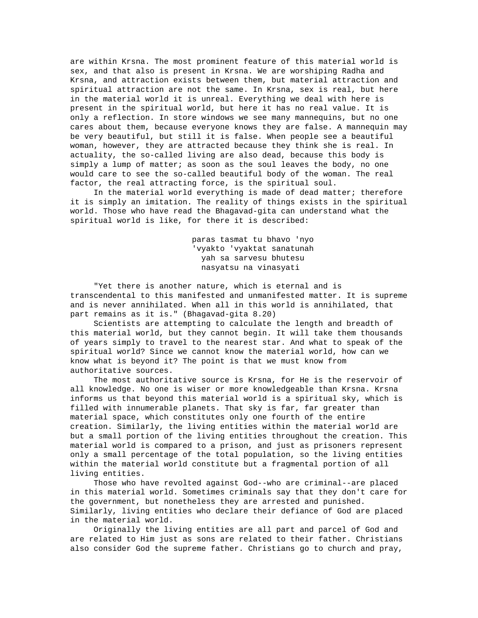are within Krsna. The most prominent feature of this material world is sex, and that also is present in Krsna. We are worshiping Radha and Krsna, and attraction exists between them, but material attraction and spiritual attraction are not the same. In Krsna, sex is real, but here in the material world it is unreal. Everything we deal with here is present in the spiritual world, but here it has no real value. It is only a reflection. In store windows we see many mannequins, but no one cares about them, because everyone knows they are false. A mannequin may be very beautiful, but still it is false. When people see a beautiful woman, however, they are attracted because they think she is real. In actuality, the so-called living are also dead, because this body is simply a lump of matter; as soon as the soul leaves the body, no one would care to see the so-called beautiful body of the woman. The real factor, the real attracting force, is the spiritual soul.

 In the material world everything is made of dead matter; therefore it is simply an imitation. The reality of things exists in the spiritual world. Those who have read the Bhagavad-gita can understand what the spiritual world is like, for there it is described:

> paras tasmat tu bhavo 'nyo 'vyakto 'vyaktat sanatunah yah sa sarvesu bhutesu nasyatsu na vinasyati

 "Yet there is another nature, which is eternal and is transcendental to this manifested and unmanifested matter. It is supreme and is never annihilated. When all in this world is annihilated, that part remains as it is." (Bhagavad-gita 8.20)

 Scientists are attempting to calculate the length and breadth of this material world, but they cannot begin. It will take them thousands of years simply to travel to the nearest star. And what to speak of the spiritual world? Since we cannot know the material world, how can we know what is beyond it? The point is that we must know from authoritative sources.

 The most authoritative source is Krsna, for He is the reservoir of all knowledge. No one is wiser or more knowledgeable than Krsna. Krsna informs us that beyond this material world is a spiritual sky, which is filled with innumerable planets. That sky is far, far greater than material space, which constitutes only one fourth of the entire creation. Similarly, the living entities within the material world are but a small portion of the living entities throughout the creation. This material world is compared to a prison, and just as prisoners represent only a small percentage of the total population, so the living entities within the material world constitute but a fragmental portion of all living entities.

 Those who have revolted against God--who are criminal--are placed in this material world. Sometimes criminals say that they don't care for the government, but nonetheless they are arrested and punished. Similarly, living entities who declare their defiance of God are placed in the material world.

 Originally the living entities are all part and parcel of God and are related to Him just as sons are related to their father. Christians also consider God the supreme father. Christians go to church and pray,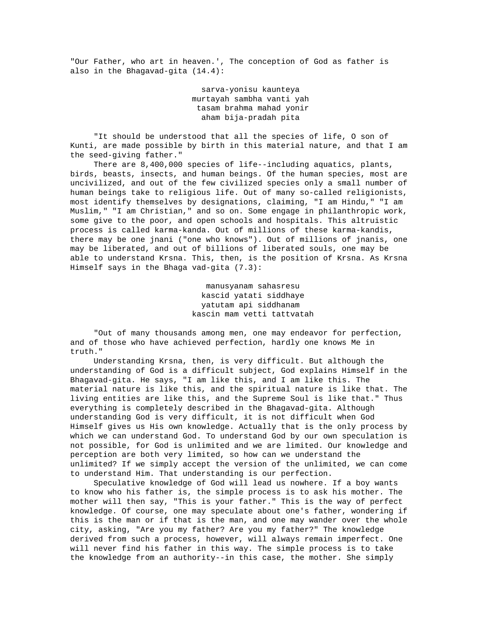"Our Father, who art in heaven.', The conception of God as father is also in the Bhagavad-gita (14.4):

> sarva-yonisu kaunteya murtayah sambha vanti yah tasam brahma mahad yonir aham bija-pradah pita

 "It should be understood that all the species of life, O son of Kunti, are made possible by birth in this material nature, and that I am the seed-giving father."

 There are 8,400,000 species of life--including aquatics, plants, birds, beasts, insects, and human beings. Of the human species, most are uncivilized, and out of the few civilized species only a small number of human beings take to religious life. Out of many so-called religionists, most identify themselves by designations, claiming, "I am Hindu," "I am Muslim," "I am Christian," and so on. Some engage in philanthropic work, some give to the poor, and open schools and hospitals. This altruistic process is called karma-kanda. Out of millions of these karma-kandis, there may be one jnani ("one who knows"). Out of millions of jnanis, one may be liberated, and out of billions of liberated souls, one may be able to understand Krsna. This, then, is the position of Krsna. As Krsna Himself says in the Bhaga vad-gita (7.3):

> manusyanam sahasresu kascid yatati siddhaye yatutam api siddhanam kascin mam vetti tattvatah

 "Out of many thousands among men, one may endeavor for perfection, and of those who have achieved perfection, hardly one knows Me in truth."

 Understanding Krsna, then, is very difficult. But although the understanding of God is a difficult subject, God explains Himself in the Bhagavad-gita. He says, "I am like this, and I am like this. The material nature is like this, and the spiritual nature is like that. The living entities are like this, and the Supreme Soul is like that." Thus everything is completely described in the Bhagavad-gita. Although understanding God is very difficult, it is not difficult when God Himself gives us His own knowledge. Actually that is the only process by which we can understand God. To understand God by our own speculation is not possible, for God is unlimited and we are limited. Our knowledge and perception are both very limited, so how can we understand the unlimited? If we simply accept the version of the unlimited, we can come to understand Him. That understanding is our perfection.

 Speculative knowledge of God will lead us nowhere. If a boy wants to know who his father is, the simple process is to ask his mother. The mother will then say, "This is your father." This is the way of perfect knowledge. Of course, one may speculate about one's father, wondering if this is the man or if that is the man, and one may wander over the whole city, asking, "Are you my father? Are you my father?" The knowledge derived from such a process, however, will always remain imperfect. One will never find his father in this way. The simple process is to take the knowledge from an authority--in this case, the mother. She simply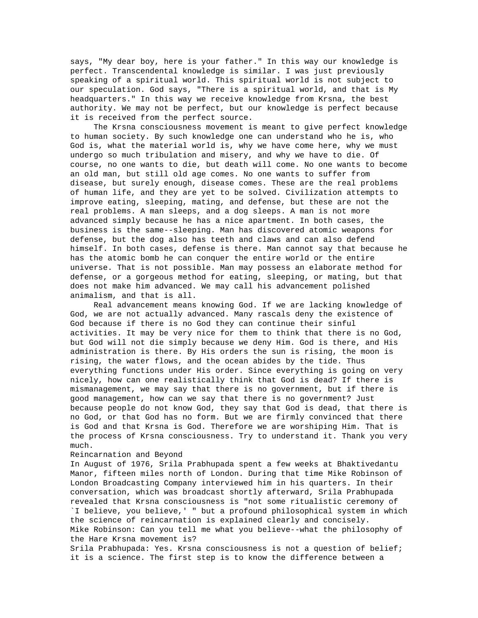says, "My dear boy, here is your father." In this way our knowledge is perfect. Transcendental knowledge is similar. I was just previously speaking of a spiritual world. This spiritual world is not subject to our speculation. God says, "There is a spiritual world, and that is My headquarters." In this way we receive knowledge from Krsna, the best authority. We may not be perfect, but our knowledge is perfect because it is received from the perfect source.

 The Krsna consciousness movement is meant to give perfect knowledge to human society. By such knowledge one can understand who he is, who God is, what the material world is, why we have come here, why we must undergo so much tribulation and misery, and why we have to die. Of course, no one wants to die, but death will come. No one wants to become an old man, but still old age comes. No one wants to suffer from disease, but surely enough, disease comes. These are the real problems of human life, and they are yet to be solved. Civilization attempts to improve eating, sleeping, mating, and defense, but these are not the real problems. A man sleeps, and a dog sleeps. A man is not more advanced simply because he has a nice apartment. In both cases, the business is the same--sleeping. Man has discovered atomic weapons for defense, but the dog also has teeth and claws and can also defend himself. In both cases, defense is there. Man cannot say that because he has the atomic bomb he can conquer the entire world or the entire universe. That is not possible. Man may possess an elaborate method for defense, or a gorgeous method for eating, sleeping, or mating, but that does not make him advanced. We may call his advancement polished animalism, and that is all.

 Real advancement means knowing God. If we are lacking knowledge of God, we are not actually advanced. Many rascals deny the existence of God because if there is no God they can continue their sinful activities. It may be very nice for them to think that there is no God, but God will not die simply because we deny Him. God is there, and His administration is there. By His orders the sun is rising, the moon is rising, the water flows, and the ocean abides by the tide. Thus everything functions under His order. Since everything is going on very nicely, how can one realistically think that God is dead? If there is mismanagement, we may say that there is no government, but if there is good management, how can we say that there is no government? Just because people do not know God, they say that God is dead, that there is no God, or that God has no form. But we are firmly convinced that there is God and that Krsna is God. Therefore we are worshiping Him. That is the process of Krsna consciousness. Try to understand it. Thank you very much.

## Reincarnation and Beyond

In August of 1976, Srila Prabhupada spent a few weeks at Bhaktivedantu Manor, fifteen miles north of London. During that time Mike Robinson of London Broadcasting Company interviewed him in his quarters. In their conversation, which was broadcast shortly afterward, Srila Prabhupada revealed that Krsna consciousness is "not some ritualistic ceremony of `I believe, you believe,' " but a profound philosophical system in which the science of reincarnation is explained clearly and concisely. Mike Robinson: Can you tell me what you believe--what the philosophy of the Hare Krsna movement is?

Srila Prabhupada: Yes. Krsna consciousness is not a question of belief; it is a science. The first step is to know the difference between a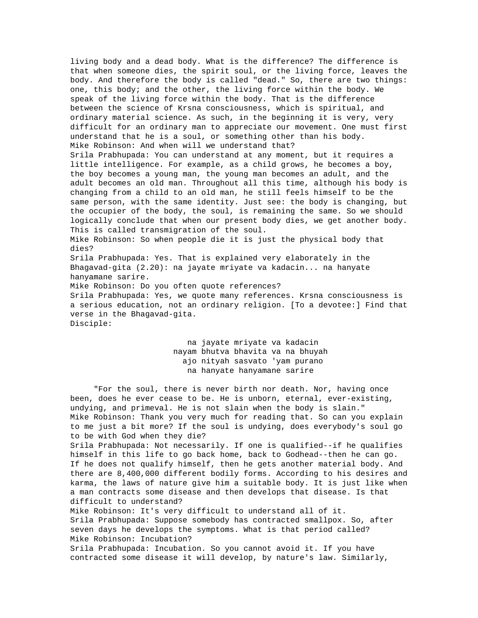living body and a dead body. What is the difference? The difference is that when someone dies, the spirit soul, or the living force, leaves the body. And therefore the body is called "dead." So, there are two things: one, this body; and the other, the living force within the body. We speak of the living force within the body. That is the difference between the science of Krsna consciousness, which is spiritual, and ordinary material science. As such, in the beginning it is very, very difficult for an ordinary man to appreciate our movement. One must first understand that he is a soul, or something other than his body. Mike Robinson: And when will we understand that? Srila Prabhupada: You can understand at any moment, but it requires a little intelligence. For example, as a child grows, he becomes a boy, the boy becomes a young man, the young man becomes an adult, and the adult becomes an old man. Throughout all this time, although his body is changing from a child to an old man, he still feels himself to be the same person, with the same identity. Just see: the body is changing, but the occupier of the body, the soul, is remaining the same. So we should logically conclude that when our present body dies, we get another body. This is called transmigration of the soul. Mike Robinson: So when people die it is just the physical body that dies? Srila Prabhupada: Yes. That is explained very elaborately in the Bhagavad-gita (2.20): na jayate mriyate va kadacin... na hanyate hanyamane sarire. Mike Robinson: Do you often quote references? Srila Prabhupada: Yes, we quote many references. Krsna consciousness is a serious education, not an ordinary religion. [To a devotee:] Find that verse in the Bhagavad-gita. Disciple:

> na jayate mriyate va kadacin nayam bhutva bhavita va na bhuyah ajo nityah sasvato 'yam purano na hanyate hanyamane sarire

 "For the soul, there is never birth nor death. Nor, having once been, does he ever cease to be. He is unborn, eternal, ever-existing, undying, and primeval. He is not slain when the body is slain." Mike Robinson: Thank you very much for reading that. So can you explain to me just a bit more? If the soul is undying, does everybody's soul go to be with God when they die?

Srila Prabhupada: Not necessarily. If one is qualified--if he qualifies himself in this life to go back home, back to Godhead--then he can go. If he does not qualify himself, then he gets another material body. And there are 8,400,000 different bodily forms. According to his desires and karma, the laws of nature give him a suitable body. It is just like when a man contracts some disease and then develops that disease. Is that difficult to understand?

Mike Robinson: It's very difficult to understand all of it. Srila Prabhupada: Suppose somebody has contracted smallpox. So, after seven days he develops the symptoms. What is that period called? Mike Robinson: Incubation?

Srila Prabhupada: Incubation. So you cannot avoid it. If you have contracted some disease it will develop, by nature's law. Similarly,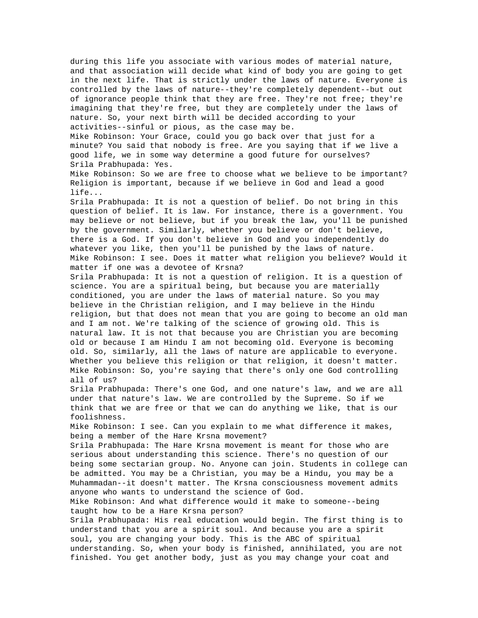during this life you associate with various modes of material nature, and that association will decide what kind of body you are going to get in the next life. That is strictly under the laws of nature. Everyone is controlled by the laws of nature--they're completely dependent--but out of ignorance people think that they are free. They're not free; they're imagining that they're free, but they are completely under the laws of nature. So, your next birth will be decided according to your activities--sinful or pious, as the case may be. Mike Robinson: Your Grace, could you go back over that just for a minute? You said that nobody is free. Are you saying that if we live a good life, we in some way determine a good future for ourselves? Srila Prabhupada: Yes. Mike Robinson: So we are free to choose what we believe to be important? Religion is important, because if we believe in God and lead a good life... Srila Prabhupada: It is not a question of belief. Do not bring in this question of belief. It is law. For instance, there is a government. You may believe or not believe, but if you break the law, you'll be punished by the government. Similarly, whether you believe or don't believe, there is a God. If you don't believe in God and you independently do whatever you like, then you'll be punished by the laws of nature. Mike Robinson: I see. Does it matter what religion you believe? Would it matter if one was a devotee of Krsna? Srila Prabhupada: It is not a question of religion. It is a question of science. You are a spiritual being, but because you are materially conditioned, you are under the laws of material nature. So you may believe in the Christian religion, and I may believe in the Hindu religion, but that does not mean that you are going to become an old man and I am not. We're talking of the science of growing old. This is natural law. It is not that because you are Christian you are becoming old or because I am Hindu I am not becoming old. Everyone is becoming old. So, similarly, all the laws of nature are applicable to everyone. Whether you believe this religion or that religion, it doesn't matter. Mike Robinson: So, you're saying that there's only one God controlling all of us? Srila Prabhupada: There's one God, and one nature's law, and we are all under that nature's law. We are controlled by the Supreme. So if we think that we are free or that we can do anything we like, that is our foolishness. Mike Robinson: I see. Can you explain to me what difference it makes, being a member of the Hare Krsna movement? Srila Prabhupada: The Hare Krsna movement is meant for those who are serious about understanding this science. There's no question of our being some sectarian group. No. Anyone can join. Students in college can be admitted. You may be a Christian, you may be a Hindu, you may be a Muhammadan--it doesn't matter. The Krsna consciousness movement admits anyone who wants to understand the science of God. Mike Robinson: And what difference would it make to someone--being taught how to be a Hare Krsna person? Srila Prabhupada: His real education would begin. The first thing is to understand that you are a spirit soul. And because you are a spirit soul, you are changing your body. This is the ABC of spiritual understanding. So, when your body is finished, annihilated, you are not finished. You get another body, just as you may change your coat and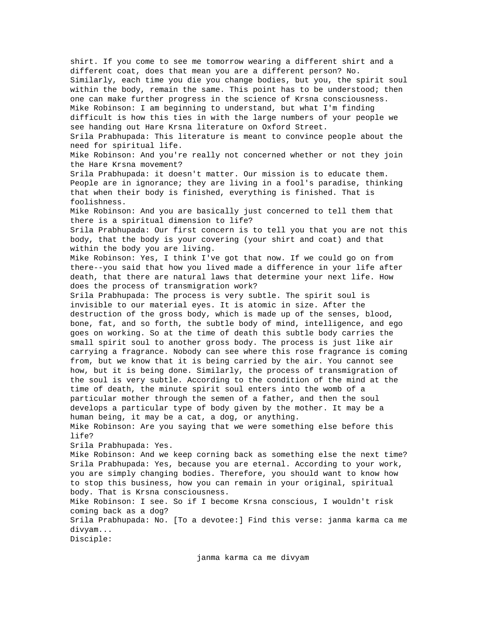shirt. If you come to see me tomorrow wearing a different shirt and a different coat, does that mean you are a different person? No. Similarly, each time you die you change bodies, but you, the spirit soul within the body, remain the same. This point has to be understood; then one can make further progress in the science of Krsna consciousness. Mike Robinson: I am beginning to understand, but what I'm finding difficult is how this ties in with the large numbers of your people we see handing out Hare Krsna literature on Oxford Street. Srila Prabhupada: This literature is meant to convince people about the need for spiritual life. Mike Robinson: And you're really not concerned whether or not they join the Hare Krsna movement? Srila Prabhupada: it doesn't matter. Our mission is to educate them. People are in ignorance; they are living in a fool's paradise, thinking that when their body is finished, everything is finished. That is foolishness. Mike Robinson: And you are basically just concerned to tell them that there is a spiritual dimension to life? Srila Prabhupada: Our first concern is to tell you that you are not this body, that the body is your covering (your shirt and coat) and that within the body you are living. Mike Robinson: Yes, I think I've got that now. If we could go on from there--you said that how you lived made a difference in your life after death, that there are natural laws that determine your next life. How does the process of transmigration work? Srila Prabhupada: The process is very subtle. The spirit soul is invisible to our material eyes. It is atomic in size. After the destruction of the gross body, which is made up of the senses, blood, bone, fat, and so forth, the subtle body of mind, intelligence, and ego goes on working. So at the time of death this subtle body carries the small spirit soul to another gross body. The process is just like air carrying a fragrance. Nobody can see where this rose fragrance is coming from, but we know that it is being carried by the air. You cannot see how, but it is being done. Similarly, the process of transmigration of the soul is very subtle. According to the condition of the mind at the time of death, the minute spirit soul enters into the womb of a particular mother through the semen of a father, and then the soul develops a particular type of body given by the mother. It may be a human being, it may be a cat, a dog, or anything. Mike Robinson: Are you saying that we were something else before this life? Srila Prabhupada: Yes. Mike Robinson: And we keep corning back as something else the next time? Srila Prabhupada: Yes, because you are eternal. According to your work, you are simply changing bodies. Therefore, you should want to know how to stop this business, how you can remain in your original, spiritual body. That is Krsna consciousness. Mike Robinson: I see. So if I become Krsna conscious, I wouldn't risk coming back as a dog? Srila Prabhupada: No. [To a devotee:] Find this verse: janma karma ca me divyam... Disciple:

janma karma ca me divyam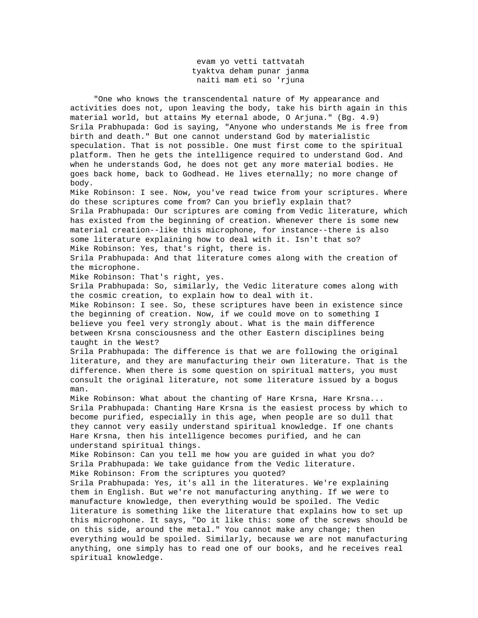evam yo vetti tattvatah tyaktva deham punar janma naiti mam eti so 'rjuna

 "One who knows the transcendental nature of My appearance and activities does not, upon leaving the body, take his birth again in this material world, but attains My eternal abode, O Arjuna." (Bg. 4.9) Srila Prabhupada: God is saying, "Anyone who understands Me is free from birth and death." But one cannot understand God by materialistic speculation. That is not possible. One must first come to the spiritual platform. Then he gets the intelligence required to understand God. And when he understands God, he does not get any more material bodies. He goes back home, back to Godhead. He lives eternally; no more change of body. Mike Robinson: I see. Now, you've read twice from your scriptures. Where do these scriptures come from? Can you briefly explain that? Srila Prabhupada: Our scriptures are coming from Vedic literature, which has existed from the beginning of creation. Whenever there is some new material creation--like this microphone, for instance--there is also some literature explaining how to deal with it. Isn't that so? Mike Robinson: Yes, that's right, there is. Srila Prabhupada: And that literature comes along with the creation of the microphone. Mike Robinson: That's right, yes. Srila Prabhupada: So, similarly, the Vedic literature comes along with the cosmic creation, to explain how to deal with it. Mike Robinson: I see. So, these scriptures have been in existence since the beginning of creation. Now, if we could move on to something I believe you feel very strongly about. What is the main difference between Krsna consciousness and the other Eastern disciplines being taught in the West? Srila Prabhupada: The difference is that we are following the original literature, and they are manufacturing their own literature. That is the difference. When there is some question on spiritual matters, you must consult the original literature, not some literature issued by a bogus man. Mike Robinson: What about the chanting of Hare Krsna, Hare Krsna... Srila Prabhupada: Chanting Hare Krsna is the easiest process by which to become purified, especially in this age, when people are so dull that they cannot very easily understand spiritual knowledge. If one chants Hare Krsna, then his intelligence becomes purified, and he can understand spiritual things. Mike Robinson: Can you tell me how you are guided in what you do? Srila Prabhupada: We take guidance from the Vedic literature. Mike Robinson: From the scriptures you quoted? Srila Prabhupada: Yes, it's all in the literatures. We're explaining them in English. But we're not manufacturing anything. If we were to manufacture knowledge, then everything would be spoiled. The Vedic literature is something like the literature that explains how to set up this microphone. It says, "Do it like this: some of the screws should be on this side, around the metal." You cannot make any change; then everything would be spoiled. Similarly, because we are not manufacturing anything, one simply has to read one of our books, and he receives real spiritual knowledge.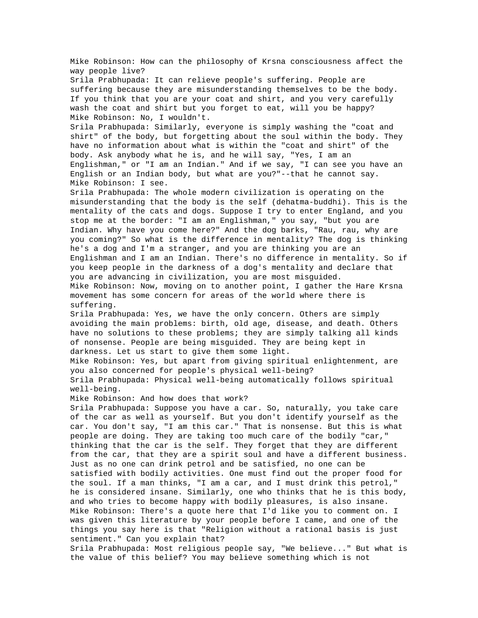Mike Robinson: How can the philosophy of Krsna consciousness affect the way people live? Srila Prabhupada: It can relieve people's suffering. People are suffering because they are misunderstanding themselves to be the body. If you think that you are your coat and shirt, and you very carefully wash the coat and shirt but you forget to eat, will you be happy? Mike Robinson: No, I wouldn't. Srila Prabhupada: Similarly, everyone is simply washing the "coat and shirt" of the body, but forgetting about the soul within the body. They have no information about what is within the "coat and shirt" of the body. Ask anybody what he is, and he will say, "Yes, I am an Englishman," or "I am an Indian." And if we say, "I can see you have an English or an Indian body, but what are you?"--that he cannot say. Mike Robinson: I see. Srila Prabhupada: The whole modern civilization is operating on the misunderstanding that the body is the self (dehatma-buddhi). This is the mentality of the cats and dogs. Suppose I try to enter England, and you stop me at the border: "I am an Englishman," you say, "but you are Indian. Why have you come here?" And the dog barks, "Rau, rau, why are you coming?" So what is the difference in mentality? The dog is thinking he's a dog and I'm a stranger, and you are thinking you are an Englishman and I am an Indian. There's no difference in mentality. So if you keep people in the darkness of a dog's mentality and declare that you are advancing in civilization, you are most misguided. Mike Robinson: Now, moving on to another point, I gather the Hare Krsna movement has some concern for areas of the world where there is suffering. Srila Prabhupada: Yes, we have the only concern. Others are simply avoiding the main problems: birth, old age, disease, and death. Others have no solutions to these problems; they are simply talking all kinds of nonsense. People are being misguided. They are being kept in darkness. Let us start to give them some light. Mike Robinson: Yes, but apart from giving spiritual enlightenment, are you also concerned for people's physical well-being? Srila Prabhupada: Physical well-being automatically follows spiritual well-being. Mike Robinson: And how does that work? Srila Prabhupada: Suppose you have a car. So, naturally, you take care of the car as well as yourself. But you don't identify yourself as the car. You don't say, "I am this car." That is nonsense. But this is what people are doing. They are taking too much care of the bodily "car," thinking that the car is the self. They forget that they are different from the car, that they are a spirit soul and have a different business. Just as no one can drink petrol and be satisfied, no one can be satisfied with bodily activities. One must find out the proper food for the soul. If a man thinks, "I am a car, and I must drink this petrol," he is considered insane. Similarly, one who thinks that he is this body, and who tries to become happy with bodily pleasures, is also insane. Mike Robinson: There's a quote here that I'd like you to comment on. I was given this literature by your people before I came, and one of the things you say here is that "Religion without a rational basis is just sentiment." Can you explain that? Srila Prabhupada: Most religious people say, "We believe..." But what is the value of this belief? You may believe something which is not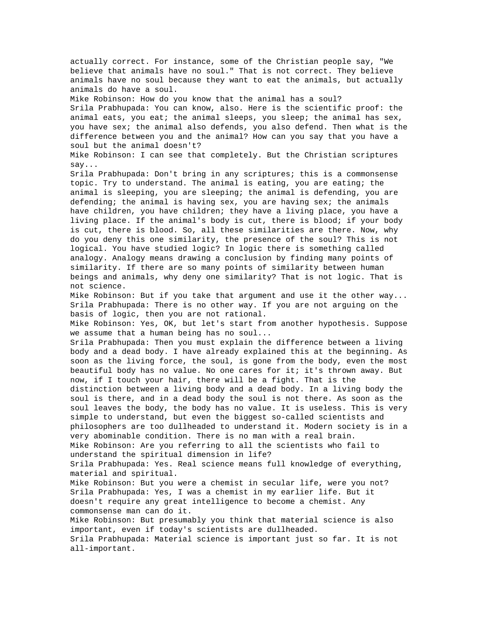actually correct. For instance, some of the Christian people say, "We believe that animals have no soul." That is not correct. They believe animals have no soul because they want to eat the animals, but actually animals do have a soul. Mike Robinson: How do you know that the animal has a soul? Srila Prabhupada: You can know, also. Here is the scientific proof: the animal eats, you eat; the animal sleeps, you sleep; the animal has sex, you have sex; the animal also defends, you also defend. Then what is the difference between you and the animal? How can you say that you have a soul but the animal doesn't? Mike Robinson: I can see that completely. But the Christian scriptures say... Srila Prabhupada: Don't bring in any scriptures; this is a commonsense topic. Try to understand. The animal is eating, you are eating; the animal is sleeping, you are sleeping; the animal is defending, you are defending; the animal is having sex, you are having sex; the animals have children, you have children; they have a living place, you have a living place. If the animal's body is cut, there is blood; if your body is cut, there is blood. So, all these similarities are there. Now, why do you deny this one similarity, the presence of the soul? This is not logical. You have studied logic? In logic there is something called analogy. Analogy means drawing a conclusion by finding many points of similarity. If there are so many points of similarity between human beings and animals, why deny one similarity? That is not logic. That is not science. Mike Robinson: But if you take that argument and use it the other way... Srila Prabhupada: There is no other way. If you are not arguing on the basis of logic, then you are not rational. Mike Robinson: Yes, OK, but let's start from another hypothesis. Suppose we assume that a human being has no soul... Srila Prabhupada: Then you must explain the difference between a living body and a dead body. I have already explained this at the beginning. As soon as the living force, the soul, is gone from the body, even the most beautiful body has no value. No one cares for it; it's thrown away. But now, if I touch your hair, there will be a fight. That is the distinction between a living body and a dead body. In a living body the soul is there, and in a dead body the soul is not there. As soon as the soul leaves the body, the body has no value. It is useless. This is very simple to understand, but even the biggest so-called scientists and philosophers are too dullheaded to understand it. Modern society is in a very abominable condition. There is no man with a real brain. Mike Robinson: Are you referring to all the scientists who fail to understand the spiritual dimension in life? Srila Prabhupada: Yes. Real science means full knowledge of everything, material and spiritual. Mike Robinson: But you were a chemist in secular life, were you not? Srila Prabhupada: Yes, I was a chemist in my earlier life. But it doesn't require any great intelligence to become a chemist. Any commonsense man can do it. Mike Robinson: But presumably you think that material science is also important, even if today's scientists are dullheaded. Srila Prabhupada: Material science is important just so far. It is not all-important.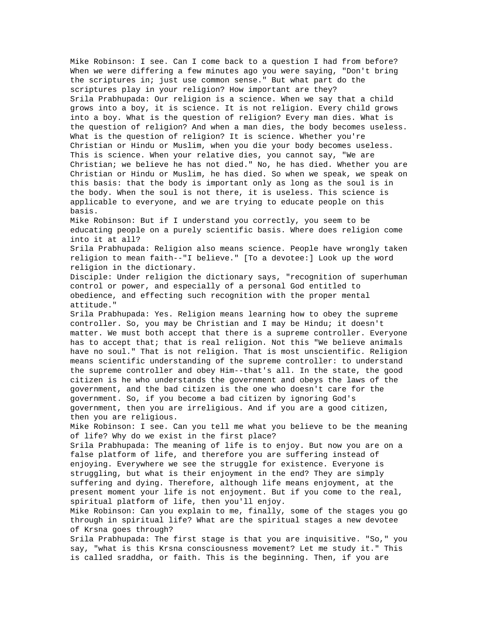Mike Robinson: I see. Can I come back to a question I had from before? When we were differing a few minutes ago you were saying, "Don't bring the scriptures in; just use common sense." But what part do the scriptures play in your religion? How important are they? Srila Prabhupada: Our religion is a science. When we say that a child grows into a boy, it is science. It is not religion. Every child grows into a boy. What is the question of religion? Every man dies. What is the question of religion? And when a man dies, the body becomes useless. What is the question of religion? It is science. Whether you're Christian or Hindu or Muslim, when you die your body becomes useless. This is science. When your relative dies, you cannot say, "We are Christian; we believe he has not died." No, he has died. Whether you are Christian or Hindu or Muslim, he has died. So when we speak, we speak on this basis: that the body is important only as long as the soul is in the body. When the soul is not there, it is useless. This science is applicable to everyone, and we are trying to educate people on this basis. Mike Robinson: But if I understand you correctly, you seem to be educating people on a purely scientific basis. Where does religion come into it at all? Srila Prabhupada: Religion also means science. People have wrongly taken religion to mean faith--"I believe." [To a devotee:] Look up the word religion in the dictionary. Disciple: Under religion the dictionary says, "recognition of superhuman control or power, and especially of a personal God entitled to obedience, and effecting such recognition with the proper mental attitude." Srila Prabhupada: Yes. Religion means learning how to obey the supreme controller. So, you may be Christian and I may be Hindu; it doesn't matter. We must both accept that there is a supreme controller. Everyone has to accept that; that is real religion. Not this "We believe animals have no soul." That is not religion. That is most unscientific. Religion means scientific understanding of the supreme controller: to understand the supreme controller and obey Him--that's all. In the state, the good citizen is he who understands the government and obeys the laws of the government, and the bad citizen is the one who doesn't care for the government. So, if you become a bad citizen by ignoring God's government, then you are irreligious. And if you are a good citizen, then you are religious. Mike Robinson: I see. Can you tell me what you believe to be the meaning of life? Why do we exist in the first place? Srila Prabhupada: The meaning of life is to enjoy. But now you are on a false platform of life, and therefore you are suffering instead of enjoying. Everywhere we see the struggle for existence. Everyone is struggling, but what is their enjoyment in the end? They are simply suffering and dying. Therefore, although life means enjoyment, at the present moment your life is not enjoyment. But if you come to the real, spiritual platform of life, then you'll enjoy. Mike Robinson: Can you explain to me, finally, some of the stages you go through in spiritual life? What are the spiritual stages a new devotee of Krsna goes through? Srila Prabhupada: The first stage is that you are inquisitive. "So," you

say, "what is this Krsna consciousness movement? Let me study it." This is called sraddha, or faith. This is the beginning. Then, if you are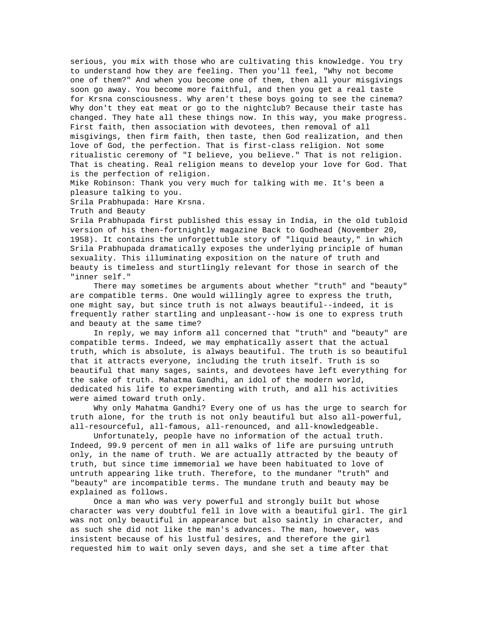serious, you mix with those who are cultivating this knowledge. You try to understand how they are feeling. Then you'll feel, "Why not become one of them?" And when you become one of them, then all your misgivings soon go away. You become more faithful, and then you get a real taste for Krsna consciousness. Why aren't these boys going to see the cinema? Why don't they eat meat or go to the nightclub? Because their taste has changed. They hate all these things now. In this way, you make progress. First faith, then association with devotees, then removal of all misgivings, then firm faith, then taste, then God realization, and then love of God, the perfection. That is first-class religion. Not some ritualistic ceremony of "I believe, you believe." That is not religion. That is cheating. Real religion means to develop your love for God. That is the perfection of religion.

Mike Robinson: Thank you very much for talking with me. It's been a pleasure talking to you.

Srila Prabhupada: Hare Krsna.

Truth and Beauty

Srila Prabhupada first published this essay in India, in the old tubloid version of his then-fortnightly magazine Back to Godhead (November 20, 1958). It contains the unforgettuble story of "liquid beauty," in which Srila Prabhupada dramatically exposes the underlying principle of human sexuality. This illuminating exposition on the nature of truth and beauty is timeless and sturtlingly relevant for those in search of the "inner self."

 There may sometimes be arguments about whether "truth" and "beauty" are compatible terms. One would willingly agree to express the truth, one might say, but since truth is not always beautiful--indeed, it is frequently rather startling and unpleasant--how is one to express truth and beauty at the same time?

 In reply, we may inform all concerned that "truth" and "beauty" are compatible terms. Indeed, we may emphatically assert that the actual truth, which is absolute, is always beautiful. The truth is so beautiful that it attracts everyone, including the truth itself. Truth is so beautiful that many sages, saints, and devotees have left everything for the sake of truth. Mahatma Gandhi, an idol of the modern world, dedicated his life to experimenting with truth, and all his activities were aimed toward truth only.

 Why only Mahatma Gandhi? Every one of us has the urge to search for truth alone, for the truth is not only beautiful but also all-powerful, all-resourceful, all-famous, all-renounced, and all-knowledgeable.

 Unfortunately, people have no information of the actual truth. Indeed, 99.9 percent of men in all walks of life are pursuing untruth only, in the name of truth. We are actually attracted by the beauty of truth, but since time immemorial we have been habituated to love of untruth appearing like truth. Therefore, to the mundaner "truth" and "beauty" are incompatible terms. The mundane truth and beauty may be explained as follows.

 Once a man who was very powerful and strongly built but whose character was very doubtful fell in love with a beautiful girl. The girl was not only beautiful in appearance but also saintly in character, and as such she did not like the man's advances. The man, however, was insistent because of his lustful desires, and therefore the girl requested him to wait only seven days, and she set a time after that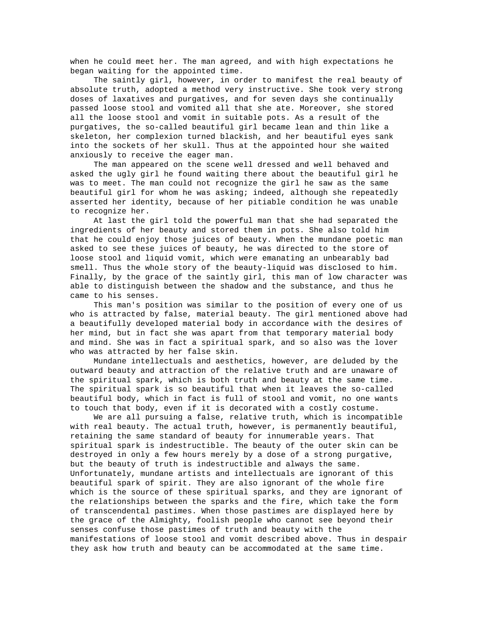when he could meet her. The man agreed, and with high expectations he began waiting for the appointed time.

 The saintly girl, however, in order to manifest the real beauty of absolute truth, adopted a method very instructive. She took very strong doses of laxatives and purgatives, and for seven days she continually passed loose stool and vomited all that she ate. Moreover, she stored all the loose stool and vomit in suitable pots. As a result of the purgatives, the so-called beautiful girl became lean and thin like a skeleton, her complexion turned blackish, and her beautiful eyes sank into the sockets of her skull. Thus at the appointed hour she waited anxiously to receive the eager man.

 The man appeared on the scene well dressed and well behaved and asked the ugly girl he found waiting there about the beautiful girl he was to meet. The man could not recognize the girl he saw as the same beautiful girl for whom he was asking; indeed, although she repeatedly asserted her identity, because of her pitiable condition he was unable to recognize her.

 At last the girl told the powerful man that she had separated the ingredients of her beauty and stored them in pots. She also told him that he could enjoy those juices of beauty. When the mundane poetic man asked to see these juices of beauty, he was directed to the store of loose stool and liquid vomit, which were emanating an unbearably bad smell. Thus the whole story of the beauty-liquid was disclosed to him. Finally, by the grace of the saintly girl, this man of low character was able to distinguish between the shadow and the substance, and thus he came to his senses.

 This man's position was similar to the position of every one of us who is attracted by false, material beauty. The girl mentioned above had a beautifully developed material body in accordance with the desires of her mind, but in fact she was apart from that temporary material body and mind. She was in fact a spiritual spark, and so also was the lover who was attracted by her false skin.

 Mundane intellectuals and aesthetics, however, are deluded by the outward beauty and attraction of the relative truth and are unaware of the spiritual spark, which is both truth and beauty at the same time. The spiritual spark is so beautiful that when it leaves the so-called beautiful body, which in fact is full of stool and vomit, no one wants to touch that body, even if it is decorated with a costly costume.

 We are all pursuing a false, relative truth, which is incompatible with real beauty. The actual truth, however, is permanently beautiful, retaining the same standard of beauty for innumerable years. That spiritual spark is indestructible. The beauty of the outer skin can be destroyed in only a few hours merely by a dose of a strong purgative, but the beauty of truth is indestructible and always the same. Unfortunately, mundane artists and intellectuals are ignorant of this beautiful spark of spirit. They are also ignorant of the whole fire which is the source of these spiritual sparks, and they are ignorant of the relationships between the sparks and the fire, which take the form of transcendental pastimes. When those pastimes are displayed here by the grace of the Almighty, foolish people who cannot see beyond their senses confuse those pastimes of truth and beauty with the manifestations of loose stool and vomit described above. Thus in despair they ask how truth and beauty can be accommodated at the same time.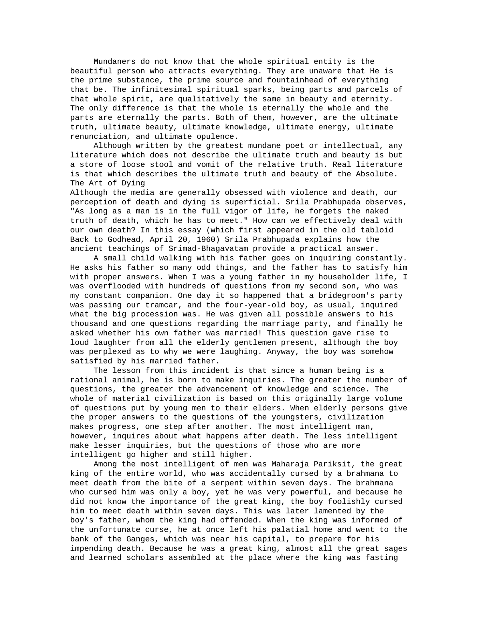Mundaners do not know that the whole spiritual entity is the beautiful person who attracts everything. They are unaware that He is the prime substance, the prime source and fountainhead of everything that be. The infinitesimal spiritual sparks, being parts and parcels of that whole spirit, are qualitatively the same in beauty and eternity. The only difference is that the whole is eternally the whole and the parts are eternally the parts. Both of them, however, are the ultimate truth, ultimate beauty, ultimate knowledge, ultimate energy, ultimate renunciation, and ultimate opulence.

 Although written by the greatest mundane poet or intellectual, any literature which does not describe the ultimate truth and beauty is but a store of loose stool and vomit of the relative truth. Real literature is that which describes the ultimate truth and beauty of the Absolute. The Art of Dying

Although the media are generally obsessed with violence and death, our perception of death and dying is superficial. Srila Prabhupada observes, "As long as a man is in the full vigor of life, he forgets the naked truth of death, which he has to meet." How can we effectively deal with our own death? In this essay (which first appeared in the old tabloid Back to Godhead, April 20, 1960) Srila Prabhupada explains how the ancient teachings of Srimad-Bhagavatam provide a practical answer.

 A small child walking with his father goes on inquiring constantly. He asks his father so many odd things, and the father has to satisfy him with proper answers. When I was a young father in my householder life, I was overflooded with hundreds of questions from my second son, who was my constant companion. One day it so happened that a bridegroom's party was passing our tramcar, and the four-year-old boy, as usual, inquired what the big procession was. He was given all possible answers to his thousand and one questions regarding the marriage party, and finally he asked whether his own father was married! This question gave rise to loud laughter from all the elderly gentlemen present, although the boy was perplexed as to why we were laughing. Anyway, the boy was somehow satisfied by his married father.

 The lesson from this incident is that since a human being is a rational animal, he is born to make inquiries. The greater the number of questions, the greater the advancement of knowledge and science. The whole of material civilization is based on this originally large volume of questions put by young men to their elders. When elderly persons give the proper answers to the questions of the youngsters, civilization makes progress, one step after another. The most intelligent man, however, inquires about what happens after death. The less intelligent make lesser inquiries, but the questions of those who are more intelligent go higher and still higher.

 Among the most intelligent of men was Maharaja Pariksit, the great king of the entire world, who was accidentally cursed by a brahmana to meet death from the bite of a serpent within seven days. The brahmana who cursed him was only a boy, yet he was very powerful, and because he did not know the importance of the great king, the boy foolishly cursed him to meet death within seven days. This was later lamented by the boy's father, whom the king had offended. When the king was informed of the unfortunate curse, he at once left his palatial home and went to the bank of the Ganges, which was near his capital, to prepare for his impending death. Because he was a great king, almost all the great sages and learned scholars assembled at the place where the king was fasting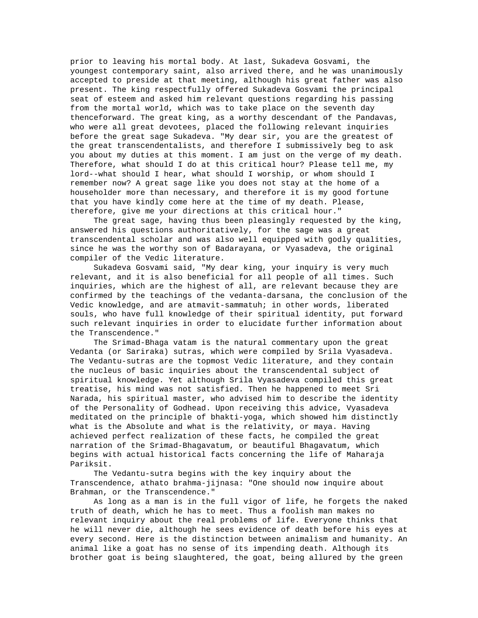prior to leaving his mortal body. At last, Sukadeva Gosvami, the youngest contemporary saint, also arrived there, and he was unanimously accepted to preside at that meeting, although his great father was also present. The king respectfully offered Sukadeva Gosvami the principal seat of esteem and asked him relevant questions regarding his passing from the mortal world, which was to take place on the seventh day thenceforward. The great king, as a worthy descendant of the Pandavas, who were all great devotees, placed the following relevant inquiries before the great sage Sukadeva. "My dear sir, you are the greatest of the great transcendentalists, and therefore I submissively beg to ask you about my duties at this moment. I am just on the verge of my death. Therefore, what should I do at this critical hour? Please tell me, my lord--what should I hear, what should I worship, or whom should I remember now? A great sage like you does not stay at the home of a householder more than necessary, and therefore it is my good fortune that you have kindly come here at the time of my death. Please, therefore, give me your directions at this critical hour."

 The great sage, having thus been pleasingly requested by the king, answered his questions authoritatively, for the sage was a great transcendental scholar and was also well equipped with godly qualities, since he was the worthy son of Badarayana, or Vyasadeva, the original compiler of the Vedic literature.

 Sukadeva Gosvami said, "My dear king, your inquiry is very much relevant, and it is also beneficial for all people of all times. Such inquiries, which are the highest of all, are relevant because they are confirmed by the teachings of the vedanta-darsana, the conclusion of the Vedic knowledge, and are atmavit-sammatuh; in other words, liberated souls, who have full knowledge of their spiritual identity, put forward such relevant inquiries in order to elucidate further information about the Transcendence."

 The Srimad-Bhaga vatam is the natural commentary upon the great Vedanta (or Sariraka) sutras, which were compiled by Srila Vyasadeva. The Vedantu-sutras are the topmost Vedic literature, and they contain the nucleus of basic inquiries about the transcendental subject of spiritual knowledge. Yet although Srila Vyasadeva compiled this great treatise, his mind was not satisfied. Then he happened to meet Sri Narada, his spiritual master, who advised him to describe the identity of the Personality of Godhead. Upon receiving this advice, Vyasadeva meditated on the principle of bhakti-yoga, which showed him distinctly what is the Absolute and what is the relativity, or maya. Having achieved perfect realization of these facts, he compiled the great narration of the Srimad-Bhagavatum, or beautiful Bhagavatum, which begins with actual historical facts concerning the life of Maharaja Pariksit.

 The Vedantu-sutra begins with the key inquiry about the Transcendence, athato brahma-jijnasa: "One should now inquire about Brahman, or the Transcendence."

 As long as a man is in the full vigor of life, he forgets the naked truth of death, which he has to meet. Thus a foolish man makes no relevant inquiry about the real problems of life. Everyone thinks that he will never die, although he sees evidence of death before his eyes at every second. Here is the distinction between animalism and humanity. An animal like a goat has no sense of its impending death. Although its brother goat is being slaughtered, the goat, being allured by the green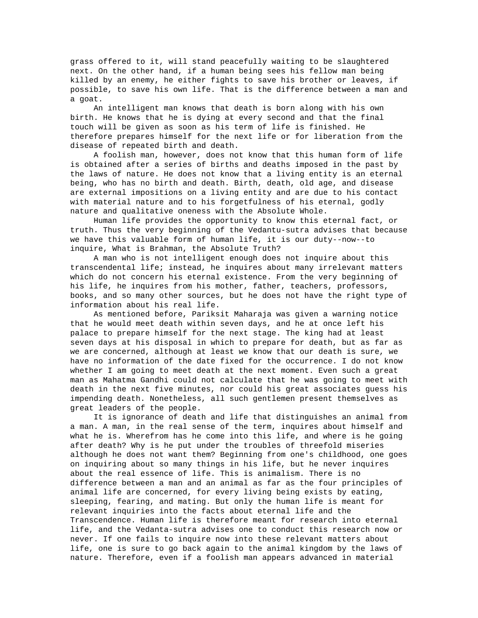grass offered to it, will stand peacefully waiting to be slaughtered next. On the other hand, if a human being sees his fellow man being killed by an enemy, he either fights to save his brother or leaves, if possible, to save his own life. That is the difference between a man and a goat.

 An intelligent man knows that death is born along with his own birth. He knows that he is dying at every second and that the final touch will be given as soon as his term of life is finished. He therefore prepares himself for the next life or for liberation from the disease of repeated birth and death.

 A foolish man, however, does not know that this human form of life is obtained after a series of births and deaths imposed in the past by the laws of nature. He does not know that a living entity is an eternal being, who has no birth and death. Birth, death, old age, and disease are external impositions on a living entity and are due to his contact with material nature and to his forgetfulness of his eternal, godly nature and qualitative oneness with the Absolute Whole.

 Human life provides the opportunity to know this eternal fact, or truth. Thus the very beginning of the Vedantu-sutra advises that because we have this valuable form of human life, it is our duty--now--to inquire, What is Brahman, the Absolute Truth?

 A man who is not intelligent enough does not inquire about this transcendental life; instead, he inquires about many irrelevant matters which do not concern his eternal existence. From the very beginning of his life, he inquires from his mother, father, teachers, professors, books, and so many other sources, but he does not have the right type of information about his real life.

 As mentioned before, Pariksit Maharaja was given a warning notice that he would meet death within seven days, and he at once left his palace to prepare himself for the next stage. The king had at least seven days at his disposal in which to prepare for death, but as far as we are concerned, although at least we know that our death is sure, we have no information of the date fixed for the occurrence. I do not know whether I am going to meet death at the next moment. Even such a great man as Mahatma Gandhi could not calculate that he was going to meet with death in the next five minutes, nor could his great associates guess his impending death. Nonetheless, all such gentlemen present themselves as great leaders of the people.

 It is ignorance of death and life that distinguishes an animal from a man. A man, in the real sense of the term, inquires about himself and what he is. Wherefrom has he come into this life, and where is he going after death? Why is he put under the troubles of threefold miseries although he does not want them? Beginning from one's childhood, one goes on inquiring about so many things in his life, but he never inquires about the real essence of life. This is animalism. There is no difference between a man and an animal as far as the four principles of animal life are concerned, for every living being exists by eating, sleeping, fearing, and mating. But only the human life is meant for relevant inquiries into the facts about eternal life and the Transcendence. Human life is therefore meant for research into eternal life, and the Vedanta-sutra advises one to conduct this research now or never. If one fails to inquire now into these relevant matters about life, one is sure to go back again to the animal kingdom by the laws of nature. Therefore, even if a foolish man appears advanced in material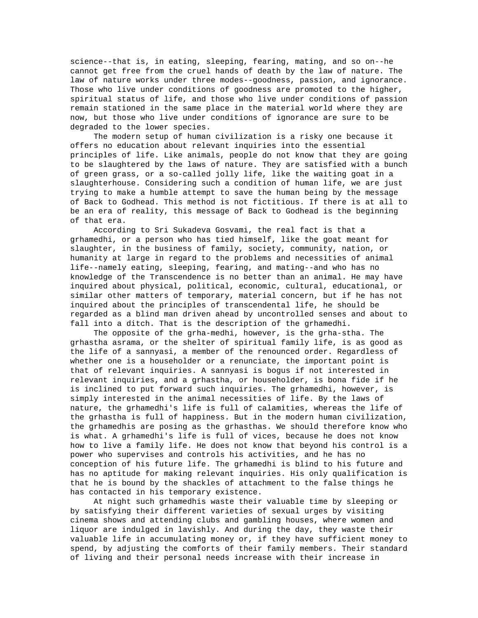science--that is, in eating, sleeping, fearing, mating, and so on--he cannot get free from the cruel hands of death by the law of nature. The law of nature works under three modes--goodness, passion, and ignorance. Those who live under conditions of goodness are promoted to the higher, spiritual status of life, and those who live under conditions of passion remain stationed in the same place in the material world where they are now, but those who live under conditions of ignorance are sure to be degraded to the lower species.

 The modern setup of human civilization is a risky one because it offers no education about relevant inquiries into the essential principles of life. Like animals, people do not know that they are going to be slaughtered by the laws of nature. They are satisfied with a bunch of green grass, or a so-called jolly life, like the waiting goat in a slaughterhouse. Considering such a condition of human life, we are just trying to make a humble attempt to save the human being by the message of Back to Godhead. This method is not fictitious. If there is at all to be an era of reality, this message of Back to Godhead is the beginning of that era.

 According to Sri Sukadeva Gosvami, the real fact is that a grhamedhi, or a person who has tied himself, like the goat meant for slaughter, in the business of family, society, community, nation, or humanity at large in regard to the problems and necessities of animal life--namely eating, sleeping, fearing, and mating--and who has no knowledge of the Transcendence is no better than an animal. He may have inquired about physical, political, economic, cultural, educational, or similar other matters of temporary, material concern, but if he has not inquired about the principles of transcendental life, he should be regarded as a blind man driven ahead by uncontrolled senses and about to fall into a ditch. That is the description of the grhamedhi.

 The opposite of the grha-medhi, however, is the grha-stha. The grhastha asrama, or the shelter of spiritual family life, is as good as the life of a sannyasi, a member of the renounced order. Regardless of whether one is a householder or a renunciate, the important point is that of relevant inquiries. A sannyasi is bogus if not interested in relevant inquiries, and a grhastha, or householder, is bona fide if he is inclined to put forward such inquiries. The grhamedhi, however, is simply interested in the animal necessities of life. By the laws of nature, the grhamedhi's life is full of calamities, whereas the life of the grhastha is full of happiness. But in the modern human civilization, the grhamedhis are posing as the grhasthas. We should therefore know who is what. A grhamedhi's life is full of vices, because he does not know how to live a family life. He does not know that beyond his control is a power who supervises and controls his activities, and he has no conception of his future life. The grhamedhi is blind to his future and has no aptitude for making relevant inquiries. His only qualification is that he is bound by the shackles of attachment to the false things he has contacted in his temporary existence.

 At night such grhamedhis waste their valuable time by sleeping or by satisfying their different varieties of sexual urges by visiting cinema shows and attending clubs and gambling houses, where women and liquor are indulged in lavishly. And during the day, they waste their valuable life in accumulating money or, if they have sufficient money to spend, by adjusting the comforts of their family members. Their standard of living and their personal needs increase with their increase in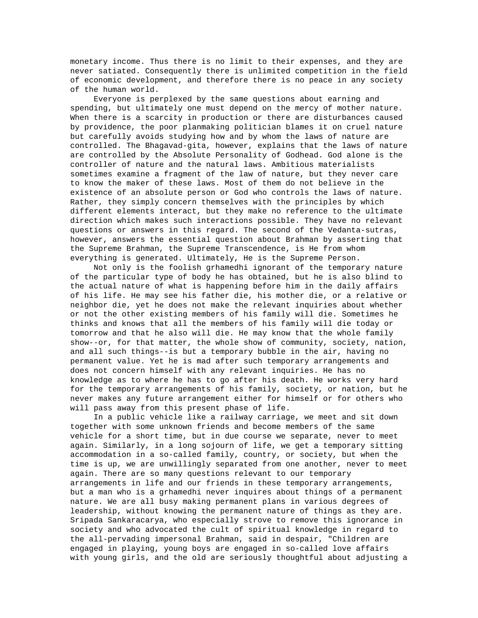monetary income. Thus there is no limit to their expenses, and they are never satiated. Consequently there is unlimited competition in the field of economic development, and therefore there is no peace in any society of the human world.

 Everyone is perplexed by the same questions about earning and spending, but ultimately one must depend on the mercy of mother nature. When there is a scarcity in production or there are disturbances caused by providence, the poor planmaking politician blames it on cruel nature but carefully avoids studying how and by whom the laws of nature are controlled. The Bhagavad-gita, however, explains that the laws of nature are controlled by the Absolute Personality of Godhead. God alone is the controller of nature and the natural laws. Ambitious materialists sometimes examine a fragment of the law of nature, but they never care to know the maker of these laws. Most of them do not believe in the existence of an absolute person or God who controls the laws of nature. Rather, they simply concern themselves with the principles by which different elements interact, but they make no reference to the ultimate direction which makes such interactions possible. They have no relevant questions or answers in this regard. The second of the Vedanta-sutras, however, answers the essential question about Brahman by asserting that the Supreme Brahman, the Supreme Transcendence, is He from whom everything is generated. Ultimately, He is the Supreme Person.

 Not only is the foolish grhamedhi ignorant of the temporary nature of the particular type of body he has obtained, but he is also blind to the actual nature of what is happening before him in the daily affairs of his life. He may see his father die, his mother die, or a relative or neighbor die, yet he does not make the relevant inquiries about whether or not the other existing members of his family will die. Sometimes he thinks and knows that all the members of his family will die today or tomorrow and that he also will die. He may know that the whole family show--or, for that matter, the whole show of community, society, nation, and all such things--is but a temporary bubble in the air, having no permanent value. Yet he is mad after such temporary arrangements and does not concern himself with any relevant inquiries. He has no knowledge as to where he has to go after his death. He works very hard for the temporary arrangements of his family, society, or nation, but he never makes any future arrangement either for himself or for others who will pass away from this present phase of life.

 In a public vehicle like a railway carriage, we meet and sit down together with some unknown friends and become members of the same vehicle for a short time, but in due course we separate, never to meet again. Similarly, in a long sojourn of life, we get a temporary sitting accommodation in a so-called family, country, or society, but when the time is up, we are unwillingly separated from one another, never to meet again. There are so many questions relevant to our temporary arrangements in life and our friends in these temporary arrangements, but a man who is a grhamedhi never inquires about things of a permanent nature. We are all busy making permanent plans in various degrees of leadership, without knowing the permanent nature of things as they are. Sripada Sankaracarya, who especially strove to remove this ignorance in society and who advocated the cult of spiritual knowledge in regard to the all-pervading impersonal Brahman, said in despair, "Children are engaged in playing, young boys are engaged in so-called love affairs with young girls, and the old are seriously thoughtful about adjusting a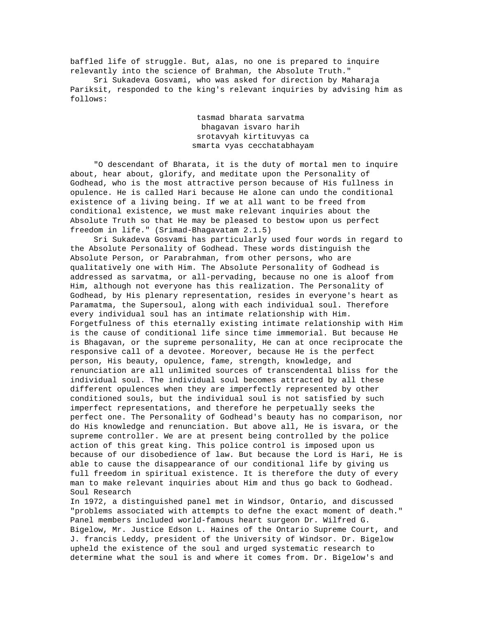baffled life of struggle. But, alas, no one is prepared to inquire relevantly into the science of Brahman, the Absolute Truth."

 Sri Sukadeva Gosvami, who was asked for direction by Maharaja Pariksit, responded to the king's relevant inquiries by advising him as follows:

> tasmad bharata sarvatma bhagavan isvaro harih srotavyah kirtituvyas ca smarta vyas cecchatabhayam

 "O descendant of Bharata, it is the duty of mortal men to inquire about, hear about, glorify, and meditate upon the Personality of Godhead, who is the most attractive person because of His fullness in opulence. He is called Hari because He alone can undo the conditional existence of a living being. If we at all want to be freed from conditional existence, we must make relevant inquiries about the Absolute Truth so that He may be pleased to bestow upon us perfect freedom in life." (Srimad-Bhagavatam 2.1.5)

 Sri Sukadeva Gosvami has particularly used four words in regard to the Absolute Personality of Godhead. These words distinguish the Absolute Person, or Parabrahman, from other persons, who are qualitatively one with Him. The Absolute Personality of Godhead is addressed as sarvatma, or all-pervading, because no one is aloof from Him, although not everyone has this realization. The Personality of Godhead, by His plenary representation, resides in everyone's heart as Paramatma, the Supersoul, along with each individual soul. Therefore every individual soul has an intimate relationship with Him. Forgetfulness of this eternally existing intimate relationship with Him is the cause of conditional life since time immemorial. But because He is Bhagavan, or the supreme personality, He can at once reciprocate the responsive call of a devotee. Moreover, because He is the perfect person, His beauty, opulence, fame, strength, knowledge, and renunciation are all unlimited sources of transcendental bliss for the individual soul. The individual soul becomes attracted by all these different opulences when they are imperfectly represented by other conditioned souls, but the individual soul is not satisfied by such imperfect representations, and therefore he perpetually seeks the perfect one. The Personality of Godhead's beauty has no comparison, nor do His knowledge and renunciation. But above all, He is isvara, or the supreme controller. We are at present being controlled by the police action of this great king. This police control is imposed upon us because of our disobedience of law. But because the Lord is Hari, He is able to cause the disappearance of our conditional life by giving us full freedom in spiritual existence. It is therefore the duty of every man to make relevant inquiries about Him and thus go back to Godhead. Soul Research

In 1972, a distinguished panel met in Windsor, Ontario, and discussed "problems associated with attempts to defne the exact moment of death." Panel members included world-famous heart surgeon Dr. Wilfred G. Bigelow, Mr. Justice Edson L. Haines of the Ontario Supreme Court, and J. francis Leddy, president of the University of Windsor. Dr. Bigelow upheld the existence of the soul and urged systematic research to determine what the soul is and where it comes from. Dr. Bigelow's and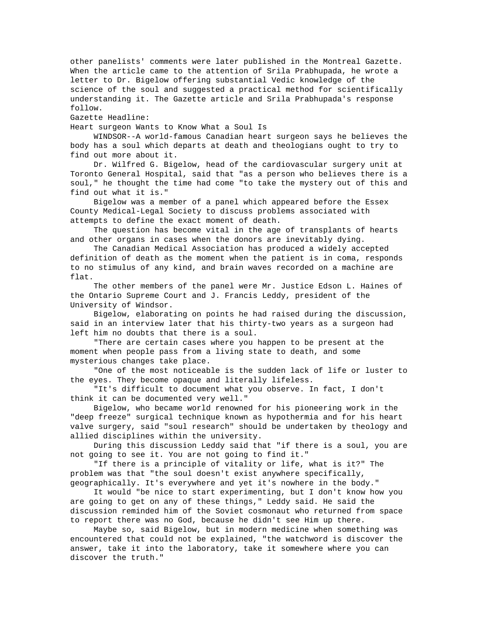other panelists' comments were later published in the Montreal Gazette. When the article came to the attention of Srila Prabhupada, he wrote a letter to Dr. Bigelow offering substantial Vedic knowledge of the science of the soul and suggested a practical method for scientifically understanding it. The Gazette article and Srila Prabhupada's response follow.

Gazette Headline:

Heart surgeon Wants to Know What a Soul Is

 WINDSOR--A world-famous Canadian heart surgeon says he believes the body has a soul which departs at death and theologians ought to try to find out more about it.

 Dr. Wilfred G. Bigelow, head of the cardiovascular surgery unit at Toronto General Hospital, said that "as a person who believes there is a soul," he thought the time had come "to take the mystery out of this and find out what it is."

 Bigelow was a member of a panel which appeared before the Essex County Medical-Legal Society to discuss problems associated with attempts to define the exact moment of death.

 The question has become vital in the age of transplants of hearts and other organs in cases when the donors are inevitably dying.

 The Canadian Medical Association has produced a widely accepted definition of death as the moment when the patient is in coma, responds to no stimulus of any kind, and brain waves recorded on a machine are flat.

 The other members of the panel were Mr. Justice Edson L. Haines of the Ontario Supreme Court and J. Francis Leddy, president of the University of Windsor.

 Bigelow, elaborating on points he had raised during the discussion, said in an interview later that his thirty-two years as a surgeon had left him no doubts that there is a soul.

 "There are certain cases where you happen to be present at the moment when people pass from a living state to death, and some mysterious changes take place.

 "One of the most noticeable is the sudden lack of life or luster to the eyes. They become opaque and literally lifeless.

 "It's difficult to document what you observe. In fact, I don't think it can be documented very well."

 Bigelow, who became world renowned for his pioneering work in the "deep freeze" surgical technique known as hypothermia and for his heart valve surgery, said "soul research" should be undertaken by theology and allied disciplines within the university.

 During this discussion Leddy said that "if there is a soul, you are not going to see it. You are not going to find it."

 "If there is a principle of vitality or life, what is it?" The problem was that "the soul doesn't exist anywhere specifically, geographically. It's everywhere and yet it's nowhere in the body."

 It would "be nice to start experimenting, but I don't know how you are going to get on any of these things," Leddy said. He said the discussion reminded him of the Soviet cosmonaut who returned from space to report there was no God, because he didn't see Him up there.

 Maybe so, said Bigelow, but in modern medicine when something was encountered that could not be explained, "the watchword is discover the answer, take it into the laboratory, take it somewhere where you can discover the truth."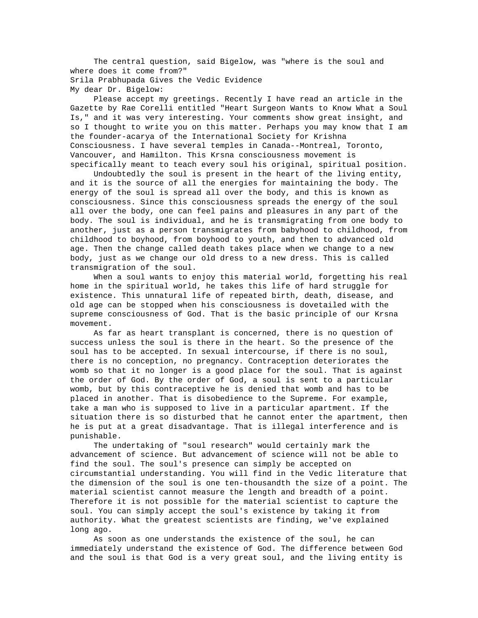The central question, said Bigelow, was "where is the soul and where does it come from?" Srila Prabhupada Gives the Vedic Evidence My dear Dr. Bigelow:

 Please accept my greetings. Recently I have read an article in the Gazette by Rae Corelli entitled "Heart Surgeon Wants to Know What a Soul Is," and it was very interesting. Your comments show great insight, and so I thought to write you on this matter. Perhaps you may know that I am the founder-acarya of the International Society for Krishna Consciousness. I have several temples in Canada--Montreal, Toronto, Vancouver, and Hamilton. This Krsna consciousness movement is specifically meant to teach every soul his original, spiritual position.

 Undoubtedly the soul is present in the heart of the living entity, and it is the source of all the energies for maintaining the body. The energy of the soul is spread all over the body, and this is known as consciousness. Since this consciousness spreads the energy of the soul all over the body, one can feel pains and pleasures in any part of the body. The soul is individual, and he is transmigrating from one body to another, just as a person transmigrates from babyhood to childhood, from childhood to boyhood, from boyhood to youth, and then to advanced old age. Then the change called death takes place when we change to a new body, just as we change our old dress to a new dress. This is called transmigration of the soul.

 When a soul wants to enjoy this material world, forgetting his real home in the spiritual world, he takes this life of hard struggle for existence. This unnatural life of repeated birth, death, disease, and old age can be stopped when his consciousness is dovetailed with the supreme consciousness of God. That is the basic principle of our Krsna movement.

 As far as heart transplant is concerned, there is no question of success unless the soul is there in the heart. So the presence of the soul has to be accepted. In sexual intercourse, if there is no soul, there is no conception, no pregnancy. Contraception deteriorates the womb so that it no longer is a good place for the soul. That is against the order of God. By the order of God, a soul is sent to a particular womb, but by this contraceptive he is denied that womb and has to be placed in another. That is disobedience to the Supreme. For example, take a man who is supposed to live in a particular apartment. If the situation there is so disturbed that he cannot enter the apartment, then he is put at a great disadvantage. That is illegal interference and is punishable.

 The undertaking of "soul research" would certainly mark the advancement of science. But advancement of science will not be able to find the soul. The soul's presence can simply be accepted on circumstantial understanding. You will find in the Vedic literature that the dimension of the soul is one ten-thousandth the size of a point. The material scientist cannot measure the length and breadth of a point. Therefore it is not possible for the material scientist to capture the soul. You can simply accept the soul's existence by taking it from authority. What the greatest scientists are finding, we've explained long ago.

 As soon as one understands the existence of the soul, he can immediately understand the existence of God. The difference between God and the soul is that God is a very great soul, and the living entity is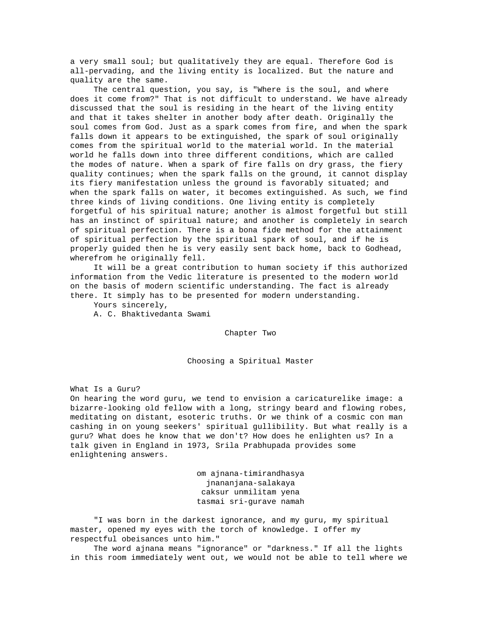a very small soul; but qualitatively they are equal. Therefore God is all-pervading, and the living entity is localized. But the nature and quality are the same.

 The central question, you say, is "Where is the soul, and where does it come from?" That is not difficult to understand. We have already discussed that the soul is residing in the heart of the living entity and that it takes shelter in another body after death. Originally the soul comes from God. Just as a spark comes from fire, and when the spark falls down it appears to be extinguished, the spark of soul originally comes from the spiritual world to the material world. In the material world he falls down into three different conditions, which are called the modes of nature. When a spark of fire falls on dry grass, the fiery quality continues; when the spark falls on the ground, it cannot display its fiery manifestation unless the ground is favorably situated; and when the spark falls on water, it becomes extinguished. As such, we find three kinds of living conditions. One living entity is completely forgetful of his spiritual nature; another is almost forgetful but still has an instinct of spiritual nature; and another is completely in search of spiritual perfection. There is a bona fide method for the attainment of spiritual perfection by the spiritual spark of soul, and if he is properly guided then he is very easily sent back home, back to Godhead, wherefrom he originally fell.

 It will be a great contribution to human society if this authorized information from the Vedic literature is presented to the modern world on the basis of modern scientific understanding. The fact is already there. It simply has to be presented for modern understanding.

Yours sincerely,

A. C. Bhaktivedanta Swami

Chapter Two

Choosing a Spiritual Master

What Is a Guru?

On hearing the word guru, we tend to envision a caricaturelike image: a bizarre-looking old fellow with a long, stringy beard and flowing robes, meditating on distant, esoteric truths. Or we think of a cosmic con man cashing in on young seekers' spiritual gullibility. But what really is a guru? What does he know that we don't? How does he enlighten us? In a talk given in England in 1973, Srila Prabhupada provides some enlightening answers.

> om ajnana-timirandhasya jnananjana-salakaya caksur unmilitam yena tasmai sri-gurave namah

 "I was born in the darkest ignorance, and my guru, my spiritual master, opened my eyes with the torch of knowledge. I offer my respectful obeisances unto him."

 The word ajnana means "ignorance" or "darkness." If all the lights in this room immediately went out, we would not be able to tell where we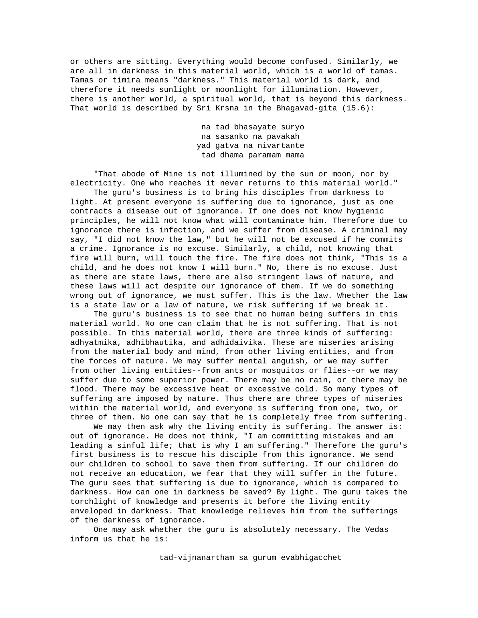or others are sitting. Everything would become confused. Similarly, we are all in darkness in this material world, which is a world of tamas. Tamas or timira means "darkness." This material world is dark, and therefore it needs sunlight or moonlight for illumination. However, there is another world, a spiritual world, that is beyond this darkness. That world is described by Sri Krsna in the Bhagavad-gita (15.6):

> na tad bhasayate suryo na sasanko na pavakah yad gatva na nivartante tad dhama paramam mama

 "That abode of Mine is not illumined by the sun or moon, nor by electricity. One who reaches it never returns to this material world."

 The guru's business is to bring his disciples from darkness to light. At present everyone is suffering due to ignorance, just as one contracts a disease out of ignorance. If one does not know hygienic principles, he will not know what will contaminate him. Therefore due to ignorance there is infection, and we suffer from disease. A criminal may say, "I did not know the law," but he will not be excused if he commits a crime. Ignorance is no excuse. Similarly, a child, not knowing that fire will burn, will touch the fire. The fire does not think, "This is a child, and he does not know I will burn." No, there is no excuse. Just as there are state laws, there are also stringent laws of nature, and these laws will act despite our ignorance of them. If we do something wrong out of ignorance, we must suffer. This is the law. Whether the law is a state law or a law of nature, we risk suffering if we break it.

 The guru's business is to see that no human being suffers in this material world. No one can claim that he is not suffering. That is not possible. In this material world, there are three kinds of suffering: adhyatmika, adhibhautika, and adhidaivika. These are miseries arising from the material body and mind, from other living entities, and from the forces of nature. We may suffer mental anguish, or we may suffer from other living entities--from ants or mosquitos or flies--or we may suffer due to some superior power. There may be no rain, or there may be flood. There may be excessive heat or excessive cold. So many types of suffering are imposed by nature. Thus there are three types of miseries within the material world, and everyone is suffering from one, two, or three of them. No one can say that he is completely free from suffering.

 We may then ask why the living entity is suffering. The answer is: out of ignorance. He does not think, "I am committing mistakes and am leading a sinful life; that is why I am suffering." Therefore the guru's first business is to rescue his disciple from this ignorance. We send our children to school to save them from suffering. If our children do not receive an education, we fear that they will suffer in the future. The guru sees that suffering is due to ignorance, which is compared to darkness. How can one in darkness be saved? By light. The guru takes the torchlight of knowledge and presents it before the living entity enveloped in darkness. That knowledge relieves him from the sufferings of the darkness of ignorance.

 One may ask whether the guru is absolutely necessary. The Vedas inform us that he is:

tad-vijnanartham sa gurum evabhigacchet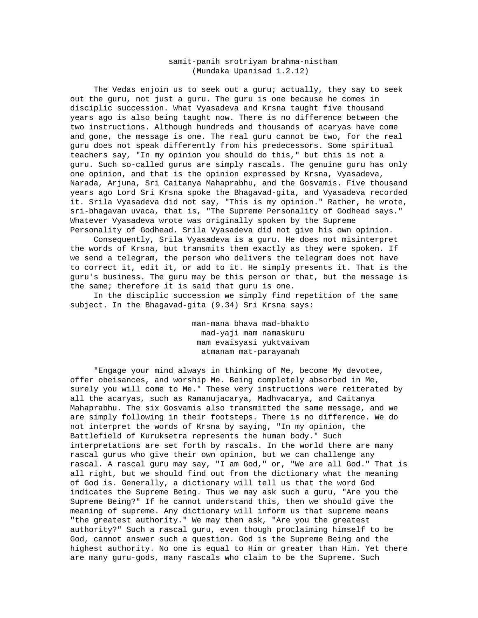# samit-panih srotriyam brahma-nistham (Mundaka Upanisad 1.2.12)

 The Vedas enjoin us to seek out a guru; actually, they say to seek out the guru, not just a guru. The guru is one because he comes in disciplic succession. What Vyasadeva and Krsna taught five thousand years ago is also being taught now. There is no difference between the two instructions. Although hundreds and thousands of acaryas have come and gone, the message is one. The real guru cannot be two, for the real guru does not speak differently from his predecessors. Some spiritual teachers say, "In my opinion you should do this," but this is not a guru. Such so-called gurus are simply rascals. The genuine guru has only one opinion, and that is the opinion expressed by Krsna, Vyasadeva, Narada, Arjuna, Sri Caitanya Mahaprabhu, and the Gosvamis. Five thousand years ago Lord Sri Krsna spoke the Bhagavad-gita, and Vyasadeva recorded it. Srila Vyasadeva did not say, "This is my opinion." Rather, he wrote, sri-bhagavan uvaca, that is, "The Supreme Personality of Godhead says." Whatever Vyasadeva wrote was originally spoken by the Supreme Personality of Godhead. Srila Vyasadeva did not give his own opinion.

 Consequently, Srila Vyasadeva is a guru. He does not misinterpret the words of Krsna, but transmits them exactly as they were spoken. If we send a telegram, the person who delivers the telegram does not have to correct it, edit it, or add to it. He simply presents it. That is the guru's business. The guru may be this person or that, but the message is the same; therefore it is said that guru is one.

 In the disciplic succession we simply find repetition of the same subject. In the Bhagavad-gita (9.34) Sri Krsna says:

> man-mana bhava mad-bhakto mad-yaji mam namaskuru mam evaisyasi yuktvaivam atmanam mat-parayanah

 "Engage your mind always in thinking of Me, become My devotee, offer obeisances, and worship Me. Being completely absorbed in Me, surely you will come to Me." These very instructions were reiterated by all the acaryas, such as Ramanujacarya, Madhvacarya, and Caitanya Mahaprabhu. The six Gosvamis also transmitted the same message, and we are simply following in their footsteps. There is no difference. We do not interpret the words of Krsna by saying, "In my opinion, the Battlefield of Kuruksetra represents the human body." Such interpretations are set forth by rascals. In the world there are many rascal gurus who give their own opinion, but we can challenge any rascal. A rascal guru may say, "I am God," or, "We are all God." That is all right, but we should find out from the dictionary what the meaning of God is. Generally, a dictionary will tell us that the word God indicates the Supreme Being. Thus we may ask such a guru, "Are you the Supreme Being?" If he cannot understand this, then we should give the meaning of supreme. Any dictionary will inform us that supreme means "the greatest authority." We may then ask, "Are you the greatest authority?" Such a rascal guru, even though proclaiming himself to be God, cannot answer such a question. God is the Supreme Being and the highest authority. No one is equal to Him or greater than Him. Yet there are many guru-gods, many rascals who claim to be the Supreme. Such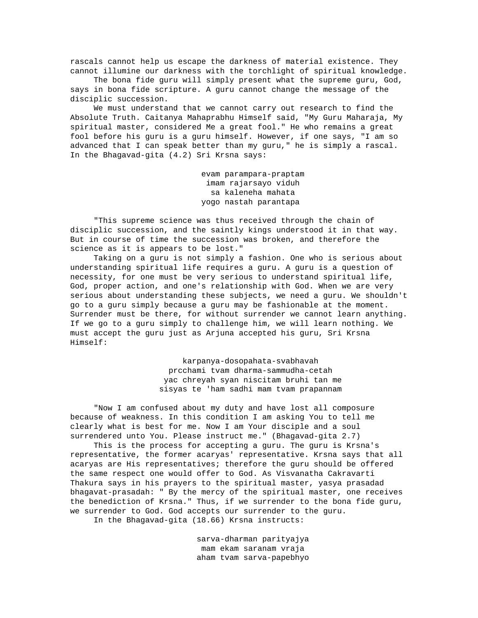rascals cannot help us escape the darkness of material existence. They cannot illumine our darkness with the torchlight of spiritual knowledge.

 The bona fide guru will simply present what the supreme guru, God, says in bona fide scripture. A guru cannot change the message of the disciplic succession.

 We must understand that we cannot carry out research to find the Absolute Truth. Caitanya Mahaprabhu Himself said, "My Guru Maharaja, My spiritual master, considered Me a great fool." He who remains a great fool before his guru is a guru himself. However, if one says, "I am so advanced that I can speak better than my guru," he is simply a rascal. In the Bhagavad-gita (4.2) Sri Krsna says:

> evam parampara-praptam imam rajarsayo viduh sa kaleneha mahata yogo nastah parantapa

 "This supreme science was thus received through the chain of disciplic succession, and the saintly kings understood it in that way. But in course of time the succession was broken, and therefore the science as it is appears to be lost."

 Taking on a guru is not simply a fashion. One who is serious about understanding spiritual life requires a guru. A guru is a question of necessity, for one must be very serious to understand spiritual life, God, proper action, and one's relationship with God. When we are very serious about understanding these subjects, we need a guru. We shouldn't go to a guru simply because a guru may be fashionable at the moment. Surrender must be there, for without surrender we cannot learn anything. If we go to a guru simply to challenge him, we will learn nothing. We must accept the guru just as Arjuna accepted his guru, Sri Krsna Himself:

> karpanya-dosopahata-svabhavah prcchami tvam dharma-sammudha-cetah yac chreyah syan niscitam bruhi tan me sisyas te 'ham sadhi mam tvam prapannam

 "Now I am confused about my duty and have lost all composure because of weakness. In this condition I am asking You to tell me clearly what is best for me. Now I am Your disciple and a soul surrendered unto You. Please instruct me." (Bhagavad-gita 2.7)

 This is the process for accepting a guru. The guru is Krsna's representative, the former acaryas' representative. Krsna says that all acaryas are His representatives; therefore the guru should be offered the same respect one would offer to God. As Visvanatha Cakravarti Thakura says in his prayers to the spiritual master, yasya prasadad bhagavat-prasadah: " By the mercy of the spiritual master, one receives the benediction of Krsna." Thus, if we surrender to the bona fide guru, we surrender to God. God accepts our surrender to the guru.

In the Bhagavad-gita (18.66) Krsna instructs:

 sarva-dharman parityajya mam ekam saranam vraja aham tvam sarva-papebhyo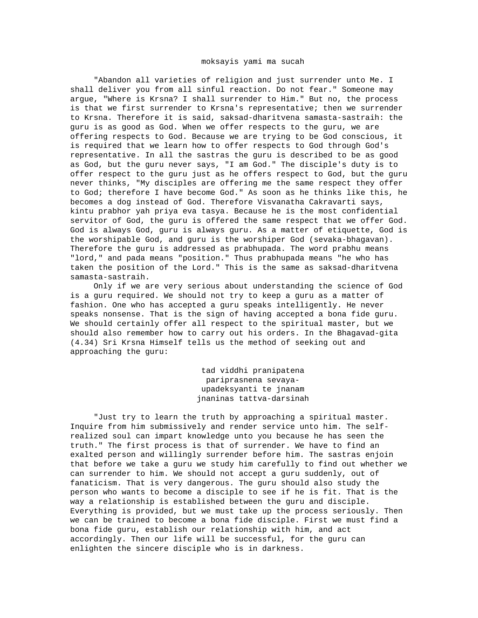### moksayis yami ma sucah

 "Abandon all varieties of religion and just surrender unto Me. I shall deliver you from all sinful reaction. Do not fear." Someone may argue, "Where is Krsna? I shall surrender to Him." But no, the process is that we first surrender to Krsna's representative; then we surrender to Krsna. Therefore it is said, saksad-dharitvena samasta-sastraih: the guru is as good as God. When we offer respects to the guru, we are offering respects to God. Because we are trying to be God conscious, it is required that we learn how to offer respects to God through God's representative. In all the sastras the guru is described to be as good as God, but the guru never says, "I am God." The disciple's duty is to offer respect to the guru just as he offers respect to God, but the guru never thinks, "My disciples are offering me the same respect they offer to God; therefore I have become God." As soon as he thinks like this, he becomes a dog instead of God. Therefore Visvanatha Cakravarti says, kintu prabhor yah priya eva tasya. Because he is the most confidential servitor of God, the guru is offered the same respect that we offer God. God is always God, guru is always guru. As a matter of etiquette, God is the worshipable God, and guru is the worshiper God (sevaka-bhagavan). Therefore the guru is addressed as prabhupada. The word prabhu means "lord," and pada means "position." Thus prabhupada means "he who has taken the position of the Lord." This is the same as saksad-dharitvena samasta-sastraih.

 Only if we are very serious about understanding the science of God is a guru required. We should not try to keep a guru as a matter of fashion. One who has accepted a guru speaks intelligently. He never speaks nonsense. That is the sign of having accepted a bona fide guru. We should certainly offer all respect to the spiritual master, but we should also remember how to carry out his orders. In the Bhagavad-gita (4.34) Sri Krsna Himself tells us the method of seeking out and approaching the guru:

> tad viddhi pranipatena pariprasnena sevaya upadeksyanti te jnanam jnaninas tattva-darsinah

 "Just try to learn the truth by approaching a spiritual master. Inquire from him submissively and render service unto him. The selfrealized soul can impart knowledge unto you because he has seen the truth." The first process is that of surrender. We have to find an exalted person and willingly surrender before him. The sastras enjoin that before we take a guru we study him carefully to find out whether we can surrender to him. We should not accept a guru suddenly, out of fanaticism. That is very dangerous. The guru should also study the person who wants to become a disciple to see if he is fit. That is the way a relationship is established between the guru and disciple. Everything is provided, but we must take up the process seriously. Then we can be trained to become a bona fide disciple. First we must find a bona fide guru, establish our relationship with him, and act accordingly. Then our life will be successful, for the guru can enlighten the sincere disciple who is in darkness.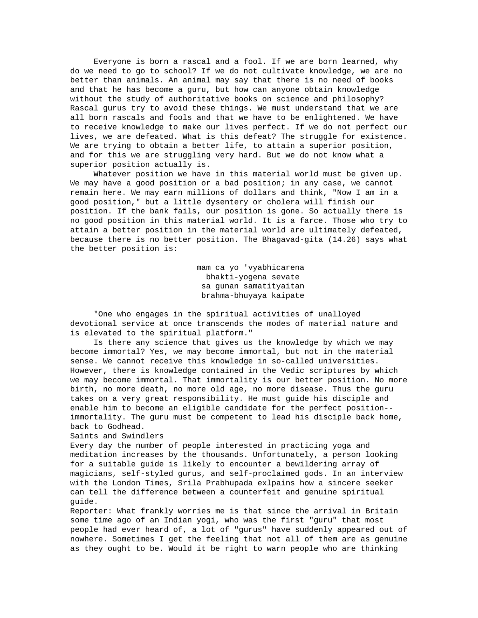Everyone is born a rascal and a fool. If we are born learned, why do we need to go to school? If we do not cultivate knowledge, we are no better than animals. An animal may say that there is no need of books and that he has become a guru, but how can anyone obtain knowledge without the study of authoritative books on science and philosophy? Rascal gurus try to avoid these things. We must understand that we are all born rascals and fools and that we have to be enlightened. We have to receive knowledge to make our lives perfect. If we do not perfect our lives, we are defeated. What is this defeat? The struggle for existence. We are trying to obtain a better life, to attain a superior position, and for this we are struggling very hard. But we do not know what a superior position actually is.

 Whatever position we have in this material world must be given up. We may have a good position or a bad position; in any case, we cannot remain here. We may earn millions of dollars and think, "Now I am in a good position," but a little dysentery or cholera will finish our position. If the bank fails, our position is gone. So actually there is no good position in this material world. It is a farce. Those who try to attain a better position in the material world are ultimately defeated, because there is no better position. The Bhagavad-gita (14.26) says what the better position is:

> mam ca yo 'vyabhicarena bhakti-yogena sevate sa gunan samatityaitan brahma-bhuyaya kaipate

 "One who engages in the spiritual activities of unalloyed devotional service at once transcends the modes of material nature and is elevated to the spiritual platform."

 Is there any science that gives us the knowledge by which we may become immortal? Yes, we may become immortal, but not in the material sense. We cannot receive this knowledge in so-called universities. However, there is knowledge contained in the Vedic scriptures by which we may become immortal. That immortality is our better position. No more birth, no more death, no more old age, no more disease. Thus the guru takes on a very great responsibility. He must guide his disciple and enable him to become an eligible candidate for the perfect position- immortality. The guru must be competent to lead his disciple back home, back to Godhead.

Saints and Swindlers

Every day the number of people interested in practicing yoga and meditation increases by the thousands. Unfortunately, a person looking for a suitable guide is likely to encounter a bewildering array of magicians, self-styled gurus, and self-proclaimed gods. In an interview with the London Times, Srila Prabhupada exlpains how a sincere seeker can tell the difference between a counterfeit and genuine spiritual guide.

Reporter: What frankly worries me is that since the arrival in Britain some time ago of an Indian yogi, who was the first "guru" that most people had ever heard of, a lot of "gurus" have suddenly appeared out of nowhere. Sometimes I get the feeling that not all of them are as genuine as they ought to be. Would it be right to warn people who are thinking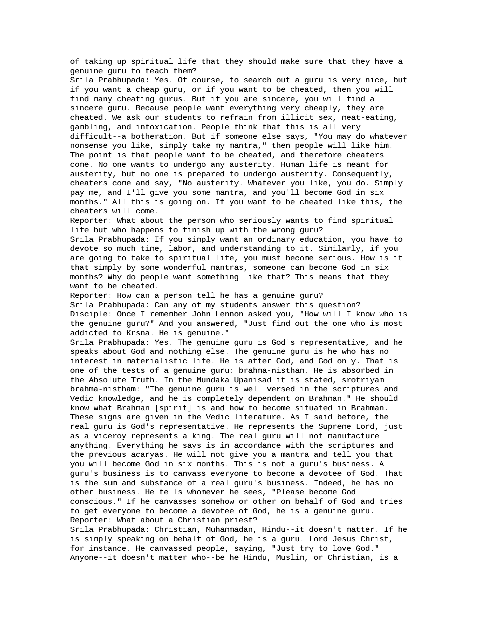of taking up spiritual life that they should make sure that they have a genuine guru to teach them? Srila Prabhupada: Yes. Of course, to search out a guru is very nice, but if you want a cheap guru, or if you want to be cheated, then you will find many cheating gurus. But if you are sincere, you will find a sincere guru. Because people want everything very cheaply, they are cheated. We ask our students to refrain from illicit sex, meat-eating, gambling, and intoxication. People think that this is all very difficult--a botheration. But if someone else says, "You may do whatever nonsense you like, simply take my mantra," then people will like him. The point is that people want to be cheated, and therefore cheaters come. No one wants to undergo any austerity. Human life is meant for austerity, but no one is prepared to undergo austerity. Consequently, cheaters come and say, "No austerity. Whatever you like, you do. Simply pay me, and I'll give you some mantra, and you'll become God in six months." All this is going on. If you want to be cheated like this, the cheaters will come. Reporter: What about the person who seriously wants to find spiritual life but who happens to finish up with the wrong guru? Srila Prabhupada: If you simply want an ordinary education, you have to devote so much time, labor, and understanding to it. Similarly, if you are going to take to spiritual life, you must become serious. How is it that simply by some wonderful mantras, someone can become God in six months? Why do people want something like that? This means that they want to be cheated. Reporter: How can a person tell he has a genuine guru? Srila Prabhupada: Can any of my students answer this question? Disciple: Once I remember John Lennon asked you, "How will I know who is the genuine guru?" And you answered, "Just find out the one who is most addicted to Krsna. He is genuine." Srila Prabhupada: Yes. The genuine guru is God's representative, and he speaks about God and nothing else. The genuine guru is he who has no interest in materialistic life. He is after God, and God only. That is one of the tests of a genuine guru: brahma-nistham. He is absorbed in the Absolute Truth. In the Mundaka Upanisad it is stated, srotriyam brahma-nistham: "The genuine guru is well versed in the scriptures and Vedic knowledge, and he is completely dependent on Brahman." He should know what Brahman [spirit] is and how to become situated in Brahman. These signs are given in the Vedic literature. As I said before, the real guru is God's representative. He represents the Supreme Lord, just as a viceroy represents a king. The real guru will not manufacture anything. Everything he says is in accordance with the scriptures and the previous acaryas. He will not give you a mantra and tell you that you will become God in six months. This is not a guru's business. A guru's business is to canvass everyone to become a devotee of God. That is the sum and substance of a real guru's business. Indeed, he has no other business. He tells whomever he sees, "Please become God conscious." If he canvasses somehow or other on behalf of God and tries to get everyone to become a devotee of God, he is a genuine guru. Reporter: What about a Christian priest? Srila Prabhupada: Christian, Muhammadan, Hindu--it doesn't matter. If he is simply speaking on behalf of God, he is a guru. Lord Jesus Christ, for instance. He canvassed people, saying, "Just try to love God." Anyone--it doesn't matter who--be he Hindu, Muslim, or Christian, is a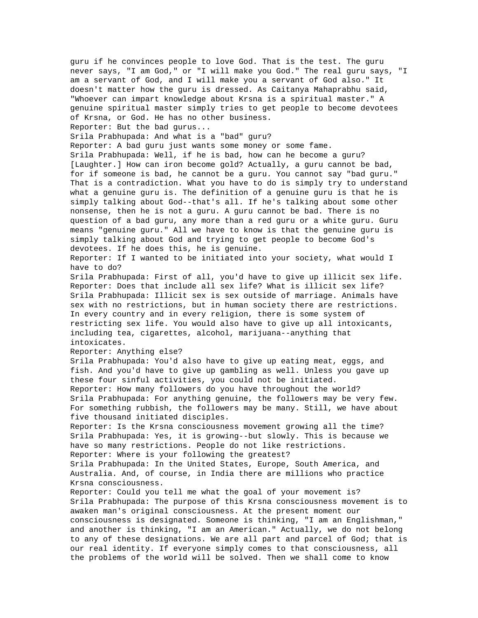guru if he convinces people to love God. That is the test. The guru never says, "I am God," or "I will make you God." The real guru says, "I am a servant of God, and I will make you a servant of God also." It doesn't matter how the guru is dressed. As Caitanya Mahaprabhu said, "Whoever can impart knowledge about Krsna is a spiritual master." A genuine spiritual master simply tries to get people to become devotees of Krsna, or God. He has no other business. Reporter: But the bad gurus... Srila Prabhupada: And what is a "bad" guru? Reporter: A bad guru just wants some money or some fame. Srila Prabhupada: Well, if he is bad, how can he become a guru? [Laughter.] How can iron become gold? Actually, a guru cannot be bad, for if someone is bad, he cannot be a guru. You cannot say "bad guru." That is a contradiction. What you have to do is simply try to understand what a genuine guru is. The definition of a genuine guru is that he is simply talking about God--that's all. If he's talking about some other nonsense, then he is not a guru. A guru cannot be bad. There is no question of a bad guru, any more than a red guru or a white guru. Guru means "genuine guru." All we have to know is that the genuine guru is simply talking about God and trying to get people to become God's devotees. If he does this, he is genuine. Reporter: If I wanted to be initiated into your society, what would I have to do? Srila Prabhupada: First of all, you'd have to give up illicit sex life. Reporter: Does that include all sex life? What is illicit sex life? Srila Prabhupada: Illicit sex is sex outside of marriage. Animals have sex with no restrictions, but in human society there are restrictions. In every country and in every religion, there is some system of restricting sex life. You would also have to give up all intoxicants, including tea, cigarettes, alcohol, marijuana--anything that intoxicates. Reporter: Anything else? Srila Prabhupada: You'd also have to give up eating meat, eggs, and fish. And you'd have to give up gambling as well. Unless you gave up these four sinful activities, you could not be initiated. Reporter: How many followers do you have throughout the world? Srila Prabhupada: For anything genuine, the followers may be very few. For something rubbish, the followers may be many. Still, we have about five thousand initiated disciples. Reporter: Is the Krsna consciousness movement growing all the time? Srila Prabhupada: Yes, it is growing--but slowly. This is because we have so many restrictions. People do not like restrictions. Reporter: Where is your following the greatest? Srila Prabhupada: In the United States, Europe, South America, and Australia. And, of course, in India there are millions who practice Krsna consciousness. Reporter: Could you tell me what the goal of your movement is? Srila Prabhupada: The purpose of this Krsna consciousness movement is to awaken man's original consciousness. At the present moment our consciousness is designated. Someone is thinking, "I am an Englishman," and another is thinking, "I am an American." Actually, we do not belong to any of these designations. We are all part and parcel of God; that is our real identity. If everyone simply comes to that consciousness, all the problems of the world will be solved. Then we shall come to know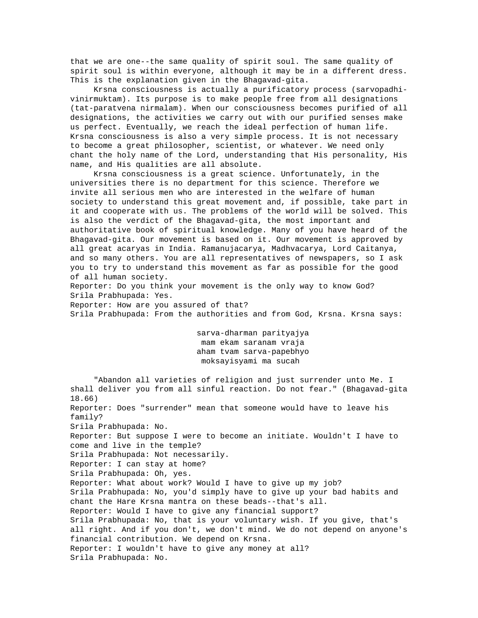that we are one--the same quality of spirit soul. The same quality of spirit soul is within everyone, although it may be in a different dress. This is the explanation given in the Bhagavad-gita.

 Krsna consciousness is actually a purificatory process (sarvopadhivinirmuktam). Its purpose is to make people free from all designations (tat-paratvena nirmalam). When our consciousness becomes purified of all designations, the activities we carry out with our purified senses make us perfect. Eventually, we reach the ideal perfection of human life. Krsna consciousness is also a very simple process. It is not necessary to become a great philosopher, scientist, or whatever. We need only chant the holy name of the Lord, understanding that His personality, His name, and His qualities are all absolute.

 Krsna consciousness is a great science. Unfortunately, in the universities there is no department for this science. Therefore we invite all serious men who are interested in the welfare of human society to understand this great movement and, if possible, take part in it and cooperate with us. The problems of the world will be solved. This is also the verdict of the Bhagavad-gita, the most important and authoritative book of spiritual knowledge. Many of you have heard of the Bhagavad-gita. Our movement is based on it. Our movement is approved by all great acaryas in India. Ramanujacarya, Madhvacarya, Lord Caitanya, and so many others. You are all representatives of newspapers, so I ask you to try to understand this movement as far as possible for the good of all human society.

Reporter: Do you think your movement is the only way to know God? Srila Prabhupada: Yes.

Reporter: How are you assured of that? Srila Prabhupada: From the authorities and from God, Krsna. Krsna says:

> sarva-dharman parityajya mam ekam saranam vraja aham tvam sarva-papebhyo moksayisyami ma sucah

 "Abandon all varieties of religion and just surrender unto Me. I shall deliver you from all sinful reaction. Do not fear." (Bhagavad-gita 18.66) Reporter: Does "surrender" mean that someone would have to leave his family? Srila Prabhupada: No. Reporter: But suppose I were to become an initiate. Wouldn't I have to come and live in the temple? Srila Prabhupada: Not necessarily. Reporter: I can stay at home? Srila Prabhupada: Oh, yes. Reporter: What about work? Would I have to give up my job? Srila Prabhupada: No, you'd simply have to give up your bad habits and chant the Hare Krsna mantra on these beads--that's all. Reporter: Would I have to give any financial support? Srila Prabhupada: No, that is your voluntary wish. If you give, that's all right. And if you don't, we don't mind. We do not depend on anyone's financial contribution. We depend on Krsna. Reporter: I wouldn't have to give any money at all? Srila Prabhupada: No.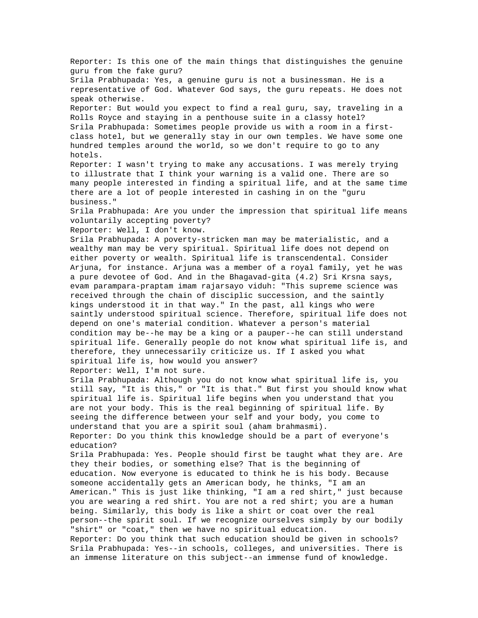Reporter: Is this one of the main things that distinguishes the genuine guru from the fake guru? Srila Prabhupada: Yes, a genuine guru is not a businessman. He is a representative of God. Whatever God says, the guru repeats. He does not speak otherwise. Reporter: But would you expect to find a real guru, say, traveling in a Rolls Royce and staying in a penthouse suite in a classy hotel? Srila Prabhupada: Sometimes people provide us with a room in a firstclass hotel, but we generally stay in our own temples. We have some one hundred temples around the world, so we don't require to go to any hotels. Reporter: I wasn't trying to make any accusations. I was merely trying to illustrate that I think your warning is a valid one. There are so many people interested in finding a spiritual life, and at the same time there are a lot of people interested in cashing in on the "guru business." Srila Prabhupada: Are you under the impression that spiritual life means voluntarily accepting poverty? Reporter: Well, I don't know. Srila Prabhupada: A poverty-stricken man may be materialistic, and a wealthy man may be very spiritual. Spiritual life does not depend on either poverty or wealth. Spiritual life is transcendental. Consider Arjuna, for instance. Arjuna was a member of a royal family, yet he was a pure devotee of God. And in the Bhagavad-gita (4.2) Sri Krsna says, evam parampara-praptam imam rajarsayo viduh: "This supreme science was received through the chain of disciplic succession, and the saintly kings understood it in that way." In the past, all kings who were saintly understood spiritual science. Therefore, spiritual life does not depend on one's material condition. Whatever a person's material condition may be--he may be a king or a pauper--he can still understand spiritual life. Generally people do not know what spiritual life is, and therefore, they unnecessarily criticize us. If I asked you what spiritual life is, how would you answer? Reporter: Well, I'm not sure. Srila Prabhupada: Although you do not know what spiritual life is, you still say, "It is this," or "It is that." But first you should know what spiritual life is. Spiritual life begins when you understand that you are not your body. This is the real beginning of spiritual life. By seeing the difference between your self and your body, you come to understand that you are a spirit soul (aham brahmasmi). Reporter: Do you think this knowledge should be a part of everyone's education? Srila Prabhupada: Yes. People should first be taught what they are. Are they their bodies, or something else? That is the beginning of education. Now everyone is educated to think he is his body. Because someone accidentally gets an American body, he thinks, "I am an American." This is just like thinking, "I am a red shirt," just because you are wearing a red shirt. You are not a red shirt; you are a human being. Similarly, this body is like a shirt or coat over the real person--the spirit soul. If we recognize ourselves simply by our bodily "shirt" or "coat," then we have no spiritual education. Reporter: Do you think that such education should be given in schools? Srila Prabhupada: Yes--in schools, colleges, and universities. There is an immense literature on this subject--an immense fund of knowledge.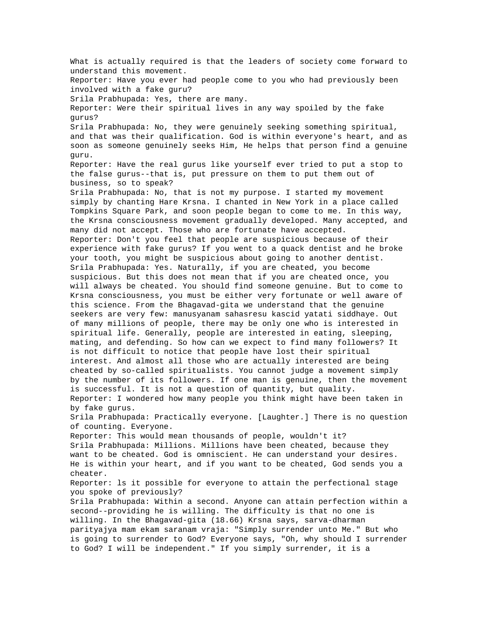What is actually required is that the leaders of society come forward to understand this movement. Reporter: Have you ever had people come to you who had previously been involved with a fake guru? Srila Prabhupada: Yes, there are many. Reporter: Were their spiritual lives in any way spoiled by the fake gurus? Srila Prabhupada: No, they were genuinely seeking something spiritual, and that was their qualification. God is within everyone's heart, and as soon as someone genuinely seeks Him, He helps that person find a genuine guru. Reporter: Have the real gurus like yourself ever tried to put a stop to the false gurus--that is, put pressure on them to put them out of business, so to speak? Srila Prabhupada: No, that is not my purpose. I started my movement simply by chanting Hare Krsna. I chanted in New York in a place called Tompkins Square Park, and soon people began to come to me. In this way, the Krsna consciousness movement gradually developed. Many accepted, and many did not accept. Those who are fortunate have accepted. Reporter: Don't you feel that people are suspicious because of their experience with fake gurus? If you went to a quack dentist and he broke your tooth, you might be suspicious about going to another dentist. Srila Prabhupada: Yes. Naturally, if you are cheated, you become suspicious. But this does not mean that if you are cheated once, you will always be cheated. You should find someone genuine. But to come to Krsna consciousness, you must be either very fortunate or well aware of this science. From the Bhagavad-gita we understand that the genuine seekers are very few: manusyanam sahasresu kascid yatati siddhaye. Out of many millions of people, there may be only one who is interested in spiritual life. Generally, people are interested in eating, sleeping, mating, and defending. So how can we expect to find many followers? It is not difficult to notice that people have lost their spiritual interest. And almost all those who are actually interested are being cheated by so-called spiritualists. You cannot judge a movement simply by the number of its followers. If one man is genuine, then the movement is successful. It is not a question of quantity, but quality. Reporter: I wondered how many people you think might have been taken in by fake gurus. Srila Prabhupada: Practically everyone. [Laughter.] There is no question of counting. Everyone. Reporter: This would mean thousands of people, wouldn't it? Srila Prabhupada: Millions. Millions have been cheated, because they want to be cheated. God is omniscient. He can understand your desires. He is within your heart, and if you want to be cheated, God sends you a cheater. Reporter: ls it possible for everyone to attain the perfectional stage you spoke of previously? Srila Prabhupada: Within a second. Anyone can attain perfection within a second--providing he is willing. The difficulty is that no one is willing. In the Bhagavad-gita (18.66) Krsna says, sarva-dharman parityajya mam ekam saranam vraja: "Simply surrender unto Me." But who is going to surrender to God? Everyone says, "Oh, why should I surrender to God? I will be independent." If you simply surrender, it is a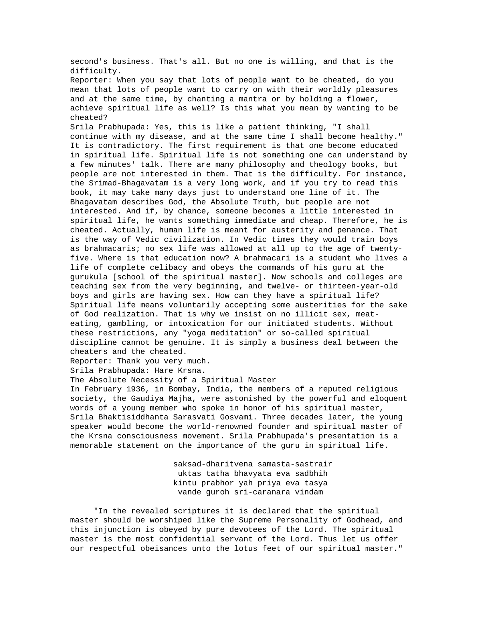second's business. That's all. But no one is willing, and that is the difficulty. Reporter: When you say that lots of people want to be cheated, do you mean that lots of people want to carry on with their worldly pleasures and at the same time, by chanting a mantra or by holding a flower, achieve spiritual life as well? Is this what you mean by wanting to be cheated? Srila Prabhupada: Yes, this is like a patient thinking, "I shall continue with my disease, and at the same time I shall become healthy." It is contradictory. The first requirement is that one become educated in spiritual life. Spiritual life is not something one can understand by a few minutes' talk. There are many philosophy and theology books, but people are not interested in them. That is the difficulty. For instance, the Srimad-Bhagavatam is a very long work, and if you try to read this book, it may take many days just to understand one line of it. The Bhagavatam describes God, the Absolute Truth, but people are not interested. And if, by chance, someone becomes a little interested in spiritual life, he wants something immediate and cheap. Therefore, he is cheated. Actually, human life is meant for austerity and penance. That is the way of Vedic civilization. In Vedic times they would train boys as brahmacaris; no sex life was allowed at all up to the age of twentyfive. Where is that education now? A brahmacari is a student who lives a life of complete celibacy and obeys the commands of his guru at the gurukula [school of the spiritual master]. Now schools and colleges are teaching sex from the very beginning, and twelve- or thirteen-year-old boys and girls are having sex. How can they have a spiritual life? Spiritual life means voluntarily accepting some austerities for the sake of God realization. That is why we insist on no illicit sex, meateating, gambling, or intoxication for our initiated students. Without these restrictions, any "yoga meditation" or so-called spiritual discipline cannot be genuine. It is simply a business deal between the cheaters and the cheated.

Reporter: Thank you very much.

Srila Prabhupada: Hare Krsna.

The Absolute Necessity of a Spiritual Master

In February 1936, in Bombay, India, the members of a reputed religious society, the Gaudiya Majha, were astonished by the powerful and eloquent words of a young member who spoke in honor of his spiritual master, Srila Bhaktisiddhanta Sarasvati Gosvami. Three decades later, the young speaker would become the world-renowned founder and spiritual master of the Krsna consciousness movement. Srila Prabhupada's presentation is a memorable statement on the importance of the guru in spiritual life.

> saksad-dharitvena samasta-sastrair uktas tatha bhavyata eva sadbhih kintu prabhor yah priya eva tasya vande guroh sri-caranara vindam

 "In the revealed scriptures it is declared that the spiritual master should be worshiped like the Supreme Personality of Godhead, and this injunction is obeyed by pure devotees of the Lord. The spiritual master is the most confidential servant of the Lord. Thus let us offer our respectful obeisances unto the lotus feet of our spiritual master."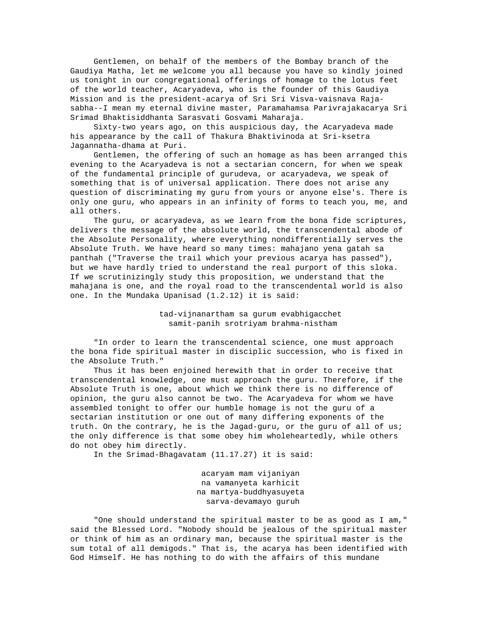Gentlemen, on behalf of the members of the Bombay branch of the Gaudiya Matha, let me welcome you all because you have so kindly joined us tonight in our congregational offerings of homage to the lotus feet of the world teacher, Acaryadeva, who is the founder of this Gaudiya Mission and is the president-acarya of Sri Sri Visva-vaisnava Rajasabha--I mean my eternal divine master, Paramahamsa Parivrajakacarya Sri Srimad Bhaktisiddhanta Sarasvati Gosvami Maharaja.

 Sixty-two years ago, on this auspicious day, the Acaryadeva made his appearance by the call of Thakura Bhaktivinoda at Sri-ksetra Jagannatha-dhama at Puri.

 Gentlemen, the offering of such an homage as has been arranged this evening to the Acaryadeva is not a sectarian concern, for when we speak of the fundamental principle of gurudeva, or acaryadeva, we speak of something that is of universal application. There does not arise any question of discriminating my guru from yours or anyone else's. There is only one guru, who appears in an infinity of forms to teach you, me, and all others.

 The guru, or acaryadeva, as we learn from the bona fide scriptures, delivers the message of the absolute world, the transcendental abode of the Absolute Personality, where everything nondifferentially serves the Absolute Truth. We have heard so many times: mahajano yena gatah sa panthah ("Traverse the trail which your previous acarya has passed"), but we have hardly tried to understand the real purport of this sloka. If we scrutinizingly study this proposition, we understand that the mahajana is one, and the royal road to the transcendental world is also one. In the Mundaka Upanisad (1.2.12) it is said:

> tad-vijnanartham sa gurum evabhigacchet samit-panih srotriyam brahma-nistham

 "In order to learn the transcendental science, one must approach the bona fide spiritual master in disciplic succession, who is fixed in the Absolute Truth."

 Thus it has been enjoined herewith that in order to receive that transcendental knowledge, one must approach the guru. Therefore, if the Absolute Truth is one, about which we think there is no difference of opinion, the guru also cannot be two. The Acaryadeva for whom we have assembled tonight to offer our humble homage is not the guru of a sectarian institution or one out of many differing exponents of the truth. On the contrary, he is the Jagad-guru, or the guru of all of us; the only difference is that some obey him wholeheartedly, while others do not obey him directly.

In the Srimad-Bhagavatam (11.17.27) it is said:

 acaryam mam vijaniyan na vamanyeta karhicit na martya-buddhyasuyeta sarva-devamayo guruh

 "One should understand the spiritual master to be as good as I am," said the Blessed Lord. "Nobody should be jealous of the spiritual master or think of him as an ordinary man, because the spiritual master is the sum total of all demigods." That is, the acarya has been identified with God Himself. He has nothing to do with the affairs of this mundane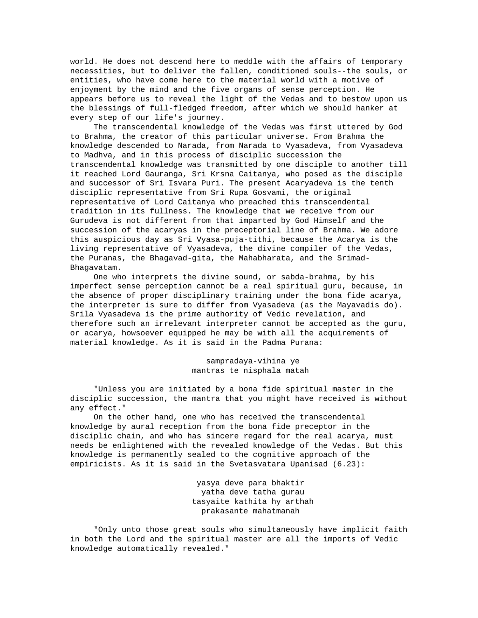world. He does not descend here to meddle with the affairs of temporary necessities, but to deliver the fallen, conditioned souls--the souls, or entities, who have come here to the material world with a motive of enjoyment by the mind and the five organs of sense perception. He appears before us to reveal the light of the Vedas and to bestow upon us the blessings of full-fledged freedom, after which we should hanker at every step of our life's journey.

 The transcendental knowledge of the Vedas was first uttered by God to Brahma, the creator of this particular universe. From Brahma the knowledge descended to Narada, from Narada to Vyasadeva, from Vyasadeva to Madhva, and in this process of disciplic succession the transcendental knowledge was transmitted by one disciple to another till it reached Lord Gauranga, Sri Krsna Caitanya, who posed as the disciple and successor of Sri Isvara Puri. The present Acaryadeva is the tenth disciplic representative from Sri Rupa Gosvami, the original representative of Lord Caitanya who preached this transcendental tradition in its fullness. The knowledge that we receive from our Gurudeva is not different from that imparted by God Himself and the succession of the acaryas in the preceptorial line of Brahma. We adore this auspicious day as Sri Vyasa-puja-tithi, because the Acarya is the living representative of Vyasadeva, the divine compiler of the Vedas, the Puranas, the Bhagavad-gita, the Mahabharata, and the Srimad-Bhagavatam.

 One who interprets the divine sound, or sabda-brahma, by his imperfect sense perception cannot be a real spiritual guru, because, in the absence of proper disciplinary training under the bona fide acarya, the interpreter is sure to differ from Vyasadeva (as the Mayavadis do). Srila Vyasadeva is the prime authority of Vedic revelation, and therefore such an irrelevant interpreter cannot be accepted as the guru, or acarya, howsoever equipped he may be with all the acquirements of material knowledge. As it is said in the Padma Purana:

> sampradaya-vihina ye mantras te nisphala matah

 "Unless you are initiated by a bona fide spiritual master in the disciplic succession, the mantra that you might have received is without any effect."

 On the other hand, one who has received the transcendental knowledge by aural reception from the bona fide preceptor in the disciplic chain, and who has sincere regard for the real acarya, must needs be enlightened with the revealed knowledge of the Vedas. But this knowledge is permanently sealed to the cognitive approach of the empiricists. As it is said in the Svetasvatara Upanisad (6.23):

> yasya deve para bhaktir yatha deve tatha gurau tasyaite kathita hy arthah prakasante mahatmanah

 "Only unto those great souls who simultaneously have implicit faith in both the Lord and the spiritual master are all the imports of Vedic knowledge automatically revealed."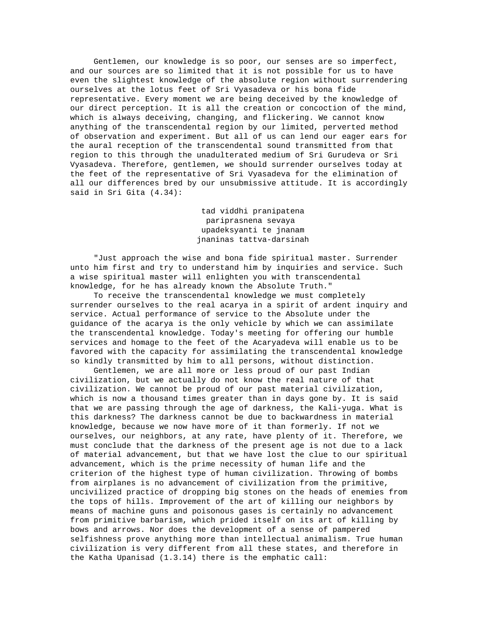Gentlemen, our knowledge is so poor, our senses are so imperfect, and our sources are so limited that it is not possible for us to have even the slightest knowledge of the absolute region without surrendering ourselves at the lotus feet of Sri Vyasadeva or his bona fide representative. Every moment we are being deceived by the knowledge of our direct perception. It is all the creation or concoction of the mind, which is always deceiving, changing, and flickering. We cannot know anything of the transcendental region by our limited, perverted method of observation and experiment. But all of us can lend our eager ears for the aural reception of the transcendental sound transmitted from that region to this through the unadulterated medium of Sri Gurudeva or Sri Vyasadeva. Therefore, gentlemen, we should surrender ourselves today at the feet of the representative of Sri Vyasadeva for the elimination of all our differences bred by our unsubmissive attitude. It is accordingly said in Sri Gita (4.34):

> tad viddhi pranipatena pariprasnena sevaya upadeksyanti te jnanam jnaninas tattva-darsinah

 "Just approach the wise and bona fide spiritual master. Surrender unto him first and try to understand him by inquiries and service. Such a wise spiritual master will enlighten you with transcendental knowledge, for he has already known the Absolute Truth."

 To receive the transcendental knowledge we must completely surrender ourselves to the real acarya in a spirit of ardent inquiry and service. Actual performance of service to the Absolute under the guidance of the acarya is the only vehicle by which we can assimilate the transcendental knowledge. Today's meeting for offering our humble services and homage to the feet of the Acaryadeva will enable us to be favored with the capacity for assimilating the transcendental knowledge so kindly transmitted by him to all persons, without distinction.

 Gentlemen, we are all more or less proud of our past Indian civilization, but we actually do not know the real nature of that civilization. We cannot be proud of our past material civilization, which is now a thousand times greater than in days gone by. It is said that we are passing through the age of darkness, the Kali-yuga. What is this darkness? The darkness cannot be due to backwardness in material knowledge, because we now have more of it than formerly. If not we ourselves, our neighbors, at any rate, have plenty of it. Therefore, we must conclude that the darkness of the present age is not due to a lack of material advancement, but that we have lost the clue to our spiritual advancement, which is the prime necessity of human life and the criterion of the highest type of human civilization. Throwing of bombs from airplanes is no advancement of civilization from the primitive, uncivilized practice of dropping big stones on the heads of enemies from the tops of hills. Improvement of the art of killing our neighbors by means of machine guns and poisonous gases is certainly no advancement from primitive barbarism, which prided itself on its art of killing by bows and arrows. Nor does the development of a sense of pampered selfishness prove anything more than intellectual animalism. True human civilization is very different from all these states, and therefore in the Katha Upanisad (1.3.14) there is the emphatic call: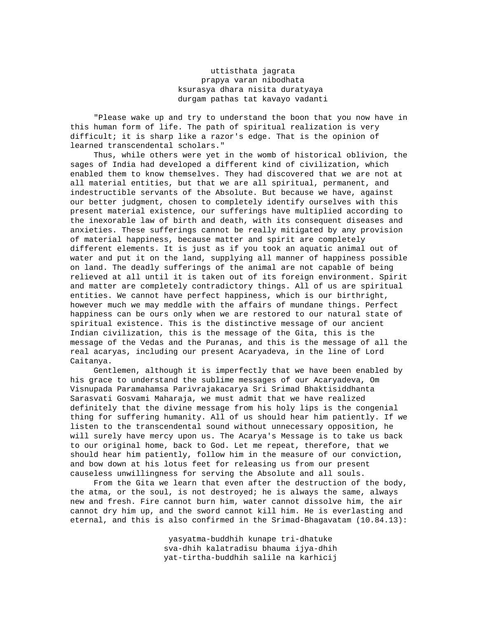uttisthata jagrata prapya varan nibodhata ksurasya dhara nisita duratyaya durgam pathas tat kavayo vadanti

 "Please wake up and try to understand the boon that you now have in this human form of life. The path of spiritual realization is very difficult; it is sharp like a razor's edge. That is the opinion of learned transcendental scholars."

 Thus, while others were yet in the womb of historical oblivion, the sages of India had developed a different kind of civilization, which enabled them to know themselves. They had discovered that we are not at all material entities, but that we are all spiritual, permanent, and indestructible servants of the Absolute. But because we have, against our better judgment, chosen to completely identify ourselves with this present material existence, our sufferings have multiplied according to the inexorable law of birth and death, with its consequent diseases and anxieties. These sufferings cannot be really mitigated by any provision of material happiness, because matter and spirit are completely different elements. It is just as if you took an aquatic animal out of water and put it on the land, supplying all manner of happiness possible on land. The deadly sufferings of the animal are not capable of being relieved at all until it is taken out of its foreign environment. Spirit and matter are completely contradictory things. All of us are spiritual entities. We cannot have perfect happiness, which is our birthright, however much we may meddle with the affairs of mundane things. Perfect happiness can be ours only when we are restored to our natural state of spiritual existence. This is the distinctive message of our ancient Indian civilization, this is the message of the Gita, this is the message of the Vedas and the Puranas, and this is the message of all the real acaryas, including our present Acaryadeva, in the line of Lord Caitanya.

 Gentlemen, although it is imperfectly that we have been enabled by his grace to understand the sublime messages of our Acaryadeva, Om Visnupada Paramahamsa Parivrajakacarya Sri Srimad Bhaktisiddhanta Sarasvati Gosvami Maharaja, we must admit that we have realized definitely that the divine message from his holy lips is the congenial thing for suffering humanity. All of us should hear him patiently. If we listen to the transcendental sound without unnecessary opposition, he will surely have mercy upon us. The Acarya's Message is to take us back to our original home, back to God. Let me repeat, therefore, that we should hear him patiently, follow him in the measure of our conviction, and bow down at his lotus feet for releasing us from our present causeless unwillingness for serving the Absolute and all souls.

 From the Gita we learn that even after the destruction of the body, the atma, or the soul, is not destroyed; he is always the same, always new and fresh. Fire cannot burn him, water cannot dissolve him, the air cannot dry him up, and the sword cannot kill him. He is everlasting and eternal, and this is also confirmed in the Srimad-Bhagavatam (10.84.13):

> yasyatma-buddhih kunape tri-dhatuke sva-dhih kalatradisu bhauma ijya-dhih yat-tirtha-buddhih salile na karhicij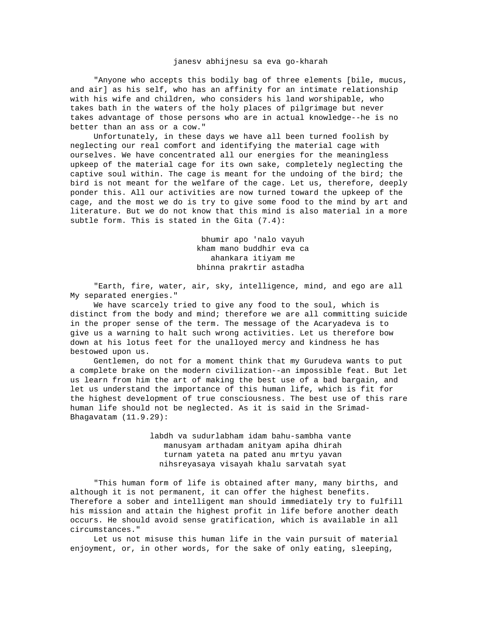#### janesv abhijnesu sa eva go-kharah

 "Anyone who accepts this bodily bag of three elements [bile, mucus, and air] as his self, who has an affinity for an intimate relationship with his wife and children, who considers his land worshipable, who takes bath in the waters of the holy places of pilgrimage but never takes advantage of those persons who are in actual knowledge--he is no better than an ass or a cow."

 Unfortunately, in these days we have all been turned foolish by neglecting our real comfort and identifying the material cage with ourselves. We have concentrated all our energies for the meaningless upkeep of the material cage for its own sake, completely neglecting the captive soul within. The cage is meant for the undoing of the bird; the bird is not meant for the welfare of the cage. Let us, therefore, deeply ponder this. All our activities are now turned toward the upkeep of the cage, and the most we do is try to give some food to the mind by art and literature. But we do not know that this mind is also material in a more subtle form. This is stated in the Gita (7.4):

> bhumir apo 'nalo vayuh kham mano buddhir eva ca ahankara itiyam me bhinna prakrtir astadha

 "Earth, fire, water, air, sky, intelligence, mind, and ego are all My separated energies."

 We have scarcely tried to give any food to the soul, which is distinct from the body and mind; therefore we are all committing suicide in the proper sense of the term. The message of the Acaryadeva is to give us a warning to halt such wrong activities. Let us therefore bow down at his lotus feet for the unalloyed mercy and kindness he has bestowed upon us.

 Gentlemen, do not for a moment think that my Gurudeva wants to put a complete brake on the modern civilization--an impossible feat. But let us learn from him the art of making the best use of a bad bargain, and let us understand the importance of this human life, which is fit for the highest development of true consciousness. The best use of this rare human life should not be neglected. As it is said in the Srimad-Bhagavatam (11.9.29):

> labdh va sudurlabham idam bahu-sambha vante manusyam arthadam anityam apiha dhirah turnam yateta na pated anu mrtyu yavan nihsreyasaya visayah khalu sarvatah syat

 "This human form of life is obtained after many, many births, and although it is not permanent, it can offer the highest benefits. Therefore a sober and intelligent man should immediately try to fulfill his mission and attain the highest profit in life before another death occurs. He should avoid sense gratification, which is available in all circumstances."

 Let us not misuse this human life in the vain pursuit of material enjoyment, or, in other words, for the sake of only eating, sleeping,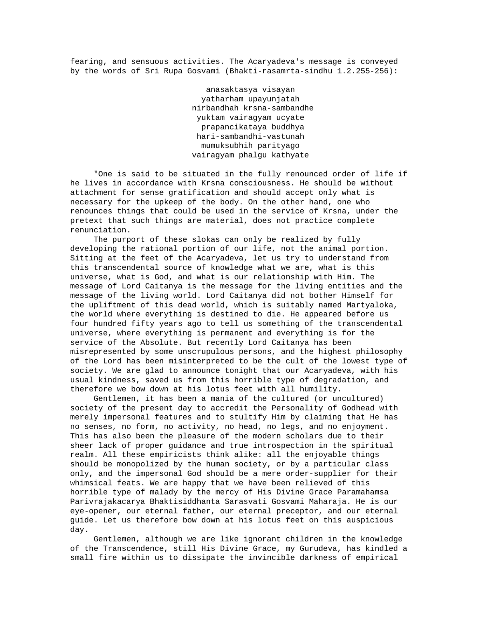fearing, and sensuous activities. The Acaryadeva's message is conveyed by the words of Sri Rupa Gosvami (Bhakti-rasamrta-sindhu 1.2.255-256):

> anasaktasya visayan yatharham upayunjatah nirbandhah krsna-sambandhe yuktam vairagyam ucyate prapancikataya buddhya hari-sambandhi-vastunah mumuksubhih parityago vairagyam phalgu kathyate

 "One is said to be situated in the fully renounced order of life if he lives in accordance with Krsna consciousness. He should be without attachment for sense gratification and should accept only what is necessary for the upkeep of the body. On the other hand, one who renounces things that could be used in the service of Krsna, under the pretext that such things are material, does not practice complete renunciation.

 The purport of these slokas can only be realized by fully developing the rational portion of our life, not the animal portion. Sitting at the feet of the Acaryadeva, let us try to understand from this transcendental source of knowledge what we are, what is this universe, what is God, and what is our relationship with Him. The message of Lord Caitanya is the message for the living entities and the message of the living world. Lord Caitanya did not bother Himself for the upliftment of this dead world, which is suitably named Martyaloka, the world where everything is destined to die. He appeared before us four hundred fifty years ago to tell us something of the transcendental universe, where everything is permanent and everything is for the service of the Absolute. But recently Lord Caitanya has been misrepresented by some unscrupulous persons, and the highest philosophy of the Lord has been misinterpreted to be the cult of the lowest type of society. We are glad to announce tonight that our Acaryadeva, with his usual kindness, saved us from this horrible type of degradation, and therefore we bow down at his lotus feet with all humility.

 Gentlemen, it has been a mania of the cultured (or uncultured) society of the present day to accredit the Personality of Godhead with merely impersonal features and to stultify Him by claiming that He has no senses, no form, no activity, no head, no legs, and no enjoyment. This has also been the pleasure of the modern scholars due to their sheer lack of proper guidance and true introspection in the spiritual realm. All these empiricists think alike: all the enjoyable things should be monopolized by the human society, or by a particular class only, and the impersonal God should be a mere order-supplier for their whimsical feats. We are happy that we have been relieved of this horrible type of malady by the mercy of His Divine Grace Paramahamsa Parivrajakacarya Bhaktisiddhanta Sarasvati Gosvami Maharaja. He is our eye-opener, our eternal father, our eternal preceptor, and our eternal guide. Let us therefore bow down at his lotus feet on this auspicious day.

 Gentlemen, although we are like ignorant children in the knowledge of the Transcendence, still His Divine Grace, my Gurudeva, has kindled a small fire within us to dissipate the invincible darkness of empirical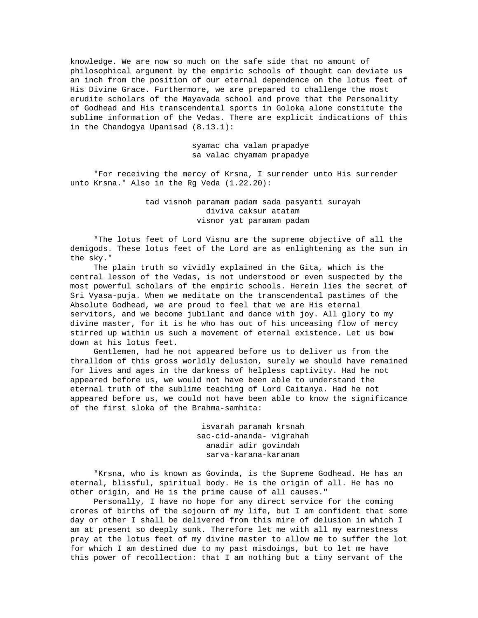knowledge. We are now so much on the safe side that no amount of philosophical argument by the empiric schools of thought can deviate us an inch from the position of our eternal dependence on the lotus feet of His Divine Grace. Furthermore, we are prepared to challenge the most erudite scholars of the Mayavada school and prove that the Personality of Godhead and His transcendental sports in Goloka alone constitute the sublime information of the Vedas. There are explicit indications of this in the Chandogya Upanisad (8.13.1):

> syamac cha valam prapadye sa valac chyamam prapadye

 "For receiving the mercy of Krsna, I surrender unto His surrender unto Krsna." Also in the Rg Veda (1.22.20):

> tad visnoh paramam padam sada pasyanti surayah diviva caksur atatam visnor yat paramam padam

 "The lotus feet of Lord Visnu are the supreme objective of all the demigods. These lotus feet of the Lord are as enlightening as the sun in the sky."

 The plain truth so vividly explained in the Gita, which is the central lesson of the Vedas, is not understood or even suspected by the most powerful scholars of the empiric schools. Herein lies the secret of Sri Vyasa-puja. When we meditate on the transcendental pastimes of the Absolute Godhead, we are proud to feel that we are His eternal servitors, and we become jubilant and dance with joy. All glory to my divine master, for it is he who has out of his unceasing flow of mercy stirred up within us such a movement of eternal existence. Let us bow down at his lotus feet.

 Gentlemen, had he not appeared before us to deliver us from the thralldom of this gross worldly delusion, surely we should have remained for lives and ages in the darkness of helpless captivity. Had he not appeared before us, we would not have been able to understand the eternal truth of the sublime teaching of Lord Caitanya. Had he not appeared before us, we could not have been able to know the significance of the first sloka of the Brahma-samhita:

> isvarah paramah krsnah sac-cid-ananda- vigrahah anadir adir govindah sarva-karana-karanam

 "Krsna, who is known as Govinda, is the Supreme Godhead. He has an eternal, blissful, spiritual body. He is the origin of all. He has no other origin, and He is the prime cause of all causes."

 Personally, I have no hope for any direct service for the coming crores of births of the sojourn of my life, but I am confident that some day or other I shall be delivered from this mire of delusion in which I am at present so deeply sunk. Therefore let me with all my earnestness pray at the lotus feet of my divine master to allow me to suffer the lot for which I am destined due to my past misdoings, but to let me have this power of recollection: that I am nothing but a tiny servant of the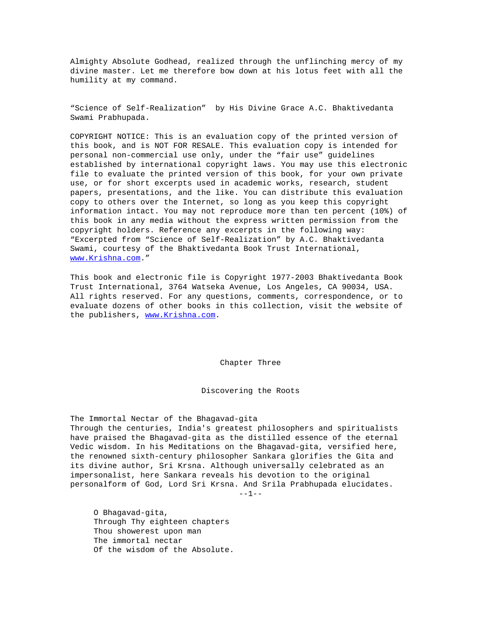Almighty Absolute Godhead, realized through the unflinching mercy of my divine master. Let me therefore bow down at his lotus feet with all the humility at my command.

"Science of Self-Realization" by His Divine Grace A.C. Bhaktivedanta Swami Prabhupada.

COPYRIGHT NOTICE: This is an evaluation copy of the printed version of this book, and is NOT FOR RESALE. This evaluation copy is intended for personal non-commercial use only, under the "fair use" guidelines established by international copyright laws. You may use this electronic file to evaluate the printed version of this book, for your own private use, or for short excerpts used in academic works, research, student papers, presentations, and the like. You can distribute this evaluation copy to others over the Internet, so long as you keep this copyright information intact. You may not reproduce more than ten percent (10%) of this book in any media without the express written permission from the copyright holders. Reference any excerpts in the following way: "Excerpted from "Science of Self-Realization" by A.C. Bhaktivedanta Swami, courtesy of the Bhaktivedanta Book Trust International, www.Krishna.com ."

This book and electronic file is Copyright 1977-2003 Bhaktivedanta Book Trust International, 3764 Watseka Avenue, Los Angeles, CA 90034, USA. All rights reserved. For any questions, comments, correspondence, or to evaluate dozens of other books in this collection, visit the website of the publishers, www.Krishna.com.

Chapter Three

Discovering the Roots

The Immortal Nectar of the Bhagavad-gita Through the centuries, India's greatest philosophers and spiritualists have praised the Bhagavad-gita as the distilled essence of the eternal Vedic wisdom. In his Meditations on the Bhagavad-gita, versified here, the renowned sixth-century philosopher Sankara glorifies the Gita and its divine author, Sri Krsna. Although universally celebrated as an impersonalist, here Sankara reveals his devotion to the original personalform of God, Lord Sri Krsna. And Srila Prabhupada elucidates.

--1--

 O Bhagavad-gita, Through Thy eighteen chapters Thou showerest upon man The immortal nectar Of the wisdom of the Absolute.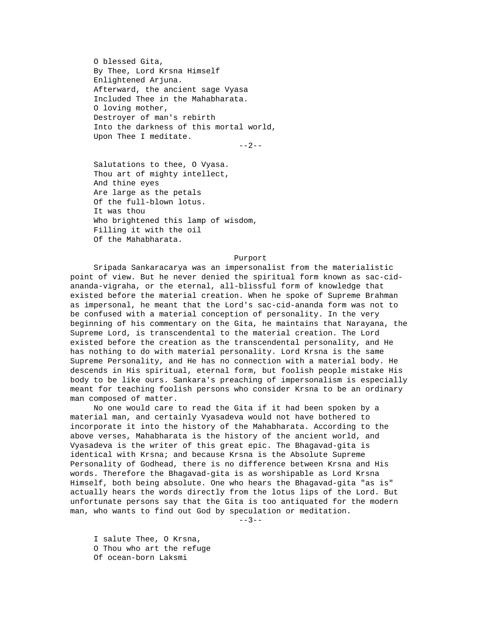O blessed Gita, By Thee, Lord Krsna Himself Enlightened Arjuna. Afterward, the ancient sage Vyasa Included Thee in the Mahabharata. O loving mother, Destroyer of man's rebirth Into the darkness of this mortal world, Upon Thee I meditate.

--2--

 Salutations to thee, O Vyasa. Thou art of mighty intellect, And thine eyes Are large as the petals Of the full-blown lotus. It was thou Who brightened this lamp of wisdom, Filling it with the oil Of the Mahabharata.

#### Purport

 Sripada Sankaracarya was an impersonalist from the materialistic point of view. But he never denied the spiritual form known as sac-cidananda-vigraha, or the eternal, all-blissful form of knowledge that existed before the material creation. When he spoke of Supreme Brahman as impersonal, he meant that the Lord's sac-cid-ananda form was not to be confused with a material conception of personality. In the very beginning of his commentary on the Gita, he maintains that Narayana, the Supreme Lord, is transcendental to the material creation. The Lord existed before the creation as the transcendental personality, and He has nothing to do with material personality. Lord Krsna is the same Supreme Personality, and He has no connection with a material body. He descends in His spiritual, eternal form, but foolish people mistake His body to be like ours. Sankara's preaching of impersonalism is especially meant for teaching foolish persons who consider Krsna to be an ordinary man composed of matter.

 No one would care to read the Gita if it had been spoken by a material man, and certainly Vyasadeva would not have bothered to incorporate it into the history of the Mahabharata. According to the above verses, Mahabharata is the history of the ancient world, and Vyasadeva is the writer of this great epic. The Bhagavad-gita is identical with Krsna; and because Krsna is the Absolute Supreme Personality of Godhead, there is no difference between Krsna and His words. Therefore the Bhagavad-gita is as worshipable as Lord Krsna Himself, both being absolute. One who hears the Bhagavad-gita "as is" actually hears the words directly from the lotus lips of the Lord. But unfortunate persons say that the Gita is too antiquated for the modern man, who wants to find out God by speculation or meditation.

--3--

 I salute Thee, O Krsna, O Thou who art the refuge Of ocean-born Laksmi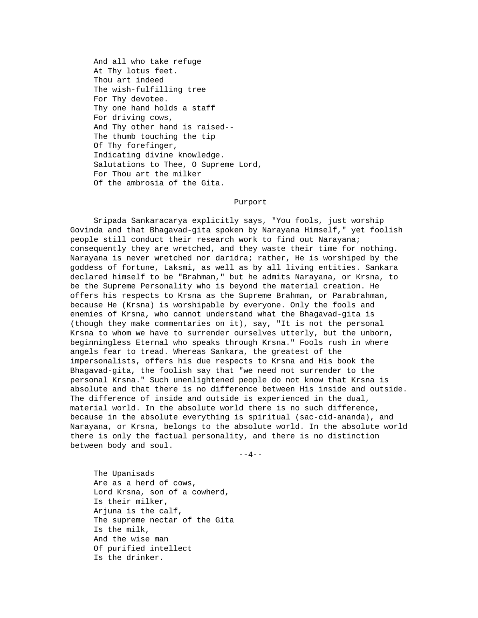And all who take refuge At Thy lotus feet. Thou art indeed The wish-fulfilling tree For Thy devotee. Thy one hand holds a staff For driving cows, And Thy other hand is raised-- The thumb touching the tip Of Thy forefinger, Indicating divine knowledge. Salutations to Thee, O Supreme Lord, For Thou art the milker Of the ambrosia of the Gita.

# Purport

 Sripada Sankaracarya explicitly says, "You fools, just worship Govinda and that Bhagavad-gita spoken by Narayana Himself," yet foolish people still conduct their research work to find out Narayana; consequently they are wretched, and they waste their time for nothing. Narayana is never wretched nor daridra; rather, He is worshiped by the goddess of fortune, Laksmi, as well as by all living entities. Sankara declared himself to be "Brahman," but he admits Narayana, or Krsna, to be the Supreme Personality who is beyond the material creation. He offers his respects to Krsna as the Supreme Brahman, or Parabrahman, because He (Krsna) is worshipable by everyone. Only the fools and enemies of Krsna, who cannot understand what the Bhagavad-gita is (though they make commentaries on it), say, "It is not the personal Krsna to whom we have to surrender ourselves utterly, but the unborn, beginningless Eternal who speaks through Krsna." Fools rush in where angels fear to tread. Whereas Sankara, the greatest of the impersonalists, offers his due respects to Krsna and His book the Bhagavad-gita, the foolish say that "we need not surrender to the personal Krsna." Such unenlightened people do not know that Krsna is absolute and that there is no difference between His inside and outside. The difference of inside and outside is experienced in the dual, material world. In the absolute world there is no such difference, because in the absolute everything is spiritual (sac-cid-ananda), and Narayana, or Krsna, belongs to the absolute world. In the absolute world there is only the factual personality, and there is no distinction between body and soul.

 $--4--$ 

 The Upanisads Are as a herd of cows, Lord Krsna, son of a cowherd, Is their milker, Arjuna is the calf, The supreme nectar of the Gita Is the milk, And the wise man Of purified intellect Is the drinker.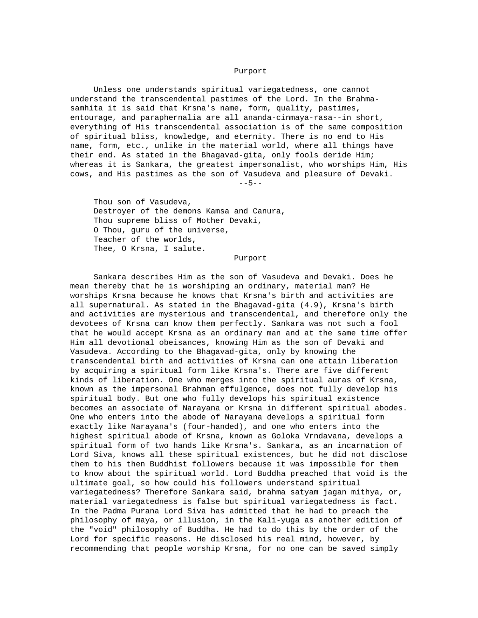#### Purport

 Unless one understands spiritual variegatedness, one cannot understand the transcendental pastimes of the Lord. In the Brahmasamhita it is said that Krsna's name, form, quality, pastimes, entourage, and paraphernalia are all ananda-cinmaya-rasa--in short, everything of His transcendental association is of the same composition of spiritual bliss, knowledge, and eternity. There is no end to His name, form, etc., unlike in the material world, where all things have their end. As stated in the Bhagavad-gita, only fools deride Him; whereas it is Sankara, the greatest impersonalist, who worships Him, His cows, and His pastimes as the son of Vasudeva and pleasure of Devaki.

 $--5--$ 

 Thou son of Vasudeva, Destroyer of the demons Kamsa and Canura, Thou supreme bliss of Mother Devaki, O Thou, guru of the universe, Teacher of the worlds, Thee, O Krsna, I salute.

#### Purport

 Sankara describes Him as the son of Vasudeva and Devaki. Does he mean thereby that he is worshiping an ordinary, material man? He worships Krsna because he knows that Krsna's birth and activities are all supernatural. As stated in the Bhagavad-gita (4.9), Krsna's birth and activities are mysterious and transcendental, and therefore only the devotees of Krsna can know them perfectly. Sankara was not such a fool that he would accept Krsna as an ordinary man and at the same time offer Him all devotional obeisances, knowing Him as the son of Devaki and Vasudeva. According to the Bhagavad-gita, only by knowing the transcendental birth and activities of Krsna can one attain liberation by acquiring a spiritual form like Krsna's. There are five different kinds of liberation. One who merges into the spiritual auras of Krsna, known as the impersonal Brahman effulgence, does not fully develop his spiritual body. But one who fully develops his spiritual existence becomes an associate of Narayana or Krsna in different spiritual abodes. One who enters into the abode of Narayana develops a spiritual form exactly like Narayana's (four-handed), and one who enters into the highest spiritual abode of Krsna, known as Goloka Vrndavana, develops a spiritual form of two hands like Krsna's. Sankara, as an incarnation of Lord Siva, knows all these spiritual existences, but he did not disclose them to his then Buddhist followers because it was impossible for them to know about the spiritual world. Lord Buddha preached that void is the ultimate goal, so how could his followers understand spiritual variegatedness? Therefore Sankara said, brahma satyam jagan mithya, or, material variegatedness is false but spiritual variegatedness is fact. In the Padma Purana Lord Siva has admitted that he had to preach the philosophy of maya, or illusion, in the Kali-yuga as another edition of the "void" philosophy of Buddha. He had to do this by the order of the Lord for specific reasons. He disclosed his real mind, however, by recommending that people worship Krsna, for no one can be saved simply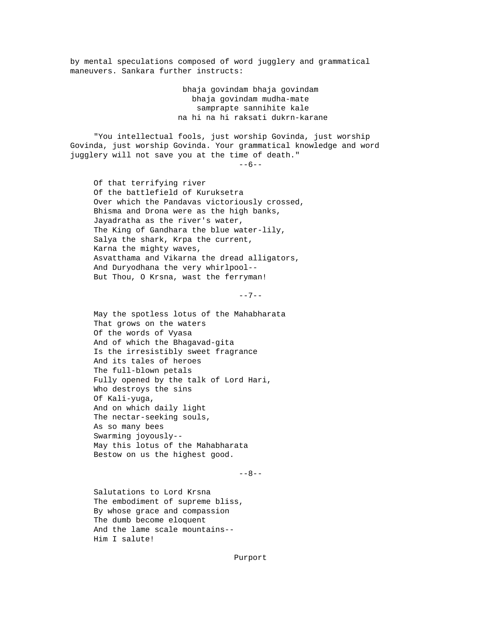by mental speculations composed of word jugglery and grammatical maneuvers. Sankara further instructs:

> bhaja govindam bhaja govindam bhaja govindam mudha-mate samprapte sannihite kale na hi na hi raksati dukrn-karane

 "You intellectual fools, just worship Govinda, just worship Govinda, just worship Govinda. Your grammatical knowledge and word jugglery will not save you at the time of death."

--6--

 Of that terrifying river Of the battlefield of Kuruksetra Over which the Pandavas victoriously crossed, Bhisma and Drona were as the high banks, Jayadratha as the river's water, The King of Gandhara the blue water-lily, Salya the shark, Krpa the current, Karna the mighty waves, Asvatthama and Vikarna the dread alligators, And Duryodhana the very whirlpool-- But Thou, O Krsna, wast the ferryman!

--7--

 May the spotless lotus of the Mahabharata That grows on the waters Of the words of Vyasa And of which the Bhagavad-gita Is the irresistibly sweet fragrance And its tales of heroes The full-blown petals Fully opened by the talk of Lord Hari, Who destroys the sins Of Kali-yuga, And on which daily light The nectar-seeking souls, As so many bees Swarming joyously-- May this lotus of the Mahabharata Bestow on us the highest good.

--8--

 Salutations to Lord Krsna The embodiment of supreme bliss, By whose grace and compassion The dumb become eloquent And the lame scale mountains-- Him I salute!

Purport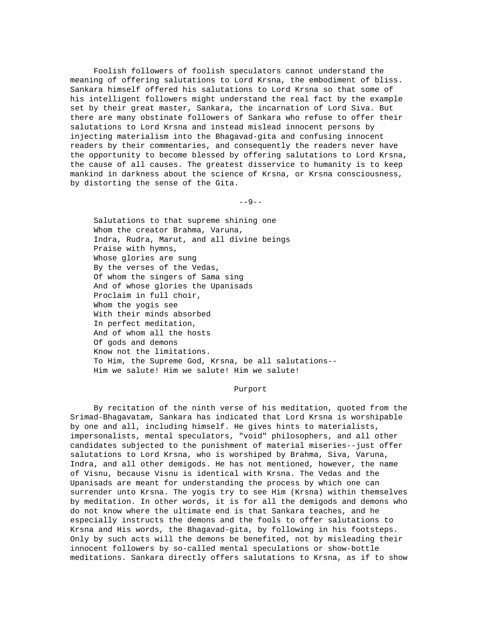Foolish followers of foolish speculators cannot understand the meaning of offering salutations to Lord Krsna, the embodiment of bliss. Sankara himself offered his salutations to Lord Krsna so that some of his intelligent followers might understand the real fact by the example set by their great master, Sankara, the incarnation of Lord Siva. But there are many obstinate followers of Sankara who refuse to offer their salutations to Lord Krsna and instead mislead innocent persons by injecting materialism into the Bhagavad-gita and confusing innocent readers by their commentaries, and consequently the readers never have the opportunity to become blessed by offering salutations to Lord Krsna, the cause of all causes. The greatest disservice to humanity is to keep mankind in darkness about the science of Krsna, or Krsna consciousness, by distorting the sense of the Gita.

--9--

 Salutations to that supreme shining one Whom the creator Brahma, Varuna, Indra, Rudra, Marut, and all divine beings Praise with hymns, Whose glories are sung By the verses of the Vedas, Of whom the singers of Sama sing And of whose glories the Upanisads Proclaim in full choir, Whom the yogis see With their minds absorbed In perfect meditation, And of whom all the hosts Of gods and demons Know not the limitations. To Him, the Supreme God, Krsna, be all salutations-- Him we salute! Him we salute! Him we salute!

# Purport

 By recitation of the ninth verse of his meditation, quoted from the Srimad-Bhagavatam, Sankara has indicated that Lord Krsna is worshipable by one and all, including himself. He gives hints to materialists, impersonalists, mental speculators, "void" philosophers, and all other candidates subjected to the punishment of material miseries--just offer salutations to Lord Krsna, who is worshiped by Brahma, Siva, Varuna, Indra, and all other demigods. He has not mentioned, however, the name of Visnu, because Visnu is identical with Krsna. The Vedas and the Upanisads are meant for understanding the process by which one can surrender unto Krsna. The yogis try to see Him (Krsna) within themselves by meditation. In other words, it is for all the demigods and demons who do not know where the ultimate end is that Sankara teaches, and he especially instructs the demons and the fools to offer salutations to Krsna and His words, the Bhagavad-gita, by following in his footsteps. Only by such acts will the demons be benefited, not by misleading their innocent followers by so-called mental speculations or show-bottle meditations. Sankara directly offers salutations to Krsna, as if to show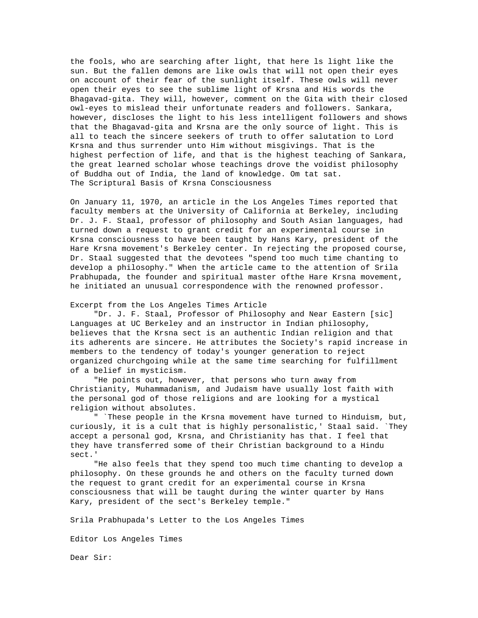the fools, who are searching after light, that here ls light like the sun. But the fallen demons are like owls that will not open their eyes on account of their fear of the sunlight itself. These owls will never open their eyes to see the sublime light of Krsna and His words the Bhagavad-gita. They will, however, comment on the Gita with their closed owl-eyes to mislead their unfortunate readers and followers. Sankara, however, discloses the light to his less intelligent followers and shows that the Bhagavad-gita and Krsna are the only source of light. This is all to teach the sincere seekers of truth to offer salutation to Lord Krsna and thus surrender unto Him without misgivings. That is the highest perfection of life, and that is the highest teaching of Sankara, the great learned scholar whose teachings drove the voidist philosophy of Buddha out of India, the land of knowledge. Om tat sat. The Scriptural Basis of Krsna Consciousness

On January 11, 1970, an article in the Los Angeles Times reported that faculty members at the University of California at Berkeley, including Dr. J. F. Staal, professor of philosophy and South Asian languages, had turned down a request to grant credit for an experimental course in Krsna consciousness to have been taught by Hans Kary, president of the Hare Krsna movement's Berkeley center. In rejecting the proposed course, Dr. Staal suggested that the devotees "spend too much time chanting to develop a philosophy." When the article came to the attention of Srila Prabhupada, the founder and spiritual master ofthe Hare Krsna movement, he initiated an unusual correspondence with the renowned professor.

## Excerpt from the Los Angeles Times Article

 "Dr. J. F. Staal, Professor of Philosophy and Near Eastern [sic] Languages at UC Berkeley and an instructor in Indian philosophy, believes that the Krsna sect is an authentic Indian religion and that its adherents are sincere. He attributes the Society's rapid increase in members to the tendency of today's younger generation to reject organized churchgoing while at the same time searching for fulfillment of a belief in mysticism.

 "He points out, however, that persons who turn away from Christianity, Muhammadanism, and Judaism have usually lost faith with the personal god of those religions and are looking for a mystical religion without absolutes.

 " `These people in the Krsna movement have turned to Hinduism, but, curiously, it is a cult that is highly personalistic,' Staal said. `They accept a personal god, Krsna, and Christianity has that. I feel that they have transferred some of their Christian background to a Hindu sect.'

 "He also feels that they spend too much time chanting to develop a philosophy. On these grounds he and others on the faculty turned down the request to grant credit for an experimental course in Krsna consciousness that will be taught during the winter quarter by Hans Kary, president of the sect's Berkeley temple."

Srila Prabhupada's Letter to the Los Angeles Times

Editor Los Angeles Times

Dear Sir: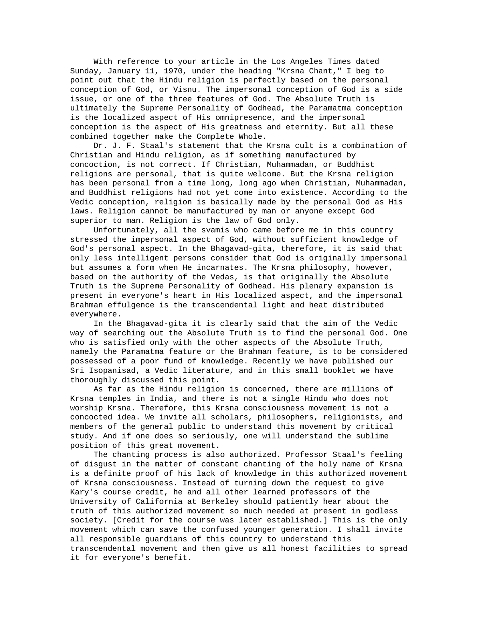With reference to your article in the Los Angeles Times dated Sunday, January 11, 1970, under the heading "Krsna Chant," I beg to point out that the Hindu religion is perfectly based on the personal conception of God, or Visnu. The impersonal conception of God is a side issue, or one of the three features of God. The Absolute Truth is ultimately the Supreme Personality of Godhead, the Paramatma conception is the localized aspect of His omnipresence, and the impersonal conception is the aspect of His greatness and eternity. But all these combined together make the Complete Whole.

 Dr. J. F. Staal's statement that the Krsna cult is a combination of Christian and Hindu religion, as if something manufactured by concoction, is not correct. If Christian, Muhammadan, or Buddhist religions are personal, that is quite welcome. But the Krsna religion has been personal from a time long, long ago when Christian, Muhammadan, and Buddhist religions had not yet come into existence. According to the Vedic conception, religion is basically made by the personal God as His laws. Religion cannot be manufactured by man or anyone except God superior to man. Religion is the law of God only.

 Unfortunately, all the svamis who came before me in this country stressed the impersonal aspect of God, without sufficient knowledge of God's personal aspect. In the Bhagavad-gita, therefore, it is said that only less intelligent persons consider that God is originally impersonal but assumes a form when He incarnates. The Krsna philosophy, however, based on the authority of the Vedas, is that originally the Absolute Truth is the Supreme Personality of Godhead. His plenary expansion is present in everyone's heart in His localized aspect, and the impersonal Brahman effulgence is the transcendental light and heat distributed everywhere.

 In the Bhagavad-gita it is clearly said that the aim of the Vedic way of searching out the Absolute Truth is to find the personal God. One who is satisfied only with the other aspects of the Absolute Truth, namely the Paramatma feature or the Brahman feature, is to be considered possessed of a poor fund of knowledge. Recently we have published our Sri Isopanisad, a Vedic literature, and in this small booklet we have thoroughly discussed this point.

 As far as the Hindu religion is concerned, there are millions of Krsna temples in India, and there is not a single Hindu who does not worship Krsna. Therefore, this Krsna consciousness movement is not a concocted idea. We invite all scholars, philosophers, religionists, and members of the general public to understand this movement by critical study. And if one does so seriously, one will understand the sublime position of this great movement.

 The chanting process is also authorized. Professor Staal's feeling of disgust in the matter of constant chanting of the holy name of Krsna is a definite proof of his lack of knowledge in this authorized movement of Krsna consciousness. Instead of turning down the request to give Kary's course credit, he and all other learned professors of the University of California at Berkeley should patiently hear about the truth of this authorized movement so much needed at present in godless society. [Credit for the course was later established.] This is the only movement which can save the confused younger generation. I shall invite all responsible guardians of this country to understand this transcendental movement and then give us all honest facilities to spread it for everyone's benefit.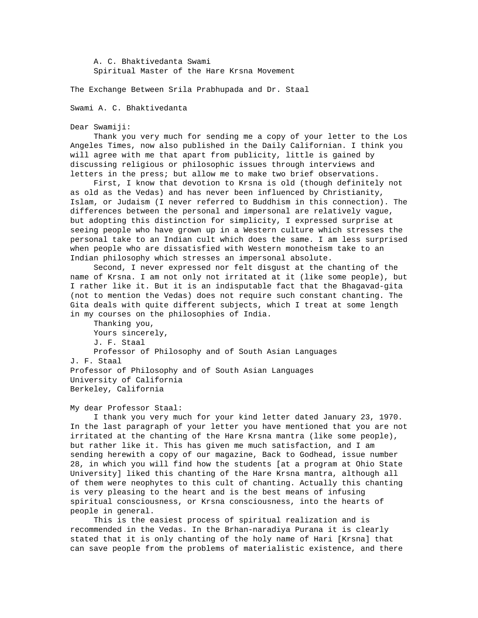A. C. Bhaktivedanta Swami Spiritual Master of the Hare Krsna Movement

The Exchange Between Srila Prabhupada and Dr. Staal

Swami A. C. Bhaktivedanta

Dear Swamiji:

 Thank you very much for sending me a copy of your letter to the Los Angeles Times, now also published in the Daily Californian. I think you will agree with me that apart from publicity, little is gained by discussing religious or philosophic issues through interviews and letters in the press; but allow me to make two brief observations.

 First, I know that devotion to Krsna is old (though definitely not as old as the Vedas) and has never been influenced by Christianity, Islam, or Judaism (I never referred to Buddhism in this connection). The differences between the personal and impersonal are relatively vague, but adopting this distinction for simplicity, I expressed surprise at seeing people who have grown up in a Western culture which stresses the personal take to an Indian cult which does the same. I am less surprised when people who are dissatisfied with Western monotheism take to an Indian philosophy which stresses an impersonal absolute.

 Second, I never expressed nor felt disgust at the chanting of the name of Krsna. I am not only not irritated at it (like some people), but I rather like it. But it is an indisputable fact that the Bhagavad-gita (not to mention the Vedas) does not require such constant chanting. The Gita deals with quite different subjects, which I treat at some length in my courses on the philosophies of India.

 Thanking you, Yours sincerely, J. F. Staal Professor of Philosophy and of South Asian Languages J. F. Staal Professor of Philosophy and of South Asian Languages University of California Berkeley, California

My dear Professor Staal:

 I thank you very much for your kind letter dated January 23, 1970. In the last paragraph of your letter you have mentioned that you are not irritated at the chanting of the Hare Krsna mantra (like some people), but rather like it. This has given me much satisfaction, and I am sending herewith a copy of our magazine, Back to Godhead, issue number 28, in which you will find how the students [at a program at Ohio State University] liked this chanting of the Hare Krsna mantra, although all of them were neophytes to this cult of chanting. Actually this chanting is very pleasing to the heart and is the best means of infusing spiritual consciousness, or Krsna consciousness, into the hearts of people in general.

 This is the easiest process of spiritual realization and is recommended in the Vedas. In the Brhan-naradiya Purana it is clearly stated that it is only chanting of the holy name of Hari [Krsna] that can save people from the problems of materialistic existence, and there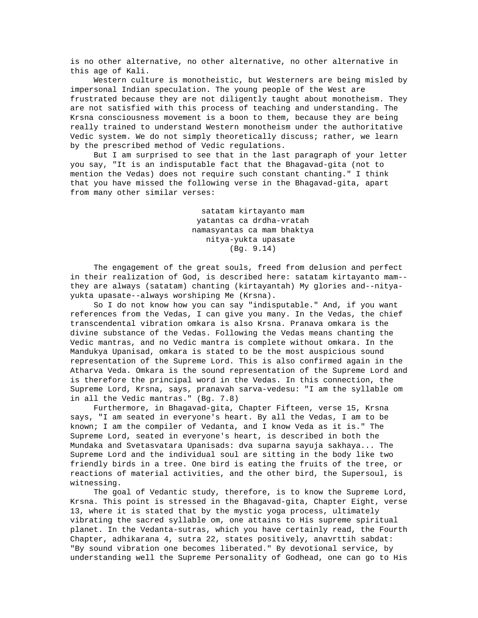is no other alternative, no other alternative, no other alternative in this age of Kali.

 Western culture is monotheistic, but Westerners are being misled by impersonal Indian speculation. The young people of the West are frustrated because they are not diligently taught about monotheism. They are not satisfied with this process of teaching and understanding. The Krsna consciousness movement is a boon to them, because they are being really trained to understand Western monotheism under the authoritative Vedic system. We do not simply theoretically discuss; rather, we learn by the prescribed method of Vedic regulations.

 But I am surprised to see that in the last paragraph of your letter you say, "It is an indisputable fact that the Bhagavad-gita (not to mention the Vedas) does not require such constant chanting." I think that you have missed the following verse in the Bhagavad-gita, apart from many other similar verses:

> satatam kirtayanto mam yatantas ca drdha-vratah namasyantas ca mam bhaktya nitya-yukta upasate (Bg. 9.14)

 The engagement of the great souls, freed from delusion and perfect in their realization of God, is described here: satatam kirtayanto mam- they are always (satatam) chanting (kirtayantah) My glories and--nityayukta upasate--always worshiping Me (Krsna).

 So I do not know how you can say "indisputable." And, if you want references from the Vedas, I can give you many. In the Vedas, the chief transcendental vibration omkara is also Krsna. Pranava omkara is the divine substance of the Vedas. Following the Vedas means chanting the Vedic mantras, and no Vedic mantra is complete without omkara. In the Mandukya Upanisad, omkara is stated to be the most auspicious sound representation of the Supreme Lord. This is also confirmed again in the Atharva Veda. Omkara is the sound representation of the Supreme Lord and is therefore the principal word in the Vedas. In this connection, the Supreme Lord, Krsna, says, pranavah sarva-vedesu: "I am the syllable om in all the Vedic mantras." (Bg. 7.8)

 Furthermore, in Bhagavad-gita, Chapter Fifteen, verse 15, Krsna says, "I am seated in everyone's heart. By all the Vedas, I am to be known; I am the compiler of Vedanta, and I know Veda as it is." The Supreme Lord, seated in everyone's heart, is described in both the Mundaka and Svetasvatara Upanisads: dva suparna sayuja sakhaya... The Supreme Lord and the individual soul are sitting in the body like two friendly birds in a tree. One bird is eating the fruits of the tree, or reactions of material activities, and the other bird, the Supersoul, is witnessing.

 The goal of Vedantic study, therefore, is to know the Supreme Lord, Krsna. This point is stressed in the Bhagavad-gita, Chapter Eight, verse 13, where it is stated that by the mystic yoga process, ultimately vibrating the sacred syllable om, one attains to His supreme spiritual planet. In the Vedanta-sutras, which you have certainly read, the Fourth Chapter, adhikarana 4, sutra 22, states positively, anavrttih sabdat: "By sound vibration one becomes liberated." By devotional service, by understanding well the Supreme Personality of Godhead, one can go to His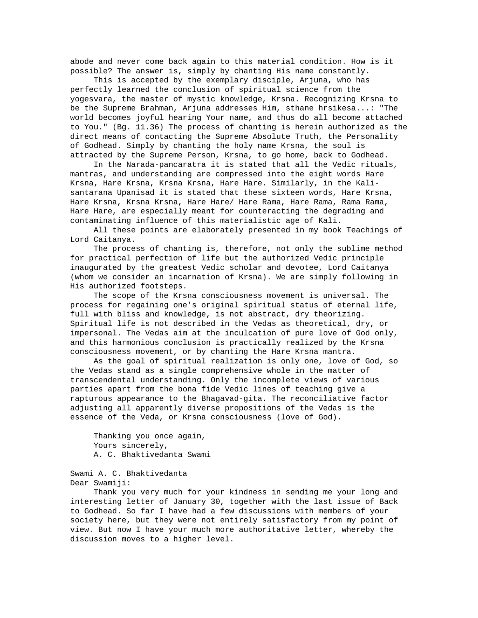abode and never come back again to this material condition. How is it possible? The answer is, simply by chanting His name constantly.

 This is accepted by the exemplary disciple, Arjuna, who has perfectly learned the conclusion of spiritual science from the yogesvara, the master of mystic knowledge, Krsna. Recognizing Krsna to be the Supreme Brahman, Arjuna addresses Him, sthane hrsikesa...: "The world becomes joyful hearing Your name, and thus do all become attached to You." (Bg. 11.36) The process of chanting is herein authorized as the direct means of contacting the Supreme Absolute Truth, the Personality of Godhead. Simply by chanting the holy name Krsna, the soul is attracted by the Supreme Person, Krsna, to go home, back to Godhead.

 In the Narada-pancaratra it is stated that all the Vedic rituals, mantras, and understanding are compressed into the eight words Hare Krsna, Hare Krsna, Krsna Krsna, Hare Hare. Similarly, in the Kalisantarana Upanisad it is stated that these sixteen words, Hare Krsna, Hare Krsna, Krsna Krsna, Hare Hare/ Hare Rama, Hare Rama, Rama Rama, Hare Hare, are especially meant for counteracting the degrading and contaminating influence of this materialistic age of Kali.

 All these points are elaborately presented in my book Teachings of Lord Caitanya.

 The process of chanting is, therefore, not only the sublime method for practical perfection of life but the authorized Vedic principle inaugurated by the greatest Vedic scholar and devotee, Lord Caitanya (whom we consider an incarnation of Krsna). We are simply following in His authorized footsteps.

 The scope of the Krsna consciousness movement is universal. The process for regaining one's original spiritual status of eternal life, full with bliss and knowledge, is not abstract, dry theorizing. Spiritual life is not described in the Vedas as theoretical, dry, or impersonal. The Vedas aim at the inculcation of pure love of God only, and this harmonious conclusion is practically realized by the Krsna consciousness movement, or by chanting the Hare Krsna mantra.

 As the goal of spiritual realization is only one, love of God, so the Vedas stand as a single comprehensive whole in the matter of transcendental understanding. Only the incomplete views of various parties apart from the bona fide Vedic lines of teaching give a rapturous appearance to the Bhagavad-gita. The reconciliative factor adjusting all apparently diverse propositions of the Vedas is the essence of the Veda, or Krsna consciousness (love of God).

 Thanking you once again, Yours sincerely, A. C. Bhaktivedanta Swami

Swami A. C. Bhaktivedanta Dear Swamiji:

 Thank you very much for your kindness in sending me your long and interesting letter of January 30, together with the last issue of Back to Godhead. So far I have had a few discussions with members of your society here, but they were not entirely satisfactory from my point of view. But now I have your much more authoritative letter, whereby the discussion moves to a higher level.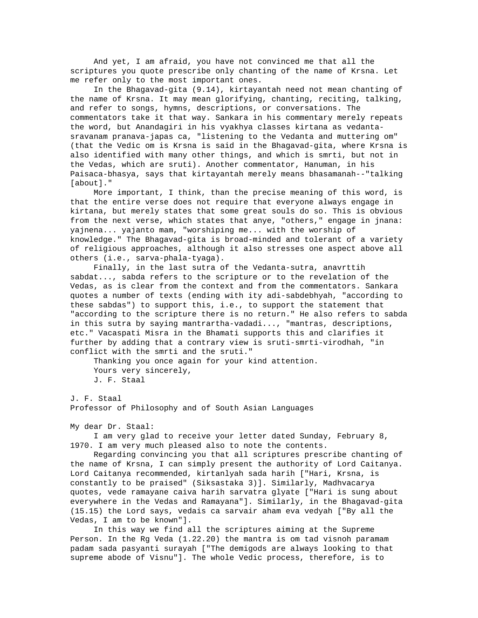And yet, I am afraid, you have not convinced me that all the scriptures you quote prescribe only chanting of the name of Krsna. Let me refer only to the most important ones.

 In the Bhagavad-gita (9.14), kirtayantah need not mean chanting of the name of Krsna. It may mean glorifying, chanting, reciting, talking, and refer to songs, hymns, descriptions, or conversations. The commentators take it that way. Sankara in his commentary merely repeats the word, but Anandagiri in his vyakhya classes kirtana as vedantasravanam pranava-japas ca, "listening to the Vedanta and muttering om" (that the Vedic om is Krsna is said in the Bhagavad-gita, where Krsna is also identified with many other things, and which is smrti, but not in the Vedas, which are sruti). Another commentator, Hanuman, in his Paisaca-bhasya, says that kirtayantah merely means bhasamanah--"talking [about]."

 More important, I think, than the precise meaning of this word, is that the entire verse does not require that everyone always engage in kirtana, but merely states that some great souls do so. This is obvious from the next verse, which states that anye, "others," engage in jnana: yajnena... yajanto mam, "worshiping me... with the worship of knowledge." The Bhagavad-gita is broad-minded and tolerant of a variety of religious approaches, although it also stresses one aspect above all others (i.e., sarva-phala-tyaga).

 Finally, in the last sutra of the Vedanta-sutra, anavrttih sabdat..., sabda refers to the scripture or to the revelation of the Vedas, as is clear from the context and from the commentators. Sankara quotes a number of texts (ending with ity adi-sabdebhyah, "according to these sabdas") to support this, i.e., to support the statement that "according to the scripture there is no return." He also refers to sabda in this sutra by saying mantrartha-vadadi..., "mantras, descriptions, etc." Vacaspati Misra in the Bhamati supports this and clarifies it further by adding that a contrary view is sruti-smrti-virodhah, "in conflict with the smrti and the sruti."

 Thanking you once again for your kind attention. Yours very sincerely, J. F. Staal

J. F. Staal Professor of Philosophy and of South Asian Languages

My dear Dr. Staal:

 I am very glad to receive your letter dated Sunday, February 8, 1970. I am very much pleased also to note the contents.

 Regarding convincing you that all scriptures prescribe chanting of the name of Krsna, I can simply present the authority of Lord Caitanya. Lord Caitanya recommended, kirtanlyah sada harih ["Hari, Krsna, is constantly to be praised" (Siksastaka 3)]. Similarly, Madhvacarya quotes, vede ramayane caiva harih sarvatra glyate ["Hari is sung about everywhere in the Vedas and Ramayana"]. Similarly, in the Bhagavad-gita (15.15) the Lord says, vedais ca sarvair aham eva vedyah ["By all the Vedas, I am to be known"].

 In this way we find all the scriptures aiming at the Supreme Person. In the Rg Veda (1.22.20) the mantra is om tad visnoh paramam padam sada pasyanti surayah ["The demigods are always looking to that supreme abode of Visnu"]. The whole Vedic process, therefore, is to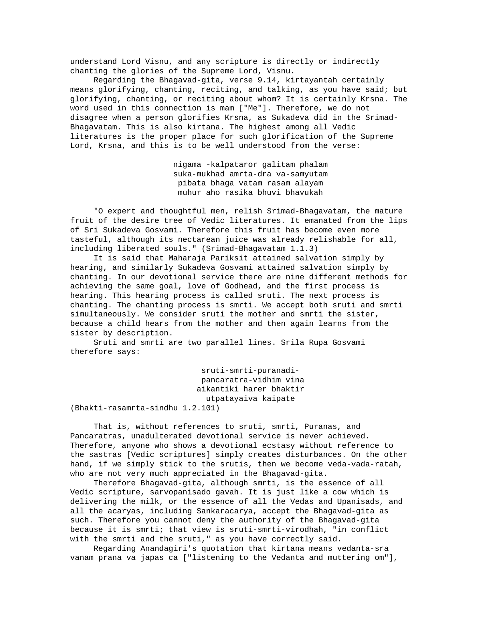understand Lord Visnu, and any scripture is directly or indirectly chanting the glories of the Supreme Lord, Visnu.

 Regarding the Bhagavad-gita, verse 9.14, kirtayantah certainly means glorifying, chanting, reciting, and talking, as you have said; but glorifying, chanting, or reciting about whom? It is certainly Krsna. The word used in this connection is mam ["Me"]. Therefore, we do not disagree when a person glorifies Krsna, as Sukadeva did in the Srimad-Bhagavatam. This is also kirtana. The highest among all Vedic literatures is the proper place for such glorification of the Supreme Lord, Krsna, and this is to be well understood from the verse:

> nigama -kalpataror galitam phalam suka-mukhad amrta-dra va-samyutam pibata bhaga vatam rasam alayam muhur aho rasika bhuvi bhavukah

 "O expert and thoughtful men, relish Srimad-Bhagavatam, the mature fruit of the desire tree of Vedic literatures. It emanated from the lips of Sri Sukadeva Gosvami. Therefore this fruit has become even more tasteful, although its nectarean juice was already relishable for all, including liberated souls." (Srimad-Bhagavatam 1.1.3)

 It is said that Maharaja Pariksit attained salvation simply by hearing, and similarly Sukadeva Gosvami attained salvation simply by chanting. In our devotional service there are nine different methods for achieving the same goal, love of Godhead, and the first process is hearing. This hearing process is called sruti. The next process is chanting. The chanting process is smrti. We accept both sruti and smrti simultaneously. We consider sruti the mother and smrti the sister, because a child hears from the mother and then again learns from the sister by description.

 Sruti and smrti are two parallel lines. Srila Rupa Gosvami therefore says:

> sruti-smrti-puranadi pancaratra-vidhim vina aikantiki harer bhaktir utpatayaiva kaipate

(Bhakti-rasamrta-sindhu 1.2.101)

 That is, without references to sruti, smrti, Puranas, and Pancaratras, unadulterated devotional service is never achieved. Therefore, anyone who shows a devotional ecstasy without reference to the sastras [Vedic scriptures] simply creates disturbances. On the other hand, if we simply stick to the srutis, then we become veda-vada-ratah, who are not very much appreciated in the Bhagavad-gita.

 Therefore Bhagavad-gita, although smrti, is the essence of all Vedic scripture, sarvopanisado gavah. It is just like a cow which is delivering the milk, or the essence of all the Vedas and Upanisads, and all the acaryas, including Sankaracarya, accept the Bhagavad-gita as such. Therefore you cannot deny the authority of the Bhagavad-gita because it is smrti; that view is sruti-smrti-virodhah, "in conflict with the smrti and the sruti," as you have correctly said.

 Regarding Anandagiri's quotation that kirtana means vedanta-sra vanam prana va japas ca ["listening to the Vedanta and muttering om"],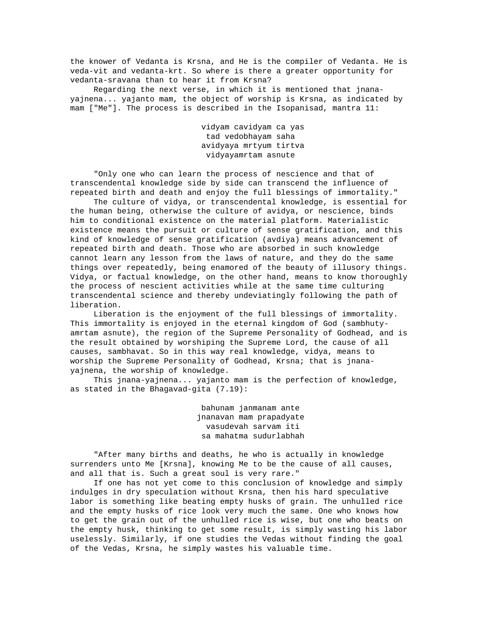the knower of Vedanta is Krsna, and He is the compiler of Vedanta. He is veda-vit and vedanta-krt. So where is there a greater opportunity for vedanta-sravana than to hear it from Krsna?

 Regarding the next verse, in which it is mentioned that jnanayajnena... yajanto mam, the object of worship is Krsna, as indicated by mam ["Me"]. The process is described in the Isopanisad, mantra 11:

> vidyam cavidyam ca yas tad vedobhayam saha avidyaya mrtyum tirtva vidyayamrtam asnute

 "Only one who can learn the process of nescience and that of transcendental knowledge side by side can transcend the influence of repeated birth and death and enjoy the full blessings of immortality."

 The culture of vidya, or transcendental knowledge, is essential for the human being, otherwise the culture of avidya, or nescience, binds him to conditional existence on the material platform. Materialistic existence means the pursuit or culture of sense gratification, and this kind of knowledge of sense gratification (avdiya) means advancement of repeated birth and death. Those who are absorbed in such knowledge cannot learn any lesson from the laws of nature, and they do the same things over repeatedly, being enamored of the beauty of illusory things. Vidya, or factual knowledge, on the other hand, means to know thoroughly the process of nescient activities while at the same time culturing transcendental science and thereby undeviatingly following the path of liberation.

 Liberation is the enjoyment of the full blessings of immortality. This immortality is enjoyed in the eternal kingdom of God (sambhutyamrtam asnute), the region of the Supreme Personality of Godhead, and is the result obtained by worshiping the Supreme Lord, the cause of all causes, sambhavat. So in this way real knowledge, vidya, means to worship the Supreme Personality of Godhead, Krsna; that is jnanayajnena, the worship of knowledge.

 This jnana-yajnena... yajanto mam is the perfection of knowledge, as stated in the Bhagavad-gita (7.19):

> bahunam janmanam ante jnanavan mam prapadyate vasudevah sarvam iti sa mahatma sudurlabhah

 "After many births and deaths, he who is actually in knowledge surrenders unto Me [Krsna], knowing Me to be the cause of all causes, and all that is. Such a great soul is very rare."

 If one has not yet come to this conclusion of knowledge and simply indulges in dry speculation without Krsna, then his hard speculative labor is something like beating empty husks of grain. The unhulled rice and the empty husks of rice look very much the same. One who knows how to get the grain out of the unhulled rice is wise, but one who beats on the empty husk, thinking to get some result, is simply wasting his labor uselessly. Similarly, if one studies the Vedas without finding the goal of the Vedas, Krsna, he simply wastes his valuable time.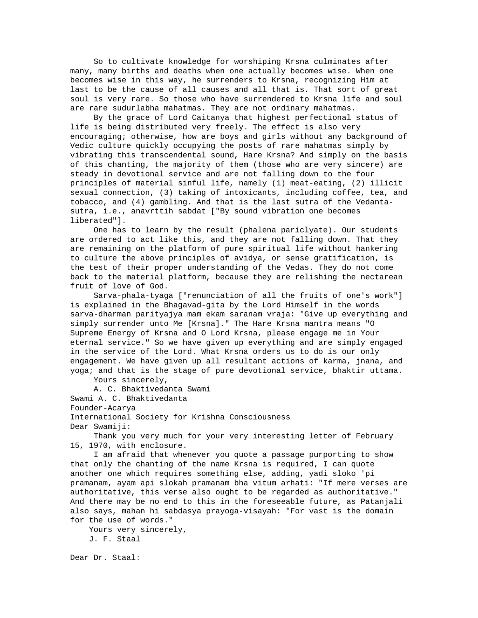So to cultivate knowledge for worshiping Krsna culminates after many, many births and deaths when one actually becomes wise. When one becomes wise in this way, he surrenders to Krsna, recognizing Him at last to be the cause of all causes and all that is. That sort of great soul is very rare. So those who have surrendered to Krsna life and soul are rare sudurlabha mahatmas. They are not ordinary mahatmas.

 By the grace of Lord Caitanya that highest perfectional status of life is being distributed very freely. The effect is also very encouraging; otherwise, how are boys and girls without any background of Vedic culture quickly occupying the posts of rare mahatmas simply by vibrating this transcendental sound, Hare Krsna? And simply on the basis of this chanting, the majority of them (those who are very sincere) are steady in devotional service and are not falling down to the four principles of material sinful life, namely (1) meat-eating, (2) illicit sexual connection, (3) taking of intoxicants, including coffee, tea, and tobacco, and (4) gambling. And that is the last sutra of the Vedantasutra, i.e., anavrttih sabdat ["By sound vibration one becomes liberated"].

 One has to learn by the result (phalena pariclyate). Our students are ordered to act like this, and they are not falling down. That they are remaining on the platform of pure spiritual life without hankering to culture the above principles of avidya, or sense gratification, is the test of their proper understanding of the Vedas. They do not come back to the material platform, because they are relishing the nectarean fruit of love of God.

 Sarva-phala-tyaga ["renunciation of all the fruits of one's work"] is explained in the Bhagavad-gita by the Lord Himself in the words sarva-dharman parityajya mam ekam saranam vraja: "Give up everything and simply surrender unto Me [Krsna]." The Hare Krsna mantra means "O Supreme Energy of Krsna and O Lord Krsna, please engage me in Your eternal service." So we have given up everything and are simply engaged in the service of the Lord. What Krsna orders us to do is our only engagement. We have given up all resultant actions of karma, jnana, and yoga; and that is the stage of pure devotional service, bhaktir uttama.

Yours sincerely,

A. C. Bhaktivedanta Swami

Swami A. C. Bhaktivedanta

Founder-Acarya

International Society for Krishna Consciousness Dear Swamiji:

 Thank you very much for your very interesting letter of February 15, 1970, with enclosure.

 I am afraid that whenever you quote a passage purporting to show that only the chanting of the name Krsna is required, I can quote another one which requires something else, adding, yadi sloko 'pi pramanam, ayam api slokah pramanam bha vitum arhati: "If mere verses are authoritative, this verse also ought to be regarded as authoritative." And there may be no end to this in the foreseeable future, as Patanjali also says, mahan hi sabdasya prayoga-visayah: "For vast is the domain for the use of words."

 Yours very sincerely, J. F. Staal

Dear Dr. Staal: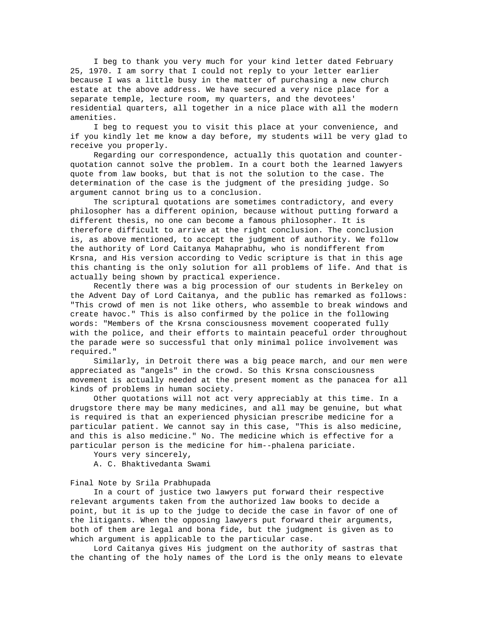I beg to thank you very much for your kind letter dated February 25, 1970. I am sorry that I could not reply to your letter earlier because I was a little busy in the matter of purchasing a new church estate at the above address. We have secured a very nice place for a separate temple, lecture room, my quarters, and the devotees' residential quarters, all together in a nice place with all the modern amenities.

 I beg to request you to visit this place at your convenience, and if you kindly let me know a day before, my students will be very glad to receive you properly.

 Regarding our correspondence, actually this quotation and counterquotation cannot solve the problem. In a court both the learned lawyers quote from law books, but that is not the solution to the case. The determination of the case is the judgment of the presiding judge. So argument cannot bring us to a conclusion.

 The scriptural quotations are sometimes contradictory, and every philosopher has a different opinion, because without putting forward a different thesis, no one can become a famous philosopher. It is therefore difficult to arrive at the right conclusion. The conclusion is, as above mentioned, to accept the judgment of authority. We follow the authority of Lord Caitanya Mahaprabhu, who is nondifferent from Krsna, and His version according to Vedic scripture is that in this age this chanting is the only solution for all problems of life. And that is actually being shown by practical experience.

 Recently there was a big procession of our students in Berkeley on the Advent Day of Lord Caitanya, and the public has remarked as follows: "This crowd of men is not like others, who assemble to break windows and create havoc." This is also confirmed by the police in the following words: "Members of the Krsna consciousness movement cooperated fully with the police, and their efforts to maintain peaceful order throughout the parade were so successful that only minimal police involvement was required."

 Similarly, in Detroit there was a big peace march, and our men were appreciated as "angels" in the crowd. So this Krsna consciousness movement is actually needed at the present moment as the panacea for all kinds of problems in human society.

 Other quotations will not act very appreciably at this time. In a drugstore there may be many medicines, and all may be genuine, but what is required is that an experienced physician prescribe medicine for a particular patient. We cannot say in this case, "This is also medicine, and this is also medicine." No. The medicine which is effective for a particular person is the medicine for him--phalena pariciate.

Yours very sincerely,

A. C. Bhaktivedanta Swami

## Final Note by Srila Prabhupada

 In a court of justice two lawyers put forward their respective relevant arguments taken from the authorized law books to decide a point, but it is up to the judge to decide the case in favor of one of the litigants. When the opposing lawyers put forward their arguments, both of them are legal and bona fide, but the judgment is given as to which argument is applicable to the particular case.

 Lord Caitanya gives His judgment on the authority of sastras that the chanting of the holy names of the Lord is the only means to elevate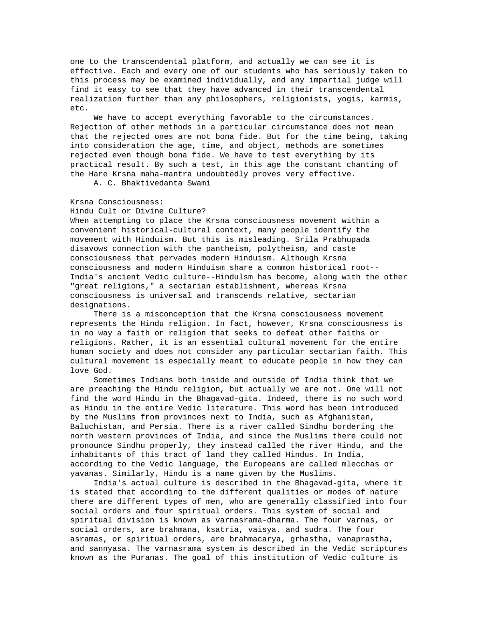one to the transcendental platform, and actually we can see it is effective. Each and every one of our students who has seriously taken to this process may be examined individually, and any impartial judge will find it easy to see that they have advanced in their transcendental realization further than any philosophers, religionists, yogis, karmis, etc.

 We have to accept everything favorable to the circumstances. Rejection of other methods in a particular circumstance does not mean that the rejected ones are not bona fide. But for the time being, taking into consideration the age, time, and object, methods are sometimes rejected even though bona fide. We have to test everything by its practical result. By such a test, in this age the constant chanting of the Hare Krsna maha-mantra undoubtedly proves very effective.

A. C. Bhaktivedanta Swami

# Krsna Consciousness:

Hindu Cult or Divine Culture?

When attempting to place the Krsna consciousness movement within a convenient historical-cultural context, many people identify the movement with Hinduism. But this is misleading. Srila Prabhupada disavows connection with the pantheism, polytheism, and caste consciousness that pervades modern Hinduism. Although Krsna consciousness and modern Hinduism share a common historical root-- India's ancient Vedic culture--Hindulsm has become, along with the other "great religions," a sectarian establishment, whereas Krsna consciousness is universal and transcends relative, sectarian designations.

 There is a misconception that the Krsna consciousness movement represents the Hindu religion. In fact, however, Krsna consciousness is in no way a faith or religion that seeks to defeat other faiths or religions. Rather, it is an essential cultural movement for the entire human society and does not consider any particular sectarian faith. This cultural movement is especially meant to educate people in how they can love God.

 Sometimes Indians both inside and outside of India think that we are preaching the Hindu religion, but actually we are not. One will not find the word Hindu in the Bhagavad-gita. Indeed, there is no such word as Hindu in the entire Vedic literature. This word has been introduced by the Muslims from provinces next to India, such as Afghanistan, Baluchistan, and Persia. There is a river called Sindhu bordering the north western provinces of India, and since the Muslims there could not pronounce Sindhu properly, they instead called the river Hindu, and the inhabitants of this tract of land they called Hindus. In India, according to the Vedic language, the Europeans are called mlecchas or yavanas. Similarly, Hindu is a name given by the Muslims.

 India's actual culture is described in the Bhagavad-gita, where it is stated that according to the different qualities or modes of nature there are different types of men, who are generally classified into four social orders and four spiritual orders. This system of social and spiritual division is known as varnasrama-dharma. The four varnas, or social orders, are brahmana, ksatria, vaisya. and sudra. The four asramas, or spiritual orders, are brahmacarya, grhastha, vanaprastha, and sannyasa. The varnasrama system is described in the Vedic scriptures known as the Puranas. The goal of this institution of Vedic culture is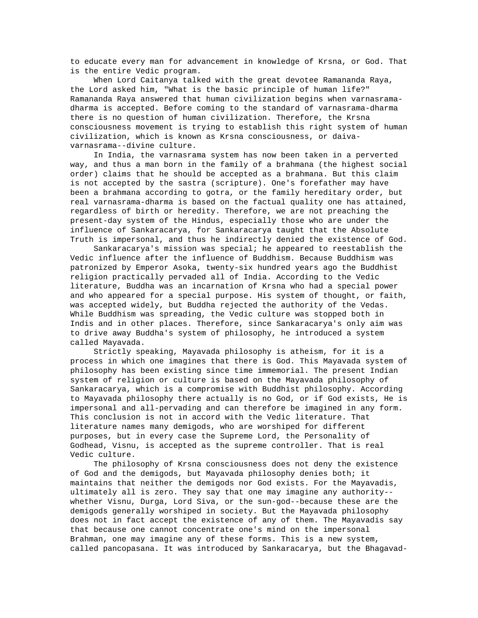to educate every man for advancement in knowledge of Krsna, or God. That is the entire Vedic program.

 When Lord Caitanya talked with the great devotee Ramananda Raya, the Lord asked him, "What is the basic principle of human life?" Ramananda Raya answered that human civilization begins when varnasramadharma is accepted. Before coming to the standard of varnasrama-dharma there is no question of human civilization. Therefore, the Krsna consciousness movement is trying to establish this right system of human civilization, which is known as Krsna consciousness, or daivavarnasrama--divine culture.

 In India, the varnasrama system has now been taken in a perverted way, and thus a man born in the family of a brahmana (the highest social order) claims that he should be accepted as a brahmana. But this claim is not accepted by the sastra (scripture). One's forefather may have been a brahmana according to gotra, or the family hereditary order, but real varnasrama-dharma is based on the factual quality one has attained, regardless of birth or heredity. Therefore, we are not preaching the present-day system of the Hindus, especially those who are under the influence of Sankaracarya, for Sankaracarya taught that the Absolute Truth is impersonal, and thus he indirectly denied the existence of God.

 Sankaracarya's mission was special; he appeared to reestablish the Vedic influence after the influence of Buddhism. Because Buddhism was patronized by Emperor Asoka, twenty-six hundred years ago the Buddhist religion practically pervaded all of India. According to the Vedic literature, Buddha was an incarnation of Krsna who had a special power and who appeared for a special purpose. His system of thought, or faith, was accepted widely, but Buddha rejected the authority of the Vedas. While Buddhism was spreading, the Vedic culture was stopped both in Indis and in other places. Therefore, since Sankaracarya's only aim was to drive away Buddha's system of philosophy, he introduced a system called Mayavada.

 Strictly speaking, Mayavada philosophy is atheism, for it is a process in which one imagines that there is God. This Mayavada system of philosophy has been existing since time immemorial. The present Indian system of religion or culture is based on the Mayavada philosophy of Sankaracarya, which is a compromise with Buddhist philosophy. According to Mayavada philosophy there actually is no God, or if God exists, He is impersonal and all-pervading and can therefore be imagined in any form. This conclusion is not in accord with the Vedic literature. That literature names many demigods, who are worshiped for different purposes, but in every case the Supreme Lord, the Personality of Godhead, Visnu, is accepted as the supreme controller. That is real Vedic culture.

 The philosophy of Krsna consciousness does not deny the existence of God and the demigods, but Mayavada philosophy denies both; it maintains that neither the demigods nor God exists. For the Mayavadis, ultimately all is zero. They say that one may imagine any authority- whether Visnu, Durga, Lord Siva, or the sun-god--because these are the demigods generally worshiped in society. But the Mayavada philosophy does not in fact accept the existence of any of them. The Mayavadis say that because one cannot concentrate one's mind on the impersonal Brahman, one may imagine any of these forms. This is a new system, called pancopasana. It was introduced by Sankaracarya, but the Bhagavad-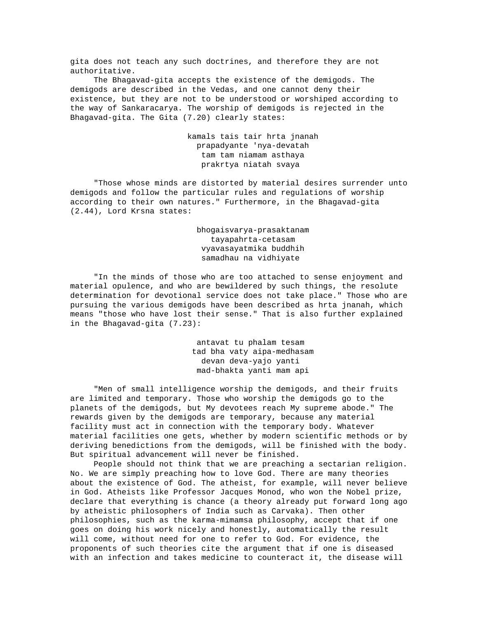gita does not teach any such doctrines, and therefore they are not authoritative.

 The Bhagavad-gita accepts the existence of the demigods. The demigods are described in the Vedas, and one cannot deny their existence, but they are not to be understood or worshiped according to the way of Sankaracarya. The worship of demigods is rejected in the Bhagavad-gita. The Gita (7.20) clearly states:

> kamals tais tair hrta jnanah prapadyante 'nya-devatah tam tam niamam asthaya prakrtya niatah svaya

 "Those whose minds are distorted by material desires surrender unto demigods and follow the particular rules and regulations of worship according to their own natures." Furthermore, in the Bhagavad-gita (2.44), Lord Krsna states:

> bhogaisvarya-prasaktanam tayapahrta-cetasam vyavasayatmika buddhih samadhau na vidhiyate

 "In the minds of those who are too attached to sense enjoyment and material opulence, and who are bewildered by such things, the resolute determination for devotional service does not take place." Those who are pursuing the various demigods have been described as hrta jnanah, which means "those who have lost their sense." That is also further explained in the Bhagavad-gita (7.23):

> antavat tu phalam tesam tad bha vaty aipa-medhasam devan deva-yajo yanti mad-bhakta yanti mam api

 "Men of small intelligence worship the demigods, and their fruits are limited and temporary. Those who worship the demigods go to the planets of the demigods, but My devotees reach My supreme abode." The rewards given by the demigods are temporary, because any material facility must act in connection with the temporary body. Whatever material facilities one gets, whether by modern scientific methods or by deriving benedictions from the demigods, will be finished with the body. But spiritual advancement will never be finished.

 People should not think that we are preaching a sectarian religion. No. We are simply preaching how to love God. There are many theories about the existence of God. The atheist, for example, will never believe in God. Atheists like Professor Jacques Monod, who won the Nobel prize, declare that everything is chance (a theory already put forward long ago by atheistic philosophers of India such as Carvaka). Then other philosophies, such as the karma-mimamsa philosophy, accept that if one goes on doing his work nicely and honestly, automatically the result will come, without need for one to refer to God. For evidence, the proponents of such theories cite the argument that if one is diseased with an infection and takes medicine to counteract it, the disease will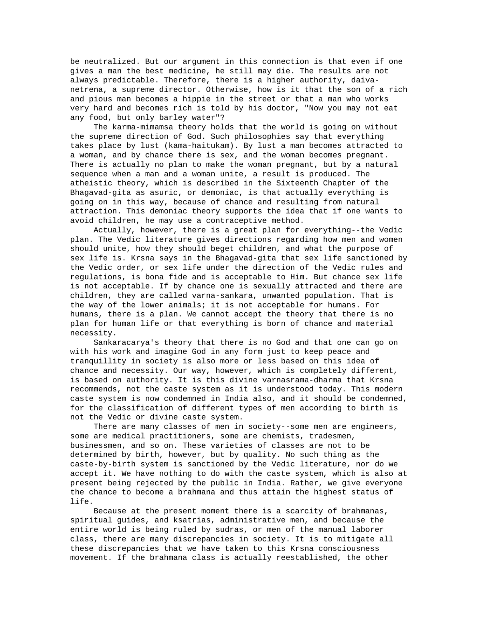be neutralized. But our argument in this connection is that even if one gives a man the best medicine, he still may die. The results are not always predictable. Therefore, there is a higher authority, daivanetrena, a supreme director. Otherwise, how is it that the son of a rich and pious man becomes a hippie in the street or that a man who works very hard and becomes rich is told by his doctor, "Now you may not eat any food, but only barley water"?

 The karma-mimamsa theory holds that the world is going on without the supreme direction of God. Such philosophies say that everything takes place by lust (kama-haitukam). By lust a man becomes attracted to a woman, and by chance there is sex, and the woman becomes pregnant. There is actually no plan to make the woman pregnant, but by a natural sequence when a man and a woman unite, a result is produced. The atheistic theory, which is described in the Sixteenth Chapter of the Bhagavad-gita as asuric, or demoniac, is that actually everything is going on in this way, because of chance and resulting from natural attraction. This demoniac theory supports the idea that if one wants to avoid children, he may use a contraceptive method.

 Actually, however, there is a great plan for everything--the Vedic plan. The Vedic literature gives directions regarding how men and women should unite, how they should beget children, and what the purpose of sex life is. Krsna says in the Bhagavad-gita that sex life sanctioned by the Vedic order, or sex life under the direction of the Vedic rules and regulations, is bona fide and is acceptable to Him. But chance sex life is not acceptable. If by chance one is sexually attracted and there are children, they are called varna-sankara, unwanted population. That is the way of the lower animals; it is not acceptable for humans. For humans, there is a plan. We cannot accept the theory that there is no plan for human life or that everything is born of chance and material necessity.

 Sankaracarya's theory that there is no God and that one can go on with his work and imagine God in any form just to keep peace and tranquillity in society is also more or less based on this idea of chance and necessity. Our way, however, which is completely different, is based on authority. It is this divine varnasrama-dharma that Krsna recommends, not the caste system as it is understood today. This modern caste system is now condemned in India also, and it should be condemned, for the classification of different types of men according to birth is not the Vedic or divine caste system.

 There are many classes of men in society--some men are engineers, some are medical practitioners, some are chemists, tradesmen, businessmen, and so on. These varieties of classes are not to be determined by birth, however, but by quality. No such thing as the caste-by-birth system is sanctioned by the Vedic literature, nor do we accept it. We have nothing to do with the caste system, which is also at present being rejected by the public in India. Rather, we give everyone the chance to become a brahmana and thus attain the highest status of life.

 Because at the present moment there is a scarcity of brahmanas, spiritual guides, and ksatrias, administrative men, and because the entire world is being ruled by sudras, or men of the manual laborer class, there are many discrepancies in society. It is to mitigate all these discrepancies that we have taken to this Krsna consciousness movement. If the brahmana class is actually reestablished, the other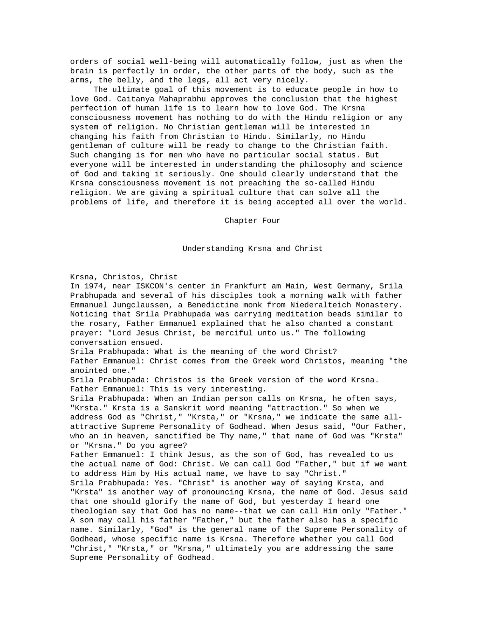orders of social well-being will automatically follow, just as when the brain is perfectly in order, the other parts of the body, such as the arms, the belly, and the legs, all act very nicely.

 The ultimate goal of this movement is to educate people in how to love God. Caitanya Mahaprabhu approves the conclusion that the highest perfection of human life is to learn how to love God. The Krsna consciousness movement has nothing to do with the Hindu religion or any system of religion. No Christian gentleman will be interested in changing his faith from Christian to Hindu. Similarly, no Hindu gentleman of culture will be ready to change to the Christian faith. Such changing is for men who have no particular social status. But everyone will be interested in understanding the philosophy and science of God and taking it seriously. One should clearly understand that the Krsna consciousness movement is not preaching the so-called Hindu religion. We are giving a spiritual culture that can solve all the problems of life, and therefore it is being accepted all over the world.

Chapter Four

#### Understanding Krsna and Christ

Krsna, Christos, Christ

In 1974, near ISKCON's center in Frankfurt am Main, West Germany, Srila Prabhupada and several of his disciples took a morning walk with father Emmanuel Jungclaussen, a Benedictine monk from Niederalteich Monastery. Noticing that Srila Prabhupada was carrying meditation beads similar to the rosary, Father Emmanuel explained that he also chanted a constant prayer: "Lord Jesus Christ, be merciful unto us." The following conversation ensued.

Srila Prabhupada: What is the meaning of the word Christ? Father Emmanuel: Christ comes from the Greek word Christos, meaning "the anointed one."

Srila Prabhupada: Christos is the Greek version of the word Krsna. Father Emmanuel: This is very interesting.

Srila Prabhupada: When an Indian person calls on Krsna, he often says, "Krsta." Krsta is a Sanskrit word meaning "attraction." So when we address God as "Christ," "Krsta," or "Krsna," we indicate the same allattractive Supreme Personality of Godhead. When Jesus said, "Our Father, who an in heaven, sanctified be Thy name," that name of God was "Krsta" or "Krsna." Do you agree?

Father Emmanuel: I think Jesus, as the son of God, has revealed to us the actual name of God: Christ. We can call God "Father," but if we want to address Him by His actual name, we have to say "Christ." Srila Prabhupada: Yes. "Christ" is another way of saying Krsta, and "Krsta" is another way of pronouncing Krsna, the name of God. Jesus said that one should glorify the name of God, but yesterday I heard one theologian say that God has no name--that we can call Him only "Father." A son may call his father "Father," but the father also has a specific name. Similarly, "God" is the general name of the Supreme Personality of Godhead, whose specific name is Krsna. Therefore whether you call God "Christ," "Krsta," or "Krsna," ultimately you are addressing the same Supreme Personality of Godhead.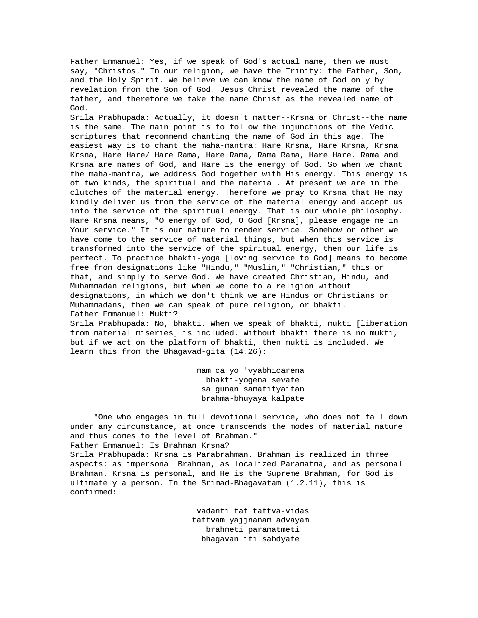Father Emmanuel: Yes, if we speak of God's actual name, then we must say, "Christos." In our religion, we have the Trinity: the Father, Son, and the Holy Spirit. We believe we can know the name of God only by revelation from the Son of God. Jesus Christ revealed the name of the father, and therefore we take the name Christ as the revealed name of God.

Srila Prabhupada: Actually, it doesn't matter--Krsna or Christ--the name is the same. The main point is to follow the injunctions of the Vedic scriptures that recommend chanting the name of God in this age. The easiest way is to chant the maha-mantra: Hare Krsna, Hare Krsna, Krsna Krsna, Hare Hare/ Hare Rama, Hare Rama, Rama Rama, Hare Hare. Rama and Krsna are names of God, and Hare is the energy of God. So when we chant the maha-mantra, we address God together with His energy. This energy is of two kinds, the spiritual and the material. At present we are in the clutches of the material energy. Therefore we pray to Krsna that He may kindly deliver us from the service of the material energy and accept us into the service of the spiritual energy. That is our whole philosophy. Hare Krsna means, "O energy of God, O God [Krsna], please engage me in Your service." It is our nature to render service. Somehow or other we have come to the service of material things, but when this service is transformed into the service of the spiritual energy, then our life is perfect. To practice bhakti-yoga [loving service to God] means to become free from designations like "Hindu," "Muslim," "Christian," this or that, and simply to serve God. We have created Christian, Hindu, and Muhammadan religions, but when we come to a religion without designations, in which we don't think we are Hindus or Christians or Muhammadans, then we can speak of pure religion, or bhakti. Father Emmanuel: Mukti?

Srila Prabhupada: No, bhakti. When we speak of bhakti, mukti [liberation from material miseries] is included. Without bhakti there is no mukti, but if we act on the platform of bhakti, then mukti is included. We learn this from the Bhagavad-gita (14.26):

> mam ca yo 'vyabhicarena bhakti-yogena sevate sa gunan samatityaitan brahma-bhuyaya kalpate

 "One who engages in full devotional service, who does not fall down under any circumstance, at once transcends the modes of material nature and thus comes to the level of Brahman." Father Emmanuel: Is Brahman Krsna?

Srila Prabhupada: Krsna is Parabrahman. Brahman is realized in three aspects: as impersonal Brahman, as localized Paramatma, and as personal Brahman. Krsna is personal, and He is the Supreme Brahman, for God is ultimately a person. In the Srimad-Bhagavatam (1.2.11), this is confirmed:

> vadanti tat tattva-vidas tattvam yajjnanam advayam brahmeti paramatmeti bhagavan iti sabdyate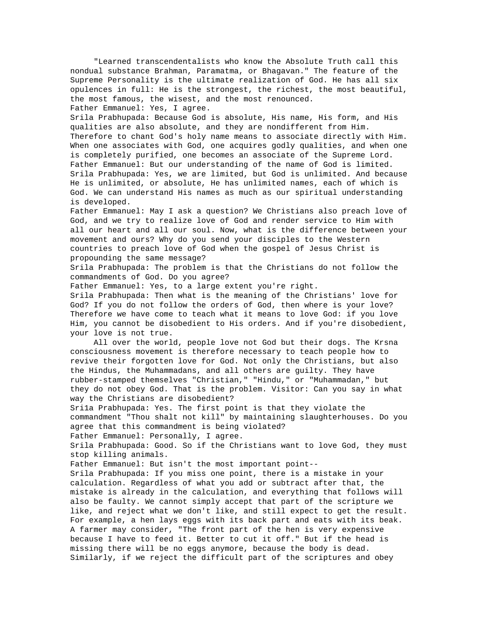"Learned transcendentalists who know the Absolute Truth call this nondual substance Brahman, Paramatma, or Bhagavan." The feature of the Supreme Personality is the ultimate realization of God. He has all six opulences in full: He is the strongest, the richest, the most beautiful, the most famous, the wisest, and the most renounced. Father Emmanuel: Yes, I agree.

Srila Prabhupada: Because God is absolute, His name, His form, and His qualities are also absolute, and they are nondifferent from Him. Therefore to chant God's holy name means to associate directly with Him. When one associates with God, one acquires godly qualities, and when one is completely purified, one becomes an associate of the Supreme Lord. Father Emmanuel: But our understanding of the name of God is limited. Srila Prabhupada: Yes, we are limited, but God is unlimited. And because He is unlimited, or absolute, He has unlimited names, each of which is God. We can understand His names as much as our spiritual understanding is developed.

Father Emmanuel: May I ask a question? We Christians also preach love of God, and we try to realize love of God and render service to Him with all our heart and all our soul. Now, what is the difference between your movement and ours? Why do you send your disciples to the Western countries to preach love of God when the gospel of Jesus Christ is propounding the same message?

Srila Prabhupada: The problem is that the Christians do not follow the commandments of God. Do you agree?

Father Emmanuel: Yes, to a large extent you're right.

Srila Prabhupada: Then what is the meaning of the Christians' love for God? If you do not follow the orders of God, then where is your love? Therefore we have come to teach what it means to love God: if you love Him, you cannot be disobedient to His orders. And if you're disobedient, your love is not true.

 All over the world, people love not God but their dogs. The Krsna consciousness movement is therefore necessary to teach people how to revive their forgotten love for God. Not only the Christians, but also the Hindus, the Muhammadans, and all others are guilty. They have rubber-stamped themselves "Christian," "Hindu," or "Muhammadan," but they do not obey God. That is the problem. Visitor: Can you say in what way the Christians are disobedient?

Sri1a Prabhupada: Yes. The first point is that they violate the commandment "Thou shalt not kill" by maintaining slaughterhouses. Do you agree that this commandment is being violated?

Father Emmanuel: Personally, I agree.

Srila Prabhupada: Good. So if the Christians want to love God, they must stop killing animals.

Father Emmanuel: But isn't the most important point--

Srila Prabhupada: If you miss one point, there is a mistake in your calculation. Regardless of what you add or subtract after that, the mistake is already in the calculation, and everything that follows will also be faulty. We cannot simply accept that part of the scripture we like, and reject what we don't like, and still expect to get the result. For example, a hen lays eggs with its back part and eats with its beak. A farmer may consider, "The front part of the hen is very expensive because I have to feed it. Better to cut it off." But if the head is missing there will be no eggs anymore, because the body is dead. Similarly, if we reject the difficult part of the scriptures and obey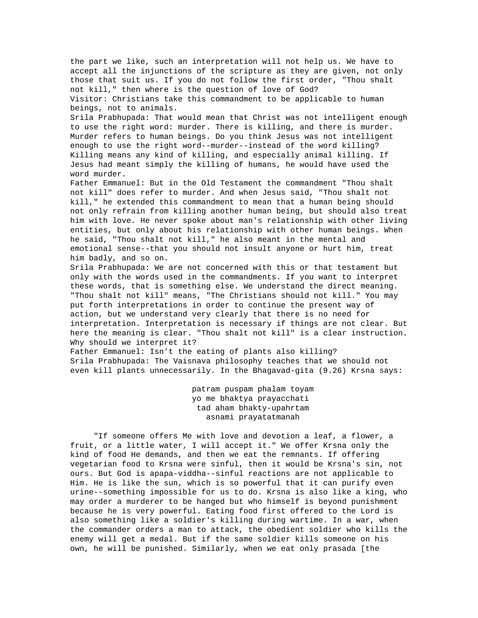the part we like, such an interpretation will not help us. We have to accept all the injunctions of the scripture as they are given, not only those that suit us. If you do not follow the first order, "Thou shalt not kill," then where is the question of love of God? Visitor: Christians take this commandment to be applicable to human beings, not to animals. Srila Prabhupada: That would mean that Christ was not intelligent enough to use the right word: murder. There is killing, and there is murder. Murder refers to human beings. Do you think Jesus was not intelligent enough to use the right word--murder--instead of the word killing? Killing means any kind of killing, and especially animal killing. If Jesus had meant simply the killing of humans, he would have used the word murder. Father Emmanuel: But in the Old Testament the commandment "Thou shalt not kill" does refer to murder. And when Jesus said, "Thou shalt not

kill," he extended this commandment to mean that a human being should not only refrain from killing another human being, but should also treat him with love. He never spoke about man's relationship with other living entities, but only about his relationship with other human beings. When he said, "Thou shalt not kill," he also meant in the mental and emotional sense--that you should not insult anyone or hurt him, treat him badly, and so on.

Srila Prabhupada: We are not concerned with this or that testament but only with the words used in the commandments. If you want to interpret these words, that is something else. We understand the direct meaning. "Thou shalt not kill" means, "The Christians should not kill." You may put forth interpretations in order to continue the present way of action, but we understand very clearly that there is no need for interpretation. Interpretation is necessary if things are not clear. But here the meaning is clear. "Thou shalt not kill" is a clear instruction. Why should we interpret it?

Father Emmanuel: Isn't the eating of plants also killing? Srila Prabhupada: The Vaisnava philosophy teaches that we should not even kill plants unnecessarily. In the Bhagavad-gita (9.26) Krsna says:

> patram puspam phalam toyam yo me bhaktya prayacchati tad aham bhakty-upahrtam asnami prayatatmanah

 "If someone offers Me with love and devotion a leaf, a flower, a fruit, or a little water, I will accept it." We offer Krsna only the kind of food He demands, and then we eat the remnants. If offering vegetarian food to Krsna were sinful, then it would be Krsna's sin, not ours. But God is apapa-viddha--sinful reactions are not applicable to Him. He is like the sun, which is so powerful that it can purify even urine--something impossible for us to do. Krsna is also like a king, who may order a murderer to be hanged but who himself is beyond punishment because he is very powerful. Eating food first offered to the Lord is also something like a soldier's killing during wartime. In a war, when the commander orders a man to attack, the obedient soldier who kills the enemy will get a medal. But if the same soldier kills someone on his own, he will be punished. Similarly, when we eat only prasada [the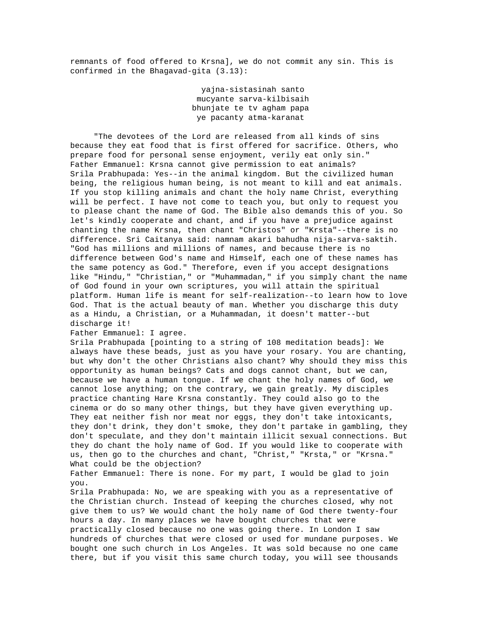remnants of food offered to Krsna], we do not commit any sin. This is confirmed in the Bhagavad-gita (3.13):

> yajna-sistasinah santo mucyante sarva-kilbisaih bhunjate te tv agham papa ye pacanty atma-karanat

 "The devotees of the Lord are released from all kinds of sins because they eat food that is first offered for sacrifice. Others, who prepare food for personal sense enjoyment, verily eat only sin." Father Emmanuel: Krsna cannot give permission to eat animals? Srila Prabhupada: Yes--in the animal kingdom. But the civilized human being, the religious human being, is not meant to kill and eat animals. If you stop killing animals and chant the holy name Christ, everything will be perfect. I have not come to teach you, but only to request you to please chant the name of God. The Bible also demands this of you. So let's kindly cooperate and chant, and if you have a prejudice against chanting the name Krsna, then chant "Christos" or "Krsta"--there is no difference. Sri Caitanya said: namnam akari bahudha nija-sarva-saktih. "God has millions and millions of names, and because there is no difference between God's name and Himself, each one of these names has the same potency as God." Therefore, even if you accept designations like "Hindu," "Christian," or "Muhammadan," if you simply chant the name of God found in your own scriptures, you will attain the spiritual platform. Human life is meant for self-realization--to learn how to love God. That is the actual beauty of man. Whether you discharge this duty as a Hindu, a Christian, or a Muhammadan, it doesn't matter--but discharge it!

### Father Emmanuel: I agree.

Srila Prabhupada [pointing to a string of 108 meditation beads]: We always have these beads, just as you have your rosary. You are chanting, but why don't the other Christians also chant? Why should they miss this opportunity as human beings? Cats and dogs cannot chant, but we can, because we have a human tongue. If we chant the holy names of God, we cannot lose anything; on the contrary, we gain greatly. My disciples practice chanting Hare Krsna constantly. They could also go to the cinema or do so many other things, but they have given everything up. They eat neither fish nor meat nor eggs, they don't take intoxicants, they don't drink, they don't smoke, they don't partake in gambling, they don't speculate, and they don't maintain illicit sexual connections. But they do chant the holy name of God. If you would like to cooperate with us, then go to the churches and chant, "Christ," "Krsta," or "Krsna." What could be the objection?

Father Emmanuel: There is none. For my part, I would be glad to join you.

Srila Prabhupada: No, we are speaking with you as a representative of the Christian church. Instead of keeping the churches closed, why not give them to us? We would chant the holy name of God there twenty-four hours a day. In many places we have bought churches that were practically closed because no one was going there. In London I saw hundreds of churches that were closed or used for mundane purposes. We bought one such church in Los Angeles. It was sold because no one came there, but if you visit this same church today, you will see thousands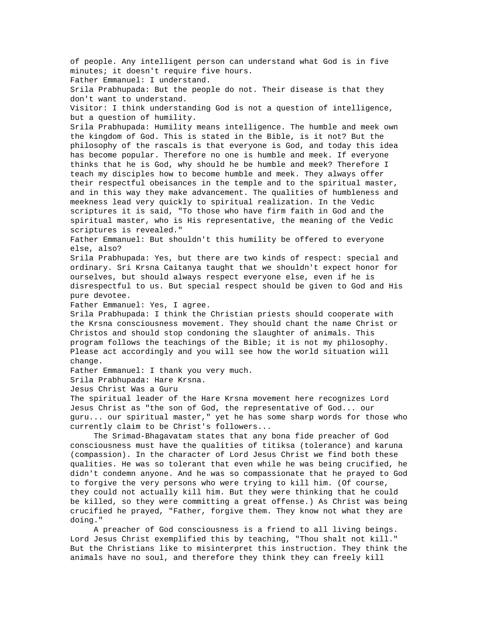of people. Any intelligent person can understand what God is in five minutes; it doesn't require five hours. Father Emmanuel: I understand. Srila Prabhupada: But the people do not. Their disease is that they don't want to understand. Visitor: I think understanding God is not a question of intelligence, but a question of humility. Srila Prabhupada: Humility means intelligence. The humble and meek own the kingdom of God. This is stated in the Bible, is it not? But the philosophy of the rascals is that everyone is God, and today this idea has become popular. Therefore no one is humble and meek. If everyone thinks that he is God, why should he be humble and meek? Therefore I teach my disciples how to become humble and meek. They always offer their respectful obeisances in the temple and to the spiritual master, and in this way they make advancement. The qualities of humbleness and meekness lead very quickly to spiritual realization. In the Vedic scriptures it is said, "To those who have firm faith in God and the spiritual master, who is His representative, the meaning of the Vedic scriptures is revealed." Father Emmanuel: But shouldn't this humility be offered to everyone else, also? Srila Prabhupada: Yes, but there are two kinds of respect: special and ordinary. Sri Krsna Caitanya taught that we shouldn't expect honor for ourselves, but should always respect everyone else, even if he is disrespectful to us. But special respect should be given to God and His pure devotee. Father Emmanuel: Yes, I agree. Srila Prabhupada: I think the Christian priests should cooperate with the Krsna consciousness movement. They should chant the name Christ or Christos and should stop condoning the slaughter of animals. This program follows the teachings of the Bible; it is not my philosophy. Please act accordingly and you will see how the world situation will change. Father Emmanuel: I thank you very much. Srila Prabhupada: Hare Krsna. Jesus Christ Was a Guru The spiritual leader of the Hare Krsna movement here recognizes Lord Jesus Christ as "the son of God, the representative of God... our guru... our spiritual master," yet he has some sharp words for those who currently claim to be Christ's followers... The Srimad-Bhagavatam states that any bona fide preacher of God consciousness must have the qualities of titiksa (tolerance) and karuna (compassion). In the character of Lord Jesus Christ we find both these qualities. He was so tolerant that even while he was being crucified, he didn't condemn anyone. And he was so compassionate that he prayed to God to forgive the very persons who were trying to kill him. (Of course, they could not actually kill him. But they were thinking that he could be killed, so they were committing a great offense.) As Christ was being crucified he prayed, "Father, forgive them. They know not what they are doing." A preacher of God consciousness is a friend to all living beings.

Lord Jesus Christ exemplified this by teaching, "Thou shalt not kill." But the Christians like to misinterpret this instruction. They think the animals have no soul, and therefore they think they can freely kill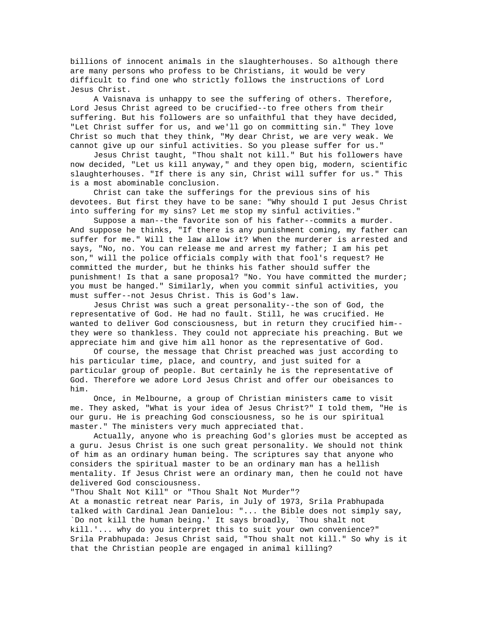billions of innocent animals in the slaughterhouses. So although there are many persons who profess to be Christians, it would be very difficult to find one who strictly follows the instructions of Lord Jesus Christ.

 A Vaisnava is unhappy to see the suffering of others. Therefore, Lord Jesus Christ agreed to be crucified--to free others from their suffering. But his followers are so unfaithful that they have decided, "Let Christ suffer for us, and we'll go on committing sin." They love Christ so much that they think, "My dear Christ, we are very weak. We cannot give up our sinful activities. So you please suffer for us."

 Jesus Christ taught, "Thou shalt not kill." But his followers have now decided, "Let us kill anyway," and they open big, modern, scientific slaughterhouses. "If there is any sin, Christ will suffer for us." This is a most abominable conclusion.

 Christ can take the sufferings for the previous sins of his devotees. But first they have to be sane: "Why should I put Jesus Christ into suffering for my sins? Let me stop my sinful activities."

 Suppose a man--the favorite son of his father--commits a murder. And suppose he thinks, "If there is any punishment coming, my father can suffer for me." Will the law allow it? When the murderer is arrested and says, "No, no. You can release me and arrest my father; I am his pet son," will the police officials comply with that fool's request? He committed the murder, but he thinks his father should suffer the punishment! Is that a sane proposal? "No. You have committed the murder; you must be hanged." Similarly, when you commit sinful activities, you must suffer--not Jesus Christ. This is God's law.

 Jesus Christ was such a great personality--the son of God, the representative of God. He had no fault. Still, he was crucified. He wanted to deliver God consciousness, but in return they crucified him- they were so thankless. They could not appreciate his preaching. But we appreciate him and give him all honor as the representative of God.

 Of course, the message that Christ preached was just according to his particular time, place, and country, and just suited for a particular group of people. But certainly he is the representative of God. Therefore we adore Lord Jesus Christ and offer our obeisances to him.

 Once, in Melbourne, a group of Christian ministers came to visit me. They asked, "What is your idea of Jesus Christ?" I told them, "He is our guru. He is preaching God consciousness, so he is our spiritual master." The ministers very much appreciated that.

 Actually, anyone who is preaching God's glories must be accepted as a guru. Jesus Christ is one such great personality. We should not think of him as an ordinary human being. The scriptures say that anyone who considers the spiritual master to be an ordinary man has a hellish mentality. If Jesus Christ were an ordinary man, then he could not have delivered God consciousness.

"Thou Shalt Not Kill" or "Thou Shalt Not Murder"?

At a monastic retreat near Paris, in July of 1973, Srila Prabhupada talked with Cardinal Jean Danielou: "... the Bible does not simply say, `Do not kill the human being.' It says broadly, `Thou shalt not kill.'... why do you interpret this to suit your own convenience?" Srila Prabhupada: Jesus Christ said, "Thou shalt not kill." So why is it that the Christian people are engaged in animal killing?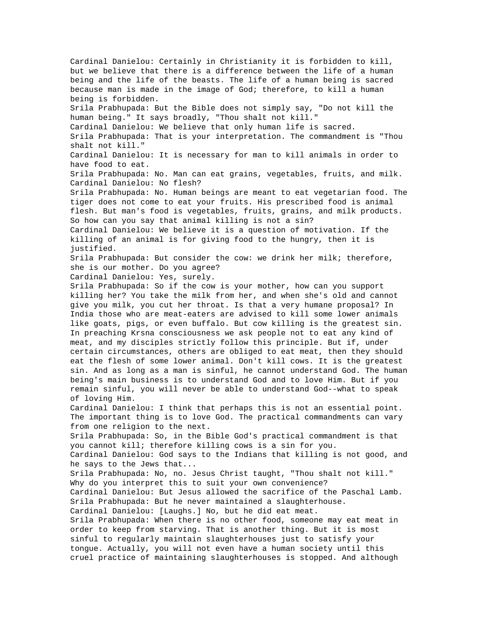Cardinal Danielou: Certainly in Christianity it is forbidden to kill, but we believe that there is a difference between the life of a human being and the life of the beasts. The life of a human being is sacred because man is made in the image of God; therefore, to kill a human being is forbidden. Srila Prabhupada: But the Bible does not simply say, "Do not kill the human being." It says broadly, "Thou shalt not kill." Cardinal Danielou: We believe that only human life is sacred. Srila Prabhupada: That is your interpretation. The commandment is "Thou shalt not kill." Cardinal Danielou: It is necessary for man to kill animals in order to have food to eat. Srila Prabhupada: No. Man can eat grains, vegetables, fruits, and milk. Cardinal Danielou: No flesh? Srila Prabhupada: No. Human beings are meant to eat vegetarian food. The tiger does not come to eat your fruits. His prescribed food is animal flesh. But man's food is vegetables, fruits, grains, and milk products. So how can you say that animal killing is not a sin? Cardinal Danielou: We believe it is a question of motivation. If the killing of an animal is for giving food to the hungry, then it is justified. Srila Prabhupada: But consider the cow: we drink her milk; therefore, she is our mother. Do you agree? Cardinal Danielou: Yes, surely. Srila Prabhupada: So if the cow is your mother, how can you support killing her? You take the milk from her, and when she's old and cannot give you milk, you cut her throat. Is that a very humane proposal? In India those who are meat-eaters are advised to kill some lower animals like goats, pigs, or even buffalo. But cow killing is the greatest sin. In preaching Krsna consciousness we ask people not to eat any kind of meat, and my disciples strictly follow this principle. But if, under certain circumstances, others are obliged to eat meat, then they should eat the flesh of some lower animal. Don't kill cows. It is the greatest sin. And as long as a man is sinful, he cannot understand God. The human being's main business is to understand God and to love Him. But if you remain sinful, you will never be able to understand God--what to speak of loving Him. Cardinal Danielou: I think that perhaps this is not an essential point. The important thing is to love God. The practical commandments can vary from one religion to the next. Srila Prabhupada: So, in the Bible God's practical commandment is that you cannot kill; therefore killing cows is a sin for you. Cardinal Danielou: God says to the Indians that killing is not good, and he says to the Jews that... Srila Prabhupada: No, no. Jesus Christ taught, "Thou shalt not kill." Why do you interpret this to suit your own convenience? Cardinal Danielou: But Jesus allowed the sacrifice of the Paschal Lamb. Srila Prabhupada: But he never maintained a slaughterhouse. Cardinal Danielou: [Laughs.] No, but he did eat meat. Srila Prabhupada: When there is no other food, someone may eat meat in order to keep from starving. That is another thing. But it is most sinful to regularly maintain slaughterhouses just to satisfy your tongue. Actually, you will not even have a human society until this cruel practice of maintaining slaughterhouses is stopped. And although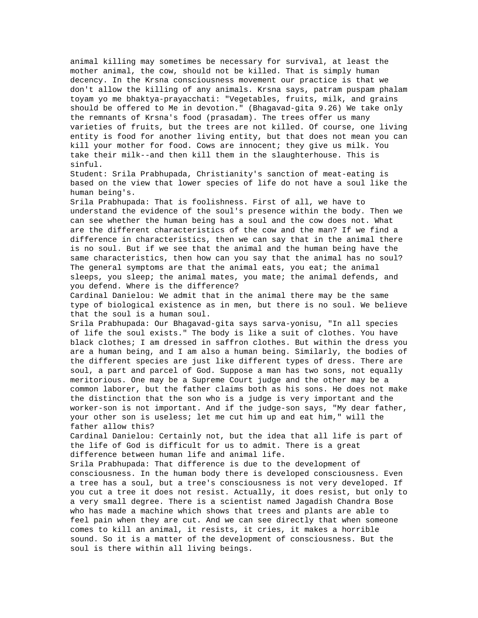animal killing may sometimes be necessary for survival, at least the mother animal, the cow, should not be killed. That is simply human decency. In the Krsna consciousness movement our practice is that we don't allow the killing of any animals. Krsna says, patram puspam phalam toyam yo me bhaktya-prayacchati: "Vegetables, fruits, milk, and grains should be offered to Me in devotion." (Bhagavad-gita 9.26) We take only the remnants of Krsna's food (prasadam). The trees offer us many varieties of fruits, but the trees are not killed. Of course, one living entity is food for another living entity, but that does not mean you can kill your mother for food. Cows are innocent; they give us milk. You take their milk--and then kill them in the slaughterhouse. This is sinful.

Student: Srila Prabhupada, Christianity's sanction of meat-eating is based on the view that lower species of life do not have a soul like the human being's.

Srila Prabhupada: That is foolishness. First of all, we have to understand the evidence of the soul's presence within the body. Then we can see whether the human being has a soul and the cow does not. What are the different characteristics of the cow and the man? If we find a difference in characteristics, then we can say that in the animal there is no soul. But if we see that the animal and the human being have the same characteristics, then how can you say that the animal has no soul? The general symptoms are that the animal eats, you eat; the animal sleeps, you sleep; the animal mates, you mate; the animal defends, and you defend. Where is the difference?

Cardinal Danielou: We admit that in the animal there may be the same type of biological existence as in men, but there is no soul. We believe that the soul is a human soul.

Srila Prabhupada: Our Bhagavad-gita says sarva-yonisu, "In all species of life the soul exists." The body is like a suit of clothes. You have black clothes; I am dressed in saffron clothes. But within the dress you are a human being, and I am also a human being. Similarly, the bodies of the different species are just like different types of dress. There are soul, a part and parcel of God. Suppose a man has two sons, not equally meritorious. One may be a Supreme Court judge and the other may be a common laborer, but the father claims both as his sons. He does not make the distinction that the son who is a judge is very important and the worker-son is not important. And if the judge-son says, "My dear father, your other son is useless; let me cut him up and eat him," will the father allow this?

Cardinal Danielou: Certainly not, but the idea that all life is part of the life of God is difficult for us to admit. There is a great difference between human life and animal life.

Srila Prabhupada: That difference is due to the development of consciousness. In the human body there is developed consciousness. Even a tree has a soul, but a tree's consciousness is not very developed. If you cut a tree it does not resist. Actually, it does resist, but only to a very small degree. There is a scientist named Jagadish Chandra Bose who has made a machine which shows that trees and plants are able to feel pain when they are cut. And we can see directly that when someone comes to kill an animal, it resists, it cries, it makes a horrible sound. So it is a matter of the development of consciousness. But the soul is there within all living beings.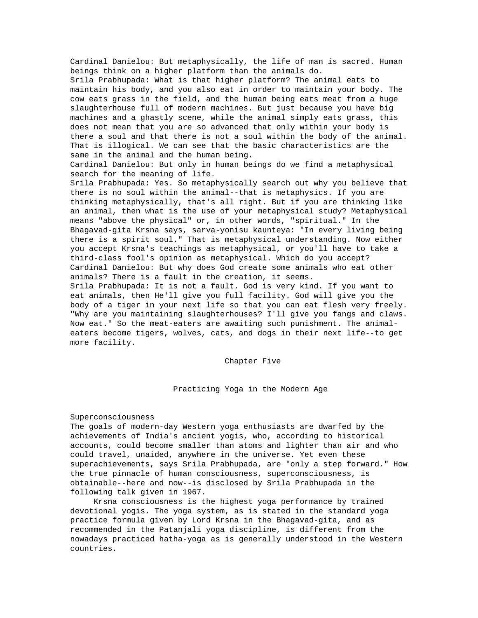Cardinal Danielou: But metaphysically, the life of man is sacred. Human beings think on a higher platform than the animals do. Srila Prabhupada: What is that higher platform? The animal eats to maintain his body, and you also eat in order to maintain your body. The cow eats grass in the field, and the human being eats meat from a huge slaughterhouse full of modern machines. But just because you have big machines and a ghastly scene, while the animal simply eats grass, this does not mean that you are so advanced that only within your body is there a soul and that there is not a soul within the body of the animal. That is illogical. We can see that the basic characteristics are the same in the animal and the human being. Cardinal Danielou: But only in human beings do we find a metaphysical search for the meaning of life. Srila Prabhupada: Yes. So metaphysically search out why you believe that there is no soul within the animal--that is metaphysics. If you are thinking metaphysically, that's all right. But if you are thinking like an animal, then what is the use of your metaphysical study? Metaphysical means "above the physical" or, in other words, "spiritual." In the Bhagavad-gita Krsna says, sarva-yonisu kaunteya: "In every living being there is a spirit soul." That is metaphysical understanding. Now either you accept Krsna's teachings as metaphysical, or you'll have to take a third-class fool's opinion as metaphysical. Which do you accept? Cardinal Danielou: But why does God create some animals who eat other animals? There is a fault in the creation, it seems. Srila Prabhupada: It is not a fault. God is very kind. If you want to eat animals, then He'll give you full facility. God will give you the body of a tiger in your next life so that you can eat flesh very freely. "Why are you maintaining slaughterhouses? I'll give you fangs and claws. Now eat." So the meat-eaters are awaiting such punishment. The animaleaters become tigers, wolves, cats, and dogs in their next life--to get more facility.

Chapter Five

Practicing Yoga in the Modern Age

### Superconsciousness

The goals of modern-day Western yoga enthusiasts are dwarfed by the achievements of India's ancient yogis, who, according to historical accounts, could become smaller than atoms and lighter than air and who could travel, unaided, anywhere in the universe. Yet even these superachievements, says Srila Prabhupada, are "only a step forward." How the true pinnacle of human consciousness, superconsciousness, is obtainable--here and now--is disclosed by Srila Prabhupada in the following talk given in 1967.

 Krsna consciousness is the highest yoga performance by trained devotional yogis. The yoga system, as is stated in the standard yoga practice formula given by Lord Krsna in the Bhagavad-gita, and as recommended in the Patanjali yoga discipline, is different from the nowadays practiced hatha-yoga as is generally understood in the Western countries.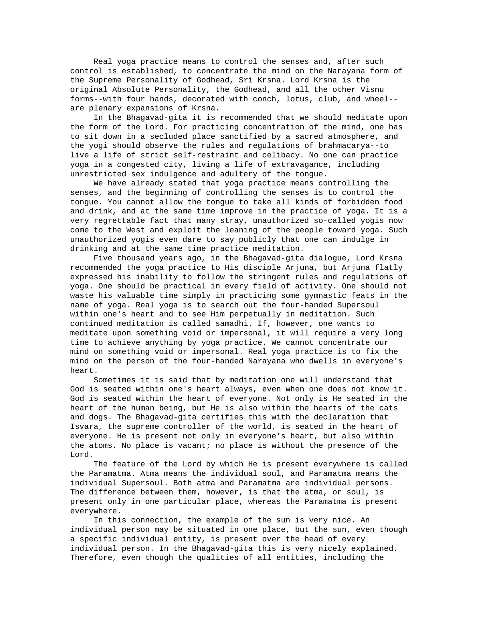Real yoga practice means to control the senses and, after such control is established, to concentrate the mind on the Narayana form of the Supreme Personality of Godhead, Sri Krsna. Lord Krsna is the original Absolute Personality, the Godhead, and all the other Visnu forms--with four hands, decorated with conch, lotus, club, and wheel- are plenary expansions of Krsna.

 In the Bhagavad-gita it is recommended that we should meditate upon the form of the Lord. For practicing concentration of the mind, one has to sit down in a secluded place sanctified by a sacred atmosphere, and the yogi should observe the rules and regulations of brahmacarya--to live a life of strict self-restraint and celibacy. No one can practice yoga in a congested city, living a life of extravagance, including unrestricted sex indulgence and adultery of the tongue.

 We have already stated that yoga practice means controlling the senses, and the beginning of controlling the senses is to control the tongue. You cannot allow the tongue to take all kinds of forbidden food and drink, and at the same time improve in the practice of yoga. It is a very regrettable fact that many stray, unauthorized so-called yogis now come to the West and exploit the leaning of the people toward yoga. Such unauthorized yogis even dare to say publicly that one can indulge in drinking and at the same time practice meditation.

 Five thousand years ago, in the Bhagavad-gita dialogue, Lord Krsna recommended the yoga practice to His disciple Arjuna, but Arjuna flatly expressed his inability to follow the stringent rules and regulations of yoga. One should be practical in every field of activity. One should not waste his valuable time simply in practicing some gymnastic feats in the name of yoga. Real yoga is to search out the four-handed Supersoul within one's heart and to see Him perpetually in meditation. Such continued meditation is called samadhi. If, however, one wants to meditate upon something void or impersonal, it will require a very long time to achieve anything by yoga practice. We cannot concentrate our mind on something void or impersonal. Real yoga practice is to fix the mind on the person of the four-handed Narayana who dwells in everyone's heart.

 Sometimes it is said that by meditation one will understand that God is seated within one's heart always, even when one does not know it. God is seated within the heart of everyone. Not only is He seated in the heart of the human being, but He is also within the hearts of the cats and dogs. The Bhagavad-gita certifies this with the declaration that Isvara, the supreme controller of the world, is seated in the heart of everyone. He is present not only in everyone's heart, but also within the atoms. No place is vacant; no place is without the presence of the Lord.

 The feature of the Lord by which He is present everywhere is called the Paramatma. Atma means the individual soul, and Paramatma means the individual Supersoul. Both atma and Paramatma are individual persons. The difference between them, however, is that the atma, or soul, is present only in one particular place, whereas the Paramatma is present everywhere.

 In this connection, the example of the sun is very nice. An individual person may be situated in one place, but the sun, even though a specific individual entity, is present over the head of every individual person. In the Bhagavad-gita this is very nicely explained. Therefore, even though the qualities of all entities, including the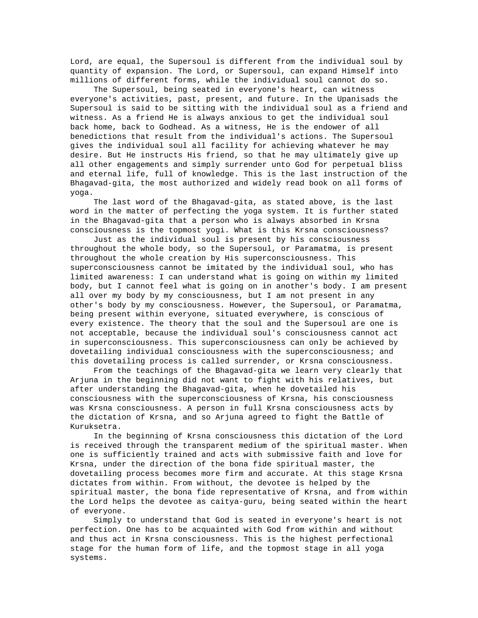Lord, are equal, the Supersoul is different from the individual soul by quantity of expansion. The Lord, or Supersoul, can expand Himself into millions of different forms, while the individual soul cannot do so.

 The Supersoul, being seated in everyone's heart, can witness everyone's activities, past, present, and future. In the Upanisads the Supersoul is said to be sitting with the individual soul as a friend and witness. As a friend He is always anxious to get the individual soul back home, back to Godhead. As a witness, He is the endower of all benedictions that result from the individual's actions. The Supersoul gives the individual soul all facility for achieving whatever he may desire. But He instructs His friend, so that he may ultimately give up all other engagements and simply surrender unto God for perpetual bliss and eternal life, full of knowledge. This is the last instruction of the Bhagavad-gita, the most authorized and widely read book on all forms of yoga.

 The last word of the Bhagavad-gita, as stated above, is the last word in the matter of perfecting the yoga system. It is further stated in the Bhagavad-gita that a person who is always absorbed in Krsna consciousness is the topmost yogi. What is this Krsna consciousness?

 Just as the individual soul is present by his consciousness throughout the whole body, so the Supersoul, or Paramatma, is present throughout the whole creation by His superconsciousness. This superconsciousness cannot be imitated by the individual soul, who has limited awareness: I can understand what is going on within my limited body, but I cannot feel what is going on in another's body. I am present all over my body by my consciousness, but I am not present in any other's body by my consciousness. However, the Supersoul, or Paramatma, being present within everyone, situated everywhere, is conscious of every existence. The theory that the soul and the Supersoul are one is not acceptable, because the individual soul's consciousness cannot act in superconsciousness. This superconsciousness can only be achieved by dovetailing individual consciousness with the superconsciousness; and this dovetailing process is called surrender, or Krsna consciousness.

 From the teachings of the Bhagavad-gita we learn very clearly that Arjuna in the beginning did not want to fight with his relatives, but after understanding the Bhagavad-gita, when he dovetailed his consciousness with the superconsciousness of Krsna, his consciousness was Krsna consciousness. A person in full Krsna consciousness acts by the dictation of Krsna, and so Arjuna agreed to fight the Battle of Kuruksetra.

 In the beginning of Krsna consciousness this dictation of the Lord is received through the transparent medium of the spiritual master. When one is sufficiently trained and acts with submissive faith and love for Krsna, under the direction of the bona fide spiritual master, the dovetailing process becomes more firm and accurate. At this stage Krsna dictates from within. From without, the devotee is helped by the spiritual master, the bona fide representative of Krsna, and from within the Lord helps the devotee as caitya-guru, being seated within the heart of everyone.

 Simply to understand that God is seated in everyone's heart is not perfection. One has to be acquainted with God from within and without and thus act in Krsna consciousness. This is the highest perfectional stage for the human form of life, and the topmost stage in all yoga systems.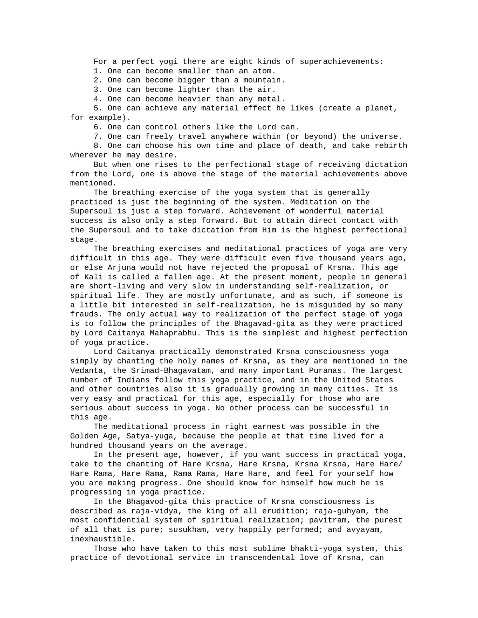For a perfect yogi there are eight kinds of superachievements: 1. One can become smaller than an atom.

2. One can become bigger than a mountain.

3. One can become lighter than the air.

4. One can become heavier than any metal.

 5. One can achieve any material effect he likes (create a planet, for example).

6. One can control others like the Lord can.

7. One can freely travel anywhere within (or beyond) the universe.

 8. One can choose his own time and place of death, and take rebirth wherever he may desire.

 But when one rises to the perfectional stage of receiving dictation from the Lord, one is above the stage of the material achievements above mentioned.

 The breathing exercise of the yoga system that is generally practiced is just the beginning of the system. Meditation on the Supersoul is just a step forward. Achievement of wonderful material success is also only a step forward. But to attain direct contact with the Supersoul and to take dictation from Him is the highest perfectional stage.

 The breathing exercises and meditational practices of yoga are very difficult in this age. They were difficult even five thousand years ago, or else Arjuna would not have rejected the proposal of Krsna. This age of Kali is called a fallen age. At the present moment, people in general are short-living and very slow in understanding self-realization, or spiritual life. They are mostly unfortunate, and as such, if someone is a little bit interested in self-realization, he is misguided by so many frauds. The only actual way to realization of the perfect stage of yoga is to follow the principles of the Bhagavad-gita as they were practiced by Lord Caitanya Mahaprabhu. This is the simplest and highest perfection of yoga practice.

 Lord Caitanya practically demonstrated Krsna consciousness yoga simply by chanting the holy names of Krsna, as they are mentioned in the Vedanta, the Srimad-Bhagavatam, and many important Puranas. The largest number of Indians follow this yoga practice, and in the United States and other countries also it is gradually growing in many cities. It is very easy and practical for this age, especially for those who are serious about success in yoga. No other process can be successful in this age.

 The meditational process in right earnest was possible in the Golden Age, Satya-yuga, because the people at that time lived for a hundred thousand years on the average.

 In the present age, however, if you want success in practical yoga, take to the chanting of Hare Krsna, Hare Krsna, Krsna Krsna, Hare Hare/ Hare Rama, Hare Rama, Rama Rama, Hare Hare, and feel for yourself how you are making progress. One should know for himself how much he is progressing in yoga practice.

 In the Bhagavod-gita this practice of Krsna consciousness is described as raja-vidya, the king of all erudition; raja-guhyam, the most confidential system of spiritual realization; pavitram, the purest of all that is pure; susukham, very happily performed; and avyayam, inexhaustible.

 Those who have taken to this most sublime bhakti-yoga system, this practice of devotional service in transcendental love of Krsna, can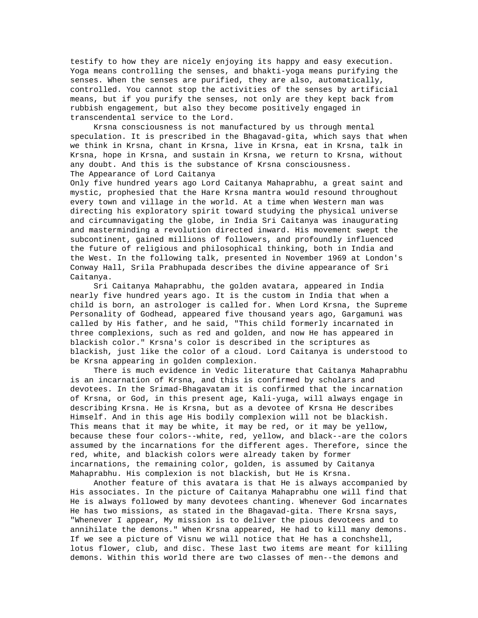testify to how they are nicely enjoying its happy and easy execution. Yoga means controlling the senses, and bhakti-yoga means purifying the senses. When the senses are purified, they are also, automatically, controlled. You cannot stop the activities of the senses by artificial means, but if you purify the senses, not only are they kept back from rubbish engagement, but also they become positively engaged in transcendental service to the Lord.

 Krsna consciousness is not manufactured by us through mental speculation. It is prescribed in the Bhagavad-gita, which says that when we think in Krsna, chant in Krsna, live in Krsna, eat in Krsna, talk in Krsna, hope in Krsna, and sustain in Krsna, we return to Krsna, without any doubt. And this is the substance of Krsna consciousness. The Appearance of Lord Caitanya

Only five hundred years ago Lord Caitanya Mahaprabhu, a great saint and mystic, prophesied that the Hare Krsna mantra would resound throughout every town and village in the world. At a time when Western man was directing his exploratory spirit toward studying the physical universe and circumnavigating the globe, in India Sri Caitanya was inaugurating and masterminding a revolution directed inward. His movement swept the subcontinent, gained millions of followers, and profoundly influenced the future of religious and philosophical thinking, both in India and the West. In the following talk, presented in November 1969 at London's Conway Hall, Srila Prabhupada describes the divine appearance of Sri Caitanya.

 Sri Caitanya Mahaprabhu, the golden avatara, appeared in India nearly five hundred years ago. It is the custom in India that when a child is born, an astrologer is called for. When Lord Krsna, the Supreme Personality of Godhead, appeared five thousand years ago, Gargamuni was called by His father, and he said, "This child formerly incarnated in three complexions, such as red and golden, and now He has appeared in blackish color." Krsna's color is described in the scriptures as blackish, just like the color of a cloud. Lord Caitanya is understood to be Krsna appearing in golden complexion.

 There is much evidence in Vedic literature that Caitanya Mahaprabhu is an incarnation of Krsna, and this is confirmed by scholars and devotees. In the Srimad-Bhagavatam it is confirmed that the incarnation of Krsna, or God, in this present age, Kali-yuga, will always engage in describing Krsna. He is Krsna, but as a devotee of Krsna He describes Himself. And in this age His bodily complexion will not be blackish. This means that it may be white, it may be red, or it may be yellow, because these four colors--white, red, yellow, and black--are the colors assumed by the incarnations for the different ages. Therefore, since the red, white, and blackish colors were already taken by former incarnations, the remaining color, golden, is assumed by Caitanya Mahaprabhu. His complexion is not blackish, but He is Krsna.

 Another feature of this avatara is that He is always accompanied by His associates. In the picture of Caitanya Mahaprabhu one will find that He is always followed by many devotees chanting. Whenever God incarnates He has two missions, as stated in the Bhagavad-gita. There Krsna says, "Whenever I appear, My mission is to deliver the pious devotees and to annihilate the demons." When Krsna appeared, He had to kill many demons. If we see a picture of Visnu we will notice that He has a conchshell, lotus flower, club, and disc. These last two items are meant for killing demons. Within this world there are two classes of men--the demons and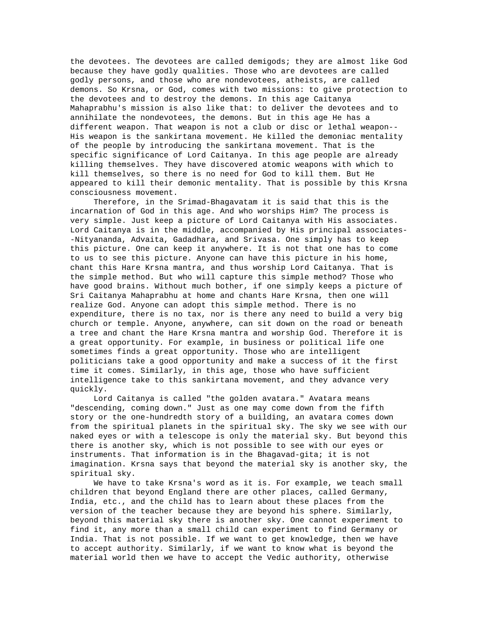the devotees. The devotees are called demigods; they are almost like God because they have godly qualities. Those who are devotees are called godly persons, and those who are nondevotees, atheists, are called demons. So Krsna, or God, comes with two missions: to give protection to the devotees and to destroy the demons. In this age Caitanya Mahaprabhu's mission is also like that: to deliver the devotees and to annihilate the nondevotees, the demons. But in this age He has a different weapon. That weapon is not a club or disc or lethal weapon-- His weapon is the sankirtana movement. He killed the demoniac mentality of the people by introducing the sankirtana movement. That is the specific significance of Lord Caitanya. In this age people are already killing themselves. They have discovered atomic weapons with which to kill themselves, so there is no need for God to kill them. But He appeared to kill their demonic mentality. That is possible by this Krsna consciousness movement.

 Therefore, in the Srimad-Bhagavatam it is said that this is the incarnation of God in this age. And who worships Him? The process is very simple. Just keep a picture of Lord Caitanya with His associates. Lord Caitanya is in the middle, accompanied by His principal associates- -Nityananda, Advaita, Gadadhara, and Srivasa. One simply has to keep this picture. One can keep it anywhere. It is not that one has to come to us to see this picture. Anyone can have this picture in his home, chant this Hare Krsna mantra, and thus worship Lord Caitanya. That is the simple method. But who will capture this simple method? Those who have good brains. Without much bother, if one simply keeps a picture of Sri Caitanya Mahaprabhu at home and chants Hare Krsna, then one will realize God. Anyone can adopt this simple method. There is no expenditure, there is no tax, nor is there any need to build a very big church or temple. Anyone, anywhere, can sit down on the road or beneath a tree and chant the Hare Krsna mantra and worship God. Therefore it is a great opportunity. For example, in business or political life one sometimes finds a great opportunity. Those who are intelligent politicians take a good opportunity and make a success of it the first time it comes. Similarly, in this age, those who have sufficient intelligence take to this sankirtana movement, and they advance very quickly.

 Lord Caitanya is called "the golden avatara." Avatara means "descending, coming down." Just as one may come down from the fifth story or the one-hundredth story of a building, an avatara comes down from the spiritual planets in the spiritual sky. The sky we see with our naked eyes or with a telescope is only the material sky. But beyond this there is another sky, which is not possible to see with our eyes or instruments. That information is in the Bhagavad-gita; it is not imagination. Krsna says that beyond the material sky is another sky, the spiritual sky.

 We have to take Krsna's word as it is. For example, we teach small children that beyond England there are other places, called Germany, India, etc., and the child has to learn about these places from the version of the teacher because they are beyond his sphere. Similarly, beyond this material sky there is another sky. One cannot experiment to find it, any more than a small child can experiment to find Germany or India. That is not possible. If we want to get knowledge, then we have to accept authority. Similarly, if we want to know what is beyond the material world then we have to accept the Vedic authority, otherwise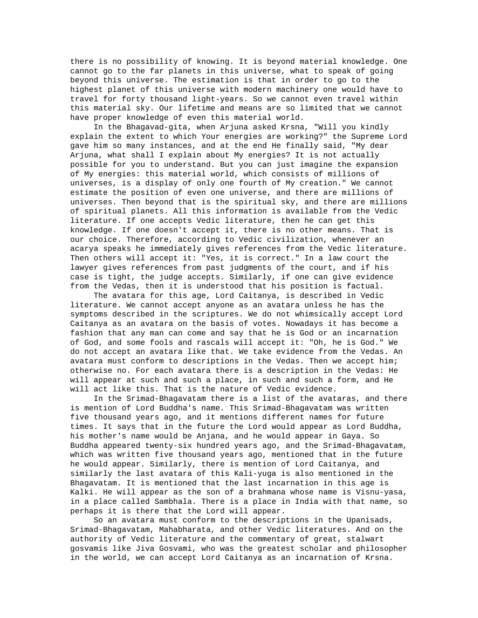there is no possibility of knowing. It is beyond material knowledge. One cannot go to the far planets in this universe, what to speak of going beyond this universe. The estimation is that in order to go to the highest planet of this universe with modern machinery one would have to travel for forty thousand light-years. So we cannot even travel within this material sky. Our lifetime and means are so limited that we cannot have proper knowledge of even this material world.

 In the Bhagavad-gita, when Arjuna asked Krsna, "Will you kindly explain the extent to which Your energies are working?" the Supreme Lord gave him so many instances, and at the end He finally said, "My dear Arjuna, what shall I explain about My energies? It is not actually possible for you to understand. But you can just imagine the expansion of My energies: this material world, which consists of millions of universes, is a display of only one fourth of My creation." We cannot estimate the position of even one universe, and there are millions of universes. Then beyond that is the spiritual sky, and there are millions of spiritual planets. All this information is available from the Vedic literature. If one accepts Vedic literature, then he can get this knowledge. If one doesn't accept it, there is no other means. That is our choice. Therefore, according to Vedic civilization, whenever an acarya speaks he immediately gives references from the Vedic literature. Then others will accept it: "Yes, it is correct." In a law court the lawyer gives references from past judgments of the court, and if his case is tight, the judge accepts. Similarly, if one can give evidence from the Vedas, then it is understood that his position is factual.

 The avatara for this age, Lord Caitanya, is described in Vedic literature. We cannot accept anyone as an avatara unless he has the symptoms described in the scriptures. We do not whimsically accept Lord Caitanya as an avatara on the basis of votes. Nowadays it has become a fashion that any man can come and say that he is God or an incarnation of God, and some fools and rascals will accept it: "Oh, he is God." We do not accept an avatara like that. We take evidence from the Vedas. An avatara must conform to descriptions in the Vedas. Then we accept him; otherwise no. For each avatara there is a description in the Vedas: He will appear at such and such a place, in such and such a form, and He will act like this. That is the nature of Vedic evidence.

 In the Srimad-Bhagavatam there is a list of the avataras, and there is mention of Lord Buddha's name. This Srimad-Bhagavatam was written five thousand years ago, and it mentions different names for future times. It says that in the future the Lord would appear as Lord Buddha, his mother's name would be Anjana, and he would appear in Gaya. So Buddha appeared twenty-six hundred years ago, and the Srimad-Bhagavatam, which was written five thousand years ago, mentioned that in the future he would appear. Similarly, there is mention of Lord Caitanya, and similarly the last avatara of this Kali-yuga is also mentioned in the Bhagavatam. It is mentioned that the last incarnation in this age is Kalki. He will appear as the son of a brahmana whose name is Visnu-yasa, in a place called Sambhala. There is a place in India with that name, so perhaps it is there that the Lord will appear.

 So an avatara must conform to the descriptions in the Upanisads, Srimad-Bhagavatam, Mahabharata, and other Vedic literatures. And on the authority of Vedic literature and the commentary of great, stalwart gosvamis like Jiva Gosvami, who was the greatest scholar and philosopher in the world, we can accept Lord Caitanya as an incarnation of Krsna.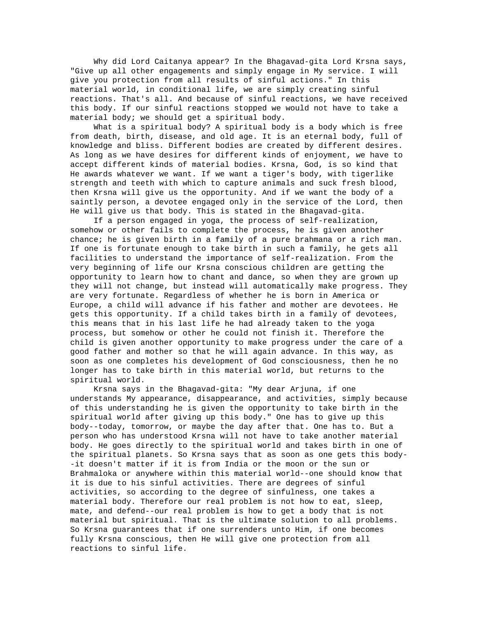Why did Lord Caitanya appear? In the Bhagavad-gita Lord Krsna says, "Give up all other engagements and simply engage in My service. I will give you protection from all results of sinful actions." In this material world, in conditional life, we are simply creating sinful reactions. That's all. And because of sinful reactions, we have received this body. If our sinful reactions stopped we would not have to take a material body; we should get a spiritual body.

 What is a spiritual body? A spiritual body is a body which is free from death, birth, disease, and old age. It is an eternal body, full of knowledge and bliss. Different bodies are created by different desires. As long as we have desires for different kinds of enjoyment, we have to accept different kinds of material bodies. Krsna, God, is so kind that He awards whatever we want. If we want a tiger's body, with tigerlike strength and teeth with which to capture animals and suck fresh blood, then Krsna will give us the opportunity. And if we want the body of a saintly person, a devotee engaged only in the service of the Lord, then He will give us that body. This is stated in the Bhagavad-gita.

 If a person engaged in yoga, the process of self-realization, somehow or other fails to complete the process, he is given another chance; he is given birth in a family of a pure brahmana or a rich man. If one is fortunate enough to take birth in such a family, he gets all facilities to understand the importance of self-realization. From the very beginning of life our Krsna conscious children are getting the opportunity to learn how to chant and dance, so when they are grown up they will not change, but instead will automatically make progress. They are very fortunate. Regardless of whether he is born in America or Europe, a child will advance if his father and mother are devotees. He gets this opportunity. If a child takes birth in a family of devotees, this means that in his last life he had already taken to the yoga process, but somehow or other he could not finish it. Therefore the child is given another opportunity to make progress under the care of a good father and mother so that he will again advance. In this way, as soon as one completes his development of God consciousness, then he no longer has to take birth in this material world, but returns to the spiritual world.

 Krsna says in the Bhagavad-gita: "My dear Arjuna, if one understands My appearance, disappearance, and activities, simply because of this understanding he is given the opportunity to take birth in the spiritual world after giving up this body." One has to give up this body--today, tomorrow, or maybe the day after that. One has to. But a person who has understood Krsna will not have to take another material body. He goes directly to the spiritual world and takes birth in one of the spiritual planets. So Krsna says that as soon as one gets this body- -it doesn't matter if it is from India or the moon or the sun or Brahmaloka or anywhere within this material world--one should know that it is due to his sinful activities. There are degrees of sinful activities, so according to the degree of sinfulness, one takes a material body. Therefore our real problem is not how to eat, sleep, mate, and defend--our real problem is how to get a body that is not material but spiritual. That is the ultimate solution to all problems. So Krsna guarantees that if one surrenders unto Him, if one becomes fully Krsna conscious, then He will give one protection from all reactions to sinful life.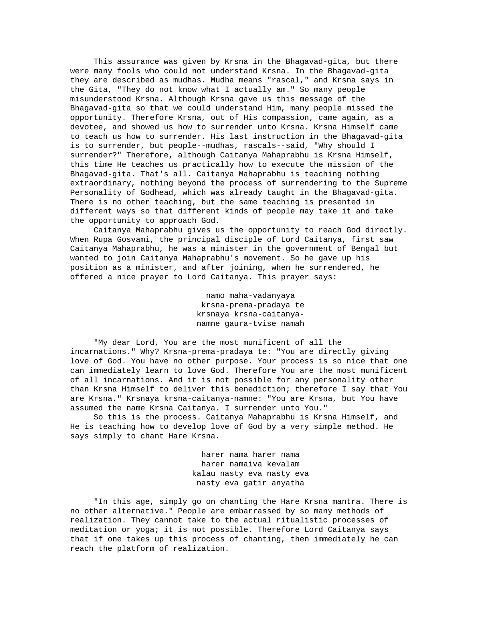This assurance was given by Krsna in the Bhagavad-gita, but there were many fools who could not understand Krsna. In the Bhagavad-gita they are described as mudhas. Mudha means "rascal," and Krsna says in the Gita, "They do not know what I actually am." So many people misunderstood Krsna. Although Krsna gave us this message of the Bhagavad-gita so that we could understand Him, many people missed the opportunity. Therefore Krsna, out of His compassion, came again, as a devotee, and showed us how to surrender unto Krsna. Krsna Himself came to teach us how to surrender. His last instruction in the Bhagavad-gita is to surrender, but people--mudhas, rascals--said, "Why should I surrender?" Therefore, although Caitanya Mahaprabhu is Krsna Himself, this time He teaches us practically how to execute the mission of the Bhagavad-gita. That's all. Caitanya Mahaprabhu is teaching nothing extraordinary, nothing beyond the process of surrendering to the Supreme Personality of Godhead, which was already taught in the Bhagavad-gita. There is no other teaching, but the same teaching is presented in different ways so that different kinds of people may take it and take the opportunity to approach God.

 Caitanya Mahaprabhu gives us the opportunity to reach God directly. When Rupa Gosvami, the principal disciple of Lord Caitanya, first saw Caitanya Mahaprabhu, he was a minister in the government of Bengal but wanted to join Caitanya Mahaprabhu's movement. So he gave up his position as a minister, and after joining, when he surrendered, he offered a nice prayer to Lord Caitanya. This prayer says:

> namo maha-vadanyaya krsna-prema-pradaya te krsnaya krsna-caitanya namne gaura-tvise namah

 "My dear Lord, You are the most munificent of all the incarnations." Why? Krsna-prema-pradaya te: "You are directly giving love of God. You have no other purpose. Your process is so nice that one can immediately learn to love God. Therefore You are the most munificent of all incarnations. And it is not possible for any personality other than Krsna Himself to deliver this benediction; therefore I say that You are Krsna." Krsnaya krsna-caitanya-namne: "You are Krsna, but You have assumed the name Krsna Caitanya. I surrender unto You."

 So this is the process. Caitanya Mahaprabhu is Krsna Himself, and He is teaching how to develop love of God by a very simple method. He says simply to chant Hare Krsna.

> harer nama harer nama harer namaiva kevalam kalau nasty eva nasty eva nasty eva gatir anyatha

 "In this age, simply go on chanting the Hare Krsna mantra. There is no other alternative." People are embarrassed by so many methods of realization. They cannot take to the actual ritualistic processes of meditation or yoga; it is not possible. Therefore Lord Caitanya says that if one takes up this process of chanting, then immediately he can reach the platform of realization.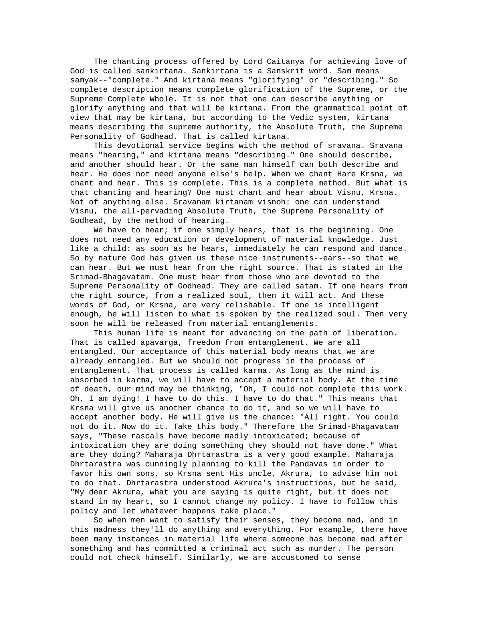The chanting process offered by Lord Caitanya for achieving love of God is called sankirtana. Sankirtana is a Sanskrit word. Sam means samyak--"complete." And kirtana means "glorifying" or "describing." So complete description means complete glorification of the Supreme, or the Supreme Complete Whole. It is not that one can describe anything or glorify anything and that will be kirtana. From the grammatical point of view that may be kirtana, but according to the Vedic system, kirtana means describing the supreme authority, the Absolute Truth, the Supreme Personality of Godhead. That is called kirtana.

 This devotional service begins with the method of sravana. Sravana means "hearing," and kirtana means "describing." One should describe, and another should hear. Or the same man himself can both describe and hear. He does not need anyone else's help. When we chant Hare Krsna, we chant and hear. This is complete. This is a complete method. But what is that chanting and hearing? One must chant and hear about Visnu, Krsna. Not of anything else. Sravanam kirtanam visnoh: one can understand Visnu, the all-pervading Absolute Truth, the Supreme Personality of Godhead, by the method of hearing.

We have to hear; if one simply hears, that is the beginning. One does not need any education or development of material knowledge. Just like a child: as soon as he hears, immediately he can respond and dance. So by nature God has given us these nice instruments--ears--so that we can hear. But we must hear from the right source. That is stated in the Srimad-Bhagavatam. One must hear from those who are devoted to the Supreme Personality of Godhead. They are called satam. If one hears from the right source, from a realized soul, then it will act. And these words of God, or Krsna, are very relishable. If one is intelligent enough, he will listen to what is spoken by the realized soul. Then very soon he will be released from material entanglements.

 This human life is meant for advancing on the path of liberation. That is called apavarga, freedom from entanglement. We are all entangled. Our acceptance of this material body means that we are already entangled. But we should not progress in the process of entanglement. That process is called karma. As long as the mind is absorbed in karma, we will have to accept a material body. At the time of death, our mind may be thinking, "Oh, I could not complete this work. Oh, I am dying! I have to do this. I have to do that." This means that Krsna will give us another chance to do it, and so we will have to accept another body. He will give us the chance: "All right. You could not do it. Now do it. Take this body." Therefore the Srimad-Bhagavatam says, "These rascals have become madly intoxicated; because of intoxication they are doing something they should not have done." What are they doing? Maharaja Dhrtarastra is a very good example. Maharaja Dhrtarastra was cunningly planning to kill the Pandavas in order to favor his own sons, so Krsna sent His uncle, Akrura, to advise him not to do that. Dhrtarastra understood Akrura's instructions, but he said, "My dear Akrura, what you are saying is quite right, but it does not stand in my heart, so I cannot change my policy. I have to follow this policy and let whatever happens take place."

 So when men want to satisfy their senses, they become mad, and in this madness they'll do anything and everything. For example, there have been many instances in material life where someone has become mad after something and has committed a criminal act such as murder. The person could not check himself. Similarly, we are accustomed to sense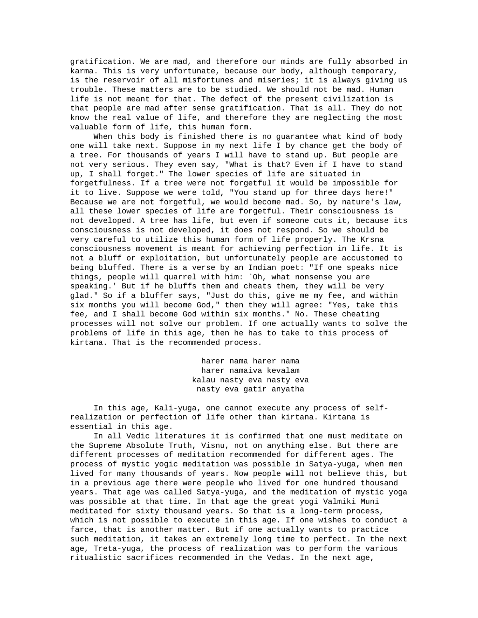gratification. We are mad, and therefore our minds are fully absorbed in karma. This is very unfortunate, because our body, although temporary, is the reservoir of all misfortunes and miseries; it is always giving us trouble. These matters are to be studied. We should not be mad. Human life is not meant for that. The defect of the present civilization is that people are mad after sense gratification. That is all. They do not know the real value of life, and therefore they are neglecting the most valuable form of life, this human form.

 When this body is finished there is no guarantee what kind of body one will take next. Suppose in my next life I by chance get the body of a tree. For thousands of years I will have to stand up. But people are not very serious. They even say, "What is that? Even if I have to stand up, I shall forget." The lower species of life are situated in forgetfulness. If a tree were not forgetful it would be impossible for it to live. Suppose we were told, "You stand up for three days here!" Because we are not forgetful, we would become mad. So, by nature's law, all these lower species of life are forgetful. Their consciousness is not developed. A tree has life, but even if someone cuts it, because its consciousness is not developed, it does not respond. So we should be very careful to utilize this human form of life properly. The Krsna consciousness movement is meant for achieving perfection in life. It is not a bluff or exploitation, but unfortunately people are accustomed to being bluffed. There is a verse by an Indian poet: "If one speaks nice things, people will quarrel with him: `Oh, what nonsense you are speaking.' But if he bluffs them and cheats them, they will be very glad." So if a bluffer says, "Just do this, give me my fee, and within six months you will become God," then they will agree: "Yes, take this fee, and I shall become God within six months." No. These cheating processes will not solve our problem. If one actually wants to solve the problems of life in this age, then he has to take to this process of kirtana. That is the recommended process.

> harer nama harer nama harer namaiva kevalam kalau nasty eva nasty eva nasty eva gatir anyatha

 In this age, Kali-yuga, one cannot execute any process of selfrealization or perfection of life other than kirtana. Kirtana is essential in this age.

 In all Vedic literatures it is confirmed that one must meditate on the Supreme Absolute Truth, Visnu, not on anything else. But there are different processes of meditation recommended for different ages. The process of mystic yogic meditation was possible in Satya-yuga, when men lived for many thousands of years. Now people will not believe this, but in a previous age there were people who lived for one hundred thousand years. That age was called Satya-yuga, and the meditation of mystic yoga was possible at that time. In that age the great yogi Valmiki Muni meditated for sixty thousand years. So that is a long-term process, which is not possible to execute in this age. If one wishes to conduct a farce, that is another matter. But if one actually wants to practice such meditation, it takes an extremely long time to perfect. In the next age, Treta-yuga, the process of realization was to perform the various ritualistic sacrifices recommended in the Vedas. In the next age,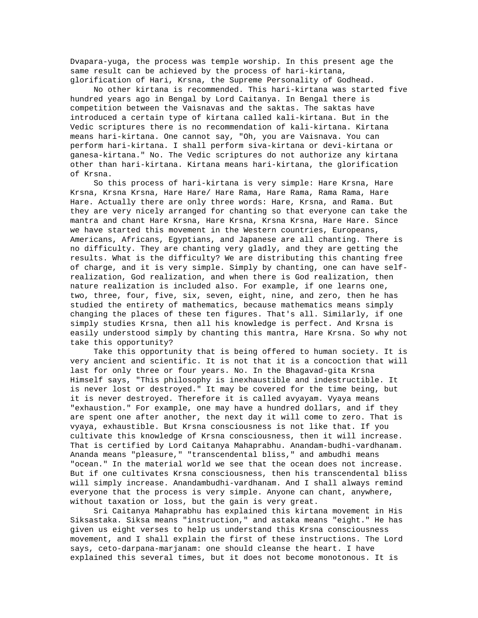Dvapara-yuga, the process was temple worship. In this present age the same result can be achieved by the process of hari-kirtana, glorification of Hari, Krsna, the Supreme Personality of Godhead.

 No other kirtana is recommended. This hari-kirtana was started five hundred years ago in Bengal by Lord Caitanya. In Bengal there is competition between the Vaisnavas and the saktas. The saktas have introduced a certain type of kirtana called kali-kirtana. But in the Vedic scriptures there is no recommendation of kali-kirtana. Kirtana means hari-kirtana. One cannot say, "Oh, you are Vaisnava. You can perform hari-kirtana. I shall perform siva-kirtana or devi-kirtana or ganesa-kirtana." No. The Vedic scriptures do not authorize any kirtana other than hari-kirtana. Kirtana means hari-kirtana, the glorification of Krsna.

 So this process of hari-kirtana is very simple: Hare Krsna, Hare Krsna, Krsna Krsna, Hare Hare/ Hare Rama, Hare Rama, Rama Rama, Hare Hare. Actually there are only three words: Hare, Krsna, and Rama. But they are very nicely arranged for chanting so that everyone can take the mantra and chant Hare Krsna, Hare Krsna, Krsna Krsna, Hare Hare. Since we have started this movement in the Western countries, Europeans, Americans, Africans, Egyptians, and Japanese are all chanting. There is no difficulty. They are chanting very gladly, and they are getting the results. What is the difficulty? We are distributing this chanting free of charge, and it is very simple. Simply by chanting, one can have selfrealization, God realization, and when there is God realization, then nature realization is included also. For example, if one learns one, two, three, four, five, six, seven, eight, nine, and zero, then he has studied the entirety of mathematics, because mathematics means simply changing the places of these ten figures. That's all. Similarly, if one simply studies Krsna, then all his knowledge is perfect. And Krsna is easily understood simply by chanting this mantra, Hare Krsna. So why not take this opportunity?

 Take this opportunity that is being offered to human society. It is very ancient and scientific. It is not that it is a concoction that will last for only three or four years. No. In the Bhagavad-gita Krsna Himself says, "This philosophy is inexhaustible and indestructible. It is never lost or destroyed." It may be covered for the time being, but it is never destroyed. Therefore it is called avyayam. Vyaya means "exhaustion." For example, one may have a hundred dollars, and if they are spent one after another, the next day it will come to zero. That is vyaya, exhaustible. But Krsna consciousness is not like that. If you cultivate this knowledge of Krsna consciousness, then it will increase. That is certified by Lord Caitanya Mahaprabhu. Anandam-budhi-vardhanam. Ananda means "pleasure," "transcendental bliss," and ambudhi means "ocean." In the material world we see that the ocean does not increase. But if one cultivates Krsna consciousness, then his transcendental bliss will simply increase. Anandambudhi-vardhanam. And I shall always remind everyone that the process is very simple. Anyone can chant, anywhere, without taxation or loss, but the gain is very great.

 Sri Caitanya Mahaprabhu has explained this kirtana movement in His Siksastaka. Siksa means "instruction," and astaka means "eight." He has given us eight verses to help us understand this Krsna consciousness movement, and I shall explain the first of these instructions. The Lord says, ceto-darpana-marjanam: one should cleanse the heart. I have explained this several times, but it does not become monotonous. It is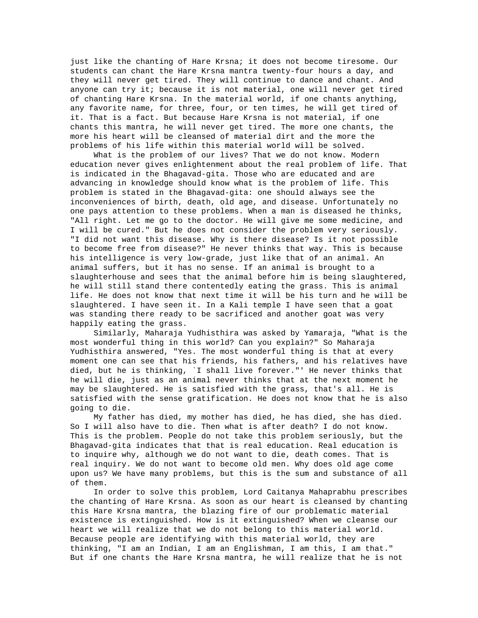just like the chanting of Hare Krsna; it does not become tiresome. Our students can chant the Hare Krsna mantra twenty-four hours a day, and they will never get tired. They will continue to dance and chant. And anyone can try it; because it is not material, one will never get tired of chanting Hare Krsna. In the material world, if one chants anything, any favorite name, for three, four, or ten times, he will get tired of it. That is a fact. But because Hare Krsna is not material, if one chants this mantra, he will never get tired. The more one chants, the more his heart will be cleansed of material dirt and the more the problems of his life within this material world will be solved.

 What is the problem of our lives? That we do not know. Modern education never gives enlightenment about the real problem of life. That is indicated in the Bhagavad-gita. Those who are educated and are advancing in knowledge should know what is the problem of life. This problem is stated in the Bhagavad-gita: one should always see the inconveniences of birth, death, old age, and disease. Unfortunately no one pays attention to these problems. When a man is diseased he thinks, "All right. Let me go to the doctor. He will give me some medicine, and I will be cured." But he does not consider the problem very seriously. "I did not want this disease. Why is there disease? Is it not possible to become free from disease?" He never thinks that way. This is because his intelligence is very low-grade, just like that of an animal. An animal suffers, but it has no sense. If an animal is brought to a slaughterhouse and sees that the animal before him is being slaughtered, he will still stand there contentedly eating the grass. This is animal life. He does not know that next time it will be his turn and he will be slaughtered. I have seen it. In a Kali temple I have seen that a goat was standing there ready to be sacrificed and another goat was very happily eating the grass.

 Similarly, Maharaja Yudhisthira was asked by Yamaraja, "What is the most wonderful thing in this world? Can you explain?" So Maharaja Yudhisthira answered, "Yes. The most wonderful thing is that at every moment one can see that his friends, his fathers, and his relatives have died, but he is thinking, `I shall live forever."' He never thinks that he will die, just as an animal never thinks that at the next moment he may be slaughtered. He is satisfied with the grass, that's all. He is satisfied with the sense gratification. He does not know that he is also going to die.

 My father has died, my mother has died, he has died, she has died. So I will also have to die. Then what is after death? I do not know. This is the problem. People do not take this problem seriously, but the Bhagavad-gita indicates that that is real education. Real education is to inquire why, although we do not want to die, death comes. That is real inquiry. We do not want to become old men. Why does old age come upon us? We have many problems, but this is the sum and substance of all of them.

 In order to solve this problem, Lord Caitanya Mahaprabhu prescribes the chanting of Hare Krsna. As soon as our heart is cleansed by chanting this Hare Krsna mantra, the blazing fire of our problematic material existence is extinguished. How is it extinguished? When we cleanse our heart we will realize that we do not belong to this material world. Because people are identifying with this material world, they are thinking, "I am an Indian, I am an Englishman, I am this, I am that." But if one chants the Hare Krsna mantra, he will realize that he is not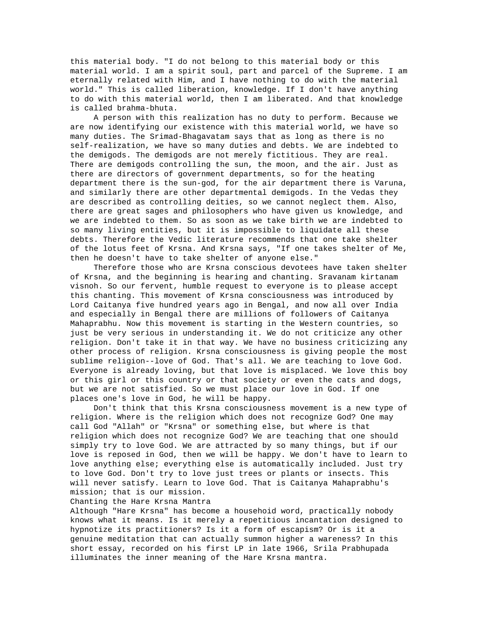this material body. "I do not belong to this material body or this material world. I am a spirit soul, part and parcel of the Supreme. I am eternally related with Him, and I have nothing to do with the material world." This is called liberation, knowledge. If I don't have anything to do with this material world, then I am liberated. And that knowledge is called brahma-bhuta.

 A person with this realization has no duty to perform. Because we are now identifying our existence with this material world, we have so many duties. The Srimad-Bhagavatam says that as long as there is no self-realization, we have so many duties and debts. We are indebted to the demigods. The demigods are not merely fictitious. They are real. There are demigods controlling the sun, the moon, and the air. Just as there are directors of government departments, so for the heating department there is the sun-god, for the air department there is Varuna, and similarly there are other departmental demigods. In the Vedas they are described as controlling deities, so we cannot neglect them. Also, there are great sages and philosophers who have given us knowledge, and we are indebted to them. So as soon as we take birth we are indebted to so many living entities, but it is impossible to liquidate all these debts. Therefore the Vedic literature recommends that one take shelter of the lotus feet of Krsna. And Krsna says, "If one takes shelter of Me, then he doesn't have to take shelter of anyone else."

 Therefore those who are Krsna conscious devotees have taken shelter of Krsna, and the beginning is hearing and chanting. Sravanam kirtanam visnoh. So our fervent, humble request to everyone is to please accept this chanting. This movement of Krsna consciousness was introduced by Lord Caitanya five hundred years ago in Bengal, and now all over India and especially in Bengal there are millions of followers of Caitanya Mahaprabhu. Now this movement is starting in the Western countries, so just be very serious in understanding it. We do not criticize any other religion. Don't take it in that way. We have no business criticizing any other process of religion. Krsna consciousness is giving people the most sublime religion--love of God. That's all. We are teaching to love God. Everyone is already loving, but that love is misplaced. We love this boy or this girl or this country or that society or even the cats and dogs, but we are not satisfied. So we must place our love in God. If one places one's love in God, he will be happy.

 Don't think that this Krsna consciousness movement is a new type of religion. Where is the religion which does not recognize God? One may call God "Allah" or "Krsna" or something else, but where is that religion which does not recognize God? We are teaching that one should simply try to love God. We are attracted by so many things, but if our love is reposed in God, then we will be happy. We don't have to learn to love anything else; everything else is automatically included. Just try to love God. Don't try to love just trees or plants or insects. This will never satisfy. Learn to love God. That is Caitanya Mahaprabhu's mission; that is our mission.

Chanting the Hare Krsna Mantra

Although "Hare Krsna" has become a househoid word, practically nobody knows what it means. Is it merely a repetitious incantation designed to hypnotize its practitioners? Is it a form of escapism? Or is it a genuine meditation that can actually summon higher a wareness? In this short essay, recorded on his first LP in late 1966, Srila Prabhupada illuminates the inner meaning of the Hare Krsna mantra.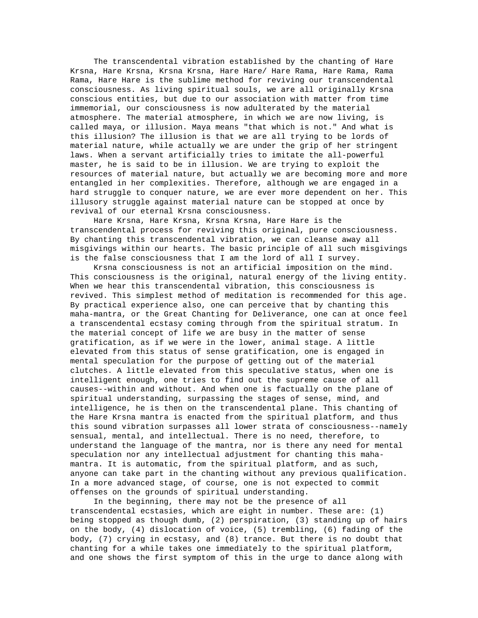The transcendental vibration established by the chanting of Hare Krsna, Hare Krsna, Krsna Krsna, Hare Hare/ Hare Rama, Hare Rama, Rama Rama, Hare Hare is the sublime method for reviving our transcendental consciousness. As living spiritual souls, we are all originally Krsna conscious entities, but due to our association with matter from time immemorial, our consciousness is now adulterated by the material atmosphere. The material atmosphere, in which we are now living, is called maya, or illusion. Maya means "that which is not." And what is this illusion? The illusion is that we are all trying to be lords of material nature, while actually we are under the grip of her stringent laws. When a servant artificially tries to imitate the all-powerful master, he is said to be in illusion. We are trying to exploit the resources of material nature, but actually we are becoming more and more entangled in her complexities. Therefore, although we are engaged in a hard struggle to conquer nature, we are ever more dependent on her. This illusory struggle against material nature can be stopped at once by revival of our eternal Krsna consciousness.

 Hare Krsna, Hare Krsna, Krsna Krsna, Hare Hare is the transcendental process for reviving this original, pure consciousness. By chanting this transcendental vibration, we can cleanse away all misgivings within our hearts. The basic principle of all such misgivings is the false consciousness that I am the lord of all I survey.

 Krsna consciousness is not an artificial imposition on the mind. This consciousness is the original, natural energy of the living entity. When we hear this transcendental vibration, this consciousness is revived. This simplest method of meditation is recommended for this age. By practical experience also, one can perceive that by chanting this maha-mantra, or the Great Chanting for Deliverance, one can at once feel a transcendental ecstasy coming through from the spiritual stratum. In the material concept of life we are busy in the matter of sense gratification, as if we were in the lower, animal stage. A little elevated from this status of sense gratification, one is engaged in mental speculation for the purpose of getting out of the material clutches. A little elevated from this speculative status, when one is intelligent enough, one tries to find out the supreme cause of all causes--within and without. And when one is factually on the plane of spiritual understanding, surpassing the stages of sense, mind, and intelligence, he is then on the transcendental plane. This chanting of the Hare Krsna mantra is enacted from the spiritual platform, and thus this sound vibration surpasses all lower strata of consciousness--namely sensual, mental, and intellectual. There is no need, therefore, to understand the language of the mantra, nor is there any need for mental speculation nor any intellectual adjustment for chanting this mahamantra. It is automatic, from the spiritual platform, and as such, anyone can take part in the chanting without any previous qualification. In a more advanced stage, of course, one is not expected to commit offenses on the grounds of spiritual understanding.

 In the beginning, there may not be the presence of all transcendental ecstasies, which are eight in number. These are: (1) being stopped as though dumb, (2) perspiration, (3) standing up of hairs on the body, (4) dislocation of voice, (5) trembling, (6) fading of the body, (7) crying in ecstasy, and (8) trance. But there is no doubt that chanting for a while takes one immediately to the spiritual platform, and one shows the first symptom of this in the urge to dance along with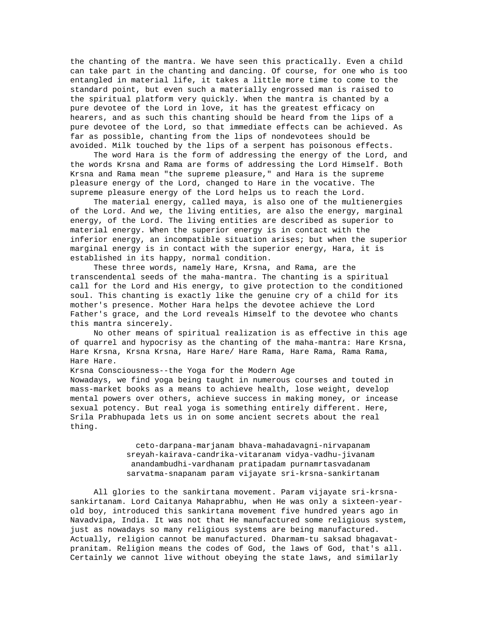the chanting of the mantra. We have seen this practically. Even a child can take part in the chanting and dancing. Of course, for one who is too entangled in material life, it takes a little more time to come to the standard point, but even such a materially engrossed man is raised to the spiritual platform very quickly. When the mantra is chanted by a pure devotee of the Lord in love, it has the greatest efficacy on hearers, and as such this chanting should be heard from the lips of a pure devotee of the Lord, so that immediate effects can be achieved. As far as possible, chanting from the lips of nondevotees should be avoided. Milk touched by the lips of a serpent has poisonous effects.

 The word Hara is the form of addressing the energy of the Lord, and the words Krsna and Rama are forms of addressing the Lord Himself. Both Krsna and Rama mean "the supreme pleasure," and Hara is the supreme pleasure energy of the Lord, changed to Hare in the vocative. The supreme pleasure energy of the Lord helps us to reach the Lord.

 The material energy, called maya, is also one of the multienergies of the Lord. And we, the living entities, are also the energy, marginal energy, of the Lord. The living entities are described as superior to material energy. When the superior energy is in contact with the inferior energy, an incompatible situation arises; but when the superior marginal energy is in contact with the superior energy, Hara, it is established in its happy, normal condition.

 These three words, namely Hare, Krsna, and Rama, are the transcendental seeds of the maha-mantra. The chanting is a spiritual call for the Lord and His energy, to give protection to the conditioned soul. This chanting is exactly like the genuine cry of a child for its mother's presence. Mother Hara helps the devotee achieve the Lord Father's grace, and the Lord reveals Himself to the devotee who chants this mantra sincerely.

 No other means of spiritual realization is as effective in this age of quarrel and hypocrisy as the chanting of the maha-mantra: Hare Krsna, Hare Krsna, Krsna Krsna, Hare Hare/ Hare Rama, Hare Rama, Rama Rama, Hare Hare.

Krsna Consciousness--the Yoga for the Modern Age Nowadays, we find yoga being taught in numerous courses and touted in mass-market books as a means to achieve health, lose weight, develop mental powers over others, achieve success in making money, or incease sexual potency. But real yoga is something entirely different. Here, Srila Prabhupada lets us in on some ancient secrets about the real thing.

> ceto-darpana-marjanam bhava-mahadavagni-nirvapanam sreyah-kairava-candrika-vitaranam vidya-vadhu-jivanam anandambudhi-vardhanam pratipadam purnamrtasvadanam sarvatma-snapanam param vijayate sri-krsna-sankirtanam

 All glories to the sankirtana movement. Param vijayate sri-krsnasankirtanam. Lord Caitanya Mahaprabhu, when He was only a sixteen-yearold boy, introduced this sankirtana movement five hundred years ago in Navadvipa, India. It was not that He manufactured some religious system, just as nowadays so many religious systems are being manufactured. Actually, religion cannot be manufactured. Dharmam-tu saksad bhagavatpranitam. Religion means the codes of God, the laws of God, that's all. Certainly we cannot live without obeying the state laws, and similarly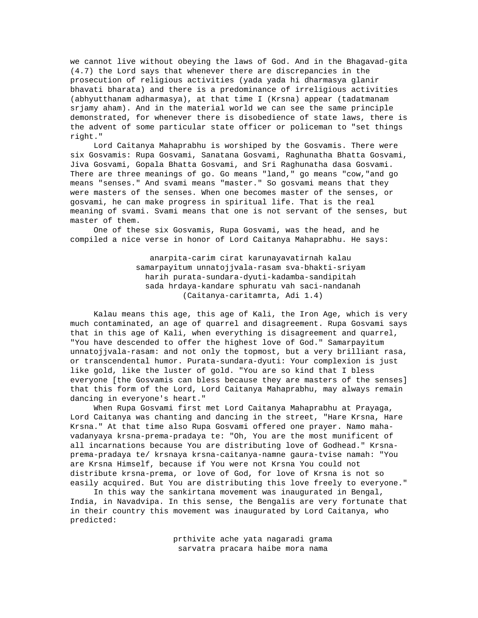we cannot live without obeying the laws of God. And in the Bhagavad-gita (4.7) the Lord says that whenever there are discrepancies in the prosecution of religious activities (yada yada hi dharmasya glanir bhavati bharata) and there is a predominance of irreligious activities (abhyutthanam adharmasya), at that time I (Krsna) appear (tadatmanam srjamy aham). And in the material world we can see the same principle demonstrated, for whenever there is disobedience of state laws, there is the advent of some particular state officer or policeman to "set things right."

 Lord Caitanya Mahaprabhu is worshiped by the Gosvamis. There were six Gosvamis: Rupa Gosvami, Sanatana Gosvami, Raghunatha Bhatta Gosvami, Jiva Gosvami, Gopala Bhatta Gosvami, and Sri Raghunatha dasa Gosvami. There are three meanings of go. Go means "land," go means "cow,"and go means "senses." And svami means "master." So gosvami means that they were masters of the senses. When one becomes master of the senses, or gosvami, he can make progress in spiritual life. That is the real meaning of svami. Svami means that one is not servant of the senses, but master of them.

 One of these six Gosvamis, Rupa Gosvami, was the head, and he compiled a nice verse in honor of Lord Caitanya Mahaprabhu. He says:

> anarpita-carim cirat karunayavatirnah kalau samarpayitum unnatojjvala-rasam sva-bhakti-sriyam harih purata-sundara-dyuti-kadamba-sandipitah sada hrdaya-kandare sphuratu vah saci-nandanah (Caitanya-caritamrta, Adi 1.4)

 Kalau means this age, this age of Kali, the Iron Age, which is very much contaminated, an age of quarrel and disagreement. Rupa Gosvami says that in this age of Kali, when everything is disagreement and quarrel, "You have descended to offer the highest love of God." Samarpayitum unnatojjvala-rasam: and not only the topmost, but a very brilliant rasa, or transcendental humor. Purata-sundara-dyuti: Your complexion is just like gold, like the luster of gold. "You are so kind that I bless everyone [the Gosvamis can bless because they are masters of the senses] that this form of the Lord, Lord Caitanya Mahaprabhu, may always remain dancing in everyone's heart."

 When Rupa Gosvami first met Lord Caitanya Mahaprabhu at Prayaga, Lord Caitanya was chanting and dancing in the street, "Hare Krsna, Hare Krsna." At that time also Rupa Gosvami offered one prayer. Namo mahavadanyaya krsna-prema-pradaya te: "Oh, You are the most munificent of all incarnations because You are distributing love of Godhead." Krsnaprema-pradaya te/ krsnaya krsna-caitanya-namne gaura-tvise namah: "You are Krsna Himself, because if You were not Krsna You could not distribute krsna-prema, or love of God, for love of Krsna is not so easily acquired. But You are distributing this love freely to everyone."

 In this way the sankirtana movement was inaugurated in Bengal, India, in Navadvipa. In this sense, the Bengalis are very fortunate that in their country this movement was inaugurated by Lord Caitanya, who predicted:

> prthivite ache yata nagaradi grama sarvatra pracara haibe mora nama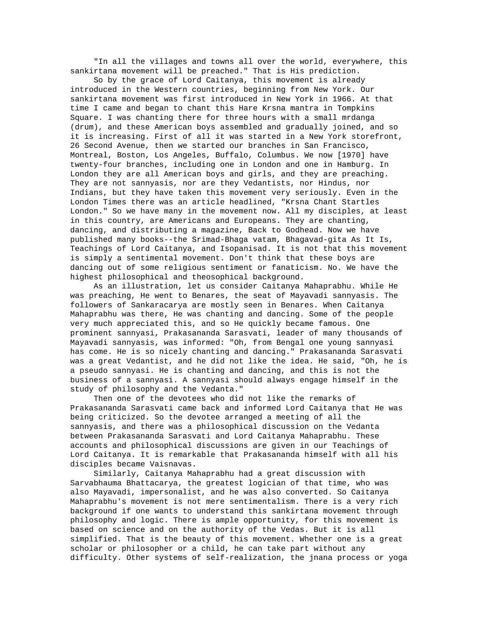"In all the villages and towns all over the world, everywhere, this sankirtana movement will be preached." That is His prediction.

 So by the grace of Lord Caitanya, this movement is already introduced in the Western countries, beginning from New York. Our sankirtana movement was first introduced in New York in 1966. At that time I came and began to chant this Hare Krsna mantra in Tompkins Square. I was chanting there for three hours with a small mrdanga (drum), and these American boys assembled and gradually joined, and so it is increasing. First of all it was started in a New York storefront, 26 Second Avenue, then we started our branches in San Francisco, Montreal, Boston, Los Angeles, Buffalo, Columbus. We now [1970] have twenty-four branches, including one in London and one in Hamburg. In London they are all American boys and girls, and they are preaching. They are not sannyasis, nor are they Vedantists, nor Hindus, nor Indians, but they have taken this movement very seriously. Even in the London Times there was an article headlined, "Krsna Chant Startles London." So we have many in the movement now. All my disciples, at least in this country, are Americans and Europeans. They are chanting, dancing, and distributing a magazine, Back to Godhead. Now we have published many books--the Srimad-Bhaga vatam, Bhagavad-gita As It Is, Teachings of Lord Caitanya, and Isopanisad. It is not that this movement is simply a sentimental movement. Don't think that these boys are dancing out of some religious sentiment or fanaticism. No. We have the highest philosophical and theosophical background.

 As an illustration, let us consider Caitanya Mahaprabhu. While He was preaching, He went to Benares, the seat of Mayavadi sannyasis. The followers of Sankaracarya are mostly seen in Benares. When Caitanya Mahaprabhu was there, He was chanting and dancing. Some of the people very much appreciated this, and so He quickly became famous. One prominent sannyasi, Prakasananda Sarasvati, leader of many thousands of Mayavadi sannyasis, was informed: "Oh, from Bengal one young sannyasi has come. He is so nicely chanting and dancing." Prakasananda Sarasvati was a great Vedantist, and he did not like the idea. He said, "Oh, he is a pseudo sannyasi. He is chanting and dancing, and this is not the business of a sannyasi. A sannyasi should always engage himself in the study of philosophy and the Vedanta."

 Then one of the devotees who did not like the remarks of Prakasananda Sarasvati came back and informed Lord Caitanya that He was being criticized. So the devotee arranged a meeting of all the sannyasis, and there was a philosophical discussion on the Vedanta between Prakasananda Sarasvati and Lord Caitanya Mahaprabhu. These accounts and philosophical discussions are given in our Teachings of Lord Caitanya. It is remarkable that Prakasananda himself with all his disciples became Vaisnavas.

 Similarly, Caitanya Mahaprabhu had a great discussion with Sarvabhauma Bhattacarya, the greatest logician of that time, who was also Mayavadi, impersonalist, and he was also converted. So Caitanya Mahaprabhu's movement is not mere sentimentalism. There is a very rich background if one wants to understand this sankirtana movement through philosophy and logic. There is ample opportunity, for this movement is based on science and on the authority of the Vedas. But it is all simplified. That is the beauty of this movement. Whether one is a great scholar or philosopher or a child, he can take part without any difficulty. Other systems of self-realization, the jnana process or yoga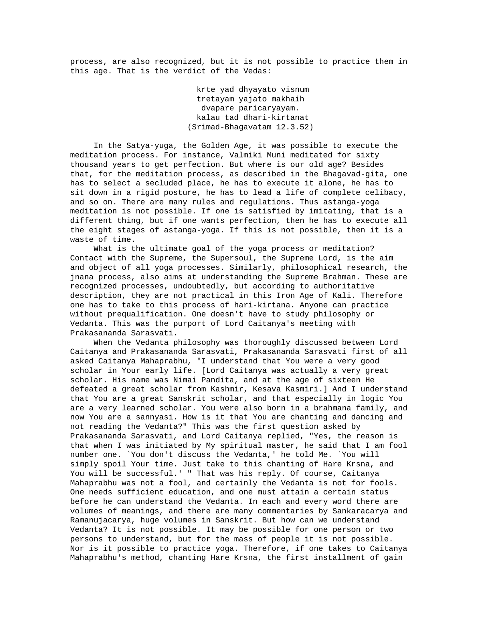process, are also recognized, but it is not possible to practice them in this age. That is the verdict of the Vedas:

> krte yad dhyayato visnum tretayam yajato makhaih dvapare paricaryayam. kalau tad dhari-kirtanat (Srimad-Bhagavatam 12.3.52)

 In the Satya-yuga, the Golden Age, it was possible to execute the meditation process. For instance, Valmiki Muni meditated for sixty thousand years to get perfection. But where is our old age? Besides that, for the meditation process, as described in the Bhagavad-gita, one has to select a secluded place, he has to execute it alone, he has to sit down in a rigid posture, he has to lead a life of complete celibacy, and so on. There are many rules and regulations. Thus astanga-yoga meditation is not possible. If one is satisfied by imitating, that is a different thing, but if one wants perfection, then he has to execute all the eight stages of astanga-yoga. If this is not possible, then it is a waste of time.

 What is the ultimate goal of the yoga process or meditation? Contact with the Supreme, the Supersoul, the Supreme Lord, is the aim and object of all yoga processes. Similarly, philosophical research, the jnana process, also aims at understanding the Supreme Brahman. These are recognized processes, undoubtedly, but according to authoritative description, they are not practical in this Iron Age of Kali. Therefore one has to take to this process of hari-kirtana. Anyone can practice without prequalification. One doesn't have to study philosophy or Vedanta. This was the purport of Lord Caitanya's meeting with Prakasananda Sarasvati.

 When the Vedanta philosophy was thoroughly discussed between Lord Caitanya and Prakasananda Sarasvati, Prakasananda Sarasvati first of all asked Caitanya Mahaprabhu, "I understand that You were a very good scholar in Your early life. [Lord Caitanya was actually a very great scholar. His name was Nimai Pandita, and at the age of sixteen He defeated a great scholar from Kashmir, Kesava Kasmiri.] And I understand that You are a great Sanskrit scholar, and that especially in logic You are a very learned scholar. You were also born in a brahmana family, and now You are a sannyasi. How is it that You are chanting and dancing and not reading the Vedanta?" This was the first question asked by Prakasananda Sarasvati, and Lord Caitanya replied, "Yes, the reason is that when I was initiated by My spiritual master, he said that I am fool number one. `You don't discuss the Vedanta,' he told Me. `You will simply spoil Your time. Just take to this chanting of Hare Krsna, and You will be successful.' " That was his reply. Of course, Caitanya Mahaprabhu was not a fool, and certainly the Vedanta is not for fools. One needs sufficient education, and one must attain a certain status before he can understand the Vedanta. In each and every word there are volumes of meanings, and there are many commentaries by Sankaracarya and Ramanujacarya, huge volumes in Sanskrit. But how can we understand Vedanta? It is not possible. It may be possible for one person or two persons to understand, but for the mass of people it is not possible. Nor is it possible to practice yoga. Therefore, if one takes to Caitanya Mahaprabhu's method, chanting Hare Krsna, the first installment of gain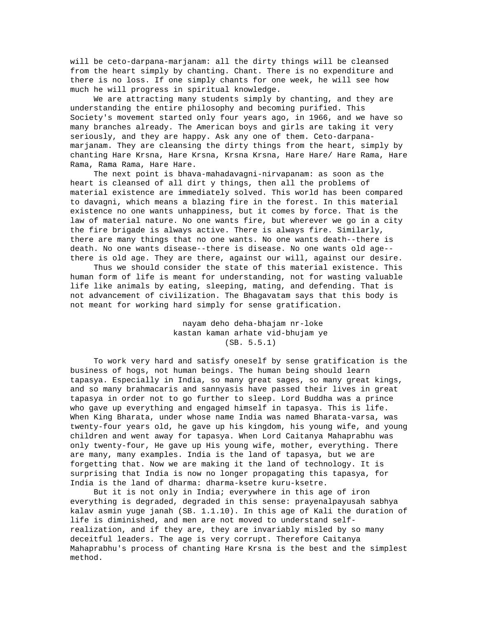will be ceto-darpana-marjanam: all the dirty things will be cleansed from the heart simply by chanting. Chant. There is no expenditure and there is no loss. If one simply chants for one week, he will see how much he will progress in spiritual knowledge.

 We are attracting many students simply by chanting, and they are understanding the entire philosophy and becoming purified. This Society's movement started only four years ago, in 1966, and we have so many branches already. The American boys and girls are taking it very seriously, and they are happy. Ask any one of them. Ceto-darpanamarjanam. They are cleansing the dirty things from the heart, simply by chanting Hare Krsna, Hare Krsna, Krsna Krsna, Hare Hare/ Hare Rama, Hare Rama, Rama Rama, Hare Hare.

 The next point is bhava-mahadavagni-nirvapanam: as soon as the heart is cleansed of all dirt y things, then all the problems of material existence are immediately solved. This world has been compared to davagni, which means a blazing fire in the forest. In this material existence no one wants unhappiness, but it comes by force. That is the law of material nature. No one wants fire, but wherever we go in a city the fire brigade is always active. There is always fire. Similarly, there are many things that no one wants. No one wants death--there is death. No one wants disease--there is disease. No one wants old age- there is old age. They are there, against our will, against our desire.

 Thus we should consider the state of this material existence. This human form of life is meant for understanding, not for wasting valuable life like animals by eating, sleeping, mating, and defending. That is not advancement of civilization. The Bhagavatam says that this body is not meant for working hard simply for sense gratification.

> nayam deho deha-bhajam nr-loke kastan kaman arhate vid-bhujam ye (SB. 5.5.1)

 To work very hard and satisfy oneself by sense gratification is the business of hogs, not human beings. The human being should learn tapasya. Especially in India, so many great sages, so many great kings, and so many brahmacaris and sannyasis have passed their lives in great tapasya in order not to go further to sleep. Lord Buddha was a prince who gave up everything and engaged himself in tapasya. This is life. When King Bharata, under whose name India was named Bharata-varsa, was twenty-four years old, he gave up his kingdom, his young wife, and young children and went away for tapasya. When Lord Caitanya Mahaprabhu was only twenty-four, He gave up His young wife, mother, everything. There are many, many examples. India is the land of tapasya, but we are forgetting that. Now we are making it the land of technology. It is surprising that India is now no longer propagating this tapasya, for India is the land of dharma: dharma-ksetre kuru-ksetre.

 But it is not only in India; everywhere in this age of iron everything is degraded, degraded in this sense: prayenalpayusah sabhya kalav asmin yuge janah (SB. 1.1.10). In this age of Kali the duration of life is diminished, and men are not moved to understand selfrealization, and if they are, they are invariably misled by so many deceitful leaders. The age is very corrupt. Therefore Caitanya Mahaprabhu's process of chanting Hare Krsna is the best and the simplest method.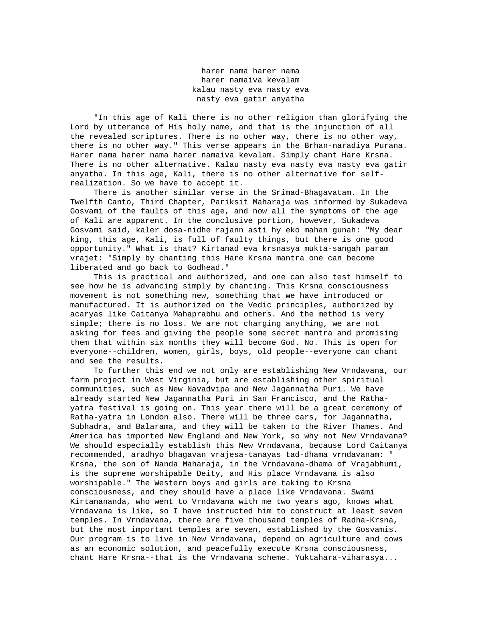harer nama harer nama harer namaiva kevalam kalau nasty eva nasty eva nasty eva gatir anyatha

 "In this age of Kali there is no other religion than glorifying the Lord by utterance of His holy name, and that is the injunction of all the revealed scriptures. There is no other way, there is no other way, there is no other way." This verse appears in the Brhan-naradiya Purana. Harer nama harer nama harer namaiva kevalam. Simply chant Hare Krsna. There is no other alternative. Kalau nasty eva nasty eva nasty eva gatir anyatha. In this age, Kali, there is no other alternative for selfrealization. So we have to accept it.

 There is another similar verse in the Srimad-Bhagavatam. In the Twelfth Canto, Third Chapter, Pariksit Maharaja was informed by Sukadeva Gosvami of the faults of this age, and now all the symptoms of the age of Kali are apparent. In the conclusive portion, however, Sukadeva Gosvami said, kaler dosa-nidhe rajann asti hy eko mahan gunah: "My dear king, this age, Kali, is full of faulty things, but there is one good opportunity." What is that? Kirtanad eva krsnasya mukta-sangah param vrajet: "Simply by chanting this Hare Krsna mantra one can become liberated and go back to Godhead."

 This is practical and authorized, and one can also test himself to see how he is advancing simply by chanting. This Krsna consciousness movement is not something new, something that we have introduced or manufactured. It is authorized on the Vedic principles, authorized by acaryas like Caitanya Mahaprabhu and others. And the method is very simple; there is no loss. We are not charging anything, we are not asking for fees and giving the people some secret mantra and promising them that within six months they will become God. No. This is open for everyone--children, women, girls, boys, old people--everyone can chant and see the results.

 To further this end we not only are establishing New Vrndavana, our farm project in West Virginia, but are establishing other spiritual communities, such as New Navadvipa and New Jagannatha Puri. We have already started New Jagannatha Puri in San Francisco, and the Rathayatra festival is going on. This year there will be a great ceremony of Ratha-yatra in London also. There will be three cars, for Jagannatha, Subhadra, and Balarama, and they will be taken to the River Thames. And America has imported New England and New York, so why not New Vrndavana? We should especially establish this New Vrndavana, because Lord Caitanya recommended, aradhyo bhagavan vrajesa-tanayas tad-dhama vrndavanam: " Krsna, the son of Nanda Maharaja, in the Vrndavana-dhama of Vrajabhumi, is the supreme worshipable Deity, and His place Vrndavana is also worshipable." The Western boys and girls are taking to Krsna consciousness, and they should have a place like Vrndavana. Swami Kirtanananda, who went to Vrndavana with me two years ago, knows what Vrndavana is like, so I have instructed him to construct at least seven temples. In Vrndavana, there are five thousand temples of Radha-Krsna, but the most important temples are seven, established by the Gosvamis. Our program is to live in New Vrndavana, depend on agriculture and cows as an economic solution, and peacefully execute Krsna consciousness, chant Hare Krsna--that is the Vrndavana scheme. Yuktahara-viharasya...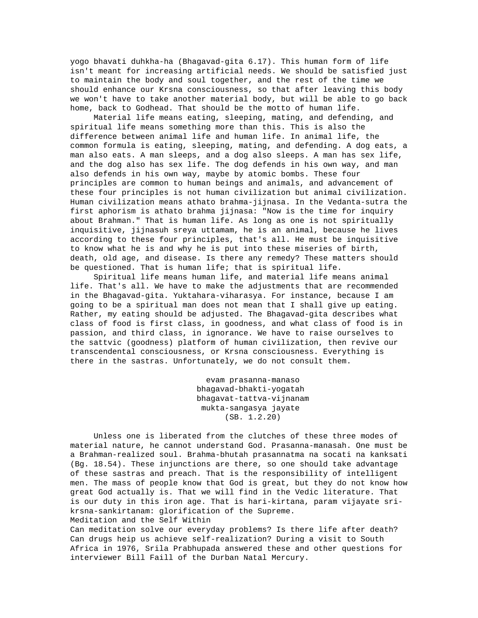yogo bhavati duhkha-ha (Bhagavad-gita 6.17). This human form of life isn't meant for increasing artificial needs. We should be satisfied just to maintain the body and soul together, and the rest of the time we should enhance our Krsna consciousness, so that after leaving this body we won't have to take another material body, but will be able to go back home, back to Godhead. That should be the motto of human life.

 Material life means eating, sleeping, mating, and defending, and spiritual life means something more than this. This is also the difference between animal life and human life. In animal life, the common formula is eating, sleeping, mating, and defending. A dog eats, a man also eats. A man sleeps, and a dog also sleeps. A man has sex life, and the dog also has sex life. The dog defends in his own way, and man also defends in his own way, maybe by atomic bombs. These four principles are common to human beings and animals, and advancement of these four principles is not human civilization but animal civilization. Human civilization means athato brahma-jijnasa. In the Vedanta-sutra the first aphorism is athato brahma jijnasa: "Now is the time for inquiry about Brahman." That is human life. As long as one is not spiritually inquisitive, jijnasuh sreya uttamam, he is an animal, because he lives according to these four principles, that's all. He must be inquisitive to know what he is and why he is put into these miseries of birth, death, old age, and disease. Is there any remedy? These matters should be questioned. That is human life; that is spiritual life.

 Spiritual life means human life, and material life means animal life. That's all. We have to make the adjustments that are recommended in the Bhagavad-gita. Yuktahara-viharasya. For instance, because I am going to be a spiritual man does not mean that I shall give up eating. Rather, my eating should be adjusted. The Bhagavad-gita describes what class of food is first class, in goodness, and what class of food is in passion, and third class, in ignorance. We have to raise ourselves to the sattvic (goodness) platform of human civilization, then revive our transcendental consciousness, or Krsna consciousness. Everything is there in the sastras. Unfortunately, we do not consult them.

> evam prasanna-manaso bhagavad-bhakti-yogatah bhagavat-tattva-vijnanam mukta-sangasya jayate (SB. 1.2.20)

 Unless one is liberated from the clutches of these three modes of material nature, he cannot understand God. Prasanna-manasah. One must be a Brahman-realized soul. Brahma-bhutah prasannatma na socati na kanksati (Bg. 18.54). These injunctions are there, so one should take advantage of these sastras and preach. That is the responsibility of intelligent men. The mass of people know that God is great, but they do not know how great God actually is. That we will find in the Vedic literature. That is our duty in this iron age. That is hari-kirtana, param vijayate srikrsna-sankirtanam: glorification of the Supreme.

Meditation and the Self Within

Can meditation solve our everyday problems? Is there life after death? Can drugs heip us achieve self-realization? During a visit to South Africa in 1976, Srila Prabhupada answered these and other questions for interviewer Bill Faill of the Durban Natal Mercury.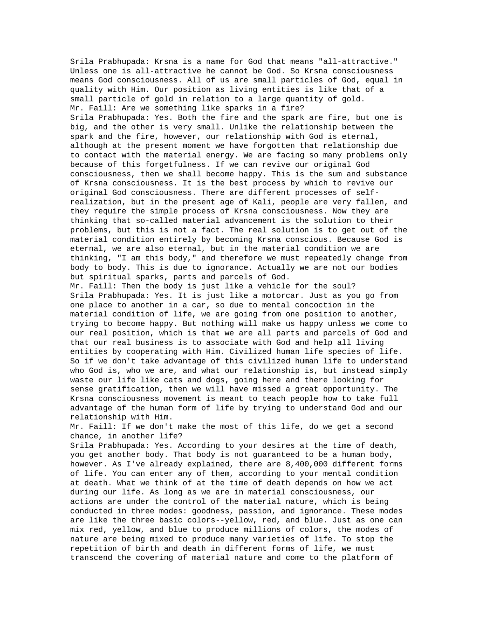Srila Prabhupada: Krsna is a name for God that means "all-attractive." Unless one is all-attractive he cannot be God. So Krsna consciousness means God consciousness. All of us are small particles of God, equal in quality with Him. Our position as living entities is like that of a small particle of gold in relation to a large quantity of gold. Mr. Faill: Are we something like sparks in a fire? Srila Prabhupada: Yes. Both the fire and the spark are fire, but one is big, and the other is very small. Unlike the relationship between the spark and the fire, however, our relationship with God is eternal, although at the present moment we have forgotten that relationship due to contact with the material energy. We are facing so many problems only because of this forgetfulness. If we can revive our original God consciousness, then we shall become happy. This is the sum and substance of Krsna consciousness. It is the best process by which to revive our original God consciousness. There are different processes of selfrealization, but in the present age of Kali, people are very fallen, and they require the simple process of Krsna consciousness. Now they are thinking that so-called material advancement is the solution to their problems, but this is not a fact. The real solution is to get out of the material condition entirely by becoming Krsna conscious. Because God is eternal, we are also eternal, but in the material condition we are thinking, "I am this body," and therefore we must repeatedly change from body to body. This is due to ignorance. Actually we are not our bodies but spiritual sparks, parts and parcels of God. Mr. Faill: Then the body is just like a vehicle for the soul? Srila Prabhupada: Yes. It is just like a motorcar. Just as you go from one place to another in a car, so due to mental concoction in the material condition of life, we are going from one position to another, trying to become happy. But nothing will make us happy unless we come to our real position, which is that we are all parts and parcels of God and that our real business is to associate with God and help all living entities by cooperating with Him. Civilized human life species of life. So if we don't take advantage of this civilized human life to understand who God is, who we are, and what our relationship is, but instead simply waste our life like cats and dogs, going here and there looking for sense gratification, then we will have missed a great opportunity. The Krsna consciousness movement is meant to teach people how to take full advantage of the human form of life by trying to understand God and our relationship with Him.

Mr. Faill: If we don't make the most of this life, do we get a second chance, in another life?

Srila Prabhupada: Yes. According to your desires at the time of death, you get another body. That body is not guaranteed to be a human body, however. As I've already explained, there are 8,400,000 different forms of life. You can enter any of them, according to your mental condition at death. What we think of at the time of death depends on how we act during our life. As long as we are in material consciousness, our actions are under the control of the material nature, which is being conducted in three modes: goodness, passion, and ignorance. These modes are like the three basic colors--yellow, red, and blue. Just as one can mix red, yellow, and blue to produce millions of colors, the modes of nature are being mixed to produce many varieties of life. To stop the repetition of birth and death in different forms of life, we must transcend the covering of material nature and come to the platform of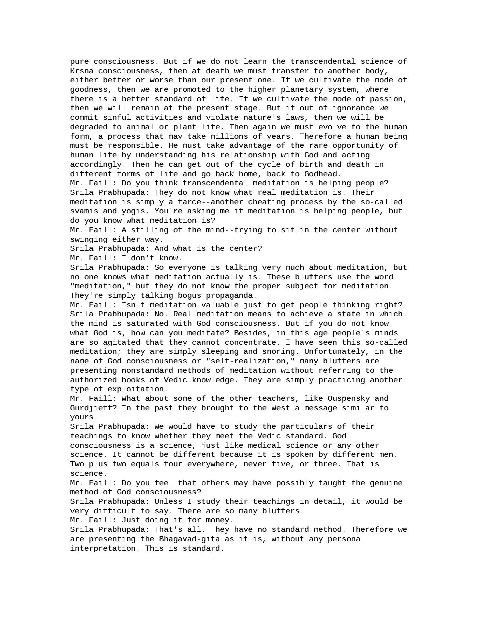pure consciousness. But if we do not learn the transcendental science of Krsna consciousness, then at death we must transfer to another body, either better or worse than our present one. If we cultivate the mode of goodness, then we are promoted to the higher planetary system, where there is a better standard of life. If we cultivate the mode of passion, then we will remain at the present stage. But if out of ignorance we commit sinful activities and violate nature's laws, then we will be degraded to animal or plant life. Then again we must evolve to the human form, a process that may take millions of years. Therefore a human being must be responsible. He must take advantage of the rare opportunity of human life by understanding his relationship with God and acting accordingly. Then he can get out of the cycle of birth and death in different forms of life and go back home, back to Godhead. Mr. Faill: Do you think transcendental meditation is helping people? Srila Prabhupada: They do not know what real meditation is. Their meditation is simply a farce--another cheating process by the so-called svamis and yogis. You're asking me if meditation is helping people, but do you know what meditation is?

Mr. Faill: A stilling of the mind--trying to sit in the center without swinging either way.

Srila Prabhupada: And what is the center?

Mr. Faill: I don't know.

Srila Prabhupada: So everyone is talking very much about meditation, but no one knows what meditation actually is. These bluffers use the word "meditation," but they do not know the proper subject for meditation. They're simply talking bogus propaganda.

Mr. Faill: Isn't meditation valuable just to get people thinking right? Srila Prabhupada: No. Real meditation means to achieve a state in which the mind is saturated with God consciousness. But if you do not know what God is, how can you meditate? Besides, in this age people's minds are so agitated that they cannot concentrate. I have seen this so-called meditation; they are simply sleeping and snoring. Unfortunately, in the name of God consciousness or "self-realization," many bluffers are presenting nonstandard methods of meditation without referring to the authorized books of Vedic knowledge. They are simply practicing another type of exploitation.

Mr. Faill: What about some of the other teachers, like Ouspensky and Gurdjieff? In the past they brought to the West a message similar to yours.

Srila Prabhupada: We would have to study the particulars of their teachings to know whether they meet the Vedic standard. God consciousness is a science, just like medical science or any other science. It cannot be different because it is spoken by different men. Two plus two equals four everywhere, never five, or three. That is science.

Mr. Faill: Do you feel that others may have possibly taught the genuine method of God consciousness?

Srila Prabhupada: Unless I study their teachings in detail, it would be very difficult to say. There are so many bluffers.

Mr. Faill: Just doing it for money.

Srila Prabhupada: That's all. They have no standard method. Therefore we are presenting the Bhagavad-gita as it is, without any personal interpretation. This is standard.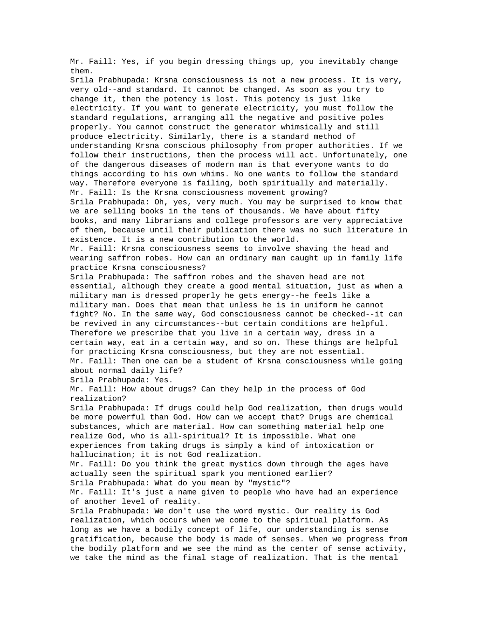Mr. Faill: Yes, if you begin dressing things up, you inevitably change them. Srila Prabhupada: Krsna consciousness is not a new process. It is very, very old--and standard. It cannot be changed. As soon as you try to change it, then the potency is lost. This potency is just like electricity. If you want to generate electricity, you must follow the standard regulations, arranging all the negative and positive poles properly. You cannot construct the generator whimsically and still produce electricity. Similarly, there is a standard method of understanding Krsna conscious philosophy from proper authorities. If we follow their instructions, then the process will act. Unfortunately, one of the dangerous diseases of modern man is that everyone wants to do things according to his own whims. No one wants to follow the standard way. Therefore everyone is failing, both spiritually and materially. Mr. Faill: Is the Krsna consciousness movement growing? Srila Prabhupada: Oh, yes, very much. You may be surprised to know that we are selling books in the tens of thousands. We have about fifty books, and many librarians and college professors are very appreciative of them, because until their publication there was no such literature in existence. It is a new contribution to the world. Mr. Faill: Krsna consciousness seems to involve shaving the head and wearing saffron robes. How can an ordinary man caught up in family life practice Krsna consciousness? Srila Prabhupada: The saffron robes and the shaven head are not essential, although they create a good mental situation, just as when a military man is dressed properly he gets energy--he feels like a military man. Does that mean that unless he is in uniform he cannot fight? No. In the same way, God consciousness cannot be checked--it can be revived in any circumstances--but certain conditions are helpful. Therefore we prescribe that you live in a certain way, dress in a certain way, eat in a certain way, and so on. These things are helpful for practicing Krsna consciousness, but they are not essential. Mr. Faill: Then one can be a student of Krsna consciousness while going about normal daily life? Srila Prabhupada: Yes. Mr. Faill: How about drugs? Can they help in the process of God realization? Srila Prabhupada: If drugs could help God realization, then drugs would be more powerful than God. How can we accept that? Drugs are chemical substances, which are material. How can something material help one realize God, who is all-spiritual? It is impossible. What one experiences from taking drugs is simply a kind of intoxication or hallucination; it is not God realization. Mr. Faill: Do you think the great mystics down through the ages have actually seen the spiritual spark you mentioned earlier? Srila Prabhupada: What do you mean by "mystic"? Mr. Faill: It's just a name given to people who have had an experience of another level of reality. Srila Prabhupada: We don't use the word mystic. Our reality is God realization, which occurs when we come to the spiritual platform. As long as we have a bodily concept of life, our understanding is sense gratification, because the body is made of senses. When we progress from the bodily platform and we see the mind as the center of sense activity, we take the mind as the final stage of realization. That is the mental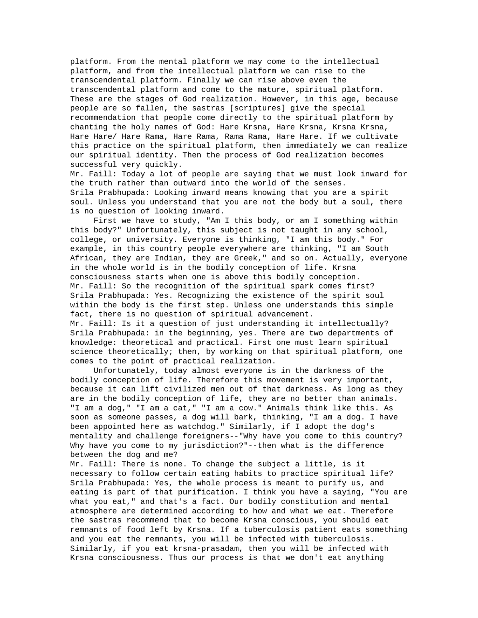platform. From the mental platform we may come to the intellectual platform, and from the intellectual platform we can rise to the transcendental platform. Finally we can rise above even the transcendental platform and come to the mature, spiritual platform. These are the stages of God realization. However, in this age, because people are so fallen, the sastras [scriptures] give the special recommendation that people come directly to the spiritual platform by chanting the holy names of God: Hare Krsna, Hare Krsna, Krsna Krsna, Hare Hare/ Hare Rama, Hare Rama, Rama Rama, Hare Hare. If we cultivate this practice on the spiritual platform, then immediately we can realize our spiritual identity. Then the process of God realization becomes successful very quickly.

Mr. Faill: Today a lot of people are saying that we must look inward for the truth rather than outward into the world of the senses. Srila Prabhupada: Looking inward means knowing that you are a spirit soul. Unless you understand that you are not the body but a soul, there is no question of looking inward.

 First we have to study, "Am I this body, or am I something within this body?" Unfortunately, this subject is not taught in any school, college, or university. Everyone is thinking, "I am this body." For example, in this country people everywhere are thinking, "I am South African, they are Indian, they are Greek," and so on. Actually, everyone in the whole world is in the bodily conception of life. Krsna consciousness starts when one is above this bodily conception. Mr. Faill: So the recognition of the spiritual spark comes first? Srila Prabhupada: Yes. Recognizing the existence of the spirit soul within the body is the first step. Unless one understands this simple fact, there is no question of spiritual advancement. Mr. Faill: Is it a question of just understanding it intellectually? Srila Prabhupada: in the beginning, yes. There are two departments of knowledge: theoretical and practical. First one must learn spiritual science theoretically; then, by working on that spiritual platform, one

comes to the point of practical realization. Unfortunately, today almost everyone is in the darkness of the bodily conception of life. Therefore this movement is very important, because it can lift civilized men out of that darkness. As long as they are in the bodily conception of life, they are no better than animals. "I am a dog," "I am a cat," "I am a cow." Animals think like this. As soon as someone passes, a dog will bark, thinking, "I am a dog. I have been appointed here as watchdog." Similarly, if I adopt the dog's mentality and challenge foreigners--"Why have you come to this country? Why have you come to my jurisdiction?"--then what is the difference between the dog and me?

Mr. Faill: There is none. To change the subject a little, is it necessary to follow certain eating habits to practice spiritual life? Srila Prabhupada: Yes, the whole process is meant to purify us, and eating is part of that purification. I think you have a saying, "You are what you eat," and that's a fact. Our bodily constitution and mental atmosphere are determined according to how and what we eat. Therefore the sastras recommend that to become Krsna conscious, you should eat remnants of food left by Krsna. If a tuberculosis patient eats something and you eat the remnants, you will be infected with tuberculosis. Similarly, if you eat krsna-prasadam, then you will be infected with Krsna consciousness. Thus our process is that we don't eat anything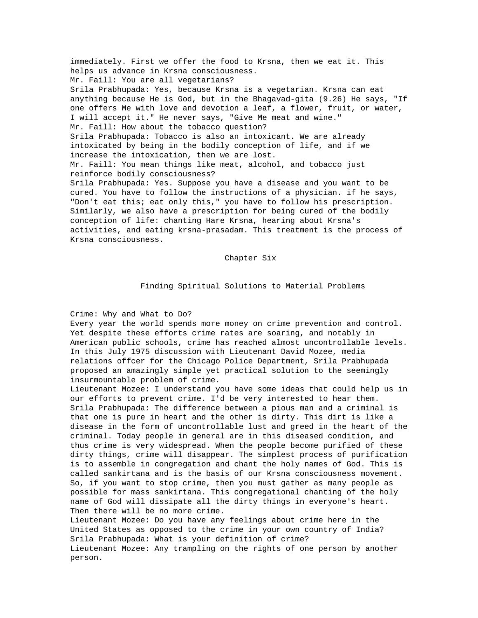immediately. First we offer the food to Krsna, then we eat it. This helps us advance in Krsna consciousness. Mr. Faill: You are all vegetarians? Srila Prabhupada: Yes, because Krsna is a vegetarian. Krsna can eat anything because He is God, but in the Bhagavad-gita (9.26) He says, "If one offers Me with love and devotion a leaf, a flower, fruit, or water, I will accept it." He never says, "Give Me meat and wine." Mr. Faill: How about the tobacco question? Srila Prabhupada: Tobacco is also an intoxicant. We are already intoxicated by being in the bodily conception of life, and if we increase the intoxication, then we are lost. Mr. Faill: You mean things like meat, alcohol, and tobacco just reinforce bodily consciousness? Srila Prabhupada: Yes. Suppose you have a disease and you want to be cured. You have to follow the instructions of a physician. if he says, "Don't eat this; eat only this," you have to follow his prescription. Similarly, we also have a prescription for being cured of the bodily conception of life: chanting Hare Krsna, hearing about Krsna's activities, and eating krsna-prasadam. This treatment is the process of Krsna consciousness.

Chapter Six

Finding Spiritual Solutions to Material Problems

Crime: Why and What to Do?

Every year the world spends more money on crime prevention and control. Yet despite these efforts crime rates are soaring, and notably in American public schools, crime has reached almost uncontrollable levels. In this July 1975 discussion with Lieutenant David Mozee, media relations offcer for the Chicago Police Department, Srila Prabhupada proposed an amazingly simple yet practical solution to the seemingly insurmountable problem of crime.

Lieutenant Mozee: I understand you have some ideas that could help us in our efforts to prevent crime. I'd be very interested to hear them. Srila Prabhupada: The difference between a pious man and a criminal is that one is pure in heart and the other is dirty. This dirt is like a disease in the form of uncontrollable lust and greed in the heart of the criminal. Today people in general are in this diseased condition, and thus crime is very widespread. When the people become purified of these dirty things, crime will disappear. The simplest process of purification is to assemble in congregation and chant the holy names of God. This is called sankirtana and is the basis of our Krsna consciousness movement. So, if you want to stop crime, then you must gather as many people as possible for mass sankirtana. This congregational chanting of the holy name of God will dissipate all the dirty things in everyone's heart. Then there will be no more crime. Lieutenant Mozee: Do you have any feelings about crime here in the United States as opposed to the crime in your own country of India? Srila Prabhupada: What is your definition of crime?

Lieutenant Mozee: Any trampling on the rights of one person by another person.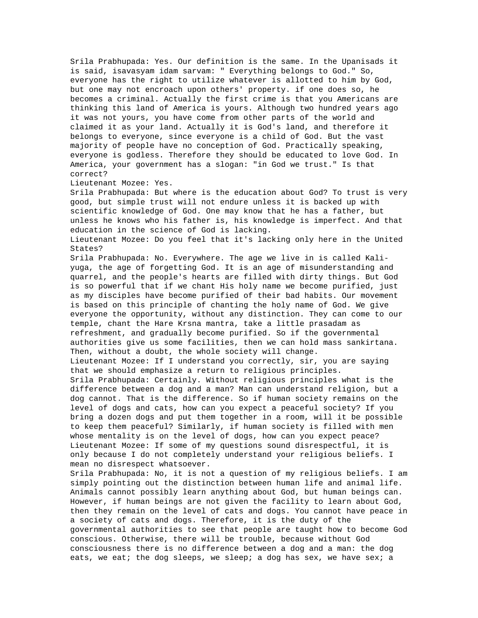Srila Prabhupada: Yes. Our definition is the same. In the Upanisads it is said, isavasyam idam sarvam: " Everything belongs to God." So, everyone has the right to utilize whatever is allotted to him by God, but one may not encroach upon others' property. if one does so, he becomes a criminal. Actually the first crime is that you Americans are thinking this land of America is yours. Although two hundred years ago it was not yours, you have come from other parts of the world and claimed it as your land. Actually it is God's land, and therefore it belongs to everyone, since everyone is a child of God. But the vast majority of people have no conception of God. Practically speaking, everyone is godless. Therefore they should be educated to love God. In America, your government has a slogan: "in God we trust." Is that correct? Lieutenant Mozee: Yes. Srila Prabhupada: But where is the education about God? To trust is very good, but simple trust will not endure unless it is backed up with scientific knowledge of God. One may know that he has a father, but unless he knows who his father is, his knowledge is imperfect. And that education in the science of God is lacking. Lieutenant Mozee: Do you feel that it's lacking only here in the United States? Srila Prabhupada: No. Everywhere. The age we live in is called Kaliyuga, the age of forgetting God. It is an age of misunderstanding and quarrel, and the people's hearts are filled with dirty things. But God is so powerful that if we chant His holy name we become purified, just as my disciples have become purified of their bad habits. Our movement is based on this principle of chanting the holy name of God. We give everyone the opportunity, without any distinction. They can come to our temple, chant the Hare Krsna mantra, take a little prasadam as refreshment, and gradually become purified. So if the governmental authorities give us some facilities, then we can hold mass sankirtana. Then, without a doubt, the whole society will change. Lieutenant Mozee: If I understand you correctly, sir, you are saying that we should emphasize a return to religious principles. Srila Prabhupada: Certainly. Without religious principles what is the difference between a dog and a man? Man can understand religion, but a dog cannot. That is the difference. So if human society remains on the level of dogs and cats, how can you expect a peaceful society? If you bring a dozen dogs and put them together in a room, will it be possible to keep them peaceful? Similarly, if human society is filled with men whose mentality is on the level of dogs, how can you expect peace? Lieutenant Mozee: If some of my questions sound disrespectful, it is only because I do not completely understand your religious beliefs. I mean no disrespect whatsoever. Srila Prabhupada: No, it is not a question of my religious beliefs. I am simply pointing out the distinction between human life and animal life. Animals cannot possibly learn anything about God, but human beings can. However, if human beings are not given the facility to learn about God, then they remain on the level of cats and dogs. You cannot have peace in a society of cats and dogs. Therefore, it is the duty of the governmental authorities to see that people are taught how to become God

conscious. Otherwise, there will be trouble, because without God consciousness there is no difference between a dog and a man: the dog eats, we eat; the dog sleeps, we sleep; a dog has sex, we have sex; a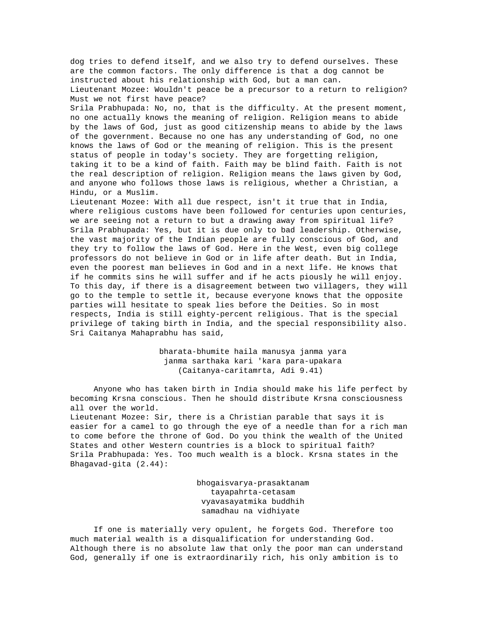dog tries to defend itself, and we also try to defend ourselves. These are the common factors. The only difference is that a dog cannot be instructed about his relationship with God, but a man can. Lieutenant Mozee: Wouldn't peace be a precursor to a return to religion? Must we not first have peace? Srila Prabhupada: No, no, that is the difficulty. At the present moment, no one actually knows the meaning of religion. Religion means to abide by the laws of God, just as good citizenship means to abide by the laws of the government. Because no one has any understanding of God, no one knows the laws of God or the meaning of religion. This is the present status of people in today's society. They are forgetting religion, taking it to be a kind of faith. Faith may be blind faith. Faith is not the real description of religion. Religion means the laws given by God, and anyone who follows those laws is religious, whether a Christian, a Hindu, or a Muslim. Lieutenant Mozee: With all due respect, isn't it true that in India, where religious customs have been followed for centuries upon centuries, we are seeing not a return to but a drawing away from spiritual life? Srila Prabhupada: Yes, but it is due only to bad leadership. Otherwise, the vast majority of the Indian people are fully conscious of God, and they try to follow the laws of God. Here in the West, even big college professors do not believe in God or in life after death. But in India, even the poorest man believes in God and in a next life. He knows that if he commits sins he will suffer and if he acts piously he will enjoy. To this day, if there is a disagreement between two villagers, they will go to the temple to settle it, because everyone knows that the opposite parties will hesitate to speak lies before the Deities. So in most respects, India is still eighty-percent religious. That is the special privilege of taking birth in India, and the special responsibility also. Sri Caitanya Mahaprabhu has said,

> bharata-bhumite haila manusya janma yara janma sarthaka kari 'kara para-upakara (Caitanya-caritamrta, Adi 9.41)

 Anyone who has taken birth in India should make his life perfect by becoming Krsna conscious. Then he should distribute Krsna consciousness all over the world.

Lieutenant Mozee: Sir, there is a Christian parable that says it is easier for a camel to go through the eye of a needle than for a rich man to come before the throne of God. Do you think the wealth of the United States and other Western countries is a block to spiritual faith? Srila Prabhupada: Yes. Too much wealth is a block. Krsna states in the Bhagavad-gita (2.44):

> bhogaisvarya-prasaktanam tayapahrta-cetasam vyavasayatmika buddhih samadhau na vidhiyate

 If one is materially very opulent, he forgets God. Therefore too much material wealth is a disqualification for understanding God. Although there is no absolute law that only the poor man can understand God, generally if one is extraordinarily rich, his only ambition is to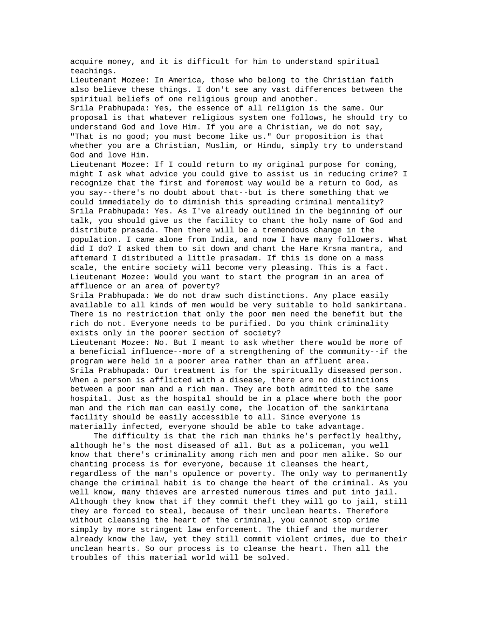acquire money, and it is difficult for him to understand spiritual teachings. Lieutenant Mozee: In America, those who belong to the Christian faith also believe these things. I don't see any vast differences between the spiritual beliefs of one religious group and another. Srila Prabhupada: Yes, the essence of all religion is the same. Our proposal is that whatever religious system one follows, he should try to understand God and love Him. If you are a Christian, we do not say, "That is no good; you must become like us." Our proposition is that whether you are a Christian, Muslim, or Hindu, simply try to understand God and love Him. Lieutenant Mozee: If I could return to my original purpose for coming, might I ask what advice you could give to assist us in reducing crime? I recognize that the first and foremost way would be a return to God, as you say--there's no doubt about that--but is there something that we could immediately do to diminish this spreading criminal mentality? Srila Prabhupada: Yes. As I've already outlined in the beginning of our talk, you should give us the facility to chant the holy name of God and distribute prasada. Then there will be a tremendous change in the population. I came alone from India, and now I have many followers. What did I do? I asked them to sit down and chant the Hare Krsna mantra, and aftemard I distributed a little prasadam. If this is done on a mass scale, the entire society will become very pleasing. This is a fact. Lieutenant Mozee: Would you want to start the program in an area of affluence or an area of poverty? Srila Prabhupada: We do not draw such distinctions. Any place easily available to all kinds of men would be very suitable to hold sankirtana. There is no restriction that only the poor men need the benefit but the rich do not. Everyone needs to be purified. Do you think criminality exists only in the poorer section of society? Lieutenant Mozee: No. But I meant to ask whether there would be more of a beneficial influence--more of a strengthening of the community--if the program were held in a poorer area rather than an affluent area. Srila Prabhupada: Our treatment is for the spiritually diseased person. When a person is afflicted with a disease, there are no distinctions between a poor man and a rich man. They are both admitted to the same hospital. Just as the hospital should be in a place where both the poor man and the rich man can easily come, the location of the sankirtana facility should be easily accessible to all. Since everyone is materially infected, everyone should be able to take advantage. The difficulty is that the rich man thinks he's perfectly healthy, although he's the most diseased of all. But as a policeman, you well know that there's criminality among rich men and poor men alike. So our chanting process is for everyone, because it cleanses the heart, regardless of the man's opulence or poverty. The only way to permanently change the criminal habit is to change the heart of the criminal. As you well know, many thieves are arrested numerous times and put into jail.

Although they know that if they commit theft they will go to jail, still they are forced to steal, because of their unclean hearts. Therefore without cleansing the heart of the criminal, you cannot stop crime simply by more stringent law enforcement. The thief and the murderer already know the law, yet they still commit violent crimes, due to their unclean hearts. So our process is to cleanse the heart. Then all the troubles of this material world will be solved.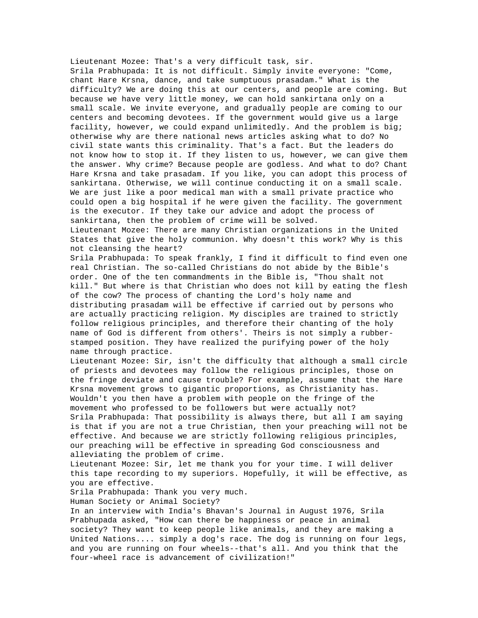Lieutenant Mozee: That's a very difficult task, sir. Srila Prabhupada: It is not difficult. Simply invite everyone: "Come, chant Hare Krsna, dance, and take sumptuous prasadam." What is the difficulty? We are doing this at our centers, and people are coming. But because we have very little money, we can hold sankirtana only on a small scale. We invite everyone, and gradually people are coming to our centers and becoming devotees. If the government would give us a large facility, however, we could expand unlimitedly. And the problem is big; otherwise why are there national news articles asking what to do? No civil state wants this criminality. That's a fact. But the leaders do not know how to stop it. If they listen to us, however, we can give them the answer. Why crime? Because people are godless. And what to do? Chant Hare Krsna and take prasadam. If you like, you can adopt this process of sankirtana. Otherwise, we will continue conducting it on a small scale. We are just like a poor medical man with a small private practice who could open a big hospital if he were given the facility. The government is the executor. If they take our advice and adopt the process of sankirtana, then the problem of crime will be solved.

Lieutenant Mozee: There are many Christian organizations in the United States that give the holy communion. Why doesn't this work? Why is this not cleansing the heart?

Srila Prabhupada: To speak frankly, I find it difficult to find even one real Christian. The so-called Christians do not abide by the Bible's order. One of the ten commandments in the Bible is, "Thou shalt not kill." But where is that Christian who does not kill by eating the flesh of the cow? The process of chanting the Lord's holy name and distributing prasadam will be effective if carried out by persons who are actually practicing religion. My disciples are trained to strictly follow religious principles, and therefore their chanting of the holy name of God is different from others'. Theirs is not simply a rubberstamped position. They have realized the purifying power of the holy name through practice.

Lieutenant Mozee: Sir, isn't the difficulty that although a small circle of priests and devotees may follow the religious principles, those on the fringe deviate and cause trouble? For example, assume that the Hare Krsna movement grows to gigantic proportions, as Christianity has. Wouldn't you then have a problem with people on the fringe of the movement who professed to be followers but were actually not? Srila Prabhupada: That possibility is always there, but all I am saying is that if you are not a true Christian, then your preaching will not be effective. And because we are strictly following religious principles, our preaching will be effective in spreading God consciousness and alleviating the problem of crime.

Lieutenant Mozee: Sir, let me thank you for your time. I will deliver this tape recording to my superiors. Hopefully, it will be effective, as you are effective.

Srila Prabhupada: Thank you very much.

Human Society or Animal Society?

In an interview with India's Bhavan's Journal in August 1976, Srila Prabhupada asked, "How can there be happiness or peace in animal society? They want to keep people like animals, and they are making a United Nations.... simply a dog's race. The dog is running on four legs, and you are running on four wheels--that's all. And you think that the four-wheel race is advancement of civilization!"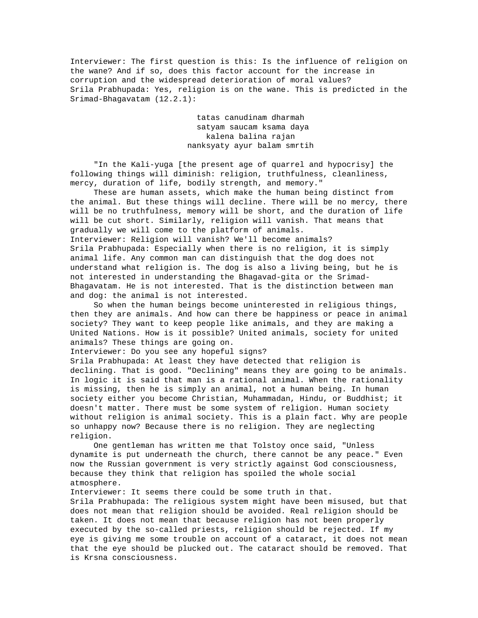Interviewer: The first question is this: Is the influence of religion on the wane? And if so, does this factor account for the increase in corruption and the widespread deterioration of moral values? Srila Prabhupada: Yes, religion is on the wane. This is predicted in the Srimad-Bhagavatam (12.2.1):

> tatas canudinam dharmah satyam saucam ksama daya kalena balina rajan nanksyaty ayur balam smrtih

 "In the Kali-yuga [the present age of quarrel and hypocrisy] the following things will diminish: religion, truthfulness, cleanliness, mercy, duration of life, bodily strength, and memory."

 These are human assets, which make the human being distinct from the animal. But these things will decline. There will be no mercy, there will be no truthfulness, memory will be short, and the duration of life will be cut short. Similarly, religion will vanish. That means that gradually we will come to the platform of animals. Interviewer: Religion will vanish? We'll become animals? Srila Prabhupada: Especially when there is no religion, it is simply animal life. Any common man can distinguish that the dog does not understand what religion is. The dog is also a living being, but he is not interested in understanding the Bhagavad-gita or the Srimad-Bhagavatam. He is not interested. That is the distinction between man and dog: the animal is not interested.

 So when the human beings become uninterested in religious things, then they are animals. And how can there be happiness or peace in animal society? They want to keep people like animals, and they are making a United Nations. How is it possible? United animals, society for united animals? These things are going on.

Interviewer: Do you see any hopeful signs?

Srila Prabhupada: At least they have detected that religion is declining. That is good. "Declining" means they are going to be animals. In logic it is said that man is a rational animal. When the rationality is missing, then he is simply an animal, not a human being. In human society either you become Christian, Muhammadan, Hindu, or Buddhist; it doesn't matter. There must be some system of religion. Human society without religion is animal society. This is a plain fact. Why are people so unhappy now? Because there is no religion. They are neglecting religion.

 One gentleman has written me that Tolstoy once said, "Unless dynamite is put underneath the church, there cannot be any peace." Even now the Russian government is very strictly against God consciousness, because they think that religion has spoiled the whole social atmosphere.

Interviewer: It seems there could be some truth in that.

Srila Prabhupada: The religious system might have been misused, but that does not mean that religion should be avoided. Real religion should be taken. It does not mean that because religion has not been properly executed by the so-called priests, religion should be rejected. If my eye is giving me some trouble on account of a cataract, it does not mean that the eye should be plucked out. The cataract should be removed. That is Krsna consciousness.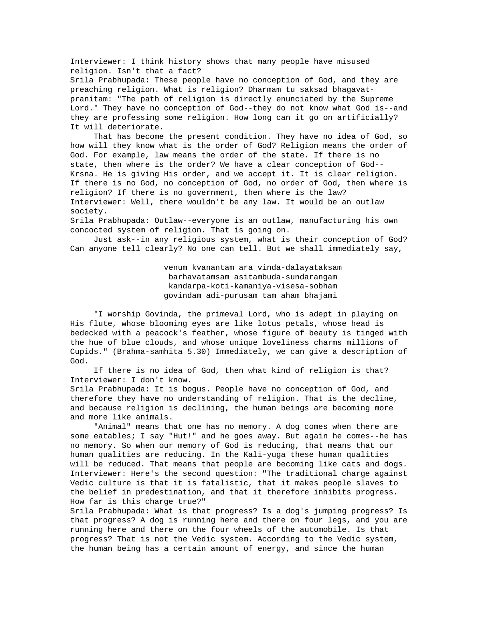Interviewer: I think history shows that many people have misused religion. Isn't that a fact? Srila Prabhupada: These people have no conception of God, and they are preaching religion. What is religion? Dharmam tu saksad bhagavatpranitam: "The path of religion is directly enunciated by the Supreme Lord." They have no conception of God--they do not know what God is--and they are professing some religion. How long can it go on artificially? It will deteriorate.

 That has become the present condition. They have no idea of God, so how will they know what is the order of God? Religion means the order of God. For example, law means the order of the state. If there is no state, then where is the order? We have a clear conception of God-- Krsna. He is giving His order, and we accept it. It is clear religion. If there is no God, no conception of God, no order of God, then where is religion? If there is no government, then where is the law? Interviewer: Well, there wouldn't be any law. It would be an outlaw society.

Srila Prabhupada: Outlaw--everyone is an outlaw, manufacturing his own concocted system of religion. That is going on.

 Just ask--in any religious system, what is their conception of God? Can anyone tell clearly? No one can tell. But we shall immediately say,

> venum kvanantam ara vinda-dalayataksam barhavatamsam asitambuda-sundarangam kandarpa-koti-kamaniya-visesa-sobham govindam adi-purusam tam aham bhajami

 "I worship Govinda, the primeval Lord, who is adept in playing on His flute, whose blooming eyes are like lotus petals, whose head is bedecked with a peacock's feather, whose figure of beauty is tinged with the hue of blue clouds, and whose unique loveliness charms millions of Cupids." (Brahma-samhita 5.30) Immediately, we can give a description of God.

 If there is no idea of God, then what kind of religion is that? Interviewer: I don't know.

Srila Prabhupada: It is bogus. People have no conception of God, and therefore they have no understanding of religion. That is the decline, and because religion is declining, the human beings are becoming more and more like animals.

 "Animal" means that one has no memory. A dog comes when there are some eatables; I say "Hut!" and he goes away. But again he comes--he has no memory. So when our memory of God is reducing, that means that our human qualities are reducing. In the Kali-yuga these human qualities will be reduced. That means that people are becoming like cats and dogs. Interviewer: Here's the second question: "The traditional charge against Vedic culture is that it is fatalistic, that it makes people slaves to the belief in predestination, and that it therefore inhibits progress. How far is this charge true?"

Srila Prabhupada: What is that progress? Is a dog's jumping progress? Is that progress? A dog is running here and there on four legs, and you are running here and there on the four wheels of the automobile. Is that progress? That is not the Vedic system. According to the Vedic system, the human being has a certain amount of energy, and since the human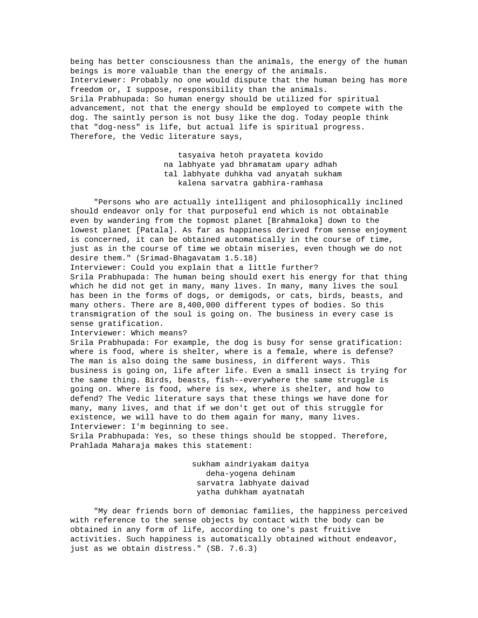being has better consciousness than the animals, the energy of the human beings is more valuable than the energy of the animals. Interviewer: Probably no one would dispute that the human being has more freedom or, I suppose, responsibility than the animals. Srila Prabhupada: So human energy should be utilized for spiritual advancement, not that the energy should be employed to compete with the dog. The saintly person is not busy like the dog. Today people think that "dog-ness" is life, but actual life is spiritual progress. Therefore, the Vedic literature says,

> tasyaiva hetoh prayateta kovido na labhyate yad bhramatam upary adhah tal labhyate duhkha vad anyatah sukham kalena sarvatra gabhira-ramhasa

 "Persons who are actually intelligent and philosophically inclined should endeavor only for that purposeful end which is not obtainable even by wandering from the topmost planet [Brahmaloka] down to the lowest planet [Patala]. As far as happiness derived from sense enjoyment is concerned, it can be obtained automatically in the course of time, just as in the course of time we obtain miseries, even though we do not desire them." (Srimad-Bhagavatam 1.5.18)

Interviewer: Could you explain that a little further? Srila Prabhupada: The human being should exert his energy for that thing which he did not get in many, many lives. In many, many lives the soul has been in the forms of dogs, or demigods, or cats, birds, beasts, and many others. There are 8,400,000 different types of bodies. So this transmigration of the soul is going on. The business in every case is

sense gratification.

Interviewer: Which means?

Srila Prabhupada: For example, the dog is busy for sense gratification: where is food, where is shelter, where is a female, where is defense? The man is also doing the same business, in different ways. This business is going on, life after life. Even a small insect is trying for the same thing. Birds, beasts, fish--everywhere the same struggle is going on. Where is food, where is sex, where is shelter, and how to defend? The Vedic literature says that these things we have done for many, many lives, and that if we don't get out of this struggle for existence, we will have to do them again for many, many lives. Interviewer: I'm beginning to see.

Srila Prabhupada: Yes, so these things should be stopped. Therefore, Prahlada Maharaja makes this statement:

> sukham aindriyakam daitya deha-yogena dehinam sarvatra labhyate daivad yatha duhkham ayatnatah

 "My dear friends born of demoniac families, the happiness perceived with reference to the sense objects by contact with the body can be obtained in any form of life, according to one's past fruitive activities. Such happiness is automatically obtained without endeavor, just as we obtain distress." (SB. 7.6.3)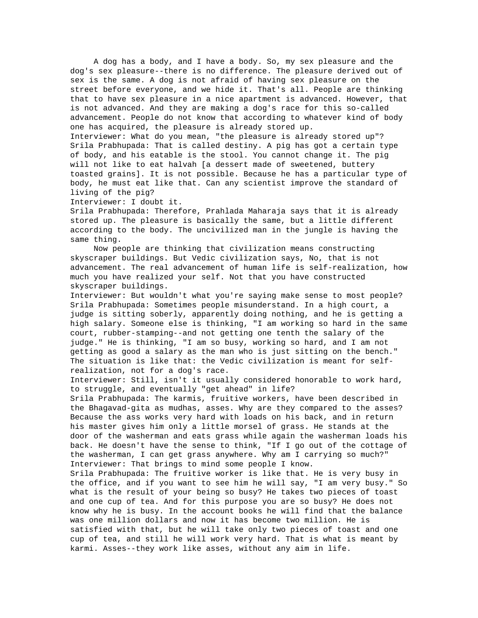A dog has a body, and I have a body. So, my sex pleasure and the dog's sex pleasure--there is no difference. The pleasure derived out of sex is the same. A dog is not afraid of having sex pleasure on the street before everyone, and we hide it. That's all. People are thinking that to have sex pleasure in a nice apartment is advanced. However, that is not advanced. And they are making a dog's race for this so-called advancement. People do not know that according to whatever kind of body one has acquired, the pleasure is already stored up.

Interviewer: What do you mean, "the pleasure is already stored up"? Srila Prabhupada: That is called destiny. A pig has got a certain type of body, and his eatable is the stool. You cannot change it. The pig will not like to eat halvah [a dessert made of sweetened, buttery toasted grains]. It is not possible. Because he has a particular type of body, he must eat like that. Can any scientist improve the standard of living of the pig?

Interviewer: I doubt it.

Srila Prabhupada: Therefore, Prahlada Maharaja says that it is already stored up. The pleasure is basically the same, but a little different according to the body. The uncivilized man in the jungle is having the same thing.

 Now people are thinking that civilization means constructing skyscraper buildings. But Vedic civilization says, No, that is not advancement. The real advancement of human life is self-realization, how much you have realized your self. Not that you have constructed skyscraper buildings.

Interviewer: But wouldn't what you're saying make sense to most people? Srila Prabhupada: Sometimes people misunderstand. In a high court, a judge is sitting soberly, apparently doing nothing, and he is getting a high salary. Someone else is thinking, "I am working so hard in the same court, rubber-stamping--and not getting one tenth the salary of the judge." He is thinking, "I am so busy, working so hard, and I am not getting as good a salary as the man who is just sitting on the bench." The situation is like that: the Vedic civilization is meant for selfrealization, not for a dog's race.

Interviewer: Still, isn't it usually considered honorable to work hard, to struggle, and eventually "get ahead" in life?

Srila Prabhupada: The karmis, fruitive workers, have been described in the Bhagavad-gita as mudhas, asses. Why are they compared to the asses? Because the ass works very hard with loads on his back, and in return his master gives him only a little morsel of grass. He stands at the door of the washerman and eats grass while again the washerman loads his back. He doesn't have the sense to think, "If I go out of the cottage of the washerman, I can get grass anywhere. Why am I carrying so much?" Interviewer: That brings to mind some people I know.

Srila Prabhupada: The fruitive worker is like that. He is very busy in the office, and if you want to see him he will say, "I am very busy." So what is the result of your being so busy? He takes two pieces of toast and one cup of tea. And for this purpose you are so busy? He does not know why he is busy. In the account books he will find that the balance was one million dollars and now it has become two million. He is satisfied with that, but he will take only two pieces of toast and one cup of tea, and still he will work very hard. That is what is meant by karmi. Asses--they work like asses, without any aim in life.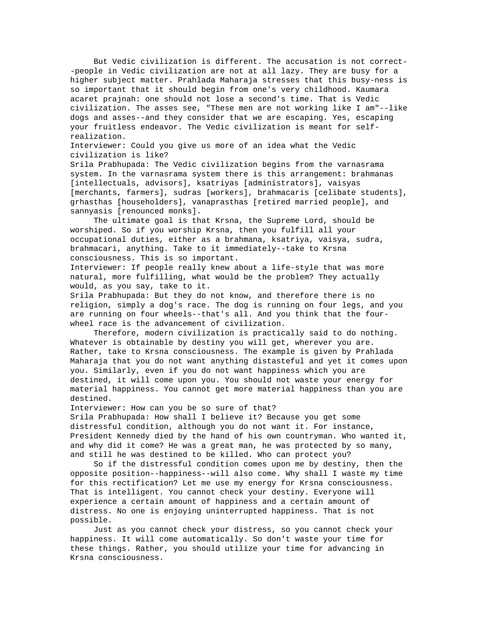But Vedic civilization is different. The accusation is not correct- -people in Vedic civilization are not at all lazy. They are busy for a higher subject matter. Prahlada Maharaja stresses that this busy-ness is so important that it should begin from one's very childhood. Kaumara acaret prajnah: one should not lose a second's time. That is Vedic civilization. The asses see, "These men are not working like I am"--like dogs and asses--and they consider that we are escaping. Yes, escaping your fruitless endeavor. The Vedic civilization is meant for selfrealization.

Interviewer: Could you give us more of an idea what the Vedic civilization is like?

Srila Prabhupada: The Vedic civilization begins from the varnasrama system. In the varnasrama system there is this arrangement: brahmanas [intellectuals, advisors], ksatriyas [administrators], vaisyas [merchants, farmers], sudras [workers], brahmacaris [celibate students], grhasthas [householders], vanaprasthas [retired married people], and sannyasis [renounced monks].

 The ultimate goal is that Krsna, the Supreme Lord, should be worshiped. So if you worship Krsna, then you fulfill all your occupational duties, either as a brahmana, ksatriya, vaisya, sudra, brahmacari, anything. Take to it immediately--take to Krsna consciousness. This is so important.

Interviewer: If people really knew about a life-style that was more natural, more fulfilling, what would be the problem? They actually would, as you say, take to it.

Srila Prabhupada: But they do not know, and therefore there is no religion, simply a dog's race. The dog is running on four legs, and you are running on four wheels--that's all. And you think that the fourwheel race is the advancement of civilization.

 Therefore, modern civilization is practically said to do nothing. Whatever is obtainable by destiny you will get, wherever you are. Rather, take to Krsna consciousness. The example is given by Prahlada Maharaja that you do not want anything distasteful and yet it comes upon you. Similarly, even if you do not want happiness which you are destined, it will come upon you. You should not waste your energy for material happiness. You cannot get more material happiness than you are destined.

Interviewer: How can you be so sure of that?

Srila Prabhupada: How shall I believe it? Because you get some distressful condition, although you do not want it. For instance, President Kennedy died by the hand of his own countryman. Who wanted it, and why did it come? He was a great man, he was protected by so many, and still he was destined to be killed. Who can protect you?

 So if the distressful condition comes upon me by destiny, then the opposite position--happiness--will also come. Why shall I waste my time for this rectification? Let me use my energy for Krsna consciousness. That is intelligent. You cannot check your destiny. Everyone will experience a certain amount of happiness and a certain amount of distress. No one is enjoying uninterrupted happiness. That is not possible.

 Just as you cannot check your distress, so you cannot check your happiness. It will come automatically. So don't waste your time for these things. Rather, you should utilize your time for advancing in Krsna consciousness.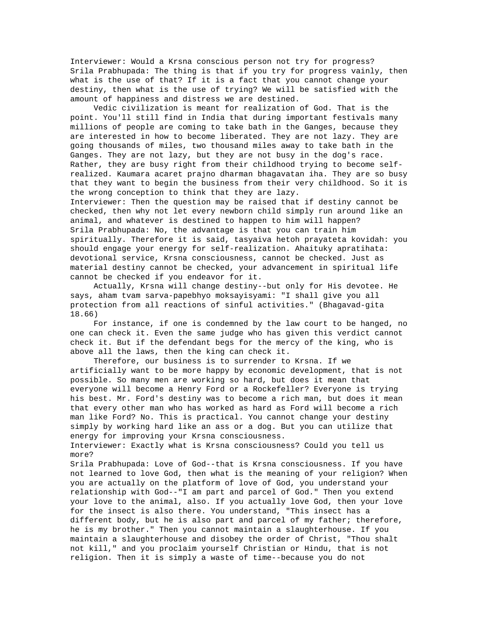Interviewer: Would a Krsna conscious person not try for progress? Srila Prabhupada: The thing is that if you try for progress vainly, then what is the use of that? If it is a fact that you cannot change your destiny, then what is the use of trying? We will be satisfied with the amount of happiness and distress we are destined.

 Vedic civilization is meant for realization of God. That is the point. You'll still find in India that during important festivals many millions of people are coming to take bath in the Ganges, because they are interested in how to become liberated. They are not lazy. They are going thousands of miles, two thousand miles away to take bath in the Ganges. They are not lazy, but they are not busy in the dog's race. Rather, they are busy right from their childhood trying to become selfrealized. Kaumara acaret prajno dharman bhagavatan iha. They are so busy that they want to begin the business from their very childhood. So it is the wrong conception to think that they are lazy. Interviewer: Then the question may be raised that if destiny cannot be checked, then why not let every newborn child simply run around like an animal, and whatever is destined to happen to him will happen? Srila Prabhupada: No, the advantage is that you can train him spiritually. Therefore it is said, tasyaiva hetoh prayateta kovidah: you should engage your energy for self-realization. Ahaituky apratihata: devotional service, Krsna consciousness, cannot be checked. Just as material destiny cannot be checked, your advancement in spiritual life cannot be checked if you endeavor for it.

 Actually, Krsna will change destiny--but only for His devotee. He says, aham tvam sarva-papebhyo moksayisyami: "I shall give you all protection from all reactions of sinful activities." (Bhagavad-gita 18.66)

 For instance, if one is condemned by the law court to be hanged, no one can check it. Even the same judge who has given this verdict cannot check it. But if the defendant begs for the mercy of the king, who is above all the laws, then the king can check it.

 Therefore, our business is to surrender to Krsna. If we artificially want to be more happy by economic development, that is not possible. So many men are working so hard, but does it mean that everyone will become a Henry Ford or a Rockefeller? Everyone is trying his best. Mr. Ford's destiny was to become a rich man, but does it mean that every other man who has worked as hard as Ford will become a rich man like Ford? No. This is practical. You cannot change your destiny simply by working hard like an ass or a dog. But you can utilize that energy for improving your Krsna consciousness.

Interviewer: Exactly what is Krsna consciousness? Could you tell us more?

Srila Prabhupada: Love of God--that is Krsna consciousness. If you have not learned to love God, then what is the meaning of your religion? When you are actually on the platform of love of God, you understand your relationship with God--"I am part and parcel of God." Then you extend your love to the animal, also. If you actually love God, then your love for the insect is also there. You understand, "This insect has a different body, but he is also part and parcel of my father; therefore, he is my brother." Then you cannot maintain a slaughterhouse. If you maintain a slaughterhouse and disobey the order of Christ, "Thou shalt not kill," and you proclaim yourself Christian or Hindu, that is not religion. Then it is simply a waste of time--because you do not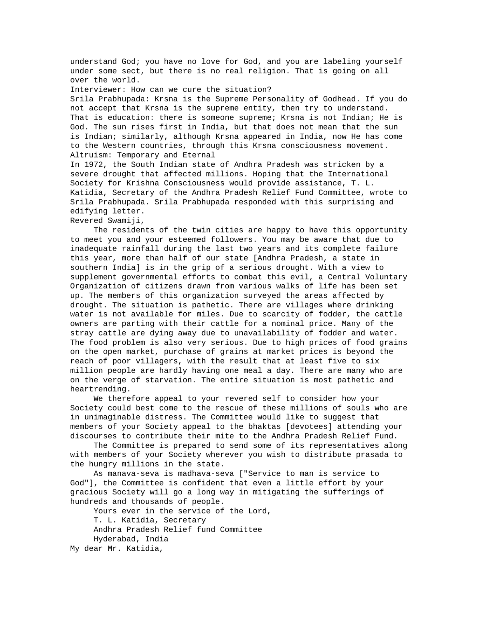understand God; you have no love for God, and you are labeling yourself under some sect, but there is no real religion. That is going on all over the world.

Interviewer: How can we cure the situation?

Srila Prabhupada: Krsna is the Supreme Personality of Godhead. If you do not accept that Krsna is the supreme entity, then try to understand. That is education: there is someone supreme; Krsna is not Indian; He is God. The sun rises first in India, but that does not mean that the sun is Indian; similarly, although Krsna appeared in India, now He has come to the Western countries, through this Krsna consciousness movement. Altruism: Temporary and Eternal

In 1972, the South Indian state of Andhra Pradesh was stricken by a severe drought that affected millions. Hoping that the International Society for Krishna Consciousness would provide assistance, T. L. Katidia, Secretary of the Andhra Pradesh Relief Fund Committee, wrote to Srila Prabhupada. Srila Prabhupada responded with this surprising and edifying letter.

Revered Swamiji,

 The residents of the twin cities are happy to have this opportunity to meet you and your esteemed followers. You may be aware that due to inadequate rainfall during the last two years and its complete failure this year, more than half of our state [Andhra Pradesh, a state in southern India] is in the grip of a serious drought. With a view to supplement governmental efforts to combat this evil, a Central Voluntary Organization of citizens drawn from various walks of life has been set up. The members of this organization surveyed the areas affected by drought. The situation is pathetic. There are villages where drinking water is not available for miles. Due to scarcity of fodder, the cattle owners are parting with their cattle for a nominal price. Many of the stray cattle are dying away due to unavailability of fodder and water. The food problem is also very serious. Due to high prices of food grains on the open market, purchase of grains at market prices is beyond the reach of poor villagers, with the result that at least five to six million people are hardly having one meal a day. There are many who are on the verge of starvation. The entire situation is most pathetic and heartrending.

 We therefore appeal to your revered self to consider how your Society could best come to the rescue of these millions of souls who are in unimaginable distress. The Committee would like to suggest that members of your Society appeal to the bhaktas [devotees] attending your discourses to contribute their mite to the Andhra Pradesh Relief Fund.

 The Committee is prepared to send some of its representatives along with members of your Society wherever you wish to distribute prasada to the hungry millions in the state.

 As manava-seva is madhava-seva ["Service to man is service to God"], the Committee is confident that even a little effort by your gracious Society will go a long way in mitigating the sufferings of hundreds and thousands of people.

 Yours ever in the service of the Lord, T. L. Katidia, Secretary Andhra Pradesh Relief fund Committee Hyderabad, India My dear Mr. Katidia,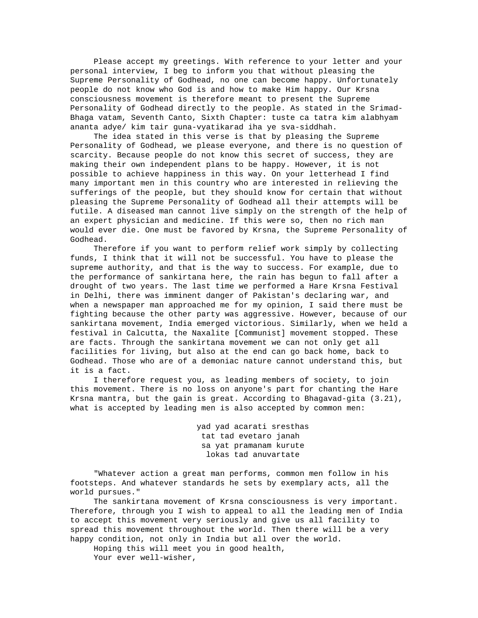Please accept my greetings. With reference to your letter and your personal interview, I beg to inform you that without pleasing the Supreme Personality of Godhead, no one can become happy. Unfortunately people do not know who God is and how to make Him happy. Our Krsna consciousness movement is therefore meant to present the Supreme Personality of Godhead directly to the people. As stated in the Srimad-Bhaga vatam, Seventh Canto, Sixth Chapter: tuste ca tatra kim alabhyam ananta adye/ kim tair guna-vyatikarad iha ye sva-siddhah.

 The idea stated in this verse is that by pleasing the Supreme Personality of Godhead, we please everyone, and there is no question of scarcity. Because people do not know this secret of success, they are making their own independent plans to be happy. However, it is not possible to achieve happiness in this way. On your letterhead I find many important men in this country who are interested in relieving the sufferings of the people, but they should know for certain that without pleasing the Supreme Personality of Godhead all their attempts will be futile. A diseased man cannot live simply on the strength of the help of an expert physician and medicine. If this were so, then no rich man would ever die. One must be favored by Krsna, the Supreme Personality of Godhead.

 Therefore if you want to perform relief work simply by collecting funds, I think that it will not be successful. You have to please the supreme authority, and that is the way to success. For example, due to the performance of sankirtana here, the rain has begun to fall after a drought of two years. The last time we performed a Hare Krsna Festival in Delhi, there was imminent danger of Pakistan's declaring war, and when a newspaper man approached me for my opinion, I said there must be fighting because the other party was aggressive. However, because of our sankirtana movement, India emerged victorious. Similarly, when we held a festival in Calcutta, the Naxalite [Communist] movement stopped. These are facts. Through the sankirtana movement we can not only get all facilities for living, but also at the end can go back home, back to Godhead. Those who are of a demoniac nature cannot understand this, but it is a fact.

 I therefore request you, as leading members of society, to join this movement. There is no loss on anyone's part for chanting the Hare Krsna mantra, but the gain is great. According to Bhagavad-gita (3.21), what is accepted by leading men is also accepted by common men:

> yad yad acarati sresthas tat tad evetaro janah sa yat pramanam kurute lokas tad anuvartate

 "Whatever action a great man performs, common men follow in his footsteps. And whatever standards he sets by exemplary acts, all the world pursues."

 The sankirtana movement of Krsna consciousness is very important. Therefore, through you I wish to appeal to all the leading men of India to accept this movement very seriously and give us all facility to spread this movement throughout the world. Then there will be a very happy condition, not only in India but all over the world.

 Hoping this will meet you in good health, Your ever well-wisher,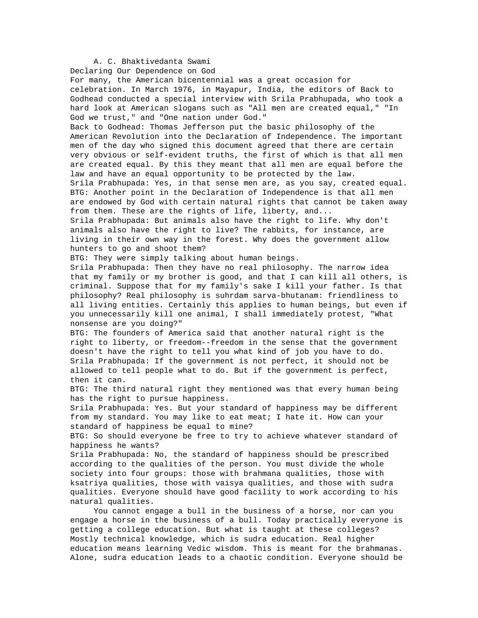A. C. Bhaktivedanta Swami

Declaring Our Dependence on God

For many, the American bicentennial was a great occasion for celebration. In March 1976, in Mayapur, India, the editors of Back to Godhead conducted a special interview with Srila Prabhupada, who took a hard look at American slogans such as "All men are created equal," "In God we trust," and "One nation under God."

Back to Godhead: Thomas Jefferson put the basic philosophy of the American Revolution into the Declaration of Independence. The important men of the day who signed this document agreed that there are certain very obvious or self-evident truths, the first of which is that all men are created equal. By this they meant that all men are equal before the law and have an equal opportunity to be protected by the law. Srila Prabhupada: Yes, in that sense men are, as you say, created equal.

BTG: Another point in the Declaration of Independence is that all men are endowed by God with certain natural rights that cannot be taken away from them. These are the rights of life, liberty, and...

Srila Prabhupada: But animals also have the right to life. Why don't animals also have the right to live? The rabbits, for instance, are living in their own way in the forest. Why does the government allow hunters to go and shoot them?

BTG: They were simply talking about human beings.

Srila Prabhupada: Then they have no real philosophy. The narrow idea that my family or my brother is good, and that I can kill all others, is criminal. Suppose that for my family's sake I kill your father. Is that philosophy? Real philosophy is suhrdam sarva-bhutanam: friendliness to all living entities. Certainly this applies to human beings, but even if you unnecessarily kill one animal, I shall immediately protest, "What nonsense are you doing?"

BTG: The founders of America said that another natural right is the right to liberty, or freedom--freedom in the sense that the government doesn't have the right to tell you what kind of job you have to do. Srila Prabhupada: If the government is not perfect, it should not be allowed to tell people what to do. But if the government is perfect, then it can.

BTG: The third natural right they mentioned was that every human being has the right to pursue happiness.

Srila Prabhupada: Yes. But your standard of happiness may be different from my standard. You may like to eat meat; I hate it. How can your standard of happiness be equal to mine?

BTG: So should everyone be free to try to achieve whatever standard of happiness he wants?

Srila Prabhupada: No, the standard of happiness should be prescribed according to the qualities of the person. You must divide the whole society into four groups: those with brahmana qualities, those with ksatriya qualities, those with vaisya qualities, and those with sudra qualities. Everyone should have good facility to work according to his natural qualities.

 You cannot engage a bull in the business of a horse, nor can you engage a horse in the business of a bull. Today practically everyone is getting a college education. But what is taught at these colleges? Mostly technical knowledge, which is sudra education. Real higher education means learning Vedic wisdom. This is meant for the brahmanas. Alone, sudra education leads to a chaotic condition. Everyone should be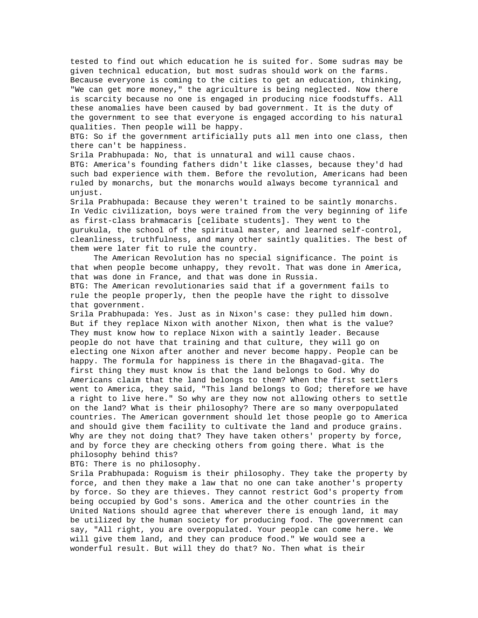tested to find out which education he is suited for. Some sudras may be given technical education, but most sudras should work on the farms. Because everyone is coming to the cities to get an education, thinking, "We can get more money," the agriculture is being neglected. Now there is scarcity because no one is engaged in producing nice foodstuffs. All these anomalies have been caused by bad government. It is the duty of the government to see that everyone is engaged according to his natural qualities. Then people will be happy.

BTG: So if the government artificially puts all men into one class, then there can't be happiness.

Srila Prabhupada: No, that is unnatural and will cause chaos. BTG: America's founding fathers didn't like classes, because they'd had such bad experience with them. Before the revolution, Americans had been ruled by monarchs, but the monarchs would always become tyrannical and unjust.

Srila Prabhupada: Because they weren't trained to be saintly monarchs. In Vedic civilization, boys were trained from the very beginning of life as first-class brahmacaris [celibate students]. They went to the gurukula, the school of the spiritual master, and learned self-control, cleanliness, truthfulness, and many other saintly qualities. The best of them were later fit to rule the country.

 The American Revolution has no special significance. The point is that when people become unhappy, they revolt. That was done in America, that was done in France, and that was done in Russia.

BTG: The American revolutionaries said that if a government fails to rule the people properly, then the people have the right to dissolve that government.

Srila Prabhupada: Yes. Just as in Nixon's case: they pulled him down. But if they replace Nixon with another Nixon, then what is the value? They must know how to replace Nixon with a saintly leader. Because people do not have that training and that culture, they will go on electing one Nixon after another and never become happy. People can be happy. The formula for happiness is there in the Bhagavad-gita. The first thing they must know is that the land belongs to God. Why do Americans claim that the land belongs to them? When the first settlers went to America, they said, "This land belongs to God; therefore we have a right to live here." So why are they now not allowing others to settle on the land? What is their philosophy? There are so many overpopulated countries. The American government should let those people go to America and should give them facility to cultivate the land and produce grains. Why are they not doing that? They have taken others' property by force, and by force they are checking others from going there. What is the philosophy behind this?

BTG: There is no philosophy.

Srila Prabhupada: Roguism is their philosophy. They take the property by force, and then they make a law that no one can take another's property by force. So they are thieves. They cannot restrict God's property from being occupied by God's sons. America and the other countries in the United Nations should agree that wherever there is enough land, it may be utilized by the human society for producing food. The government can say, "All right, you are overpopulated. Your people can come here. We will give them land, and they can produce food." We would see a wonderful result. But will they do that? No. Then what is their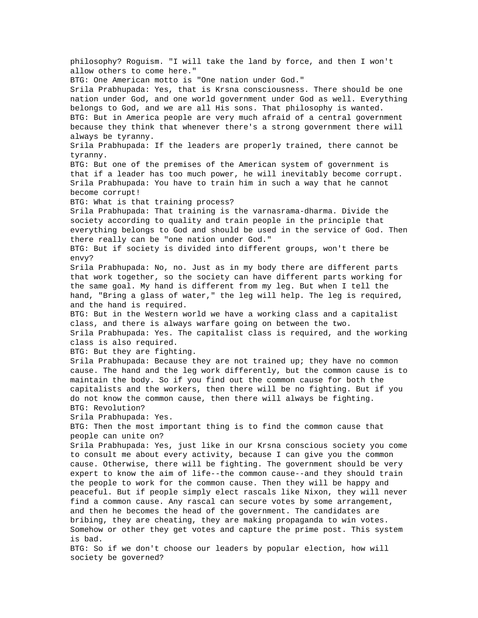philosophy? Roguism. "I will take the land by force, and then I won't allow others to come here." BTG: One American motto is "One nation under God." Srila Prabhupada: Yes, that is Krsna consciousness. There should be one nation under God, and one world government under God as well. Everything belongs to God, and we are all His sons. That philosophy is wanted. BTG: But in America people are very much afraid of a central government because they think that whenever there's a strong government there will always be tyranny. Srila Prabhupada: If the leaders are properly trained, there cannot be tyranny. BTG: But one of the premises of the American system of government is that if a leader has too much power, he will inevitably become corrupt. Srila Prabhupada: You have to train him in such a way that he cannot become corrupt! BTG: What is that training process? Srila Prabhupada: That training is the varnasrama-dharma. Divide the society according to quality and train people in the principle that everything belongs to God and should be used in the service of God. Then there really can be "one nation under God." BTG: But if society is divided into different groups, won't there be envy? Srila Prabhupada: No, no. Just as in my body there are different parts that work together, so the society can have different parts working for the same goal. My hand is different from my leg. But when I tell the hand, "Bring a glass of water," the leg will help. The leg is required, and the hand is required. BTG: But in the Western world we have a working class and a capitalist class, and there is always warfare going on between the two. Srila Prabhupada: Yes. The capitalist class is required, and the working class is also required. BTG: But they are fighting. Srila Prabhupada: Because they are not trained up; they have no common cause. The hand and the leg work differently, but the common cause is to maintain the body. So if you find out the common cause for both the capitalists and the workers, then there will be no fighting. But if you do not know the common cause, then there will always be fighting. BTG: Revolution? Srila Prabhupada: Yes. BTG: Then the most important thing is to find the common cause that people can unite on? Srila Prabhupada: Yes, just like in our Krsna conscious society you come to consult me about every activity, because I can give you the common cause. Otherwise, there will be fighting. The government should be very expert to know the aim of life--the common cause--and they should train the people to work for the common cause. Then they will be happy and peaceful. But if people simply elect rascals like Nixon, they will never find a common cause. Any rascal can secure votes by some arrangement, and then he becomes the head of the government. The candidates are bribing, they are cheating, they are making propaganda to win votes. Somehow or other they get votes and capture the prime post. This system is bad. BTG: So if we don't choose our leaders by popular election, how will society be governed?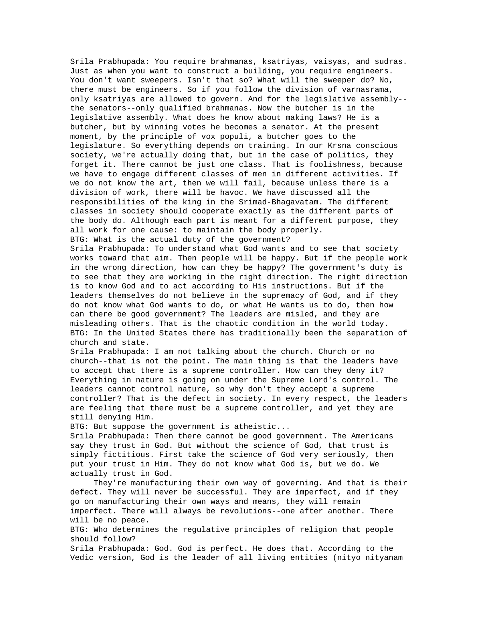Srila Prabhupada: You require brahmanas, ksatriyas, vaisyas, and sudras. Just as when you want to construct a building, you require engineers. You don't want sweepers. Isn't that so? What will the sweeper do? No, there must be engineers. So if you follow the division of varnasrama, only ksatriyas are allowed to govern. And for the legislative assembly- the senators--only qualified brahmanas. Now the butcher is in the legislative assembly. What does he know about making laws? He is a butcher, but by winning votes he becomes a senator. At the present moment, by the principle of vox populi, a butcher goes to the legislature. So everything depends on training. In our Krsna conscious society, we're actually doing that, but in the case of politics, they forget it. There cannot be just one class. That is foolishness, because we have to engage different classes of men in different activities. If we do not know the art, then we will fail, because unless there is a division of work, there will be havoc. We have discussed all the responsibilities of the king in the Srimad-Bhagavatam. The different classes in society should cooperate exactly as the different parts of the body do. Although each part is meant for a different purpose, they all work for one cause: to maintain the body properly. BTG: What is the actual duty of the government?

Srila Prabhupada: To understand what God wants and to see that society works toward that aim. Then people will be happy. But if the people work in the wrong direction, how can they be happy? The government's duty is to see that they are working in the right direction. The right direction is to know God and to act according to His instructions. But if the leaders themselves do not believe in the supremacy of God, and if they do not know what God wants to do, or what He wants us to do, then how can there be good government? The leaders are misled, and they are misleading others. That is the chaotic condition in the world today. BTG: In the United States there has traditionally been the separation of church and state.

Srila Prabhupada: I am not talking about the church. Church or no church--that is not the point. The main thing is that the leaders have to accept that there is a supreme controller. How can they deny it? Everything in nature is going on under the Supreme Lord's control. The leaders cannot control nature, so why don't they accept a supreme controller? That is the defect in society. In every respect, the leaders are feeling that there must be a supreme controller, and yet they are still denying Him.

BTG: But suppose the government is atheistic...

Srila Prabhupada: Then there cannot be good government. The Americans say they trust in God. But without the science of God, that trust is simply fictitious. First take the science of God very seriously, then put your trust in Him. They do not know what God is, but we do. We actually trust in God.

 They're manufacturing their own way of governing. And that is their defect. They will never be successful. They are imperfect, and if they go on manufacturing their own ways and means, they will remain imperfect. There will always be revolutions--one after another. There will be no peace.

BTG: Who determines the regulative principles of religion that people should follow?

Srila Prabhupada: God. God is perfect. He does that. According to the Vedic version, God is the leader of all living entities (nityo nityanam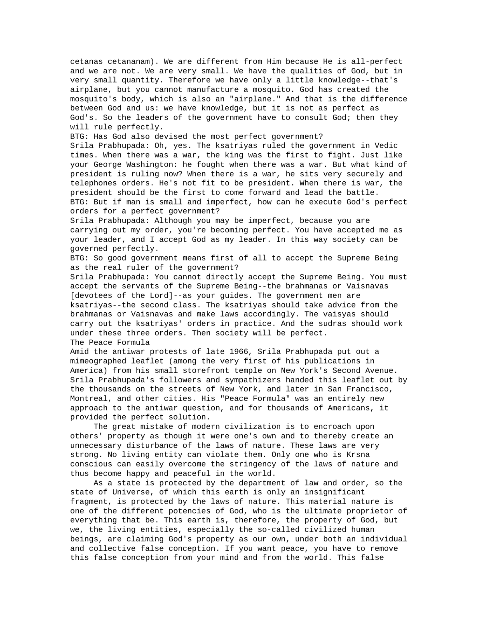cetanas cetananam). We are different from Him because He is all-perfect and we are not. We are very small. We have the qualities of God, but in very small quantity. Therefore we have only a little knowledge--that's airplane, but you cannot manufacture a mosquito. God has created the mosquito's body, which is also an "airplane." And that is the difference between God and us: we have knowledge, but it is not as perfect as God's. So the leaders of the government have to consult God; then they will rule perfectly.

BTG: Has God also devised the most perfect government?

Srila Prabhupada: Oh, yes. The ksatriyas ruled the government in Vedic times. When there was a war, the king was the first to fight. Just like your George Washington: he fought when there was a war. But what kind of president is ruling now? When there is a war, he sits very securely and telephones orders. He's not fit to be president. When there is war, the president should be the first to come forward and lead the battle. BTG: But if man is small and imperfect, how can he execute God's perfect orders for a perfect government?

Srila Prabhupada: Although you may be imperfect, because you are carrying out my order, you're becoming perfect. You have accepted me as your leader, and I accept God as my leader. In this way society can be governed perfectly.

BTG: So good government means first of all to accept the Supreme Being as the real ruler of the government?

Srila Prabhupada: You cannot directly accept the Supreme Being. You must accept the servants of the Supreme Being--the brahmanas or Vaisnavas [devotees of the Lord]--as your guides. The government men are ksatriyas--the second class. The ksatriyas should take advice from the brahmanas or Vaisnavas and make laws accordingly. The vaisyas should carry out the ksatriyas' orders in practice. And the sudras should work under these three orders. Then society will be perfect. The Peace Formula

Amid the antiwar protests of late 1966, Srila Prabhupada put out a mimeographed leaflet (among the very first of his publications in America) from his small storefront temple on New York's Second Avenue. Srila Prabhupada's followers and sympathizers handed this leaflet out by the thousands on the streets of New York, and later in San Francisco, Montreal, and other cities. His "Peace Formula" was an entirely new approach to the antiwar question, and for thousands of Americans, it provided the perfect solution.

 The great mistake of modern civilization is to encroach upon others' property as though it were one's own and to thereby create an unnecessary disturbance of the laws of nature. These laws are very strong. No living entity can violate them. Only one who is Krsna conscious can easily overcome the stringency of the laws of nature and thus become happy and peaceful in the world.

 As a state is protected by the department of law and order, so the state of Universe, of which this earth is only an insignificant fragment, is protected by the laws of nature. This material nature is one of the different potencies of God, who is the ultimate proprietor of everything that be. This earth is, therefore, the property of God, but we, the living entities, especially the so-called civilized human beings, are claiming God's property as our own, under both an individual and collective false conception. If you want peace, you have to remove this false conception from your mind and from the world. This false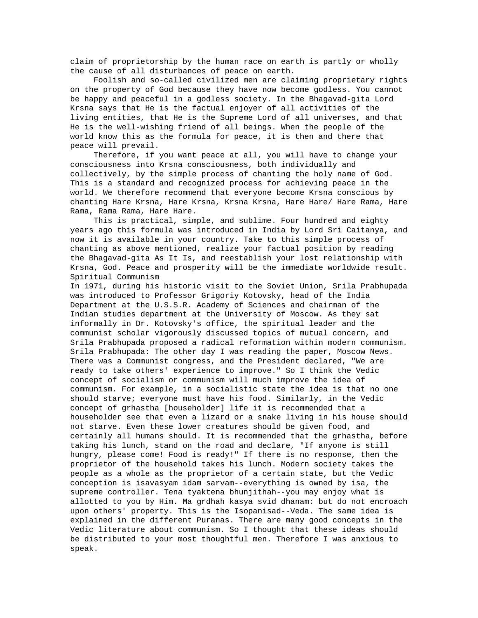claim of proprietorship by the human race on earth is partly or wholly the cause of all disturbances of peace on earth.

 Foolish and so-called civilized men are claiming proprietary rights on the property of God because they have now become godless. You cannot be happy and peaceful in a godless society. In the Bhagavad-gita Lord Krsna says that He is the factual enjoyer of all activities of the living entities, that He is the Supreme Lord of all universes, and that He is the well-wishing friend of all beings. When the people of the world know this as the formula for peace, it is then and there that peace will prevail.

 Therefore, if you want peace at all, you will have to change your consciousness into Krsna consciousness, both individually and collectively, by the simple process of chanting the holy name of God. This is a standard and recognized process for achieving peace in the world. We therefore recommend that everyone become Krsna conscious by chanting Hare Krsna, Hare Krsna, Krsna Krsna, Hare Hare/ Hare Rama, Hare Rama, Rama Rama, Hare Hare.

 This is practical, simple, and sublime. Four hundred and eighty years ago this formula was introduced in India by Lord Sri Caitanya, and now it is available in your country. Take to this simple process of chanting as above mentioned, realize your factual position by reading the Bhagavad-gita As It Is, and reestablish your lost relationship with Krsna, God. Peace and prosperity will be the immediate worldwide result. Spiritual Communism

In 1971, during his historic visit to the Soviet Union, Srila Prabhupada was introduced to Professor Grigoriy Kotovsky, head of the India Department at the U.S.S.R. Academy of Sciences and chairman of the Indian studies department at the University of Moscow. As they sat informally in Dr. Kotovsky's office, the spiritual leader and the communist scholar vigorously discussed topics of mutual concern, and Srila Prabhupada proposed a radical reformation within modern communism. Srila Prabhupada: The other day I was reading the paper, Moscow News. There was a Communist congress, and the President declared, "We are ready to take others' experience to improve." So I think the Vedic concept of socialism or communism will much improve the idea of communism. For example, in a socialistic state the idea is that no one should starve; everyone must have his food. Similarly, in the Vedic concept of grhastha [householder] life it is recommended that a householder see that even a lizard or a snake living in his house should not starve. Even these lower creatures should be given food, and certainly all humans should. It is recommended that the grhastha, before taking his lunch, stand on the road and declare, "If anyone is still hungry, please come! Food is ready!" If there is no response, then the proprietor of the household takes his lunch. Modern society takes the people as a whole as the proprietor of a certain state, but the Vedic conception is isavasyam idam sarvam--everything is owned by isa, the supreme controller. Tena tyaktena bhunjithah--you may enjoy what is allotted to you by Him. Ma grdhah kasya svid dhanam: but do not encroach upon others' property. This is the Isopanisad--Veda. The same idea is explained in the different Puranas. There are many good concepts in the Vedic literature about communism. So I thought that these ideas should be distributed to your most thoughtful men. Therefore I was anxious to speak.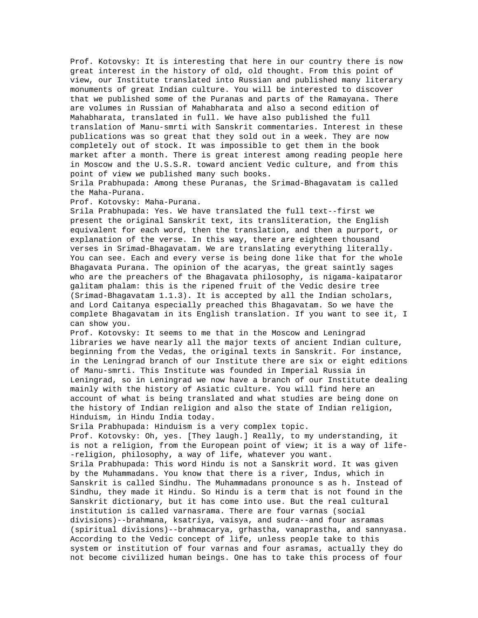Prof. Kotovsky: It is interesting that here in our country there is now great interest in the history of old, old thought. From this point of view, our Institute translated into Russian and published many literary monuments of great Indian culture. You will be interested to discover that we published some of the Puranas and parts of the Ramayana. There are volumes in Russian of Mahabharata and also a second edition of Mahabharata, translated in full. We have also published the full translation of Manu-smrti with Sanskrit commentaries. Interest in these publications was so great that they sold out in a week. They are now completely out of stock. It was impossible to get them in the book market after a month. There is great interest among reading people here in Moscow and the U.S.S.R. toward ancient Vedic culture, and from this point of view we published many such books.

Srila Prabhupada: Among these Puranas, the Srimad-Bhagavatam is called the Maha-Purana.

Prof. Kotovsky: Maha-Purana.

Srila Prabhupada: Yes. We have translated the full text--first we present the original Sanskrit text, its transliteration, the English equivalent for each word, then the translation, and then a purport, or explanation of the verse. In this way, there are eighteen thousand verses in Srimad-Bhagavatam. We are translating everything literally. You can see. Each and every verse is being done like that for the whole Bhagavata Purana. The opinion of the acaryas, the great saintly sages who are the preachers of the Bhagavata philosophy, is nigama-kaipataror galitam phalam: this is the ripened fruit of the Vedic desire tree (Srimad-Bhagavatam 1.1.3). It is accepted by all the Indian scholars, and Lord Caitanya especially preached this Bhagavatam. So we have the complete Bhagavatam in its English translation. If you want to see it, I can show you.

Prof. Kotovsky: It seems to me that in the Moscow and Leningrad libraries we have nearly all the major texts of ancient Indian culture, beginning from the Vedas, the original texts in Sanskrit. For instance, in the Leningrad branch of our Institute there are six or eight editions of Manu-smrti. This Institute was founded in Imperial Russia in Leningrad, so in Leningrad we now have a branch of our Institute dealing mainly with the history of Asiatic culture. You will find here an account of what is being translated and what studies are being done on the history of Indian religion and also the state of Indian religion, Hinduism, in Hindu India today.

Srila Prabhupada: Hinduism is a very complex topic.

Prof. Kotovsky: Oh, yes. [They laugh.] Really, to my understanding, it is not a religion, from the European point of view; it is a way of life- -religion, philosophy, a way of life, whatever you want. Srila Prabhupada: This word Hindu is not a Sanskrit word. It was given by the Muhammadans. You know that there is a river, Indus, which in Sanskrit is called Sindhu. The Muhammadans pronounce s as h. Instead of Sindhu, they made it Hindu. So Hindu is a term that is not found in the Sanskrit dictionary, but it has come into use. But the real cultural institution is called varnasrama. There are four varnas (social divisions)--brahmana, ksatriya, vaisya, and sudra--and four asramas (spiritual divisions)--brahmacarya, grhastha, vanaprastha, and sannyasa. According to the Vedic concept of life, unless people take to this system or institution of four varnas and four asramas, actually they do not become civilized human beings. One has to take this process of four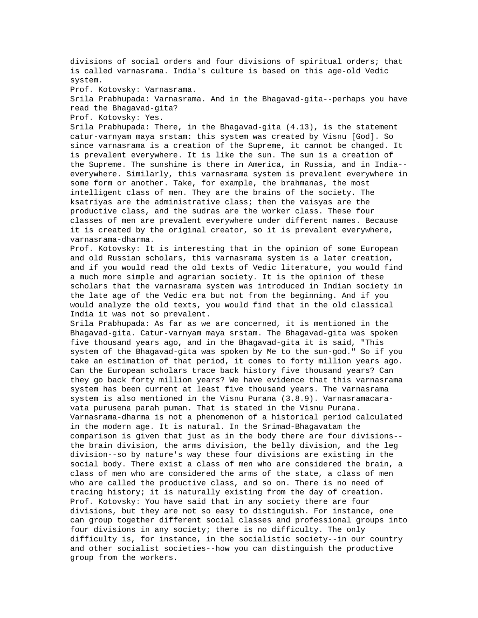divisions of social orders and four divisions of spiritual orders; that is called varnasrama. India's culture is based on this age-old Vedic system.

Prof. Kotovsky: Varnasrama.

Srila Prabhupada: Varnasrama. And in the Bhagavad-gita--perhaps you have read the Bhagavad-gita?

Prof. Kotovsky: Yes.

Srila Prabhupada: There, in the Bhagavad-gita (4.13), is the statement catur-varnyam maya srstam: this system was created by Visnu [God]. So since varnasrama is a creation of the Supreme, it cannot be changed. It is prevalent everywhere. It is like the sun. The sun is a creation of the Supreme. The sunshine is there in America, in Russia, and in India- everywhere. Similarly, this varnasrama system is prevalent everywhere in some form or another. Take, for example, the brahmanas, the most intelligent class of men. They are the brains of the society. The ksatriyas are the administrative class; then the vaisyas are the productive class, and the sudras are the worker class. These four classes of men are prevalent everywhere under different names. Because it is created by the original creator, so it is prevalent everywhere, varnasrama-dharma.

Prof. Kotovsky: It is interesting that in the opinion of some European and old Russian scholars, this varnasrama system is a later creation, and if you would read the old texts of Vedic literature, you would find a much more simple and agrarian society. It is the opinion of these scholars that the varnasrama system was introduced in Indian society in the late age of the Vedic era but not from the beginning. And if you would analyze the old texts, you would find that in the old classical India it was not so prevalent.

Srila Prabhupada: As far as we are concerned, it is mentioned in the Bhagavad-gita. Catur-varnyam maya srstam. The Bhagavad-gita was spoken five thousand years ago, and in the Bhagavad-gita it is said, "This system of the Bhagavad-gita was spoken by Me to the sun-god." So if you take an estimation of that period, it comes to forty million years ago. Can the European scholars trace back history five thousand years? Can they go back forty million years? We have evidence that this varnasrama system has been current at least five thousand years. The varnasrama system is also mentioned in the Visnu Purana (3.8.9). Varnasramacaravata purusena parah puman. That is stated in the Visnu Purana. Varnasrama-dharma is not a phenomenon of a historical period calculated in the modern age. It is natural. In the Srimad-Bhagavatam the comparison is given that just as in the body there are four divisions- the brain division, the arms division, the belly division, and the leg division--so by nature's way these four divisions are existing in the social body. There exist a class of men who are considered the brain, a class of men who are considered the arms of the state, a class of men who are called the productive class, and so on. There is no need of tracing history; it is naturally existing from the day of creation. Prof. Kotovsky: You have said that in any society there are four divisions, but they are not so easy to distinguish. For instance, one can group together different social classes and professional groups into four divisions in any society; there is no difficulty. The only difficulty is, for instance, in the socialistic society--in our country and other socialist societies--how you can distinguish the productive group from the workers.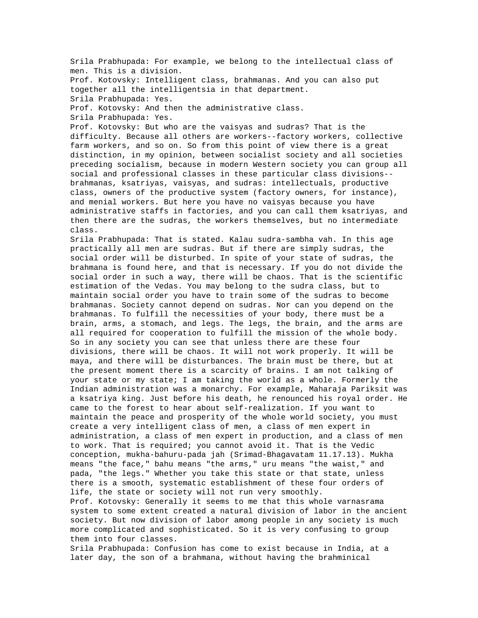Srila Prabhupada: For example, we belong to the intellectual class of men. This is a division. Prof. Kotovsky: Intelligent class, brahmanas. And you can also put together all the intelligentsia in that department. Srila Prabhupada: Yes. Prof. Kotovsky: And then the administrative class. Srila Prabhupada: Yes. Prof. Kotovsky: But who are the vaisyas and sudras? That is the difficulty. Because all others are workers--factory workers, collective farm workers, and so on. So from this point of view there is a great distinction, in my opinion, between socialist society and all societies preceding socialism, because in modern Western society you can group all social and professional classes in these particular class divisions- brahmanas, ksatriyas, vaisyas, and sudras: intellectuals, productive class, owners of the productive system (factory owners, for instance), and menial workers. But here you have no vaisyas because you have administrative staffs in factories, and you can call them ksatriyas, and then there are the sudras, the workers themselves, but no intermediate class. Srila Prabhupada: That is stated. Kalau sudra-sambha vah. In this age practically all men are sudras. But if there are simply sudras, the social order will be disturbed. In spite of your state of sudras, the brahmana is found here, and that is necessary. If you do not divide the social order in such a way, there will be chaos. That is the scientific estimation of the Vedas. You may belong to the sudra class, but to maintain social order you have to train some of the sudras to become brahmanas. Society cannot depend on sudras. Nor can you depend on the brahmanas. To fulfill the necessities of your body, there must be a brain, arms, a stomach, and legs. The legs, the brain, and the arms are all required for cooperation to fulfill the mission of the whole body. So in any society you can see that unless there are these four divisions, there will be chaos. It will not work properly. It will be maya, and there will be disturbances. The brain must be there, but at the present moment there is a scarcity of brains. I am not talking of your state or my state; I am taking the world as a whole. Formerly the Indian administration was a monarchy. For example, Maharaja Pariksit was a ksatriya king. Just before his death, he renounced his royal order. He came to the forest to hear about self-realization. If you want to maintain the peace and prosperity of the whole world society, you must create a very intelligent class of men, a class of men expert in administration, a class of men expert in production, and a class of men to work. That is required; you cannot avoid it. That is the Vedic conception, mukha-bahuru-pada jah (Srimad-Bhagavatam 11.17.13). Mukha means "the face," bahu means "the arms," uru means "the waist," and pada, "the legs." Whether you take this state or that state, unless there is a smooth, systematic establishment of these four orders of life, the state or society will not run very smoothly. Prof. Kotovsky: Generally it seems to me that this whole varnasrama system to some extent created a natural division of labor in the ancient society. But now division of labor among people in any society is much more complicated and sophisticated. So it is very confusing to group them into four classes. Srila Prabhupada: Confusion has come to exist because in India, at a later day, the son of a brahmana, without having the brahminical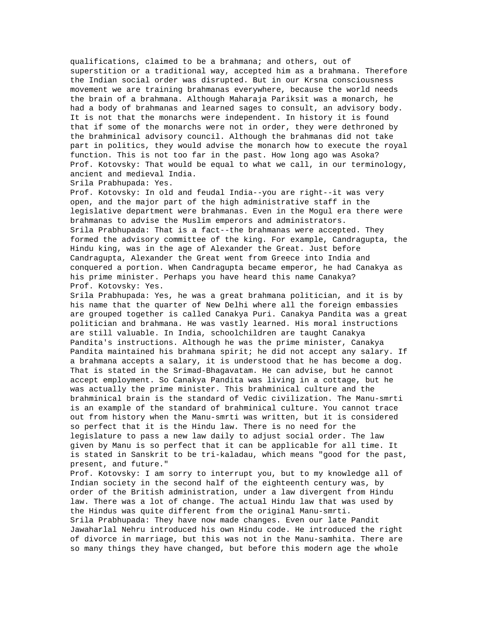qualifications, claimed to be a brahmana; and others, out of superstition or a traditional way, accepted him as a brahmana. Therefore the Indian social order was disrupted. But in our Krsna consciousness movement we are training brahmanas everywhere, because the world needs the brain of a brahmana. Although Maharaja Pariksit was a monarch, he had a body of brahmanas and learned sages to consult, an advisory body. It is not that the monarchs were independent. In history it is found that if some of the monarchs were not in order, they were dethroned by the brahminical advisory council. Although the brahmanas did not take part in politics, they would advise the monarch how to execute the royal function. This is not too far in the past. How long ago was Asoka? Prof. Kotovsky: That would be equal to what we call, in our terminology, ancient and medieval India.

Srila Prabhupada: Yes.

Prof. Kotovsky: In old and feudal India--you are right--it was very open, and the major part of the high administrative staff in the legislative department were brahmanas. Even in the Mogul era there were brahmanas to advise the Muslim emperors and administrators. Srila Prabhupada: That is a fact--the brahmanas were accepted. They formed the advisory committee of the king. For example, Candragupta, the Hindu king, was in the age of Alexander the Great. Just before Candragupta, Alexander the Great went from Greece into India and conquered a portion. When Candragupta became emperor, he had Canakya as his prime minister. Perhaps you have heard this name Canakya? Prof. Kotovsky: Yes.

Srila Prabhupada: Yes, he was a great brahmana politician, and it is by his name that the quarter of New Delhi where all the foreign embassies are grouped together is called Canakya Puri. Canakya Pandita was a great politician and brahmana. He was vastly learned. His moral instructions are still valuable. In India, schoolchildren are taught Canakya Pandita's instructions. Although he was the prime minister, Canakya Pandita maintained his brahmana spirit; he did not accept any salary. If a brahmana accepts a salary, it is understood that he has become a dog. That is stated in the Srimad-Bhagavatam. He can advise, but he cannot accept employment. So Canakya Pandita was living in a cottage, but he was actually the prime minister. This brahminical culture and the brahminical brain is the standard of Vedic civilization. The Manu-smrti is an example of the standard of brahminical culture. You cannot trace out from history when the Manu-smrti was written, but it is considered so perfect that it is the Hindu law. There is no need for the legislature to pass a new law daily to adjust social order. The law given by Manu is so perfect that it can be applicable for all time. It is stated in Sanskrit to be tri-kaladau, which means "good for the past, present, and future."

Prof. Kotovsky: I am sorry to interrupt you, but to my knowledge all of Indian society in the second half of the eighteenth century was, by order of the British administration, under a law divergent from Hindu law. There was a lot of change. The actual Hindu law that was used by the Hindus was quite different from the original Manu-smrti. Srila Prabhupada: They have now made changes. Even our late Pandit Jawaharlal Nehru introduced his own Hindu code. He introduced the right of divorce in marriage, but this was not in the Manu-samhita. There are so many things they have changed, but before this modern age the whole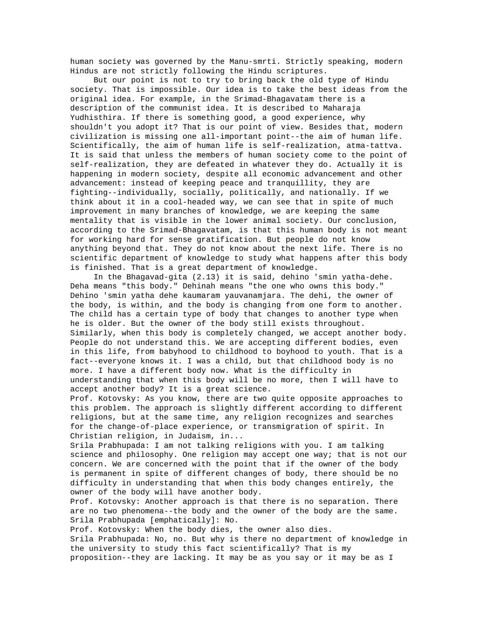human society was governed by the Manu-smrti. Strictly speaking, modern Hindus are not strictly following the Hindu scriptures.

 But our point is not to try to bring back the old type of Hindu society. That is impossible. Our idea is to take the best ideas from the original idea. For example, in the Srimad-Bhagavatam there is a description of the communist idea. It is described to Maharaja Yudhisthira. If there is something good, a good experience, why shouldn't you adopt it? That is our point of view. Besides that, modern civilization is missing one all-important point--the aim of human life. Scientifically, the aim of human life is self-realization, atma-tattva. It is said that unless the members of human society come to the point of self-realization, they are defeated in whatever they do. Actually it is happening in modern society, despite all economic advancement and other advancement: instead of keeping peace and tranquillity, they are fighting--individually, socially, politically, and nationally. If we think about it in a cool-headed way, we can see that in spite of much improvement in many branches of knowledge, we are keeping the same mentality that is visible in the lower animal society. Our conclusion, according to the Srimad-Bhagavatam, is that this human body is not meant for working hard for sense gratification. But people do not know anything beyond that. They do not know about the next life. There is no scientific department of knowledge to study what happens after this body is finished. That is a great department of knowledge.

 In the Bhagavad-gita (2.13) it is said, dehino 'smin yatha-dehe. Deha means "this body." Dehinah means "the one who owns this body." Dehino 'smin yatha dehe kaumaram yauvanamjara. The dehi, the owner of the body, is within, and the body is changing from one form to another. The child has a certain type of body that changes to another type when he is older. But the owner of the body still exists throughout. Similarly, when this body is completely changed, we accept another body. People do not understand this. We are accepting different bodies, even in this life, from babyhood to childhood to boyhood to youth. That is a fact--everyone knows it. I was a child, but that childhood body is no more. I have a different body now. What is the difficulty in understanding that when this body will be no more, then I will have to accept another body? It is a great science.

Prof. Kotovsky: As you know, there are two quite opposite approaches to this problem. The approach is slightly different according to different religions, but at the same time, any religion recognizes and searches for the change-of-place experience, or transmigration of spirit. In Christian religion, in Judaism, in...

Srila Prabhupada: I am not talking religions with you. I am talking science and philosophy. One religion may accept one way; that is not our concern. We are concerned with the point that if the owner of the body is permanent in spite of different changes of body, there should be no difficulty in understanding that when this body changes entirely, the owner of the body will have another body.

Prof. Kotovsky: Another approach is that there is no separation. There are no two phenomena--the body and the owner of the body are the same. Srila Prabhupada [emphatically]: No.

Prof. Kotovsky: When the body dies, the owner also dies.

Srila Prabhupada: No, no. But why is there no department of knowledge in the university to study this fact scientifically? That is my proposition--they are lacking. It may be as you say or it may be as I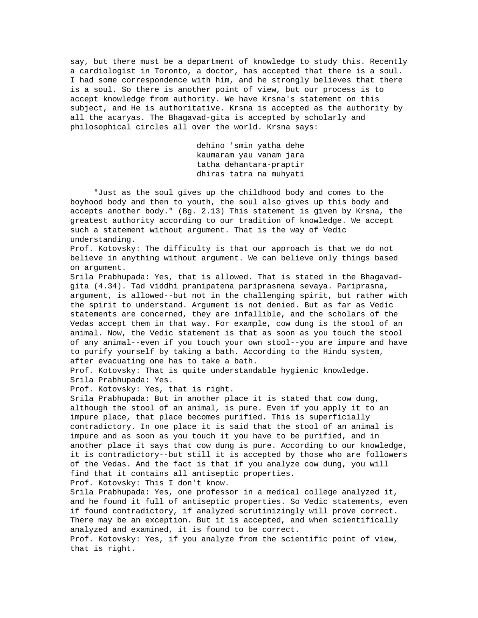say, but there must be a department of knowledge to study this. Recently a cardiologist in Toronto, a doctor, has accepted that there is a soul. I had some correspondence with him, and he strongly believes that there is a soul. So there is another point of view, but our process is to accept knowledge from authority. We have Krsna's statement on this subject, and He is authoritative. Krsna is accepted as the authority by all the acaryas. The Bhagavad-gita is accepted by scholarly and philosophical circles all over the world. Krsna says:

> dehino 'smin yatha dehe kaumaram yau vanam jara tatha dehantara-praptir dhiras tatra na muhyati

 "Just as the soul gives up the childhood body and comes to the boyhood body and then to youth, the soul also gives up this body and accepts another body." (Bg. 2.13) This statement is given by Krsna, the greatest authority according to our tradition of knowledge. We accept such a statement without argument. That is the way of Vedic understanding.

Prof. Kotovsky: The difficulty is that our approach is that we do not believe in anything without argument. We can believe only things based on argument.

Srila Prabhupada: Yes, that is allowed. That is stated in the Bhagavadgita (4.34). Tad viddhi pranipatena pariprasnena sevaya. Pariprasna, argument, is allowed--but not in the challenging spirit, but rather with the spirit to understand. Argument is not denied. But as far as Vedic statements are concerned, they are infallible, and the scholars of the Vedas accept them in that way. For example, cow dung is the stool of an animal. Now, the Vedic statement is that as soon as you touch the stool of any animal--even if you touch your own stool--you are impure and have to purify yourself by taking a bath. According to the Hindu system, after evacuating one has to take a bath.

Prof. Kotovsky: That is quite understandable hygienic knowledge. Srila Prabhupada: Yes.

Prof. Kotovsky: Yes, that is right.

Srila Prabhupada: But in another place it is stated that cow dung, although the stool of an animal, is pure. Even if you apply it to an impure place, that place becomes purified. This is superficially contradictory. In one place it is said that the stool of an animal is impure and as soon as you touch it you have to be purified, and in another place it says that cow dung is pure. According to our knowledge, it is contradictory--but still it is accepted by those who are followers of the Vedas. And the fact is that if you analyze cow dung, you will find that it contains all antiseptic properties. Prof. Kotovsky: This I don't know.

Srila Prabhupada: Yes, one professor in a medical college analyzed it, and he found it full of antiseptic properties. So Vedic statements, even if found contradictory, if analyzed scrutinizingly will prove correct. There may be an exception. But it is accepted, and when scientifically analyzed and examined, it is found to be correct. Prof. Kotovsky: Yes, if you analyze from the scientific point of view, that is right.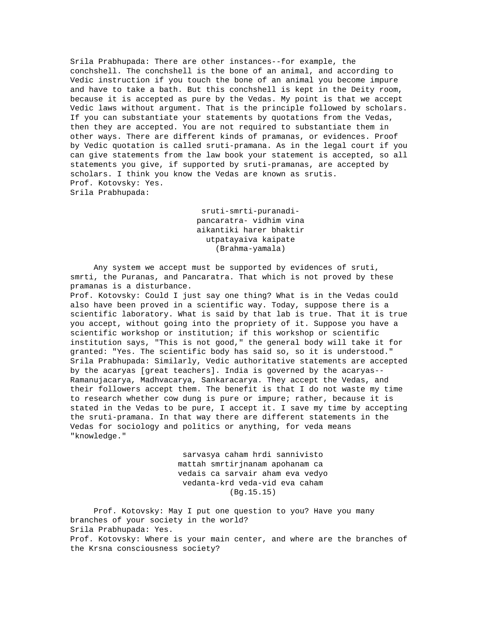Srila Prabhupada: There are other instances--for example, the conchshell. The conchshell is the bone of an animal, and according to Vedic instruction if you touch the bone of an animal you become impure and have to take a bath. But this conchshell is kept in the Deity room, because it is accepted as pure by the Vedas. My point is that we accept Vedic laws without argument. That is the principle followed by scholars. If you can substantiate your statements by quotations from the Vedas, then they are accepted. You are not required to substantiate them in other ways. There are different kinds of pramanas, or evidences. Proof by Vedic quotation is called sruti-pramana. As in the legal court if you can give statements from the law book your statement is accepted, so all statements you give, if supported by sruti-pramanas, are accepted by scholars. I think you know the Vedas are known as srutis. Prof. Kotovsky: Yes. Srila Prabhupada:

> sruti-smrti-puranadi pancaratra- vidhim vina aikantiki harer bhaktir utpatayaiva kaipate (Brahma-yamala)

 Any system we accept must be supported by evidences of sruti, smrti, the Puranas, and Pancaratra. That which is not proved by these pramanas is a disturbance.

Prof. Kotovsky: Could I just say one thing? What is in the Vedas could also have been proved in a scientific way. Today, suppose there is a scientific laboratory. What is said by that lab is true. That it is true you accept, without going into the propriety of it. Suppose you have a scientific workshop or institution; if this workshop or scientific institution says, "This is not good," the general body will take it for granted: "Yes. The scientific body has said so, so it is understood." Srila Prabhupada: Similarly, Vedic authoritative statements are accepted by the acaryas [great teachers]. India is governed by the acaryas-- Ramanujacarya, Madhvacarya, Sankaracarya. They accept the Vedas, and their followers accept them. The benefit is that I do not waste my time to research whether cow dung is pure or impure; rather, because it is stated in the Vedas to be pure, I accept it. I save my time by accepting the sruti-pramana. In that way there are different statements in the Vedas for sociology and politics or anything, for veda means "knowledge."

> sarvasya caham hrdi sannivisto mattah smrtirjnanam apohanam ca vedais ca sarvair aham eva vedyo vedanta-krd veda-vid eva caham (Bg.15.15)

 Prof. Kotovsky: May I put one question to you? Have you many branches of your society in the world? Srila Prabhupada: Yes. Prof. Kotovsky: Where is your main center, and where are the branches of the Krsna consciousness society?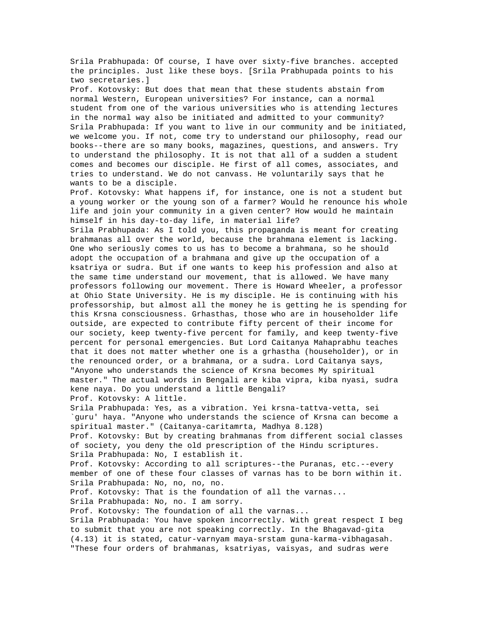Srila Prabhupada: Of course, I have over sixty-five branches. accepted the principles. Just like these boys. [Srila Prabhupada points to his two secretaries.] Prof. Kotovsky: But does that mean that these students abstain from normal Western, European universities? For instance, can a normal student from one of the various universities who is attending lectures in the normal way also be initiated and admitted to your community? Srila Prabhupada: If you want to live in our community and be initiated, we welcome you. If not, come try to understand our philosophy, read our books--there are so many books, magazines, questions, and answers. Try to understand the philosophy. It is not that all of a sudden a student comes and becomes our disciple. He first of all comes, associates, and tries to understand. We do not canvass. He voluntarily says that he wants to be a disciple. Prof. Kotovsky: What happens if, for instance, one is not a student but a young worker or the young son of a farmer? Would he renounce his whole life and join your community in a given center? How would he maintain himself in his day-to-day life, in material life? Srila Prabhupada: As I told you, this propaganda is meant for creating brahmanas all over the world, because the brahmana element is lacking. One who seriously comes to us has to become a brahmana, so he should adopt the occupation of a brahmana and give up the occupation of a ksatriya or sudra. But if one wants to keep his profession and also at the same time understand our movement, that is allowed. We have many professors following our movement. There is Howard Wheeler, a professor at Ohio State University. He is my disciple. He is continuing with his professorship, but almost all the money he is getting he is spending for this Krsna consciousness. Grhasthas, those who are in householder life outside, are expected to contribute fifty percent of their income for our society, keep twenty-five percent for family, and keep twenty-five percent for personal emergencies. But Lord Caitanya Mahaprabhu teaches that it does not matter whether one is a grhastha (householder), or in the renounced order, or a brahmana, or a sudra. Lord Caitanya says, "Anyone who understands the science of Krsna becomes My spiritual master." The actual words in Bengali are kiba vipra, kiba nyasi, sudra kene naya. Do you understand a little Bengali? Prof. Kotovsky: A little. Srila Prabhupada: Yes, as a vibration. Yei krsna-tattva-vetta, sei `guru' haya. "Anyone who understands the science of Krsna can become a spiritual master." (Caitanya-caritamrta, Madhya 8.128) Prof. Kotovsky: But by creating brahmanas from different social classes of society, you deny the old prescription of the Hindu scriptures. Srila Prabhupada: No, I establish it. Prof. Kotovsky: According to all scriptures--the Puranas, etc.--every member of one of these four classes of varnas has to be born within it. Srila Prabhupada: No, no, no, no. Prof. Kotovsky: That is the foundation of all the varnas... Srila Prabhupada: No, no. I am sorry. Prof. Kotovsky: The foundation of all the varnas... Srila Prabhupada: You have spoken incorrectly. With great respect I beg to submit that you are not speaking correctly. In the Bhagavad-gita (4.13) it is stated, catur-varnyam maya-srstam guna-karma-vibhagasah. "These four orders of brahmanas, ksatriyas, vaisyas, and sudras were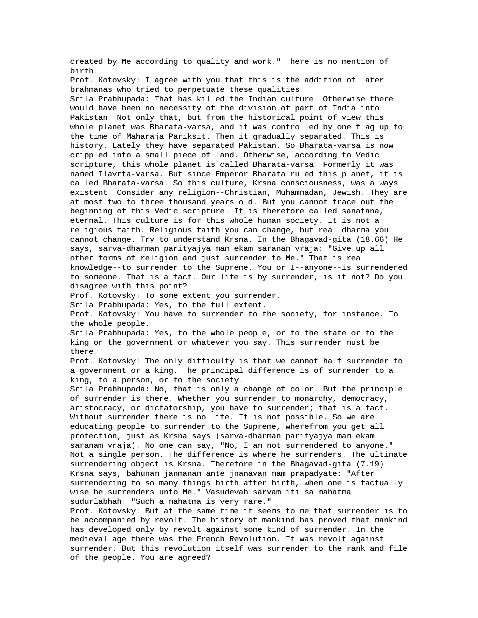created by Me according to quality and work." There is no mention of birth. Prof. Kotovsky: I agree with you that this is the addition of later brahmanas who tried to perpetuate these qualities. Srila Prabhupada: That has killed the Indian culture. Otherwise there would have been no necessity of the division of part of India into Pakistan. Not only that, but from the historical point of view this whole planet was Bharata-varsa, and it was controlled by one flag up to the time of Maharaja Pariksit. Then it gradually separated. This is history. Lately they have separated Pakistan. So Bharata-varsa is now crippled into a small piece of land. Otherwise, according to Vedic scripture, this whole planet is called Bharata-varsa. Formerly it was named Ilavrta-varsa. But since Emperor Bharata ruled this planet, it is called Bharata-varsa. So this culture, Krsna consciousness, was always existent. Consider any religion--Christian, Muhammadan, Jewish. They are at most two to three thousand years old. But you cannot trace out the beginning of this Vedic scripture. It is therefore called sanatana, eternal. This culture is for this whole human society. It is not a religious faith. Religious faith you can change, but real dharma you cannot change. Try to understand Krsna. In the Bhagavad-gita (18.66) He says, sarva-dharman parityajya mam ekam saranam vraja: "Give up all other forms of religion and just surrender to Me." That is real knowledge--to surrender to the Supreme. You or I--anyone--is surrendered to someone. That is a fact. Our life is by surrender, is it not? Do you disagree with this point? Prof. Kotovsky: To some extent you surrender. Srila Prabhupada: Yes, to the full extent. Prof. Kotovsky: You have to surrender to the society, for instance. To the whole people. Srila Prabhupada: Yes, to the whole people, or to the state or to the king or the government or whatever you say. This surrender must be there. Prof. Kotovsky: The only difficulty is that we cannot half surrender to a government or a king. The principal difference is of surrender to a king, to a person, or to the society. Srila Prabhupada: No, that is only a change of color. But the principle of surrender is there. Whether you surrender to monarchy, democracy, aristocracy, or dictatorship, you have to surrender; that is a fact. Without surrender there is no life. It is not possible. So we are educating people to surrender to the Supreme, wherefrom you get all protection, just as Krsna says (sarva-dharman parityajya mam ekam saranam vraja). No one can say, "No, I am not surrendered to anyone." Not a single person. The difference is where he surrenders. The ultimate surrendering object is Krsna. Therefore in the Bhagavad-gita (7.19) Krsna says, bahunam janmanam ante jnanavan mam prapadyate: "After surrendering to so many things birth after birth, when one is factually wise he surrenders unto Me." Vasudevah sarvam iti sa mahatma sudurlabhah: "Such a mahatma is very rare." Prof. Kotovsky: But at the same time it seems to me that surrender is to be accompanied by revolt. The history of mankind has proved that mankind has developed only by revolt against some kind of surrender. In the medieval age there was the French Revolution. It was revolt against surrender. But this revolution itself was surrender to the rank and file of the people. You are agreed?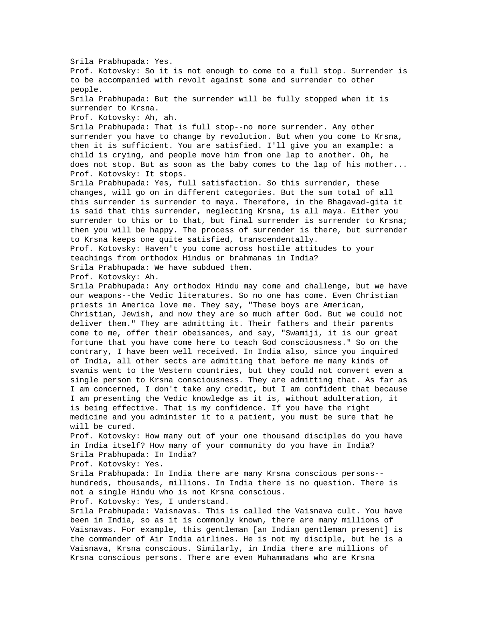Srila Prabhupada: Yes. Prof. Kotovsky: So it is not enough to come to a full stop. Surrender is to be accompanied with revolt against some and surrender to other people. Srila Prabhupada: But the surrender will be fully stopped when it is surrender to Krsna. Prof. Kotovsky: Ah, ah. Srila Prabhupada: That is full stop--no more surrender. Any other surrender you have to change by revolution. But when you come to Krsna, then it is sufficient. You are satisfied. I'll give you an example: a child is crying, and people move him from one lap to another. Oh, he does not stop. But as soon as the baby comes to the lap of his mother... Prof. Kotovsky: It stops. Srila Prabhupada: Yes, full satisfaction. So this surrender, these changes, will go on in different categories. But the sum total of all this surrender is surrender to maya. Therefore, in the Bhagavad-gita it is said that this surrender, neglecting Krsna, is all maya. Either you surrender to this or to that, but final surrender is surrender to Krsna; then you will be happy. The process of surrender is there, but surrender to Krsna keeps one quite satisfied, transcendentally. Prof. Kotovsky: Haven't you come across hostile attitudes to your teachings from orthodox Hindus or brahmanas in India? Srila Prabhupada: We have subdued them. Prof. Kotovsky: Ah. Srila Prabhupada: Any orthodox Hindu may come and challenge, but we have our weapons--the Vedic literatures. So no one has come. Even Christian priests in America love me. They say, "These boys are American, Christian, Jewish, and now they are so much after God. But we could not deliver them." They are admitting it. Their fathers and their parents come to me, offer their obeisances, and say, "Swamiji, it is our great fortune that you have come here to teach God consciousness." So on the contrary, I have been well received. In India also, since you inquired of India, all other sects are admitting that before me many kinds of svamis went to the Western countries, but they could not convert even a single person to Krsna consciousness. They are admitting that. As far as I am concerned, I don't take any credit, but I am confident that because I am presenting the Vedic knowledge as it is, without adulteration, it is being effective. That is my confidence. If you have the right medicine and you administer it to a patient, you must be sure that he will be cured. Prof. Kotovsky: How many out of your one thousand disciples do you have in India itself? How many of your community do you have in India? Srila Prabhupada: In India? Prof. Kotovsky: Yes. Srila Prabhupada: In India there are many Krsna conscious persons- hundreds, thousands, millions. In India there is no question. There is not a single Hindu who is not Krsna conscious. Prof. Kotovsky: Yes, I understand. Srila Prabhupada: Vaisnavas. This is called the Vaisnava cult. You have been in India, so as it is commonly known, there are many millions of Vaisnavas. For example, this gentleman [an Indian gentleman present] is the commander of Air India airlines. He is not my disciple, but he is a Vaisnava, Krsna conscious. Similarly, in India there are millions of Krsna conscious persons. There are even Muhammadans who are Krsna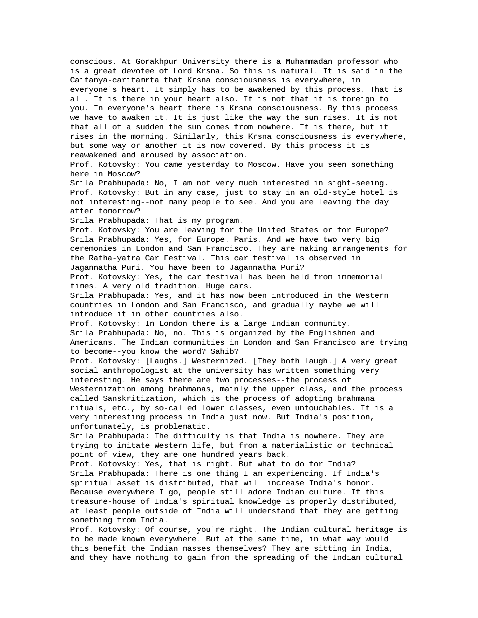conscious. At Gorakhpur University there is a Muhammadan professor who is a great devotee of Lord Krsna. So this is natural. It is said in the Caitanya-caritamrta that Krsna consciousness is everywhere, in everyone's heart. It simply has to be awakened by this process. That is all. It is there in your heart also. It is not that it is foreign to you. In everyone's heart there is Krsna consciousness. By this process we have to awaken it. It is just like the way the sun rises. It is not that all of a sudden the sun comes from nowhere. It is there, but it rises in the morning. Similarly, this Krsna consciousness is everywhere, but some way or another it is now covered. By this process it is reawakened and aroused by association. Prof. Kotovsky: You came yesterday to Moscow. Have you seen something here in Moscow? Srila Prabhupada: No, I am not very much interested in sight-seeing. Prof. Kotovsky: But in any case, just to stay in an old-style hotel is not interesting--not many people to see. And you are leaving the day after tomorrow? Srila Prabhupada: That is my program. Prof. Kotovsky: You are leaving for the United States or for Europe? Srila Prabhupada: Yes, for Europe. Paris. And we have two very big ceremonies in London and San Francisco. They are making arrangements for the Ratha-yatra Car Festival. This car festival is observed in Jagannatha Puri. You have been to Jagannatha Puri? Prof. Kotovsky: Yes, the car festival has been held from immemorial times. A very old tradition. Huge cars. Srila Prabhupada: Yes, and it has now been introduced in the Western countries in London and San Francisco, and gradually maybe we will introduce it in other countries also. Prof. Kotovsky: In London there is a large Indian community. Srila Prabhupada: No, no. This is organized by the Englishmen and Americans. The Indian communities in London and San Francisco are trying to become--you know the word? Sahib? Prof. Kotovsky: [Laughs.] Westernized. [They both laugh.] A very great social anthropologist at the university has written something very interesting. He says there are two processes--the process of Westernization among brahmanas, mainly the upper class, and the process called Sanskritization, which is the process of adopting brahmana rituals, etc., by so-called lower classes, even untouchables. It is a very interesting process in India just now. But India's position, unfortunately, is problematic. Srila Prabhupada: The difficulty is that India is nowhere. They are trying to imitate Western life, but from a materialistic or technical point of view, they are one hundred years back. Prof. Kotovsky: Yes, that is right. But what to do for India? Srila Prabhupada: There is one thing I am experiencing. If India's spiritual asset is distributed, that will increase India's honor. Because everywhere I go, people still adore Indian culture. If this treasure-house of India's spiritual knowledge is properly distributed, at least people outside of India will understand that they are getting something from India. Prof. Kotovsky: Of course, you're right. The Indian cultural heritage is to be made known everywhere. But at the same time, in what way would this benefit the Indian masses themselves? They are sitting in India, and they have nothing to gain from the spreading of the Indian cultural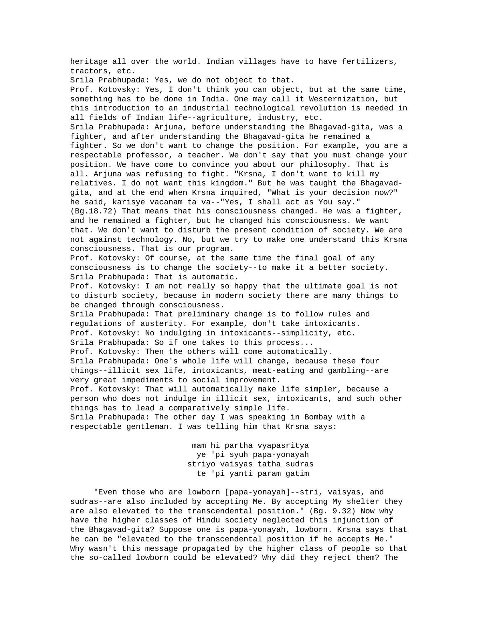heritage all over the world. Indian villages have to have fertilizers, tractors, etc. Srila Prabhupada: Yes, we do not object to that. Prof. Kotovsky: Yes, I don't think you can object, but at the same time, something has to be done in India. One may call it Westernization, but this introduction to an industrial technological revolution is needed in all fields of Indian life--agriculture, industry, etc. Srila Prabhupada: Arjuna, before understanding the Bhagavad-gita, was a fighter, and after understanding the Bhagavad-gita he remained a fighter. So we don't want to change the position. For example, you are a respectable professor, a teacher. We don't say that you must change your position. We have come to convince you about our philosophy. That is all. Arjuna was refusing to fight. "Krsna, I don't want to kill my relatives. I do not want this kingdom." But he was taught the Bhagavadgita, and at the end when Krsna inquired, "What is your decision now?" he said, karisye vacanam ta va--"Yes, I shall act as You say." (Bg.18.72) That means that his consciousness changed. He was a fighter, and he remained a fighter, but he changed his consciousness. We want that. We don't want to disturb the present condition of society. We are not against technology. No, but we try to make one understand this Krsna consciousness. That is our program. Prof. Kotovsky: Of course, at the same time the final goal of any consciousness is to change the society--to make it a better society. Srila Prabhupada: That is automatic. Prof. Kotovsky: I am not really so happy that the ultimate goal is not to disturb society, because in modern society there are many things to be changed through consciousness. Srila Prabhupada: That preliminary change is to follow rules and regulations of austerity. For example, don't take intoxicants. Prof. Kotovsky: No indulging in intoxicants--simplicity, etc. Srila Prabhupada: So if one takes to this process... Prof. Kotovsky: Then the others will come automatically. Srila Prabhupada: One's whole life will change, because these four things--illicit sex life, intoxicants, meat-eating and gambling--are very great impediments to social improvement. Prof. Kotovsky: That will automatically make life simpler, because a person who does not indulge in illicit sex, intoxicants, and such other things has to lead a comparatively simple life. Srila Prabhupada: The other day I was speaking in Bombay with a respectable gentleman. I was telling him that Krsna says:

> mam hi partha vyapasritya ye 'pi syuh papa-yonayah striyo vaisyas tatha sudras te 'pi yanti param gatim

 "Even those who are lowborn [papa-yonayah]--stri, vaisyas, and sudras--are also included by accepting Me. By accepting My shelter they are also elevated to the transcendental position." (Bg. 9.32) Now why have the higher classes of Hindu society neglected this injunction of the Bhagavad-gita? Suppose one is papa-yonayah, lowborn. Krsna says that he can be "elevated to the transcendental position if he accepts Me." Why wasn't this message propagated by the higher class of people so that the so-called lowborn could be elevated? Why did they reject them? The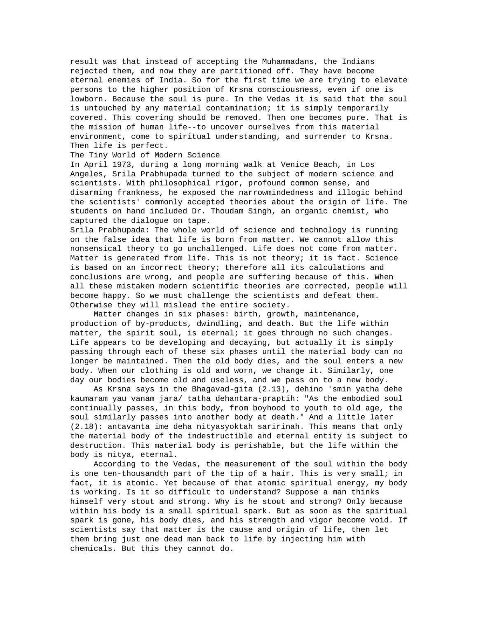result was that instead of accepting the Muhammadans, the Indians rejected them, and now they are partitioned off. They have become eternal enemies of India. So for the first time we are trying to elevate persons to the higher position of Krsna consciousness, even if one is lowborn. Because the soul is pure. In the Vedas it is said that the soul is untouched by any material contamination; it is simply temporarily covered. This covering should be removed. Then one becomes pure. That is the mission of human life--to uncover ourselves from this material environment, come to spiritual understanding, and surrender to Krsna. Then life is perfect.

The Tiny World of Modern Science

In April 1973, during a long morning walk at Venice Beach, in Los Angeles, Srila Prabhupada turned to the subject of modern science and scientists. With philosophical rigor, profound common sense, and disarming frankness, he exposed the narrowmindedness and illogic behind the scientists' commonly accepted theories about the origin of life. The students on hand included Dr. Thoudam Singh, an organic chemist, who captured the dialogue on tape.

Srila Prabhupada: The whole world of science and technology is running on the false idea that life is born from matter. We cannot allow this nonsensical theory to go unchallenged. Life does not come from matter. Matter is generated from life. This is not theory; it is fact. Science is based on an incorrect theory; therefore all its calculations and conclusions are wrong, and people are suffering because of this. When all these mistaken modern scientific theories are corrected, people will become happy. So we must challenge the scientists and defeat them. Otherwise they will mislead the entire society.

 Matter changes in six phases: birth, growth, maintenance, production of by-products, dwindling, and death. But the life within matter, the spirit soul, is eternal; it goes through no such changes. Life appears to be developing and decaying, but actually it is simply passing through each of these six phases until the material body can no longer be maintained. Then the old body dies, and the soul enters a new body. When our clothing is old and worn, we change it. Similarly, one day our bodies become old and useless, and we pass on to a new body.

 As Krsna says in the Bhagavad-gita (2.13), dehino 'smin yatha dehe kaumaram yau vanam jara/ tatha dehantara-praptih: "As the embodied soul continually passes, in this body, from boyhood to youth to old age, the soul similarly passes into another body at death." And a little later (2.18): antavanta ime deha nityasyoktah saririnah. This means that only the material body of the indestructible and eternal entity is subject to destruction. This material body is perishable, but the life within the body is nitya, eternal.

 According to the Vedas, the measurement of the soul within the body is one ten-thousandth part of the tip of a hair. This is very small; in fact, it is atomic. Yet because of that atomic spiritual energy, my body is working. Is it so difficult to understand? Suppose a man thinks himself very stout and strong. Why is he stout and strong? Only because within his body is a small spiritual spark. But as soon as the spiritual spark is gone, his body dies, and his strength and vigor become void. If scientists say that matter is the cause and origin of life, then let them bring just one dead man back to life by injecting him with chemicals. But this they cannot do.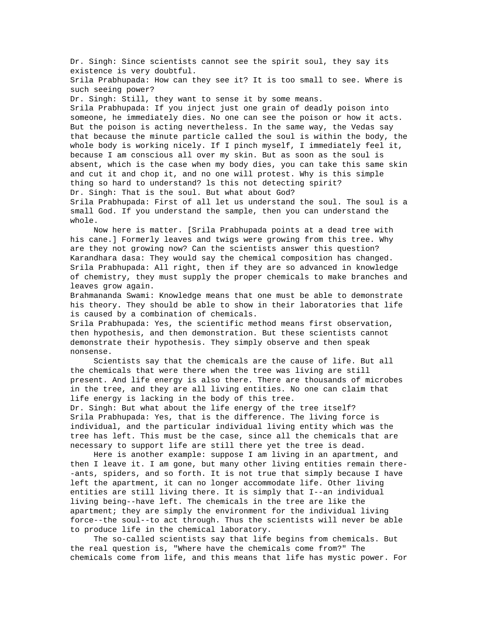Dr. Singh: Since scientists cannot see the spirit soul, they say its existence is very doubtful. Srila Prabhupada: How can they see it? It is too small to see. Where is such seeing power? Dr. Singh: Still, they want to sense it by some means. Srila Prabhupada: If you inject just one grain of deadly poison into someone, he immediately dies. No one can see the poison or how it acts. But the poison is acting nevertheless. In the same way, the Vedas say that because the minute particle called the soul is within the body, the whole body is working nicely. If I pinch myself, I immediately feel it, because I am conscious all over my skin. But as soon as the soul is absent, which is the case when my body dies, you can take this same skin and cut it and chop it, and no one will protest. Why is this simple thing so hard to understand? ls this not detecting spirit? Dr. Singh: That is the soul. But what about God? Srila Prabhupada: First of all let us understand the soul. The soul is a small God. If you understand the sample, then you can understand the whole.

 Now here is matter. [Srila Prabhupada points at a dead tree with his cane.] Formerly leaves and twigs were growing from this tree. Why are they not growing now? Can the scientists answer this question? Karandhara dasa: They would say the chemical composition has changed. Srila Prabhupada: All right, then if they are so advanced in knowledge of chemistry, they must supply the proper chemicals to make branches and leaves grow again.

Brahmananda Swami: Knowledge means that one must be able to demonstrate his theory. They should be able to show in their laboratories that life is caused by a combination of chemicals.

Srila Prabhupada: Yes, the scientific method means first observation, then hypothesis, and then demonstration. But these scientists cannot demonstrate their hypothesis. They simply observe and then speak nonsense.

 Scientists say that the chemicals are the cause of life. But all the chemicals that were there when the tree was living are still present. And life energy is also there. There are thousands of microbes in the tree, and they are all living entities. No one can claim that life energy is lacking in the body of this tree.

Dr. Singh: But what about the life energy of the tree itself? Srila Prabhupada: Yes, that is the difference. The living force is individual, and the particular individual living entity which was the tree has left. This must be the case, since all the chemicals that are necessary to support life are still there yet the tree is dead.

 Here is another example: suppose I am living in an apartment, and then I leave it. I am gone, but many other living entities remain there- -ants, spiders, and so forth. It is not true that simply because I have left the apartment, it can no longer accommodate life. Other living entities are still living there. It is simply that I--an individual living being--have left. The chemicals in the tree are like the apartment; they are simply the environment for the individual living force--the soul--to act through. Thus the scientists will never be able to produce life in the chemical laboratory.

 The so-called scientists say that life begins from chemicals. But the real question is, "Where have the chemicals come from?" The chemicals come from life, and this means that life has mystic power. For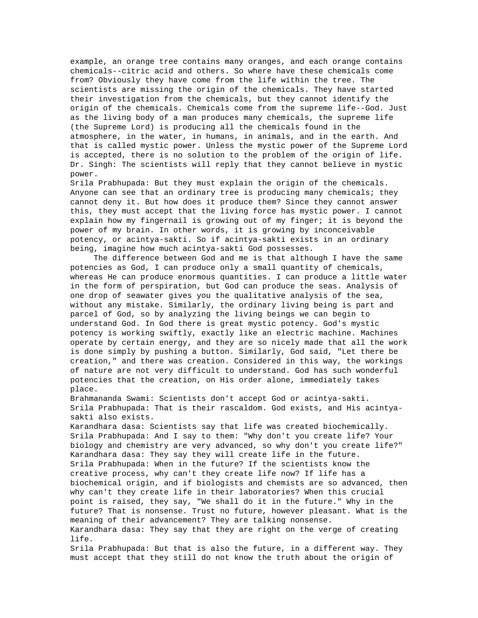example, an orange tree contains many oranges, and each orange contains chemicals--citric acid and others. So where have these chemicals come from? Obviously they have come from the life within the tree. The scientists are missing the origin of the chemicals. They have started their investigation from the chemicals, but they cannot identify the origin of the chemicals. Chemicals come from the supreme life--God. Just as the living body of a man produces many chemicals, the supreme life (the Supreme Lord) is producing all the chemicals found in the atmosphere, in the water, in humans, in animals, and in the earth. And that is called mystic power. Unless the mystic power of the Supreme Lord is accepted, there is no solution to the problem of the origin of life. Dr. Singh: The scientists will reply that they cannot believe in mystic power.

Srila Prabhupada: But they must explain the origin of the chemicals. Anyone can see that an ordinary tree is producing many chemicals; they cannot deny it. But how does it produce them? Since they cannot answer this, they must accept that the living force has mystic power. I cannot explain how my fingernail is growing out of my finger; it is beyond the power of my brain. In other words, it is growing by inconceivable potency, or acintya-sakti. So if acintya-sakti exists in an ordinary being, imagine how much acintya-sakti God possesses.

 The difference between God and me is that although I have the same potencies as God, I can produce only a small quantity of chemicals, whereas He can produce enormous quantities. I can produce a little water in the form of perspiration, but God can produce the seas. Analysis of one drop of seawater gives you the qualitative analysis of the sea, without any mistake. Similarly, the ordinary living being is part and parcel of God, so by analyzing the living beings we can begin to understand God. In God there is great mystic potency. God's mystic potency is working swiftly, exactly like an electric machine. Machines operate by certain energy, and they are so nicely made that all the work is done simply by pushing a button. Similarly, God said, "Let there be creation," and there was creation. Considered in this way, the workings of nature are not very difficult to understand. God has such wonderful potencies that the creation, on His order alone, immediately takes place.

Brahmananda Swami: Scientists don't accept God or acintya-sakti. Srila Prabhupada: That is their rascaldom. God exists, and His acintyasakti also exists.

Karandhara dasa: Scientists say that life was created biochemically. Srila Prabhupada: And I say to them: "Why don't you create life? Your biology and chemistry are very advanced, so why don't you create life?" Karandhara dasa: They say they will create life in the future. Srila Prabhupada: When in the future? If the scientists know the creative process, why can't they create life now? If life has a biochemical origin, and if biologists and chemists are so advanced, then why can't they create life in their laboratories? When this crucial point is raised, they say, "We shall do it in the future." Why in the future? That is nonsense. Trust no future, however pleasant. What is the meaning of their advancement? They are talking nonsense. Karandhara dasa: They say that they are right on the verge of creating

life.

Srila Prabhupada: But that is also the future, in a different way. They must accept that they still do not know the truth about the origin of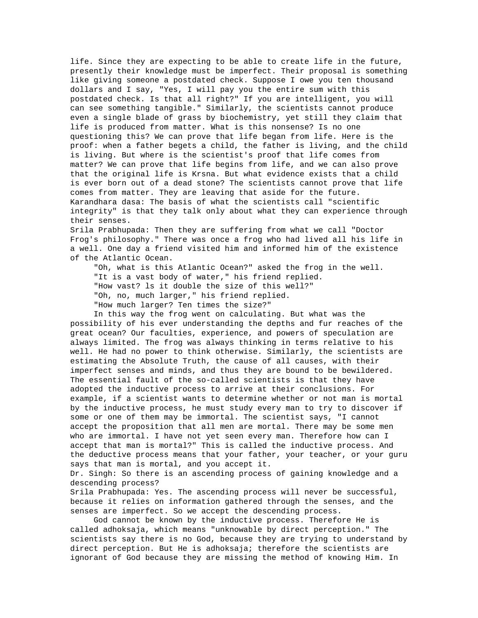life. Since they are expecting to be able to create life in the future, presently their knowledge must be imperfect. Their proposal is something like giving someone a postdated check. Suppose I owe you ten thousand dollars and I say, "Yes, I will pay you the entire sum with this postdated check. Is that all right?" If you are intelligent, you will can see something tangible." Similarly, the scientists cannot produce even a single blade of grass by biochemistry, yet still they claim that life is produced from matter. What is this nonsense? Is no one questioning this? We can prove that life began from life. Here is the proof: when a father begets a child, the father is living, and the child is living. But where is the scientist's proof that life comes from matter? We can prove that life begins from life, and we can also prove that the original life is Krsna. But what evidence exists that a child is ever born out of a dead stone? The scientists cannot prove that life comes from matter. They are leaving that aside for the future. Karandhara dasa: The basis of what the scientists call "scientific integrity" is that they talk only about what they can experience through their senses.

Srila Prabhupada: Then they are suffering from what we call "Doctor Frog's philosophy." There was once a frog who had lived all his life in a well. One day a friend visited him and informed him of the existence of the Atlantic Ocean.

 "Oh, what is this Atlantic Ocean?" asked the frog in the well. "It is a vast body of water," his friend replied. "How vast? ls it double the size of this well?" "Oh, no, much larger," his friend replied. "How much larger? Ten times the size?"

 In this way the frog went on calculating. But what was the possibility of his ever understanding the depths and fur reaches of the great ocean? Our faculties, experience, and powers of speculation are always limited. The frog was always thinking in terms relative to his well. He had no power to think otherwise. Similarly, the scientists are estimating the Absolute Truth, the cause of all causes, with their imperfect senses and minds, and thus they are bound to be bewildered. The essential fault of the so-called scientists is that they have adopted the inductive process to arrive at their conclusions. For example, if a scientist wants to determine whether or not man is mortal by the inductive process, he must study every man to try to discover if some or one of them may be immortal. The scientist says, "I cannot accept the proposition that all men are mortal. There may be some men who are immortal. I have not yet seen every man. Therefore how can I accept that man is mortal?" This is called the inductive process. And the deductive process means that your father, your teacher, or your guru says that man is mortal, and you accept it.

Dr. Singh: So there is an ascending process of gaining knowledge and a descending process?

Srila Prabhupada: Yes. The ascending process will never be successful, because it relies on information gathered through the senses, and the senses are imperfect. So we accept the descending process.

 God cannot be known by the inductive process. Therefore He is called adhoksaja, which means "unknowable by direct perception." The scientists say there is no God, because they are trying to understand by direct perception. But He is adhoksaja; therefore the scientists are ignorant of God because they are missing the method of knowing Him. In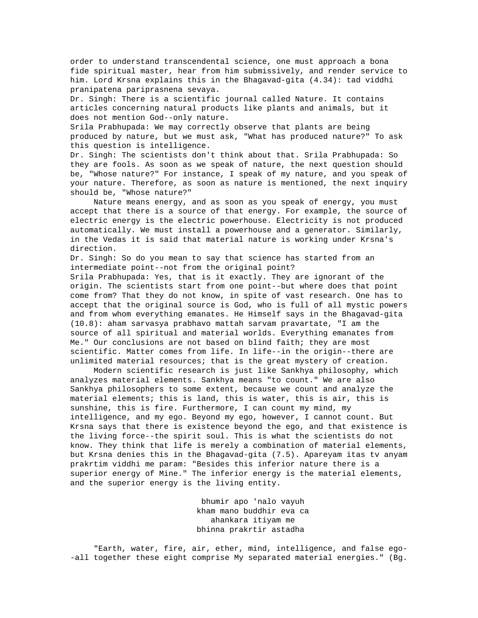order to understand transcendental science, one must approach a bona fide spiritual master, hear from him submissively, and render service to him. Lord Krsna explains this in the Bhagavad-gita (4.34): tad viddhi pranipatena pariprasnena sevaya.

Dr. Singh: There is a scientific journal called Nature. It contains articles concerning natural products like plants and animals, but it does not mention God--only nature.

Srila Prabhupada: We may correctly observe that plants are being produced by nature, but we must ask, "What has produced nature?" To ask this question is intelligence.

Dr. Singh: The scientists don't think about that. Srila Prabhupada: So they are fools. As soon as we speak of nature, the next question should be, "Whose nature?" For instance, I speak of my nature, and you speak of your nature. Therefore, as soon as nature is mentioned, the next inquiry should be, "Whose nature?"

 Nature means energy, and as soon as you speak of energy, you must accept that there is a source of that energy. For example, the source of electric energy is the electric powerhouse. Electricity is not produced automatically. We must install a powerhouse and a generator. Similarly, in the Vedas it is said that material nature is working under Krsna's direction.

Dr. Singh: So do you mean to say that science has started from an intermediate point--not from the original point?

Srila Prabhupada: Yes, that is it exactly. They are ignorant of the origin. The scientists start from one point--but where does that point come from? That they do not know, in spite of vast research. One has to accept that the original source is God, who is full of all mystic powers and from whom everything emanates. He Himself says in the Bhagavad-gita (10.8): aham sarvasya prabhavo mattah sarvam pravartate, "I am the source of all spiritual and material worlds. Everything emanates from Me." Our conclusions are not based on blind faith; they are most scientific. Matter comes from life. In life--in the origin--there are unlimited material resources; that is the great mystery of creation.

 Modern scientific research is just like Sankhya philosophy, which analyzes material elements. Sankhya means "to count." We are also Sankhya philosophers to some extent, because we count and analyze the material elements; this is land, this is water, this is air, this is sunshine, this is fire. Furthermore, I can count my mind, my intelligence, and my ego. Beyond my ego, however, I cannot count. But Krsna says that there is existence beyond the ego, and that existence is the living force--the spirit soul. This is what the scientists do not know. They think that life is merely a combination of material elements, but Krsna denies this in the Bhagavad-gita (7.5). Apareyam itas tv anyam prakrtim viddhi me param: "Besides this inferior nature there is a superior energy of Mine." The inferior energy is the material elements, and the superior energy is the living entity.

> bhumir apo 'nalo vayuh kham mano buddhir eva ca ahankara itiyam me bhinna prakrtir astadha

 "Earth, water, fire, air, ether, mind, intelligence, and false ego- -all together these eight comprise My separated material energies." (Bg.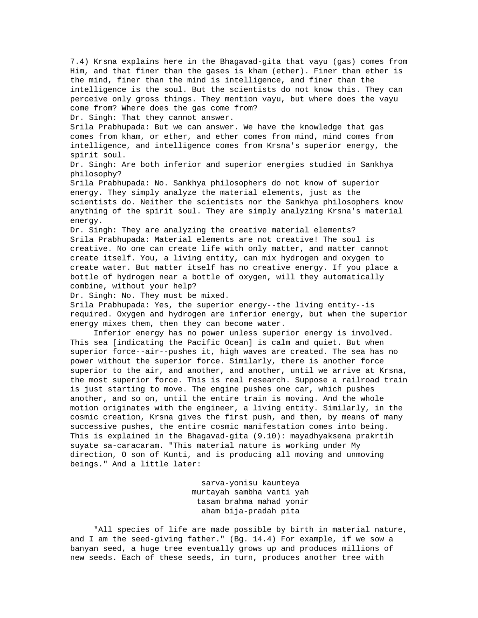7.4) Krsna explains here in the Bhagavad-gita that vayu (gas) comes from Him, and that finer than the gases is kham (ether). Finer than ether is the mind, finer than the mind is intelligence, and finer than the intelligence is the soul. But the scientists do not know this. They can perceive only gross things. They mention vayu, but where does the vayu come from? Where does the gas come from?

Dr. Singh: That they cannot answer.

Srila Prabhupada: But we can answer. We have the knowledge that gas comes from kham, or ether, and ether comes from mind, mind comes from intelligence, and intelligence comes from Krsna's superior energy, the spirit soul.

Dr. Singh: Are both inferior and superior energies studied in Sankhya philosophy?

Srila Prabhupada: No. Sankhya philosophers do not know of superior energy. They simply analyze the material elements, just as the scientists do. Neither the scientists nor the Sankhya philosophers know anything of the spirit soul. They are simply analyzing Krsna's material energy.

Dr. Singh: They are analyzing the creative material elements? Srila Prabhupada: Material elements are not creative! The soul is creative. No one can create life with only matter, and matter cannot create itself. You, a living entity, can mix hydrogen and oxygen to create water. But matter itself has no creative energy. If you place a bottle of hydrogen near a bottle of oxygen, will they automatically combine, without your help?

Dr. Singh: No. They must be mixed.

Srila Prabhupada: Yes, the superior energy--the living entity--is required. Oxygen and hydrogen are inferior energy, but when the superior energy mixes them, then they can become water.

 Inferior energy has no power unless superior energy is involved. This sea [indicating the Pacific Ocean] is calm and quiet. But when superior force--air--pushes it, high waves are created. The sea has no power without the superior force. Similarly, there is another force superior to the air, and another, and another, until we arrive at Krsna, the most superior force. This is real research. Suppose a railroad train is just starting to move. The engine pushes one car, which pushes another, and so on, until the entire train is moving. And the whole motion originates with the engineer, a living entity. Similarly, in the cosmic creation, Krsna gives the first push, and then, by means of many successive pushes, the entire cosmic manifestation comes into being. This is explained in the Bhagavad-gita (9.10): mayadhyaksena prakrtih suyate sa-caracaram. "This material nature is working under My direction, O son of Kunti, and is producing all moving and unmoving beings." And a little later:

> sarva-yonisu kaunteya murtayah sambha vanti yah tasam brahma mahad yonir aham bija-pradah pita

 "All species of life are made possible by birth in material nature, and I am the seed-giving father." (Bg. 14.4) For example, if we sow a banyan seed, a huge tree eventually grows up and produces millions of new seeds. Each of these seeds, in turn, produces another tree with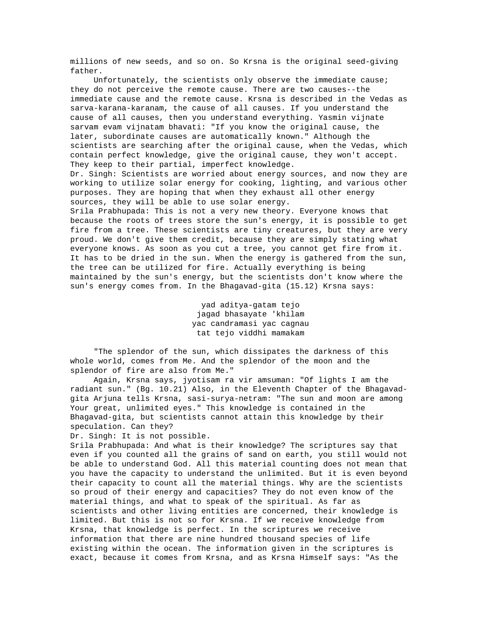millions of new seeds, and so on. So Krsna is the original seed-giving father.

 Unfortunately, the scientists only observe the immediate cause; they do not perceive the remote cause. There are two causes--the immediate cause and the remote cause. Krsna is described in the Vedas as sarva-karana-karanam, the cause of all causes. If you understand the cause of all causes, then you understand everything. Yasmin vijnate sarvam evam vijnatam bhavati: "If you know the original cause, the later, subordinate causes are automatically known." Although the scientists are searching after the original cause, when the Vedas, which contain perfect knowledge, give the original cause, they won't accept. They keep to their partial, imperfect knowledge. Dr. Singh: Scientists are worried about energy sources, and now they are working to utilize solar energy for cooking, lighting, and various other purposes. They are hoping that when they exhaust all other energy sources, they will be able to use solar energy. Srila Prabhupada: This is not a very new theory. Everyone knows that

because the roots of trees store the sun's energy, it is possible to get fire from a tree. These scientists are tiny creatures, but they are very proud. We don't give them credit, because they are simply stating what everyone knows. As soon as you cut a tree, you cannot get fire from it. It has to be dried in the sun. When the energy is gathered from the sun, the tree can be utilized for fire. Actually everything is being maintained by the sun's energy, but the scientists don't know where the sun's energy comes from. In the Bhagavad-gita (15.12) Krsna says:

> yad aditya-gatam tejo jagad bhasayate 'khilam yac candramasi yac cagnau tat tejo viddhi mamakam

 "The splendor of the sun, which dissipates the darkness of this whole world, comes from Me. And the splendor of the moon and the splendor of fire are also from Me."

 Again, Krsna says, jyotisam ra vir amsuman: "Of lights I am the radiant sun." (Bg. 10.21) Also, in the Eleventh Chapter of the Bhagavadgita Arjuna tells Krsna, sasi-surya-netram: "The sun and moon are among Your great, unlimited eyes." This knowledge is contained in the Bhagavad-gita, but scientists cannot attain this knowledge by their speculation. Can they?

Dr. Singh: It is not possible.

Srila Prabhupada: And what is their knowledge? The scriptures say that even if you counted all the grains of sand on earth, you still would not be able to understand God. All this material counting does not mean that you have the capacity to understand the unlimited. But it is even beyond their capacity to count all the material things. Why are the scientists so proud of their energy and capacities? They do not even know of the material things, and what to speak of the spiritual. As far as scientists and other living entities are concerned, their knowledge is limited. But this is not so for Krsna. If we receive knowledge from Krsna, that knowledge is perfect. In the scriptures we receive information that there are nine hundred thousand species of life existing within the ocean. The information given in the scriptures is exact, because it comes from Krsna, and as Krsna Himself says: "As the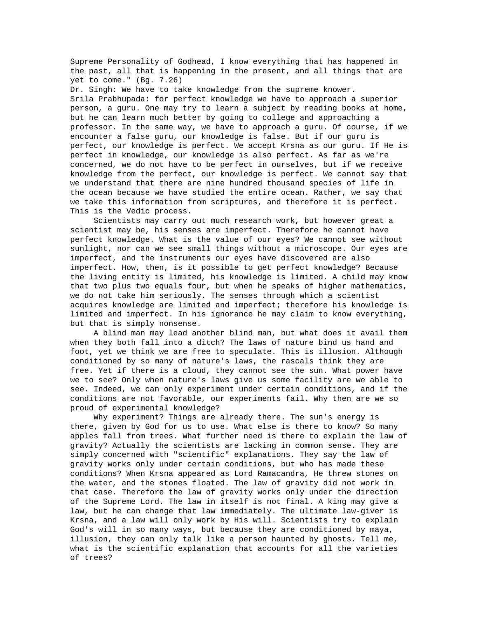Supreme Personality of Godhead, I know everything that has happened in the past, all that is happening in the present, and all things that are yet to come." (Bg. 7.26)

Dr. Singh: We have to take knowledge from the supreme knower. Srila Prabhupada: for perfect knowledge we have to approach a superior person, a guru. One may try to learn a subject by reading books at home, but he can learn much better by going to college and approaching a professor. In the same way, we have to approach a guru. Of course, if we encounter a false guru, our knowledge is false. But if our guru is perfect, our knowledge is perfect. We accept Krsna as our guru. If He is perfect in knowledge, our knowledge is also perfect. As far as we're concerned, we do not have to be perfect in ourselves, but if we receive knowledge from the perfect, our knowledge is perfect. We cannot say that we understand that there are nine hundred thousand species of life in the ocean because we have studied the entire ocean. Rather, we say that we take this information from scriptures, and therefore it is perfect. This is the Vedic process.

 Scientists may carry out much research work, but however great a scientist may be, his senses are imperfect. Therefore he cannot have perfect knowledge. What is the value of our eyes? We cannot see without sunlight, nor can we see small things without a microscope. Our eyes are imperfect, and the instruments our eyes have discovered are also imperfect. How, then, is it possible to get perfect knowledge? Because the living entity is limited, his knowledge is limited. A child may know that two plus two equals four, but when he speaks of higher mathematics, we do not take him seriously. The senses through which a scientist acquires knowledge are limited and imperfect; therefore his knowledge is limited and imperfect. In his ignorance he may claim to know everything, but that is simply nonsense.

 A blind man may lead another blind man, but what does it avail them when they both fall into a ditch? The laws of nature bind us hand and foot, yet we think we are free to speculate. This is illusion. Although conditioned by so many of nature's laws, the rascals think they are free. Yet if there is a cloud, they cannot see the sun. What power have we to see? Only when nature's laws give us some facility are we able to see. Indeed, we can only experiment under certain conditions, and if the conditions are not favorable, our experiments fail. Why then are we so proud of experimental knowledge?

 Why experiment? Things are already there. The sun's energy is there, given by God for us to use. What else is there to know? So many apples fall from trees. What further need is there to explain the law of gravity? Actually the scientists are lacking in common sense. They are simply concerned with "scientific" explanations. They say the law of gravity works only under certain conditions, but who has made these conditions? When Krsna appeared as Lord Ramacandra, He threw stones on the water, and the stones floated. The law of gravity did not work in that case. Therefore the law of gravity works only under the direction of the Supreme Lord. The law in itself is not final. A king may give a law, but he can change that law immediately. The ultimate law-giver is Krsna, and a law will only work by His will. Scientists try to explain God's will in so many ways, but because they are conditioned by maya, illusion, they can only talk like a person haunted by ghosts. Tell me, what is the scientific explanation that accounts for all the varieties of trees?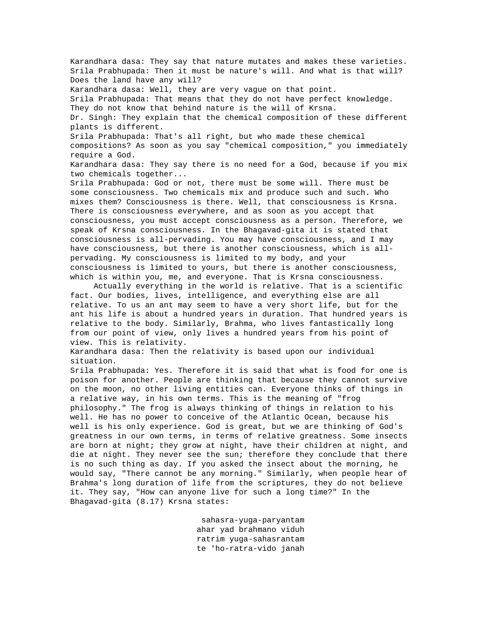Karandhara dasa: They say that nature mutates and makes these varieties. Srila Prabhupada: Then it must be nature's will. And what is that will? Does the land have any will? Karandhara dasa: Well, they are very vague on that point. Srila Prabhupada: That means that they do not have perfect knowledge. They do not know that behind nature is the will of Krsna. Dr. Singh: They explain that the chemical composition of these different plants is different. Srila Prabhupada: That's all right, but who made these chemical compositions? As soon as you say "chemical composition," you immediately require a God. Karandhara dasa: They say there is no need for a God, because if you mix two chemicals together... Srila Prabhupada: God or not, there must be some will. There must be some consciousness. Two chemicals mix and produce such and such. Who mixes them? Consciousness is there. Well, that consciousness is Krsna. There is consciousness everywhere, and as soon as you accept that consciousness, you must accept consciousness as a person. Therefore, we speak of Krsna consciousness. In the Bhagavad-gita it is stated that consciousness is all-pervading. You may have consciousness, and I may have consciousness, but there is another consciousness, which is allpervading. My consciousness is limited to my body, and your consciousness is limited to yours, but there is another consciousness, which is within you, me, and everyone. That is Krsna consciousness.

 Actually everything in the world is relative. That is a scientific fact. Our bodies, lives, intelligence, and everything else are all relative. To us an ant may seem to have a very short life, but for the ant his life is about a hundred years in duration. That hundred years is relative to the body. Similarly, Brahma, who lives fantastically long from our point of view, only lives a hundred years from his point of view. This is relativity.

Karandhara dasa: Then the relativity is based upon our individual situation.

Srila Prabhupada: Yes. Therefore it is said that what is food for one is poison for another. People are thinking that because they cannot survive on the moon, no other living entities can. Everyone thinks of things in a relative way, in his own terms. This is the meaning of "frog philosophy." The frog is always thinking of things in relation to his well. He has no power to conceive of the Atlantic Ocean, because his well is his only experience. God is great, but we are thinking of God's greatness in our own terms, in terms of relative greatness. Some insects are born at night; they grow at night, have their children at night, and die at night. They never see the sun; therefore they conclude that there is no such thing as day. If you asked the insect about the morning, he would say, "There cannot be any morning." Similarly, when people hear of Brahma's long duration of life from the scriptures, they do not believe it. They say, "How can anyone live for such a long time?" In the Bhagavad-gita (8.17) Krsna states:

> sahasra-yuga-paryantam ahar yad brahmano viduh ratrim yuga-sahasrantam te 'ho-ratra-vido janah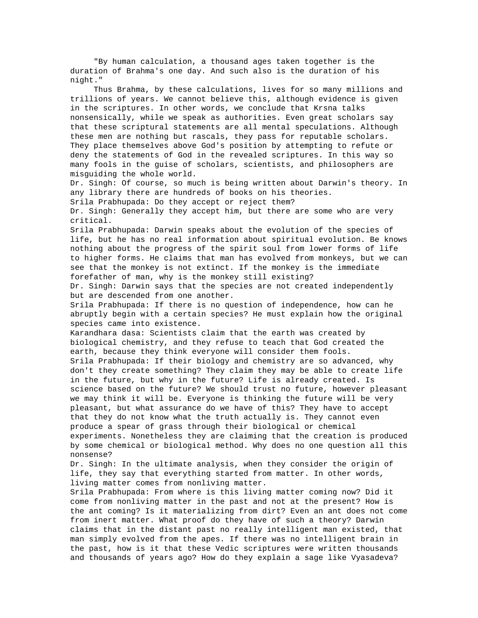"By human calculation, a thousand ages taken together is the duration of Brahma's one day. And such also is the duration of his night." Thus Brahma, by these calculations, lives for so many millions and trillions of years. We cannot believe this, although evidence is given in the scriptures. In other words, we conclude that Krsna talks nonsensically, while we speak as authorities. Even great scholars say that these scriptural statements are all mental speculations. Although these men are nothing but rascals, they pass for reputable scholars. They place themselves above God's position by attempting to refute or deny the statements of God in the revealed scriptures. In this way so many fools in the guise of scholars, scientists, and philosophers are misguiding the whole world. Dr. Singh: Of course, so much is being written about Darwin's theory. In any library there are hundreds of books on his theories. Srila Prabhupada: Do they accept or reject them? Dr. Singh: Generally they accept him, but there are some who are very critical. Srila Prabhupada: Darwin speaks about the evolution of the species of life, but he has no real information about spiritual evolution. Be knows nothing about the progress of the spirit soul from lower forms of life to higher forms. He claims that man has evolved from monkeys, but we can see that the monkey is not extinct. If the monkey is the immediate forefather of man, why is the monkey still existing? Dr. Singh: Darwin says that the species are not created independently but are descended from one another. Srila Prabhupada: If there is no question of independence, how can he abruptly begin with a certain species? He must explain how the original species came into existence. Karandhara dasa: Scientists claim that the earth was created by biological chemistry, and they refuse to teach that God created the earth, because they think everyone will consider them fools. Srila Prabhupada: If their biology and chemistry are so advanced, why don't they create something? They claim they may be able to create life in the future, but why in the future? Life is already created. Is science based on the future? We should trust no future, however pleasant we may think it will be. Everyone is thinking the future will be very pleasant, but what assurance do we have of this? They have to accept that they do not know what the truth actually is. They cannot even produce a spear of grass through their biological or chemical experiments. Nonetheless they are claiming that the creation is produced by some chemical or biological method. Why does no one question all this nonsense? Dr. Singh: In the ultimate analysis, when they consider the origin of life, they say that everything started from matter. In other words, living matter comes from nonliving matter. Srila Prabhupada: From where is this living matter coming now? Did it come from nonliving matter in the past and not at the present? How is the ant coming? Is it materializing from dirt? Even an ant does not come from inert matter. What proof do they have of such a theory? Darwin claims that in the distant past no really intelligent man existed, that man simply evolved from the apes. If there was no intelligent brain in the past, how is it that these Vedic scriptures were written thousands

and thousands of years ago? How do they explain a sage like Vyasadeva?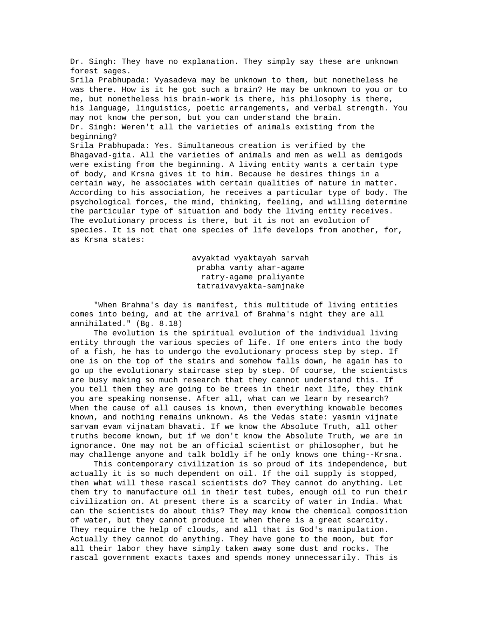Dr. Singh: They have no explanation. They simply say these are unknown forest sages. Srila Prabhupada: Vyasadeva may be unknown to them, but nonetheless he was there. How is it he got such a brain? He may be unknown to you or to me, but nonetheless his brain-work is there, his philosophy is there, his language, linguistics, poetic arrangements, and verbal strength. You may not know the person, but you can understand the brain. Dr. Singh: Weren't all the varieties of animals existing from the beginning? Srila Prabhupada: Yes. Simultaneous creation is verified by the Bhagavad-gita. All the varieties of animals and men as well as demigods were existing from the beginning. A living entity wants a certain type of body, and Krsna gives it to him. Because he desires things in a certain way, he associates with certain qualities of nature in matter. According to his association, he receives a particular type of body. The psychological forces, the mind, thinking, feeling, and willing determine the particular type of situation and body the living entity receives. The evolutionary process is there, but it is not an evolution of species. It is not that one species of life develops from another, for, as Krsna states:

> avyaktad vyaktayah sarvah prabha vanty ahar-agame ratry-agame praliyante tatraivavyakta-samjnake

 "When Brahma's day is manifest, this multitude of living entities comes into being, and at the arrival of Brahma's night they are all annihilated." (Bg. 8.18)

 The evolution is the spiritual evolution of the individual living entity through the various species of life. If one enters into the body of a fish, he has to undergo the evolutionary process step by step. If one is on the top of the stairs and somehow falls down, he again has to go up the evolutionary staircase step by step. Of course, the scientists are busy making so much research that they cannot understand this. If you tell them they are going to be trees in their next life, they think you are speaking nonsense. After all, what can we learn by research? When the cause of all causes is known, then everything knowable becomes known, and nothing remains unknown. As the Vedas state: yasmin vijnate sarvam evam vijnatam bhavati. If we know the Absolute Truth, all other truths become known, but if we don't know the Absolute Truth, we are in ignorance. One may not be an official scientist or philosopher, but he may challenge anyone and talk boldly if he only knows one thing--Krsna.

 This contemporary civilization is so proud of its independence, but actually it is so much dependent on oil. If the oil supply is stopped, then what will these rascal scientists do? They cannot do anything. Let them try to manufacture oil in their test tubes, enough oil to run their civilization on. At present there is a scarcity of water in India. What can the scientists do about this? They may know the chemical composition of water, but they cannot produce it when there is a great scarcity. They require the help of clouds, and all that is God's manipulation. Actually they cannot do anything. They have gone to the moon, but for all their labor they have simply taken away some dust and rocks. The rascal government exacts taxes and spends money unnecessarily. This is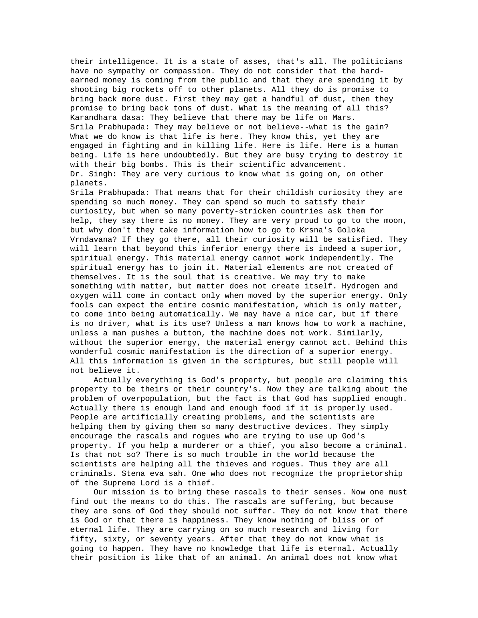their intelligence. It is a state of asses, that's all. The politicians have no sympathy or compassion. They do not consider that the hardearned money is coming from the public and that they are spending it by shooting big rockets off to other planets. All they do is promise to bring back more dust. First they may get a handful of dust, then they promise to bring back tons of dust. What is the meaning of all this? Karandhara dasa: They believe that there may be life on Mars. Srila Prabhupada: They may believe or not believe--what is the gain? What we do know is that life is here. They know this, yet they are engaged in fighting and in killing life. Here is life. Here is a human being. Life is here undoubtedly. But they are busy trying to destroy it with their big bombs. This is their scientific advancement. Dr. Singh: They are very curious to know what is going on, on other planets.

Srila Prabhupada: That means that for their childish curiosity they are spending so much money. They can spend so much to satisfy their curiosity, but when so many poverty-stricken countries ask them for help, they say there is no money. They are very proud to go to the moon, but why don't they take information how to go to Krsna's Goloka Vrndavana? If they go there, all their curiosity will be satisfied. They will learn that beyond this inferior energy there is indeed a superior, spiritual energy. This material energy cannot work independently. The spiritual energy has to join it. Material elements are not created of themselves. It is the soul that is creative. We may try to make something with matter, but matter does not create itself. Hydrogen and oxygen will come in contact only when moved by the superior energy. Only fools can expect the entire cosmic manifestation, which is only matter, to come into being automatically. We may have a nice car, but if there is no driver, what is its use? Unless a man knows how to work a machine, unless a man pushes a button, the machine does not work. Similarly, without the superior energy, the material energy cannot act. Behind this wonderful cosmic manifestation is the direction of a superior energy. All this information is given in the scriptures, but still people will not believe it.

 Actually everything is God's property, but people are claiming this property to be theirs or their country's. Now they are talking about the problem of overpopulation, but the fact is that God has supplied enough. Actually there is enough land and enough food if it is properly used. People are artificially creating problems, and the scientists are helping them by giving them so many destructive devices. They simply encourage the rascals and rogues who are trying to use up God's property. If you help a murderer or a thief, you also become a criminal. Is that not so? There is so much trouble in the world because the scientists are helping all the thieves and rogues. Thus they are all criminals. Stena eva sah. One who does not recognize the proprietorship of the Supreme Lord is a thief.

 Our mission is to bring these rascals to their senses. Now one must find out the means to do this. The rascals are suffering, but because they are sons of God they should not suffer. They do not know that there is God or that there is happiness. They know nothing of bliss or of eternal life. They are carrying on so much research and living for fifty, sixty, or seventy years. After that they do not know what is going to happen. They have no knowledge that life is eternal. Actually their position is like that of an animal. An animal does not know what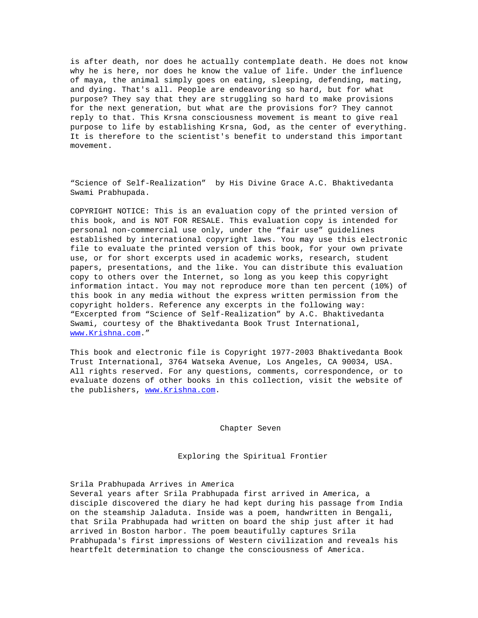is after death, nor does he actually contemplate death. He does not know why he is here, nor does he know the value of life. Under the influence of maya, the animal simply goes on eating, sleeping, defending, mating, and dying. That's all. People are endeavoring so hard, but for what purpose? They say that they are struggling so hard to make provisions for the next generation, but what are the provisions for? They cannot reply to that. This Krsna consciousness movement is meant to give real purpose to life by establishing Krsna, God, as the center of everything. It is therefore to the scientist's benefit to understand this important movement.

"Science of Self-Realization" by His Divine Grace A.C. Bhaktivedanta Swami Prabhupada.

COPYRIGHT NOTICE: This is an evaluation copy of the printed version of this book, and is NOT FOR RESALE. This evaluation copy is intended for personal non-commercial use only, under the "fair use" guidelines established by international copyright laws. You may use this electronic file to evaluate the printed version of this book, for your own private use, or for short excerpts used in academic works, research, student papers, presentations, and the like. You can distribute this evaluation copy to others over the Internet, so long as you keep this copyright information intact. You may not reproduce more than ten percent (10%) of this book in any media without the express written permission from the copyright holders. Reference any excerpts in the following way: "Excerpted from "Science of Self-Realization" by A.C. Bhaktivedanta Swami, courtesy of the Bhaktivedanta Book Trust International, www.Krishna.com ."

This book and electronic file is Copyright 1977-2003 Bhaktivedanta Book Trust International, 3764 Watseka Avenue, Los Angeles, CA 90034, USA. All rights reserved. For any questions, comments, correspondence, or to evaluate dozens of other books in this collection, visit the website of the publishers, www.Krishna.com.

Chapter Seven

Exploring the Spiritual Frontier

Srila Prabhupada Arrives in America

Several years after Srila Prabhupada first arrived in America, a disciple discovered the diary he had kept during his passage from India on the steamship Jaladuta. Inside was a poem, handwritten in Bengali, that Srila Prabhupada had written on board the ship just after it had arrived in Boston harbor. The poem beautifully captures Srila Prabhupada's first impressions of Western civilization and reveals his heartfelt determination to change the consciousness of America.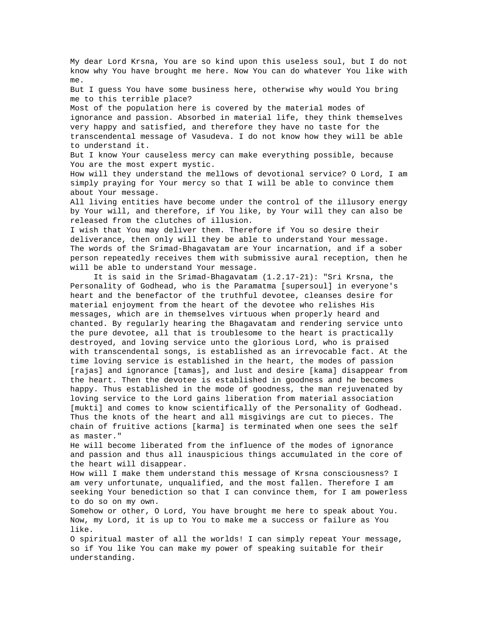My dear Lord Krsna, You are so kind upon this useless soul, but I do not know why You have brought me here. Now You can do whatever You like with me.

But I guess You have some business here, otherwise why would You bring me to this terrible place?

Most of the population here is covered by the material modes of ignorance and passion. Absorbed in material life, they think themselves very happy and satisfied, and therefore they have no taste for the transcendental message of Vasudeva. I do not know how they will be able to understand it.

But I know Your causeless mercy can make everything possible, because You are the most expert mystic.

How will they understand the mellows of devotional service? O Lord, I am simply praying for Your mercy so that I will be able to convince them about Your message.

All living entities have become under the control of the illusory energy by Your will, and therefore, if You like, by Your will they can also be released from the clutches of illusion.

I wish that You may deliver them. Therefore if You so desire their deliverance, then only will they be able to understand Your message. The words of the Srimad-Bhagavatam are Your incarnation, and if a sober person repeatedly receives them with submissive aural reception, then he will be able to understand Your message.

 It is said in the Srimad-Bhagavatam (1.2.17-21): "Sri Krsna, the Personality of Godhead, who is the Paramatma [supersoul] in everyone's heart and the benefactor of the truthful devotee, cleanses desire for material enjoyment from the heart of the devotee who relishes His messages, which are in themselves virtuous when properly heard and chanted. By regularly hearing the Bhagavatam and rendering service unto the pure devotee, all that is troublesome to the heart is practically destroyed, and loving service unto the glorious Lord, who is praised with transcendental songs, is established as an irrevocable fact. At the time loving service is established in the heart, the modes of passion [rajas] and ignorance [tamas], and lust and desire [kama] disappear from the heart. Then the devotee is established in goodness and he becomes happy. Thus established in the mode of goodness, the man rejuvenated by loving service to the Lord gains liberation from material association [mukti] and comes to know scientifically of the Personality of Godhead. Thus the knots of the heart and all misgivings are cut to pieces. The chain of fruitive actions [karma] is terminated when one sees the self as master."

He will become liberated from the influence of the modes of ignorance and passion and thus all inauspicious things accumulated in the core of the heart will disappear.

How will I make them understand this message of Krsna consciousness? I am very unfortunate, unqualified, and the most fallen. Therefore I am seeking Your benediction so that I can convince them, for I am powerless to do so on my own.

Somehow or other, O Lord, You have brought me here to speak about You. Now, my Lord, it is up to You to make me a success or failure as You like.

O spiritual master of all the worlds! I can simply repeat Your message, so if You like You can make my power of speaking suitable for their understanding.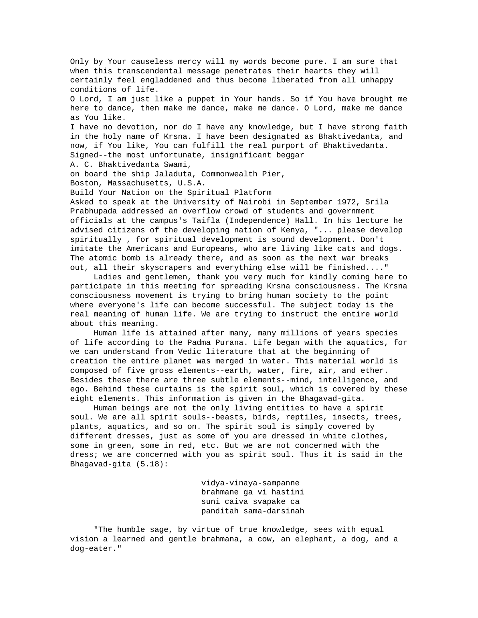Only by Your causeless mercy will my words become pure. I am sure that when this transcendental message penetrates their hearts they will certainly feel engladdened and thus become liberated from all unhappy conditions of life. O Lord, I am just like a puppet in Your hands. So if You have brought me here to dance, then make me dance, make me dance. O Lord, make me dance as You like. I have no devotion, nor do I have any knowledge, but I have strong faith in the holy name of Krsna. I have been designated as Bhaktivedanta, and now, if You like, You can fulfill the real purport of Bhaktivedanta. Signed--the most unfortunate, insignificant beggar A. C. Bhaktivedanta Swami, on board the ship Jaladuta, Commonwealth Pier, Boston, Massachusetts, U.S.A. Build Your Nation on the Spiritual Platform Asked to speak at the University of Nairobi in September 1972, Srila Prabhupada addressed an overflow crowd of students and government officials at the campus's Taifla (Independence) Hall. In his lecture he

advised citizens of the developing nation of Kenya, "... please develop spiritually , for spiritual development is sound development. Don't imitate the Americans and Europeans, who are living like cats and dogs. The atomic bomb is already there, and as soon as the next war breaks out, all their skyscrapers and everything else will be finished...."

 Ladies and gentlemen, thank you very much for kindly coming here to participate in this meeting for spreading Krsna consciousness. The Krsna consciousness movement is trying to bring human society to the point where everyone's life can become successful. The subject today is the real meaning of human life. We are trying to instruct the entire world about this meaning.

 Human life is attained after many, many millions of years species of life according to the Padma Purana. Life began with the aquatics, for we can understand from Vedic literature that at the beginning of creation the entire planet was merged in water. This material world is composed of five gross elements--earth, water, fire, air, and ether. Besides these there are three subtle elements--mind, intelligence, and ego. Behind these curtains is the spirit soul, which is covered by these eight elements. This information is given in the Bhagavad-gita.

 Human beings are not the only living entities to have a spirit soul. We are all spirit souls--beasts, birds, reptiles, insects, trees, plants, aquatics, and so on. The spirit soul is simply covered by different dresses, just as some of you are dressed in white clothes, some in green, some in red, etc. But we are not concerned with the dress; we are concerned with you as spirit soul. Thus it is said in the Bhagavad-gita (5.18):

> vidya-vinaya-sampanne brahmane ga vi hastini suni caiva svapake ca panditah sama-darsinah

 "The humble sage, by virtue of true knowledge, sees with equal vision a learned and gentle brahmana, a cow, an elephant, a dog, and a dog-eater."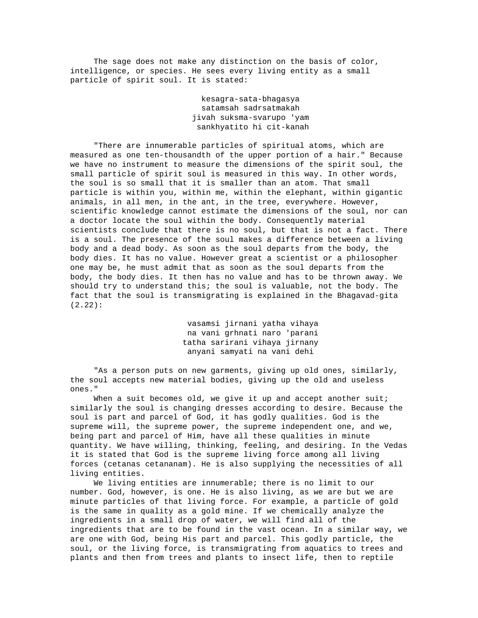The sage does not make any distinction on the basis of color, intelligence, or species. He sees every living entity as a small particle of spirit soul. It is stated:

> kesagra-sata-bhagasya satamsah sadrsatmakah jivah suksma-svarupo 'yam sankhyatito hi cit-kanah

 "There are innumerable particles of spiritual atoms, which are measured as one ten-thousandth of the upper portion of a hair." Because we have no instrument to measure the dimensions of the spirit soul, the small particle of spirit soul is measured in this way. In other words, the soul is so small that it is smaller than an atom. That small particle is within you, within me, within the elephant, within gigantic animals, in all men, in the ant, in the tree, everywhere. However, scientific knowledge cannot estimate the dimensions of the soul, nor can a doctor locate the soul within the body. Consequently material scientists conclude that there is no soul, but that is not a fact. There is a soul. The presence of the soul makes a difference between a living body and a dead body. As soon as the soul departs from the body, the body dies. It has no value. However great a scientist or a philosopher one may be, he must admit that as soon as the soul departs from the body, the body dies. It then has no value and has to be thrown away. We should try to understand this; the soul is valuable, not the body. The fact that the soul is transmigrating is explained in the Bhagavad-gita (2.22):

> vasamsi jirnani yatha vihaya na vani grhnati naro 'parani tatha sarirani vihaya jirnany anyani samyati na vani dehi

 "As a person puts on new garments, giving up old ones, similarly, the soul accepts new material bodies, giving up the old and useless ones."

When a suit becomes old, we give it up and accept another suit; similarly the soul is changing dresses according to desire. Because the soul is part and parcel of God, it has godly qualities. God is the supreme will, the supreme power, the supreme independent one, and we, being part and parcel of Him, have all these qualities in minute quantity. We have willing, thinking, feeling, and desiring. In the Vedas it is stated that God is the supreme living force among all living forces (cetanas cetananam). He is also supplying the necessities of all living entities.

 We living entities are innumerable; there is no limit to our number. God, however, is one. He is also living, as we are but we are minute particles of that living force. For example, a particle of gold is the same in quality as a gold mine. If we chemically analyze the ingredients in a small drop of water, we will find all of the ingredients that are to be found in the vast ocean. In a similar way, we are one with God, being His part and parcel. This godly particle, the soul, or the living force, is transmigrating from aquatics to trees and plants and then from trees and plants to insect life, then to reptile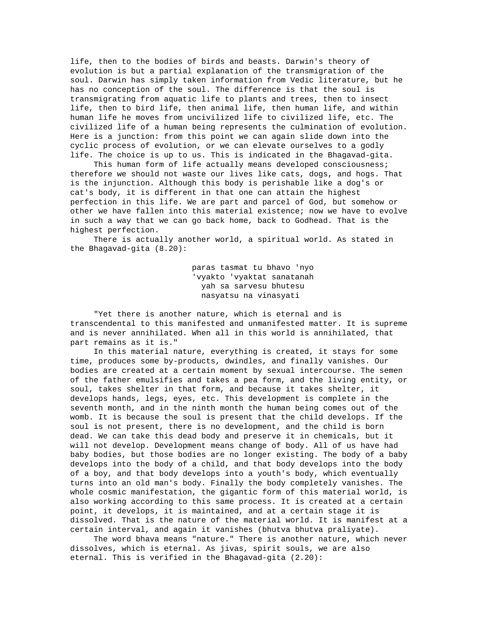life, then to the bodies of birds and beasts. Darwin's theory of evolution is but a partial explanation of the transmigration of the soul. Darwin has simply taken information from Vedic literature, but he has no conception of the soul. The difference is that the soul is transmigrating from aquatic life to plants and trees, then to insect life, then to bird life, then animal life, then human life, and within human life he moves from uncivilized life to civilized life, etc. The civilized life of a human being represents the culmination of evolution. Here is a junction: from this point we can again slide down into the cyclic process of evolution, or we can elevate ourselves to a godly life. The choice is up to us. This is indicated in the Bhagavad-gita.

 This human form of life actually means developed consciousness; therefore we should not waste our lives like cats, dogs, and hogs. That is the injunction. Although this body is perishable like a dog's or cat's body, it is different in that one can attain the highest perfection in this life. We are part and parcel of God, but somehow or other we have fallen into this material existence; now we have to evolve in such a way that we can go back home, back to Godhead. That is the highest perfection.

 There is actually another world, a spiritual world. As stated in the Bhagavad-gita (8.20):

> paras tasmat tu bhavo 'nyo 'vyakto 'vyaktat sanatanah yah sa sarvesu bhutesu nasyatsu na vinasyati

 "Yet there is another nature, which is eternal and is transcendental to this manifested and unmanifested matter. It is supreme and is never annihilated. When all in this world is annihilated, that part remains as it is."

 In this material nature, everything is created, it stays for some time, produces some by-products, dwindles, and finally vanishes. Our bodies are created at a certain moment by sexual intercourse. The semen of the father emulsifies and takes a pea form, and the living entity, or soul, takes shelter in that form, and because it takes shelter, it develops hands, legs, eyes, etc. This development is complete in the seventh month, and in the ninth month the human being comes out of the womb. It is because the soul is present that the child develops. If the soul is not present, there is no development, and the child is born dead. We can take this dead body and preserve it in chemicals, but it will not develop. Development means change of body. All of us have had baby bodies, but those bodies are no longer existing. The body of a baby develops into the body of a child, and that body develops into the body of a boy, and that body develops into a youth's body, which eventually turns into an old man's body. Finally the body completely vanishes. The whole cosmic manifestation, the gigantic form of this material world, is also working according to this same process. It is created at a certain point, it develops, it is maintained, and at a certain stage it is dissolved. That is the nature of the material world. It is manifest at a certain interval, and again it vanishes (bhutva bhutva praliyate).

 The word bhava means "nature." There is another nature, which never dissolves, which is eternal. As jivas, spirit souls, we are also eternal. This is verified in the Bhagavad-gita (2.20):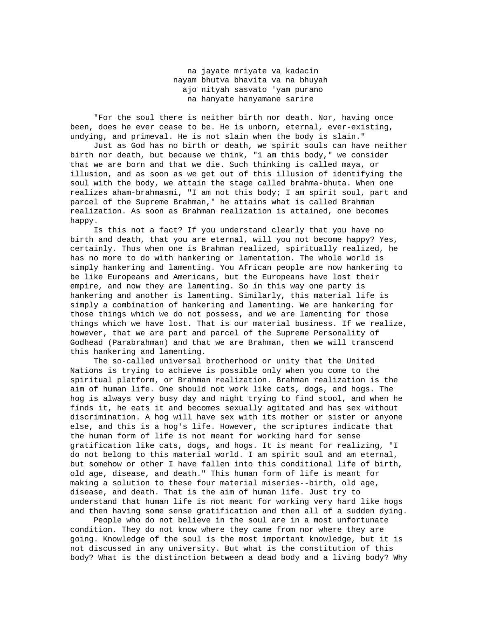na jayate mriyate va kadacin nayam bhutva bhavita va na bhuyah ajo nityah sasvato 'yam purano na hanyate hanyamane sarire

 "For the soul there is neither birth nor death. Nor, having once been, does he ever cease to be. He is unborn, eternal, ever-existing, undying, and primeval. He is not slain when the body is slain."

 Just as God has no birth or death, we spirit souls can have neither birth nor death, but because we think, "1 am this body," we consider that we are born and that we die. Such thinking is called maya, or illusion, and as soon as we get out of this illusion of identifying the soul with the body, we attain the stage called brahma-bhuta. When one realizes aham-brahmasmi, "I am not this body; I am spirit soul, part and parcel of the Supreme Brahman," he attains what is called Brahman realization. As soon as Brahman realization is attained, one becomes happy.

 Is this not a fact? If you understand clearly that you have no birth and death, that you are eternal, will you not become happy? Yes, certainly. Thus when one is Brahman realized, spiritually realized, he has no more to do with hankering or lamentation. The whole world is simply hankering and lamenting. You African people are now hankering to be like Europeans and Americans, but the Europeans have lost their empire, and now they are lamenting. So in this way one party is hankering and another is lamenting. Similarly, this material life is simply a combination of hankering and lamenting. We are hankering for those things which we do not possess, and we are lamenting for those things which we have lost. That is our material business. If we realize, however, that we are part and parcel of the Supreme Personality of Godhead (Parabrahman) and that we are Brahman, then we will transcend this hankering and lamenting.

 The so-called universal brotherhood or unity that the United Nations is trying to achieve is possible only when you come to the spiritual platform, or Brahman realization. Brahman realization is the aim of human life. One should not work like cats, dogs, and hogs. The hog is always very busy day and night trying to find stool, and when he finds it, he eats it and becomes sexually agitated and has sex without discrimination. A hog will have sex with its mother or sister or anyone else, and this is a hog's life. However, the scriptures indicate that the human form of life is not meant for working hard for sense gratification like cats, dogs, and hogs. It is meant for realizing, "I do not belong to this material world. I am spirit soul and am eternal, but somehow or other I have fallen into this conditional life of birth, old age, disease, and death." This human form of life is meant for making a solution to these four material miseries--birth, old age, disease, and death. That is the aim of human life. Just try to understand that human life is not meant for working very hard like hogs and then having some sense gratification and then all of a sudden dying.

 People who do not believe in the soul are in a most unfortunate condition. They do not know where they came from nor where they are going. Knowledge of the soul is the most important knowledge, but it is not discussed in any university. But what is the constitution of this body? What is the distinction between a dead body and a living body? Why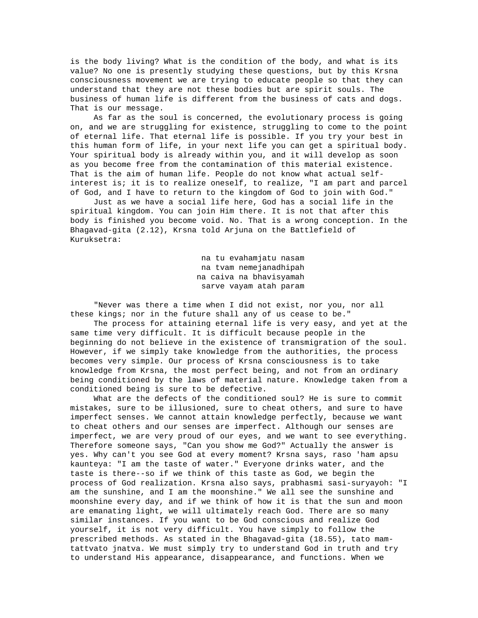is the body living? What is the condition of the body, and what is its value? No one is presently studying these questions, but by this Krsna consciousness movement we are trying to educate people so that they can understand that they are not these bodies but are spirit souls. The business of human life is different from the business of cats and dogs. That is our message.

 As far as the soul is concerned, the evolutionary process is going on, and we are struggling for existence, struggling to come to the point of eternal life. That eternal life is possible. If you try your best in this human form of life, in your next life you can get a spiritual body. Your spiritual body is already within you, and it will develop as soon as you become free from the contamination of this material existence. That is the aim of human life. People do not know what actual selfinterest is; it is to realize oneself, to realize, "I am part and parcel of God, and I have to return to the kingdom of God to join with God."

 Just as we have a social life here, God has a social life in the spiritual kingdom. You can join Him there. It is not that after this body is finished you become void. No. That is a wrong conception. In the Bhagavad-gita (2.12), Krsna told Arjuna on the Battlefield of Kuruksetra:

> na tu evahamjatu nasam na tvam nemejanadhipah na caiva na bhavisyamah sarve vayam atah param

 "Never was there a time when I did not exist, nor you, nor all these kings; nor in the future shall any of us cease to be."

 The process for attaining eternal life is very easy, and yet at the same time very difficult. It is difficult because people in the beginning do not believe in the existence of transmigration of the soul. However, if we simply take knowledge from the authorities, the process becomes very simple. Our process of Krsna consciousness is to take knowledge from Krsna, the most perfect being, and not from an ordinary being conditioned by the laws of material nature. Knowledge taken from a conditioned being is sure to be defective.

 What are the defects of the conditioned soul? He is sure to commit mistakes, sure to be illusioned, sure to cheat others, and sure to have imperfect senses. We cannot attain knowledge perfectly, because we want to cheat others and our senses are imperfect. Although our senses are imperfect, we are very proud of our eyes, and we want to see everything. Therefore someone says, "Can you show me God?" Actually the answer is yes. Why can't you see God at every moment? Krsna says, raso 'ham apsu kaunteya: "I am the taste of water." Everyone drinks water, and the taste is there--so if we think of this taste as God, we begin the process of God realization. Krsna also says, prabhasmi sasi-suryayoh: "I am the sunshine, and I am the moonshine." We all see the sunshine and moonshine every day, and if we think of how it is that the sun and moon are emanating light, we will ultimately reach God. There are so many similar instances. If you want to be God conscious and realize God yourself, it is not very difficult. You have simply to follow the prescribed methods. As stated in the Bhagavad-gita (18.55), tato mamtattvato jnatva. We must simply try to understand God in truth and try to understand His appearance, disappearance, and functions. When we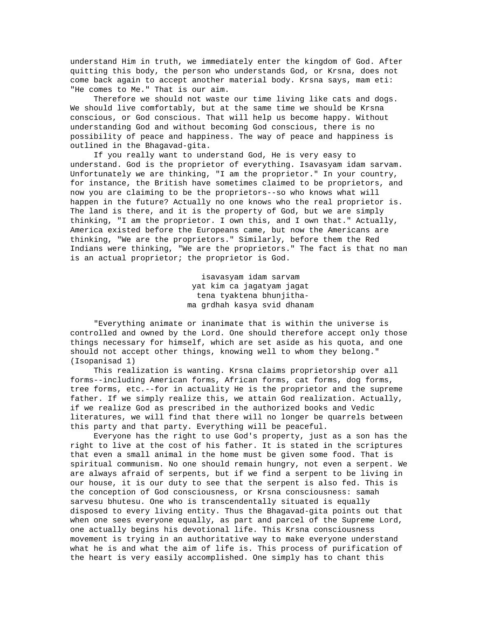understand Him in truth, we immediately enter the kingdom of God. After quitting this body, the person who understands God, or Krsna, does not come back again to accept another material body. Krsna says, mam eti: "He comes to Me." That is our aim.

 Therefore we should not waste our time living like cats and dogs. We should live comfortably, but at the same time we should be Krsna conscious, or God conscious. That will help us become happy. Without understanding God and without becoming God conscious, there is no possibility of peace and happiness. The way of peace and happiness is outlined in the Bhagavad-gita.

 If you really want to understand God, He is very easy to understand. God is the proprietor of everything. Isavasyam idam sarvam. Unfortunately we are thinking, "I am the proprietor." In your country, for instance, the British have sometimes claimed to be proprietors, and now you are claiming to be the proprietors--so who knows what will happen in the future? Actually no one knows who the real proprietor is. The land is there, and it is the property of God, but we are simply thinking, "I am the proprietor. I own this, and I own that." Actually, America existed before the Europeans came, but now the Americans are thinking, "We are the proprietors." Similarly, before them the Red Indians were thinking, "We are the proprietors." The fact is that no man is an actual proprietor; the proprietor is God.

> isavasyam idam sarvam yat kim ca jagatyam jagat tena tyaktena bhunjitha ma grdhah kasya svid dhanam

 "Everything animate or inanimate that is within the universe is controlled and owned by the Lord. One should therefore accept only those things necessary for himself, which are set aside as his quota, and one should not accept other things, knowing well to whom they belong." (Isopanisad 1)

 This realization is wanting. Krsna claims proprietorship over all forms--including American forms, African forms, cat forms, dog forms, tree forms, etc.--for in actuality He is the proprietor and the supreme father. If we simply realize this, we attain God realization. Actually, if we realize God as prescribed in the authorized books and Vedic literatures, we will find that there will no longer be quarrels between this party and that party. Everything will be peaceful.

 Everyone has the right to use God's property, just as a son has the right to live at the cost of his father. It is stated in the scriptures that even a small animal in the home must be given some food. That is spiritual communism. No one should remain hungry, not even a serpent. We are always afraid of serpents, but if we find a serpent to be living in our house, it is our duty to see that the serpent is also fed. This is the conception of God consciousness, or Krsna consciousness: samah sarvesu bhutesu. One who is transcendentally situated is equally disposed to every living entity. Thus the Bhagavad-gita points out that when one sees everyone equally, as part and parcel of the Supreme Lord, one actually begins his devotional life. This Krsna consciousness movement is trying in an authoritative way to make everyone understand what he is and what the aim of life is. This process of purification of the heart is very easily accomplished. One simply has to chant this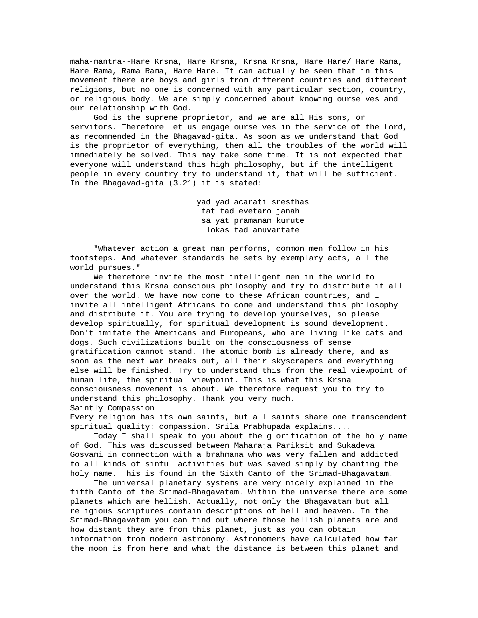maha-mantra--Hare Krsna, Hare Krsna, Krsna Krsna, Hare Hare/ Hare Rama, Hare Rama, Rama Rama, Hare Hare. It can actually be seen that in this movement there are boys and girls from different countries and different religions, but no one is concerned with any particular section, country, or religious body. We are simply concerned about knowing ourselves and our relationship with God.

 God is the supreme proprietor, and we are all His sons, or servitors. Therefore let us engage ourselves in the service of the Lord, as recommended in the Bhagavad-gita. As soon as we understand that God is the proprietor of everything, then all the troubles of the world will immediately be solved. This may take some time. It is not expected that everyone will understand this high philosophy, but if the intelligent people in every country try to understand it, that will be sufficient. In the Bhagavad-gita (3.21) it is stated:

> yad yad acarati sresthas tat tad evetaro janah sa yat pramanam kurute lokas tad anuvartate

 "Whatever action a great man performs, common men follow in his footsteps. And whatever standards he sets by exemplary acts, all the world pursues."

 We therefore invite the most intelligent men in the world to understand this Krsna conscious philosophy and try to distribute it all over the world. We have now come to these African countries, and I invite all intelligent Africans to come and understand this philosophy and distribute it. You are trying to develop yourselves, so please develop spiritually, for spiritual development is sound development. Don't imitate the Americans and Europeans, who are living like cats and dogs. Such civilizations built on the consciousness of sense gratification cannot stand. The atomic bomb is already there, and as soon as the next war breaks out, all their skyscrapers and everything else will be finished. Try to understand this from the real viewpoint of human life, the spiritual viewpoint. This is what this Krsna consciousness movement is about. We therefore request you to try to understand this philosophy. Thank you very much. Saintly Compassion

Every religion has its own saints, but all saints share one transcendent spiritual quality: compassion. Srila Prabhupada explains....

 Today I shall speak to you about the glorification of the holy name of God. This was discussed between Maharaja Pariksit and Sukadeva Gosvami in connection with a brahmana who was very fallen and addicted to all kinds of sinful activities but was saved simply by chanting the holy name. This is found in the Sixth Canto of the Srimad-Bhagavatam.

 The universal planetary systems are very nicely explained in the fifth Canto of the Srimad-Bhagavatam. Within the universe there are some planets which are hellish. Actually, not only the Bhagavatam but all religious scriptures contain descriptions of hell and heaven. In the Srimad-Bhagavatam you can find out where those hellish planets are and how distant they are from this planet, just as you can obtain information from modern astronomy. Astronomers have calculated how far the moon is from here and what the distance is between this planet and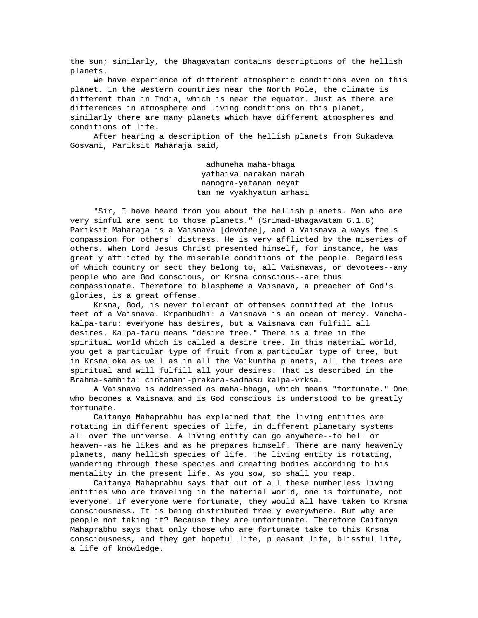the sun; similarly, the Bhagavatam contains descriptions of the hellish planets.

 We have experience of different atmospheric conditions even on this planet. In the Western countries near the North Pole, the climate is different than in India, which is near the equator. Just as there are differences in atmosphere and living conditions on this planet, similarly there are many planets which have different atmospheres and conditions of life.

 After hearing a description of the hellish planets from Sukadeva Gosvami, Pariksit Maharaja said,

> adhuneha maha-bhaga yathaiva narakan narah nanogra-yatanan neyat tan me vyakhyatum arhasi

 "Sir, I have heard from you about the hellish planets. Men who are very sinful are sent to those planets." (Srimad-Bhagavatam 6.1.6) Pariksit Maharaja is a Vaisnava [devotee], and a Vaisnava always feels compassion for others' distress. He is very afflicted by the miseries of others. When Lord Jesus Christ presented himself, for instance, he was greatly afflicted by the miserable conditions of the people. Regardless of which country or sect they belong to, all Vaisnavas, or devotees--any people who are God conscious, or Krsna conscious--are thus compassionate. Therefore to blaspheme a Vaisnava, a preacher of God's glories, is a great offense.

 Krsna, God, is never tolerant of offenses committed at the lotus feet of a Vaisnava. Krpambudhi: a Vaisnava is an ocean of mercy. Vanchakalpa-taru: everyone has desires, but a Vaisnava can fulfill all desires. Kalpa-taru means "desire tree." There is a tree in the spiritual world which is called a desire tree. In this material world, you get a particular type of fruit from a particular type of tree, but in Krsnaloka as well as in all the Vaikuntha planets, all the trees are spiritual and will fulfill all your desires. That is described in the Brahma-samhita: cintamani-prakara-sadmasu kalpa-vrksa.

 A Vaisnava is addressed as maha-bhaga, which means "fortunate." One who becomes a Vaisnava and is God conscious is understood to be greatly fortunate.

 Caitanya Mahaprabhu has explained that the living entities are rotating in different species of life, in different planetary systems all over the universe. A living entity can go anywhere--to hell or heaven--as he likes and as he prepares himself. There are many heavenly planets, many hellish species of life. The living entity is rotating, wandering through these species and creating bodies according to his mentality in the present life. As you sow, so shall you reap.

 Caitanya Mahaprabhu says that out of all these numberless living entities who are traveling in the material world, one is fortunate, not everyone. If everyone were fortunate, they would all have taken to Krsna consciousness. It is being distributed freely everywhere. But why are people not taking it? Because they are unfortunate. Therefore Caitanya Mahaprabhu says that only those who are fortunate take to this Krsna consciousness, and they get hopeful life, pleasant life, blissful life, a life of knowledge.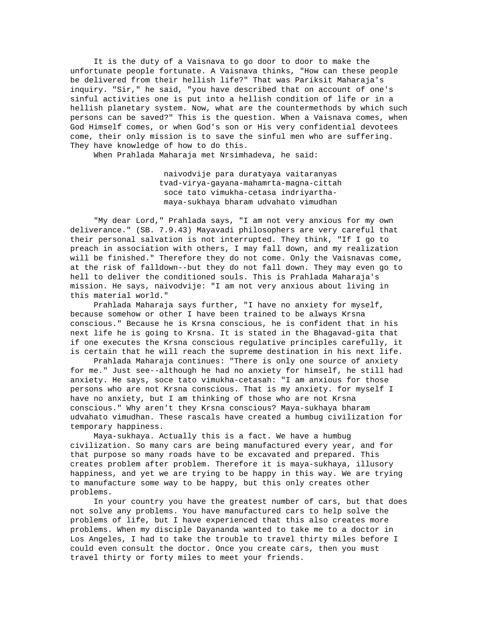It is the duty of a Vaisnava to go door to door to make the unfortunate people fortunate. A Vaisnava thinks, "How can these people be delivered from their hellish life?" That was Pariksit Maharaja's inquiry. "Sir," he said, "you have described that on account of one's sinful activities one is put into a hellish condition of life or in a hellish planetary system. Now, what are the countermethods by which such persons can be saved?" This is the question. When a Vaisnava comes, when God Himself comes, or when God's son or His very confidential devotees come, their only mission is to save the sinful men who are suffering. They have knowledge of how to do this.

When Prahlada Maharaja met Nrsimhadeva, he said:

 naivodvije para duratyaya vaitaranyas tvad-virya-gayana-mahamrta-magna-cittah soce tato vimukha-cetasa indriyartha maya-sukhaya bharam udvahato vimudhan

 "My dear Lord," Prahlada says, "I am not very anxious for my own deliverance." (SB. 7.9.43) Mayavadi philosophers are very careful that their personal salvation is not interrupted. They think, "If I go to preach in association with others, I may fall down, and my realization will be finished." Therefore they do not come. Only the Vaisnavas come, at the risk of falldown--but they do not fall down. They may even go to hell to deliver the conditioned souls. This is Prahlada Maharaja's mission. He says, naivodvije: "I am not very anxious about living in this material world."

 Prahlada Maharaja says further, "I have no anxiety for myself, because somehow or other I have been trained to be always Krsna conscious." Because he is Krsna conscious, he is confident that in his next life he is going to Krsna. It is stated in the Bhagavad-gita that if one executes the Krsna conscious regulative principles carefully, it is certain that he will reach the supreme destination in his next life.

 Prahlada Maharaja continues: "There is only one source of anxiety for me." Just see--although he had no anxiety for himself, he still had anxiety. He says, soce tato vimukha-cetasah: "I am anxious for those persons who are not Krsna conscious. That is my anxiety. for myself I have no anxiety, but I am thinking of those who are not Krsna conscious." Why aren't they Krsna conscious? Maya-sukhaya bharam udvahato vimudhan. These rascals have created a humbug civilization for temporary happiness.

 Maya-sukhaya. Actually this is a fact. We have a humbug civilization. So many cars are being manufactured every year, and for that purpose so many roads have to be excavated and prepared. This creates problem after problem. Therefore it is maya-sukhaya, illusory happiness, and yet we are trying to be happy in this way. We are trying to manufacture some way to be happy, but this only creates other problems.

 In your country you have the greatest number of cars, but that does not solve any problems. You have manufactured cars to help solve the problems of life, but I have experienced that this also creates more problems. When my disciple Dayananda wanted to take me to a doctor in Los Angeles, I had to take the trouble to travel thirty miles before I could even consult the doctor. Once you create cars, then you must travel thirty or forty miles to meet your friends.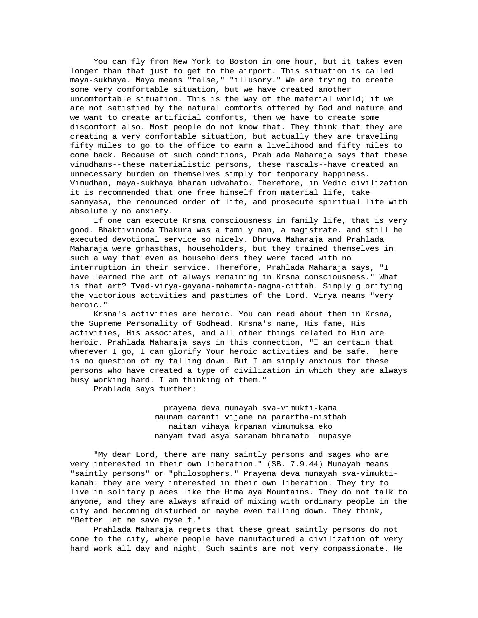You can fly from New York to Boston in one hour, but it takes even longer than that just to get to the airport. This situation is called maya-sukhaya. Maya means "false," "illusory." We are trying to create some very comfortable situation, but we have created another uncomfortable situation. This is the way of the material world; if we are not satisfied by the natural comforts offered by God and nature and we want to create artificial comforts, then we have to create some discomfort also. Most people do not know that. They think that they are creating a very comfortable situation, but actually they are traveling fifty miles to go to the office to earn a livelihood and fifty miles to come back. Because of such conditions, Prahlada Maharaja says that these vimudhans--these materialistic persons, these rascals--have created an unnecessary burden on themselves simply for temporary happiness. Vimudhan, maya-sukhaya bharam udvahato. Therefore, in Vedic civilization it is recommended that one free himself from material life, take sannyasa, the renounced order of life, and prosecute spiritual life with absolutely no anxiety.

 If one can execute Krsna consciousness in family life, that is very good. Bhaktivinoda Thakura was a family man, a magistrate. and still he executed devotional service so nicely. Dhruva Maharaja and Prahlada Maharaja were grhasthas, householders, but they trained themselves in such a way that even as householders they were faced with no interruption in their service. Therefore, Prahlada Maharaja says, "I have learned the art of always remaining in Krsna consciousness." What is that art? Tvad-virya-gayana-mahamrta-magna-cittah. Simply glorifying the victorious activities and pastimes of the Lord. Virya means "very heroic."

 Krsna's activities are heroic. You can read about them in Krsna, the Supreme Personality of Godhead. Krsna's name, His fame, His activities, His associates, and all other things related to Him are heroic. Prahlada Maharaja says in this connection, "I am certain that wherever I go, I can glorify Your heroic activities and be safe. There is no question of my falling down. But I am simply anxious for these persons who have created a type of civilization in which they are always busy working hard. I am thinking of them."

Prahlada says further:

 prayena deva munayah sva-vimukti-kama maunam caranti vijane na parartha-nisthah naitan vihaya krpanan vimumuksa eko nanyam tvad asya saranam bhramato 'nupasye

 "My dear Lord, there are many saintly persons and sages who are very interested in their own liberation." (SB. 7.9.44) Munayah means "saintly persons" or "philosophers." Prayena deva munayah sva-vimuktikamah: they are very interested in their own liberation. They try to live in solitary places like the Himalaya Mountains. They do not talk to anyone, and they are always afraid of mixing with ordinary people in the city and becoming disturbed or maybe even falling down. They think, "Better let me save myself."

 Prahlada Maharaja regrets that these great saintly persons do not come to the city, where people have manufactured a civilization of very hard work all day and night. Such saints are not very compassionate. He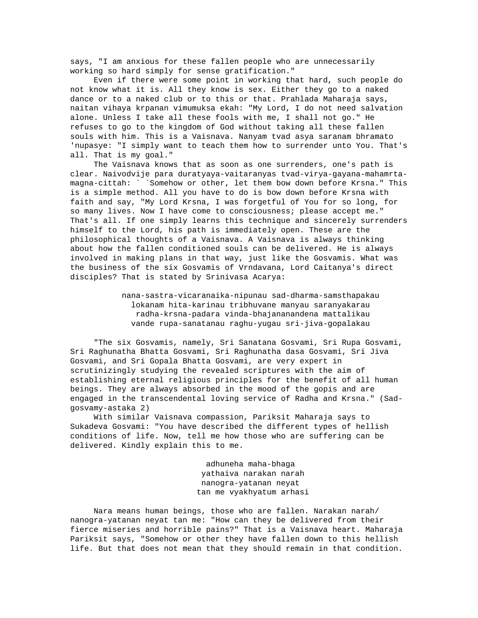says, "I am anxious for these fallen people who are unnecessarily working so hard simply for sense gratification."

 Even if there were some point in working that hard, such people do not know what it is. All they know is sex. Either they go to a naked dance or to a naked club or to this or that. Prahlada Maharaja says, naitan vihaya krpanan vimumuksa ekah: "My Lord, I do not need salvation alone. Unless I take all these fools with me, I shall not go." He refuses to go to the kingdom of God without taking all these fallen souls with him. This is a Vaisnava. Nanyam tvad asya saranam bhramato 'nupasye: "I simply want to teach them how to surrender unto You. That's all. That is my goal."

 The Vaisnava knows that as soon as one surrenders, one's path is clear. Naivodvije para duratyaya-vaitaranyas tvad-virya-gayana-mahamrtamagna-cittah: ` `Somehow or other, let them bow down before Krsna." This is a simple method. All you have to do is bow down before Krsna with faith and say, "My Lord Krsna, I was forgetful of You for so long, for so many lives. Now I have come to consciousness; please accept me." That's all. If one simply learns this technique and sincerely surrenders himself to the Lord, his path is immediately open. These are the philosophical thoughts of a Vaisnava. A Vaisnava is always thinking about how the fallen conditioned souls can be delivered. He is always involved in making plans in that way, just like the Gosvamis. What was the business of the six Gosvamis of Vrndavana, Lord Caitanya's direct disciples? That is stated by Srinivasa Acarya:

> nana-sastra-vicaranaika-nipunau sad-dharma-samsthapakau lokanam hita-karinau tribhuvane manyau saranyakarau radha-krsna-padara vinda-bhajananandena mattalikau vande rupa-sanatanau raghu-yugau sri-jiva-gopalakau

 "The six Gosvamis, namely, Sri Sanatana Gosvami, Sri Rupa Gosvami, Sri Raghunatha Bhatta Gosvami, Sri Raghunatha dasa Gosvami, Sri Jiva Gosvami, and Sri Gopala Bhatta Gosvami, are very expert in scrutinizingly studying the revealed scriptures with the aim of establishing eternal religious principles for the benefit of all human beings. They are always absorbed in the mood of the gopis and are engaged in the transcendental loving service of Radha and Krsna." (Sadgosvamy-astaka 2)

 With similar Vaisnava compassion, Pariksit Maharaja says to Sukadeva Gosvami: "You have described the different types of hellish conditions of life. Now, tell me how those who are suffering can be delivered. Kindly explain this to me.

> adhuneha maha-bhaga yathaiva narakan narah nanogra-yatanan neyat tan me vyakhyatum arhasi

 Nara means human beings, those who are fallen. Narakan narah/ nanogra-yatanan neyat tan me: "How can they be delivered from their fierce miseries and horrible pains?" That is a Vaisnava heart. Maharaja Pariksit says, "Somehow or other they have fallen down to this hellish life. But that does not mean that they should remain in that condition.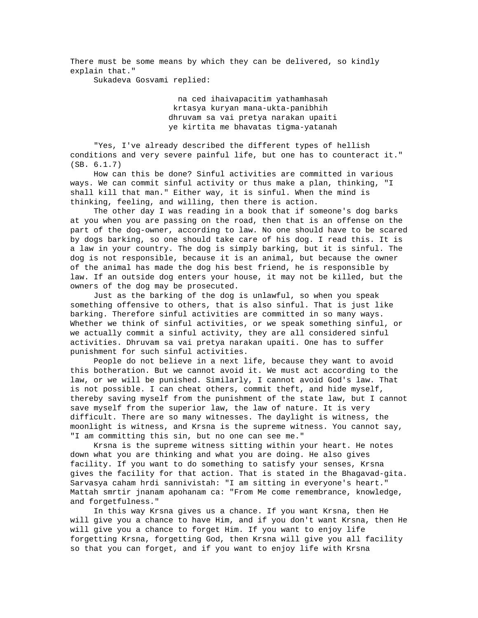There must be some means by which they can be delivered, so kindly explain that."

Sukadeva Gosvami replied:

 na ced ihaivapacitim yathamhasah krtasya kuryan mana-ukta-panibhih dhruvam sa vai pretya narakan upaiti ye kirtita me bhavatas tigma-yatanah

 "Yes, I've already described the different types of hellish conditions and very severe painful life, but one has to counteract it." (SB. 6.1.7)

 How can this be done? Sinful activities are committed in various ways. We can commit sinful activity or thus make a plan, thinking, "I shall kill that man." Either way, it is sinful. When the mind is thinking, feeling, and willing, then there is action.

 The other day I was reading in a book that if someone's dog barks at you when you are passing on the road, then that is an offense on the part of the dog-owner, according to law. No one should have to be scared by dogs barking, so one should take care of his dog. I read this. It is a law in your country. The dog is simply barking, but it is sinful. The dog is not responsible, because it is an animal, but because the owner of the animal has made the dog his best friend, he is responsible by law. If an outside dog enters your house, it may not be killed, but the owners of the dog may be prosecuted.

 Just as the barking of the dog is unlawful, so when you speak something offensive to others, that is also sinful. That is just like barking. Therefore sinful activities are committed in so many ways. Whether we think of sinful activities, or we speak something sinful, or we actually commit a sinful activity, they are all considered sinful activities. Dhruvam sa vai pretya narakan upaiti. One has to suffer punishment for such sinful activities.

 People do not believe in a next life, because they want to avoid this botheration. But we cannot avoid it. We must act according to the law, or we will be punished. Similarly, I cannot avoid God's law. That is not possible. I can cheat others, commit theft, and hide myself, thereby saving myself from the punishment of the state law, but I cannot save myself from the superior law, the law of nature. It is very difficult. There are so many witnesses. The daylight is witness, the moonlight is witness, and Krsna is the supreme witness. You cannot say, "I am committing this sin, but no one can see me."

 Krsna is the supreme witness sitting within your heart. He notes down what you are thinking and what you are doing. He also gives facility. If you want to do something to satisfy your senses, Krsna gives the facility for that action. That is stated in the Bhagavad-gita. Sarvasya caham hrdi sannivistah: "I am sitting in everyone's heart." Mattah smrtir jnanam apohanam ca: "From Me come remembrance, knowledge, and forgetfulness."

 In this way Krsna gives us a chance. If you want Krsna, then He will give you a chance to have Him, and if you don't want Krsna, then He will give you a chance to forget Him. If you want to enjoy life forgetting Krsna, forgetting God, then Krsna will give you all facility so that you can forget, and if you want to enjoy life with Krsna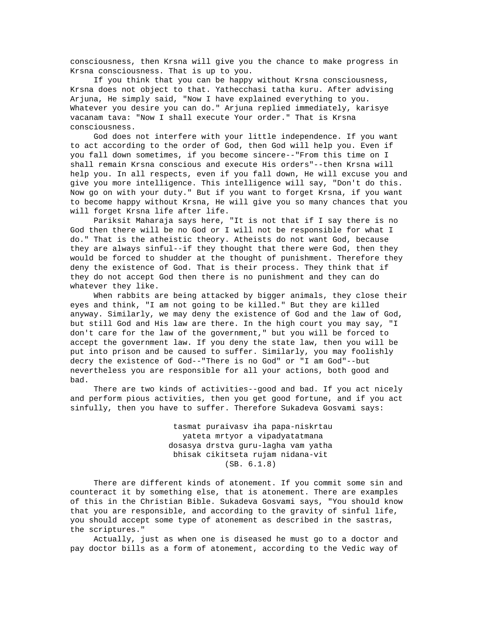consciousness, then Krsna will give you the chance to make progress in Krsna consciousness. That is up to you.

 If you think that you can be happy without Krsna consciousness, Krsna does not object to that. Yathecchasi tatha kuru. After advising Arjuna, He simply said, "Now I have explained everything to you. Whatever you desire you can do." Arjuna replied immediately, karisye vacanam tava: "Now I shall execute Your order." That is Krsna consciousness.

 God does not interfere with your little independence. If you want to act according to the order of God, then God will help you. Even if you fall down sometimes, if you become sincere--"From this time on I shall remain Krsna conscious and execute His orders"--then Krsna will help you. In all respects, even if you fall down, He will excuse you and give you more intelligence. This intelligence will say, "Don't do this. Now go on with your duty." But if you want to forget Krsna, if you want to become happy without Krsna, He will give you so many chances that you will forget Krsna life after life.

 Pariksit Maharaja says here, "It is not that if I say there is no God then there will be no God or I will not be responsible for what I do." That is the atheistic theory. Atheists do not want God, because they are always sinful--if they thought that there were God, then they would be forced to shudder at the thought of punishment. Therefore they deny the existence of God. That is their process. They think that if they do not accept God then there is no punishment and they can do whatever they like.

 When rabbits are being attacked by bigger animals, they close their eyes and think, "I am not going to be killed." But they are killed anyway. Similarly, we may deny the existence of God and the law of God, but still God and His law are there. In the high court you may say, "I don't care for the law of the government," but you will be forced to accept the government law. If you deny the state law, then you will be put into prison and be caused to suffer. Similarly, you may foolishly decry the existence of God--"There is no God" or "I am God"--but nevertheless you are responsible for all your actions, both good and bad.

 There are two kinds of activities--good and bad. If you act nicely and perform pious activities, then you get good fortune, and if you act sinfully, then you have to suffer. Therefore Sukadeva Gosvami says:

> tasmat puraivasv iha papa-niskrtau yateta mrtyor a vipadyatatmana dosasya drstva guru-lagha vam yatha bhisak cikitseta rujam nidana-vit (SB. 6.1.8)

 There are different kinds of atonement. If you commit some sin and counteract it by something else, that is atonement. There are examples of this in the Christian Bible. Sukadeva Gosvami says, "You should know that you are responsible, and according to the gravity of sinful life, you should accept some type of atonement as described in the sastras, the scriptures."

 Actually, just as when one is diseased he must go to a doctor and pay doctor bills as a form of atonement, according to the Vedic way of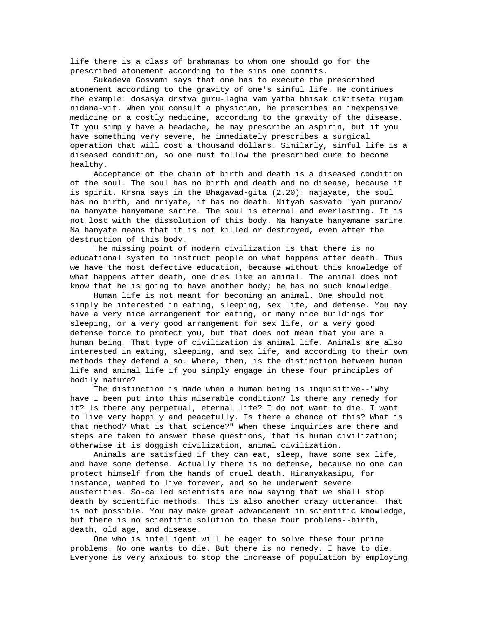life there is a class of brahmanas to whom one should go for the prescribed atonement according to the sins one commits.

 Sukadeva Gosvami says that one has to execute the prescribed atonement according to the gravity of one's sinful life. He continues the example: dosasya drstva guru-lagha vam yatha bhisak cikitseta rujam nidana-vit. When you consult a physician, he prescribes an inexpensive medicine or a costly medicine, according to the gravity of the disease. If you simply have a headache, he may prescribe an aspirin, but if you have something very severe, he immediately prescribes a surgical operation that will cost a thousand dollars. Similarly, sinful life is a diseased condition, so one must follow the prescribed cure to become healthy.

 Acceptance of the chain of birth and death is a diseased condition of the soul. The soul has no birth and death and no disease, because it is spirit. Krsna says in the Bhagavad-gita (2.20): najayate, the soul has no birth, and mriyate, it has no death. Nityah sasvato 'yam purano/ na hanyate hanyamane sarire. The soul is eternal and everlasting. It is not lost with the dissolution of this body. Na hanyate hanyamane sarire. Na hanyate means that it is not killed or destroyed, even after the destruction of this body.

 The missing point of modern civilization is that there is no educational system to instruct people on what happens after death. Thus we have the most defective education, because without this knowledge of what happens after death, one dies like an animal. The animal does not know that he is going to have another body; he has no such knowledge.

 Human life is not meant for becoming an animal. One should not simply be interested in eating, sleeping, sex life, and defense. You may have a very nice arrangement for eating, or many nice buildings for sleeping, or a very good arrangement for sex life, or a very good defense force to protect you, but that does not mean that you are a human being. That type of civilization is animal life. Animals are also interested in eating, sleeping, and sex life, and according to their own methods they defend also. Where, then, is the distinction between human life and animal life if you simply engage in these four principles of bodily nature?

 The distinction is made when a human being is inquisitive--"Why have I been put into this miserable condition? ls there any remedy for it? ls there any perpetual, eternal life? I do not want to die. I want to live very happily and peacefully. Is there a chance of this? What is that method? What is that science?" When these inquiries are there and steps are taken to answer these questions, that is human civilization; otherwise it is doggish civilization, animal civilization.

 Animals are satisfied if they can eat, sleep, have some sex life, and have some defense. Actually there is no defense, because no one can protect himself from the hands of cruel death. Hiranyakasipu, for instance, wanted to live forever, and so he underwent severe austerities. So-called scientists are now saying that we shall stop death by scientific methods. This is also another crazy utterance. That is not possible. You may make great advancement in scientific knowledge, but there is no scientific solution to these four problems--birth, death, old age, and disease.

 One who is intelligent will be eager to solve these four prime problems. No one wants to die. But there is no remedy. I have to die. Everyone is very anxious to stop the increase of population by employing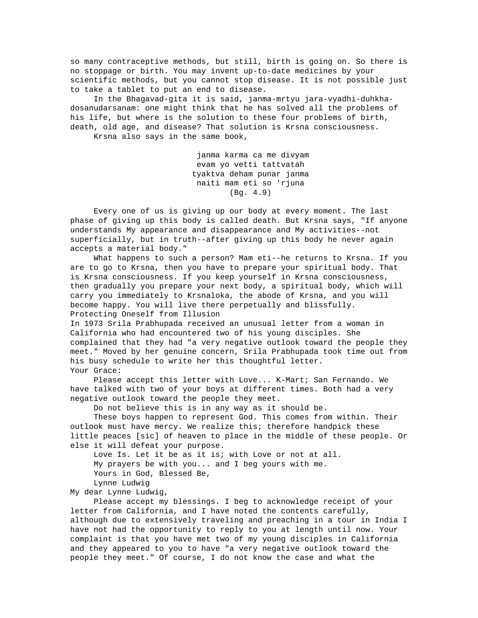so many contraceptive methods, but still, birth is going on. So there is no stoppage or birth. You may invent up-to-date medicines by your scientific methods, but you cannot stop disease. It is not possible just to take a tablet to put an end to disease.

 In the Bhagavad-gita it is said, janma-mrtyu jara-vyadhi-duhkhadosanudarsanam: one might think that he has solved all the problems of his life, but where is the solution to these four problems of birth, death, old age, and disease? That solution is Krsna consciousness.

Krsna also says in the same book,

 janma karma ca me divyam evam yo vetti tattvatah tyaktva deham punar janma naiti mam eti so 'rjuna (Bg. 4.9)

 Every one of us is giving up our body at every moment. The last phase of giving up this body is called death. But Krsna says, "If anyone understands My appearance and disappearance and My activities--not superficially, but in truth--after giving up this body he never again accepts a material body."

 What happens to such a person? Mam eti--he returns to Krsna. If you are to go to Krsna, then you have to prepare your spiritual body. That is Krsna consciousness. If you keep yourself in Krsna consciousness, then gradually you prepare your next body, a spiritual body, which will carry you immediately to Krsnaloka, the abode of Krsna, and you will become happy. You will live there perpetually and blissfully. Protecting Oneself from Illusion

In 1973 Srila Prabhupada received an unusual letter from a woman in California who had encountered two of his young disciples. She complained that they had "a very negative outlook toward the people they meet." Moved by her genuine concern, Srila Prabhupada took time out from his busy schedule to write her this thoughtful letter. Your Grace:

Please accept this letter with Love... K-Mart; San Fernando. We have talked with two of your boys at different times. Both had a very negative outlook toward the people they meet.

Do not believe this is in any way as it should be.

 These boys happen to represent God. This comes from within. Their outlook must have mercy. We realize this; therefore handpick these little peaces [sic] of heaven to place in the middle of these people. Or else it will defeat your purpose.

 Love Is. Let it be as it is; with Love or not at all. My prayers be with you... and I beg yours with me. Yours in God, Blessed Be, Lynne Ludwig

My dear Lynne Ludwig,

 Please accept my blessings. I beg to acknowledge receipt of your letter from California, and I have noted the contents carefully, although due to extensively traveling and preaching in a tour in India I have not had the opportunity to reply to you at length until now. Your complaint is that you have met two of my young disciples in California and they appeared to you to have "a very negative outlook toward the people they meet." Of course, I do not know the case and what the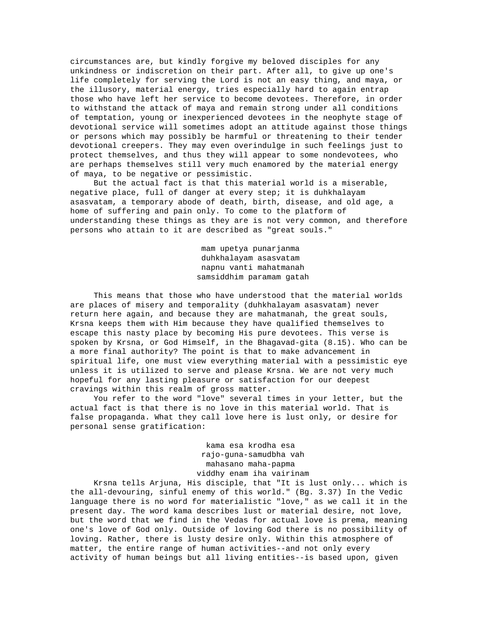circumstances are, but kindly forgive my beloved disciples for any unkindness or indiscretion on their part. After all, to give up one's life completely for serving the Lord is not an easy thing, and maya, or the illusory, material energy, tries especially hard to again entrap those who have left her service to become devotees. Therefore, in order to withstand the attack of maya and remain strong under all conditions of temptation, young or inexperienced devotees in the neophyte stage of devotional service will sometimes adopt an attitude against those things or persons which may possibly be harmful or threatening to their tender devotional creepers. They may even overindulge in such feelings just to protect themselves, and thus they will appear to some nondevotees, who are perhaps themselves still very much enamored by the material energy of maya, to be negative or pessimistic.

 But the actual fact is that this material world is a miserable, negative place, full of danger at every step; it is duhkhalayam asasvatam, a temporary abode of death, birth, disease, and old age, a home of suffering and pain only. To come to the platform of understanding these things as they are is not very common, and therefore persons who attain to it are described as "great souls."

> mam upetya punarjanma duhkhalayam asasvatam napnu vanti mahatmanah samsiddhim paramam gatah

 This means that those who have understood that the material worlds are places of misery and temporality (duhkhalayam asasvatam) never return here again, and because they are mahatmanah, the great souls, Krsna keeps them with Him because they have qualified themselves to escape this nasty place by becoming His pure devotees. This verse is spoken by Krsna, or God Himself, in the Bhagavad-gita (8.15). Who can be a more final authority? The point is that to make advancement in spiritual life, one must view everything material with a pessimistic eye unless it is utilized to serve and please Krsna. We are not very much hopeful for any lasting pleasure or satisfaction for our deepest cravings within this realm of gross matter.

 You refer to the word "love" several times in your letter, but the actual fact is that there is no love in this material world. That is false propaganda. What they call love here is lust only, or desire for personal sense gratification:

> kama esa krodha esa rajo-guna-samudbha vah mahasano maha-papma viddhy enam iha vairinam

 Krsna tells Arjuna, His disciple, that "It is lust only... which is the all-devouring, sinful enemy of this world." (Bg. 3.37) In the Vedic language there is no word for materialistic "love," as we call it in the present day. The word kama describes lust or material desire, not love, but the word that we find in the Vedas for actual love is prema, meaning one's love of God only. Outside of loving God there is no possibility of loving. Rather, there is lusty desire only. Within this atmosphere of matter, the entire range of human activities--and not only every activity of human beings but all living entities--is based upon, given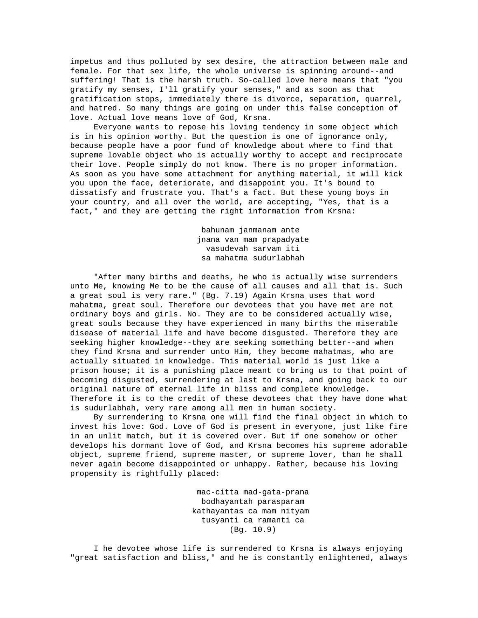impetus and thus polluted by sex desire, the attraction between male and female. For that sex life, the whole universe is spinning around--and suffering! That is the harsh truth. So-called love here means that "you gratify my senses, I'll gratify your senses," and as soon as that gratification stops, immediately there is divorce, separation, quarrel, and hatred. So many things are going on under this false conception of love. Actual love means love of God, Krsna.

 Everyone wants to repose his loving tendency in some object which is in his opinion worthy. But the question is one of ignorance only, because people have a poor fund of knowledge about where to find that supreme lovable object who is actually worthy to accept and reciprocate their love. People simply do not know. There is no proper information. As soon as you have some attachment for anything material, it will kick you upon the face, deteriorate, and disappoint you. It's bound to dissatisfy and frustrate you. That's a fact. But these young boys in your country, and all over the world, are accepting, "Yes, that is a fact," and they are getting the right information from Krsna:

> bahunam janmanam ante jnana van mam prapadyate vasudevah sarvam iti sa mahatma sudurlabhah

 "After many births and deaths, he who is actually wise surrenders unto Me, knowing Me to be the cause of all causes and all that is. Such a great soul is very rare." (Bg. 7.19) Again Krsna uses that word mahatma, great soul. Therefore our devotees that you have met are not ordinary boys and girls. No. They are to be considered actually wise, great souls because they have experienced in many births the miserable disease of material life and have become disgusted. Therefore they are seeking higher knowledge--they are seeking something better--and when they find Krsna and surrender unto Him, they become mahatmas, who are actually situated in knowledge. This material world is just like a prison house; it is a punishing place meant to bring us to that point of becoming disgusted, surrendering at last to Krsna, and going back to our original nature of eternal life in bliss and complete knowledge. Therefore it is to the credit of these devotees that they have done what is sudurlabhah, very rare among all men in human society.

 By surrendering to Krsna one will find the final object in which to invest his love: God. Love of God is present in everyone, just like fire in an unlit match, but it is covered over. But if one somehow or other develops his dormant love of God, and Krsna becomes his supreme adorable object, supreme friend, supreme master, or supreme lover, than he shall never again become disappointed or unhappy. Rather, because his loving propensity is rightfully placed:

> mac-citta mad-gata-prana bodhayantah parasparam kathayantas ca mam nityam tusyanti ca ramanti ca (Bg. 10.9)

 I he devotee whose life is surrendered to Krsna is always enjoying "great satisfaction and bliss," and he is constantly enlightened, always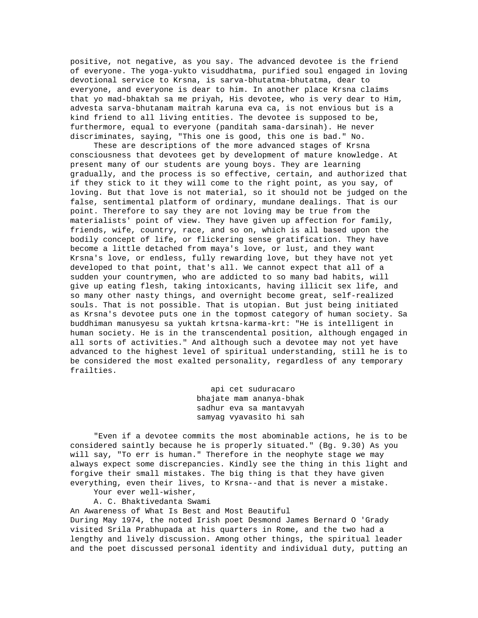positive, not negative, as you say. The advanced devotee is the friend of everyone. The yoga-yukto visuddhatma, purified soul engaged in loving devotional service to Krsna, is sarva-bhutatma-bhutatma, dear to everyone, and everyone is dear to him. In another place Krsna claims that yo mad-bhaktah sa me priyah, His devotee, who is very dear to Him, advesta sarva-bhutanam maitrah karuna eva ca, is not envious but is a kind friend to all living entities. The devotee is supposed to be, furthermore, equal to everyone (panditah sama-darsinah). He never discriminates, saying, "This one is good, this one is bad." No.

 These are descriptions of the more advanced stages of Krsna consciousness that devotees get by development of mature knowledge. At present many of our students are young boys. They are learning gradually, and the process is so effective, certain, and authorized that if they stick to it they will come to the right point, as you say, of loving. But that love is not material, so it should not be judged on the false, sentimental platform of ordinary, mundane dealings. That is our point. Therefore to say they are not loving may be true from the materialists' point of view. They have given up affection for family, friends, wife, country, race, and so on, which is all based upon the bodily concept of life, or flickering sense gratification. They have become a little detached from maya's love, or lust, and they want Krsna's love, or endless, fully rewarding love, but they have not yet developed to that point, that's all. We cannot expect that all of a sudden your countrymen, who are addicted to so many bad habits, will give up eating flesh, taking intoxicants, having illicit sex life, and so many other nasty things, and overnight become great, self-realized souls. That is not possible. That is utopian. But just being initiated as Krsna's devotee puts one in the topmost category of human society. Sa buddhiman manusyesu sa yuktah krtsna-karma-krt: "He is intelligent in human society. He is in the transcendental position, although engaged in all sorts of activities." And although such a devotee may not yet have advanced to the highest level of spiritual understanding, still he is to be considered the most exalted personality, regardless of any temporary frailties.

> api cet suduracaro bhajate mam ananya-bhak sadhur eva sa mantavyah samyag vyavasito hi sah

 "Even if a devotee commits the most abominable actions, he is to be considered saintly because he is properly situated." (Bg. 9.30) As you will say, "To err is human." Therefore in the neophyte stage we may always expect some discrepancies. Kindly see the thing in this light and forgive their small mistakes. The big thing is that they have given everything, even their lives, to Krsna--and that is never a mistake.

Your ever well-wisher,

 A. C. Bhaktivedanta Swami An Awareness of What Is Best and Most Beautiful

During May 1974, the noted Irish poet Desmond James Bernard O 'Grady visited Srila Prabhupada at his quarters in Rome, and the two had a lengthy and lively discussion. Among other things, the spiritual leader and the poet discussed personal identity and individual duty, putting an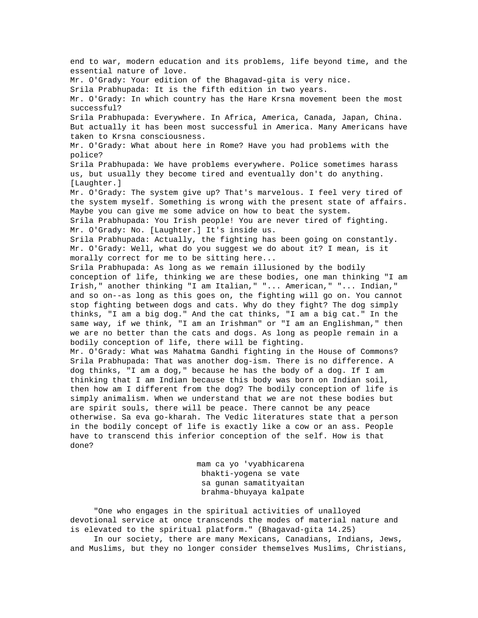end to war, modern education and its problems, life beyond time, and the essential nature of love. Mr. O'Grady: Your edition of the Bhagavad-gita is very nice. Srila Prabhupada: It is the fifth edition in two years. Mr. O'Grady: In which country has the Hare Krsna movement been the most successful? Srila Prabhupada: Everywhere. In Africa, America, Canada, Japan, China. But actually it has been most successful in America. Many Americans have taken to Krsna consciousness. Mr. O'Grady: What about here in Rome? Have you had problems with the police? Srila Prabhupada: We have problems everywhere. Police sometimes harass us, but usually they become tired and eventually don't do anything. [Laughter.] Mr. O'Grady: The system give up? That's marvelous. I feel very tired of the system myself. Something is wrong with the present state of affairs. Maybe you can give me some advice on how to beat the system. Srila Prabhupada: You Irish people! You are never tired of fighting. Mr. O'Grady: No. [Laughter.] It's inside us. Srila Prabhupada: Actually, the fighting has been going on constantly. Mr. O'Grady: Well, what do you suggest we do about it? I mean, is it morally correct for me to be sitting here... Srila Prabhupada: As long as we remain illusioned by the bodily conception of life, thinking we are these bodies, one man thinking "I am Irish," another thinking "I am Italian," "... American," "... Indian," and so on--as long as this goes on, the fighting will go on. You cannot stop fighting between dogs and cats. Why do they fight? The dog simply thinks, "I am a big dog." And the cat thinks, "I am a big cat." In the same way, if we think, "I am an Irishman" or "I am an Englishman," then we are no better than the cats and dogs. As long as people remain in a bodily conception of life, there will be fighting. Mr. O'Grady: What was Mahatma Gandhi fighting in the House of Commons? Srila Prabhupada: That was another dog-ism. There is no difference. A dog thinks, "I am a dog," because he has the body of a dog. If I am thinking that I am Indian because this body was born on Indian soil, then how am I different from the dog? The bodily conception of life is simply animalism. When we understand that we are not these bodies but are spirit souls, there will be peace. There cannot be any peace otherwise. Sa eva go-kharah. The Vedic literatures state that a person in the bodily concept of life is exactly like a cow or an ass. People have to transcend this inferior conception of the self. How is that done?

> mam ca yo 'vyabhicarena bhakti-yogena se vate sa gunan samatityaitan brahma-bhuyaya kalpate

 "One who engages in the spiritual activities of unalloyed devotional service at once transcends the modes of material nature and is elevated to the spiritual platform." (Bhagavad-gita 14.25)

 In our society, there are many Mexicans, Canadians, Indians, Jews, and Muslims, but they no longer consider themselves Muslims, Christians,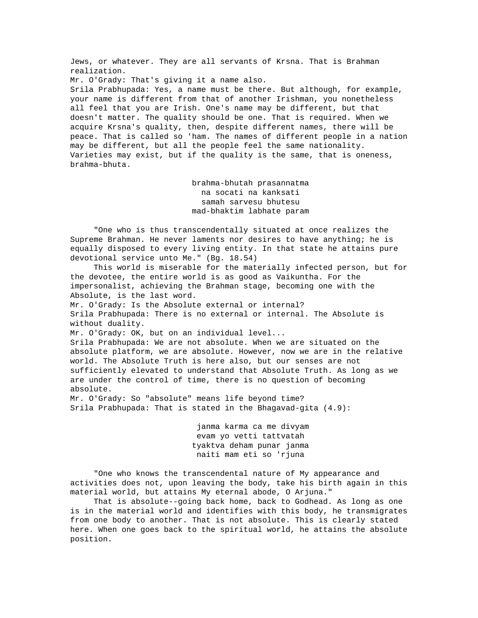Jews, or whatever. They are all servants of Krsna. That is Brahman realization. Mr. O'Grady: That's giving it a name also. Srila Prabhupada: Yes, a name must be there. But although, for example, your name is different from that of another Irishman, you nonetheless all feel that you are Irish. One's name may be different, but that doesn't matter. The quality should be one. That is required. When we acquire Krsna's quality, then, despite different names, there will be peace. That is called so 'ham. The names of different people in a nation may be different, but all the people feel the same nationality. Varieties may exist, but if the quality is the same, that is oneness, brahma-bhuta.

> brahma-bhutah prasannatma na socati na kanksati samah sarvesu bhutesu mad-bhaktim labhate param

 "One who is thus transcendentally situated at once realizes the Supreme Brahman. He never laments nor desires to have anything; he is equally disposed to every living entity. In that state he attains pure devotional service unto Me." (Bg. 18.54)

 This world is miserable for the materially infected person, but for the devotee, the entire world is as good as Vaikuntha. For the impersonalist, achieving the Brahman stage, becoming one with the Absolute, is the last word.

Mr. O'Grady: Is the Absolute external or internal? Srila Prabhupada: There is no external or internal. The Absolute is without duality.

Mr. O'Grady: OK, but on an individual level...

Srila Prabhupada: We are not absolute. When we are situated on the absolute platform, we are absolute. However, now we are in the relative world. The Absolute Truth is here also, but our senses are not sufficiently elevated to understand that Absolute Truth. As long as we are under the control of time, there is no question of becoming absolute.

Mr. O'Grady: So "absolute" means life beyond time? Srila Prabhupada: That is stated in the Bhagavad-gita (4.9):

> janma karma ca me divyam evam yo vetti tattvatah tyaktva deham punar janma naiti mam eti so 'rjuna

 "One who knows the transcendental nature of My appearance and activities does not, upon leaving the body, take his birth again in this material world, but attains My eternal abode, O Arjuna."

 That is absolute--going back home, back to Godhead. As long as one is in the material world and identifies with this body, he transmigrates from one body to another. That is not absolute. This is clearly stated here. When one goes back to the spiritual world, he attains the absolute position.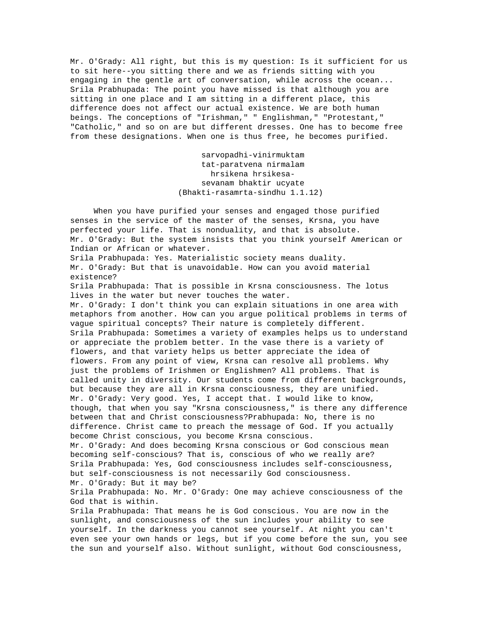Mr. O'Grady: All right, but this is my question: Is it sufficient for us to sit here--you sitting there and we as friends sitting with you engaging in the gentle art of conversation, while across the ocean... Srila Prabhupada: The point you have missed is that although you are sitting in one place and I am sitting in a different place, this difference does not affect our actual existence. We are both human beings. The conceptions of "Irishman," " Englishman," "Protestant," "Catholic," and so on are but different dresses. One has to become free from these designations. When one is thus free, he becomes purified.

> sarvopadhi-vinirmuktam tat-paratvena nirmalam hrsikena hrsikesa sevanam bhaktir ucyate (Bhakti-rasamrta-sindhu 1.1.12)

 When you have purified your senses and engaged those purified senses in the service of the master of the senses, Krsna, you have perfected your life. That is nonduality, and that is absolute. Mr. O'Grady: But the system insists that you think yourself American or Indian or African or whatever. Srila Prabhupada: Yes. Materialistic society means duality. Mr. O'Grady: But that is unavoidable. How can you avoid material existence? Srila Prabhupada: That is possible in Krsna consciousness. The lotus lives in the water but never touches the water. Mr. O'Grady: I don't think you can explain situations in one area with metaphors from another. How can you argue political problems in terms of vague spiritual concepts? Their nature is completely different. Srila Prabhupada: Sometimes a variety of examples helps us to understand or appreciate the problem better. In the vase there is a variety of flowers, and that variety helps us better appreciate the idea of flowers. From any point of view, Krsna can resolve all problems. Why just the problems of Irishmen or Englishmen? All problems. That is called unity in diversity. Our students come from different backgrounds, but because they are all in Krsna consciousness, they are unified. Mr. O'Grady: Very good. Yes, I accept that. I would like to know, though, that when you say "Krsna consciousness," is there any difference between that and Christ consciousness?Prabhupada: No, there is no difference. Christ came to preach the message of God. If you actually become Christ conscious, you become Krsna conscious. Mr. O'Grady: And does becoming Krsna conscious or God conscious mean becoming self-conscious? That is, conscious of who we really are? Srila Prabhupada: Yes, God consciousness includes self-consciousness, but self-consciousness is not necessarily God consciousness. Mr. O'Grady: But it may be? Srila Prabhupada: No. Mr. O'Grady: One may achieve consciousness of the God that is within. Srila Prabhupada: That means he is God conscious. You are now in the sunlight, and consciousness of the sun includes your ability to see

yourself. In the darkness you cannot see yourself. At night you can't even see your own hands or legs, but if you come before the sun, you see the sun and yourself also. Without sunlight, without God consciousness,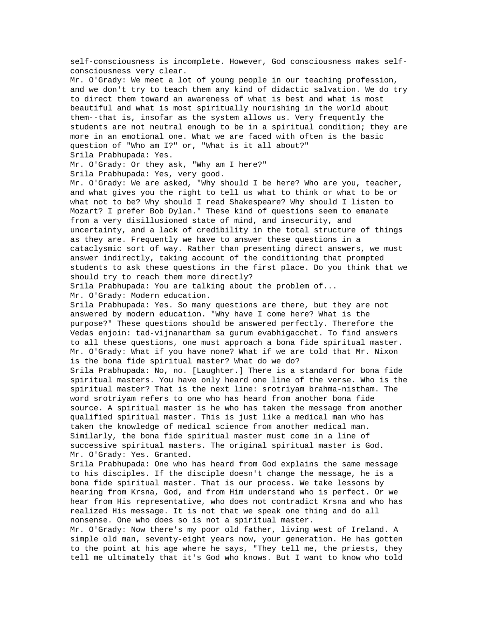self-consciousness is incomplete. However, God consciousness makes selfconsciousness very clear.

Mr. O'Grady: We meet a lot of young people in our teaching profession, and we don't try to teach them any kind of didactic salvation. We do try to direct them toward an awareness of what is best and what is most beautiful and what is most spiritually nourishing in the world about them--that is, insofar as the system allows us. Very frequently the students are not neutral enough to be in a spiritual condition; they are more in an emotional one. What we are faced with often is the basic question of "Who am I?" or, "What is it all about?"

Srila Prabhupada: Yes.

Mr. O'Grady: Or they ask, "Why am I here?" Srila Prabhupada: Yes, very good.

Mr. O'Grady: We are asked, "Why should I be here? Who are you, teacher, and what gives you the right to tell us what to think or what to be or what not to be? Why should I read Shakespeare? Why should I listen to Mozart? I prefer Bob Dylan." These kind of questions seem to emanate from a very disillusioned state of mind, and insecurity, and uncertainty, and a lack of credibility in the total structure of things as they are. Frequently we have to answer these questions in a cataclysmic sort of way. Rather than presenting direct answers, we must answer indirectly, taking account of the conditioning that prompted students to ask these questions in the first place. Do you think that we should try to reach them more directly?

Srila Prabhupada: You are talking about the problem of...

Mr. O'Grady: Modern education.

Srila Prabhupada: Yes. So many questions are there, but they are not answered by modern education. "Why have I come here? What is the purpose?" These questions should be answered perfectly. Therefore the Vedas enjoin: tad-vijnanartham sa gurum evabhigacchet. To find answers to all these questions, one must approach a bona fide spiritual master. Mr. O'Grady: What if you have none? What if we are told that Mr. Nixon is the bona fide spiritual master? What do we do?

Srila Prabhupada: No, no. [Laughter.] There is a standard for bona fide spiritual masters. You have only heard one line of the verse. Who is the spiritual master? That is the next line: srotriyam brahma-nistham. The word srotriyam refers to one who has heard from another bona fide source. A spiritual master is he who has taken the message from another qualified spiritual master. This is just like a medical man who has taken the knowledge of medical science from another medical man. Similarly, the bona fide spiritual master must come in a line of successive spiritual masters. The original spiritual master is God. Mr. O'Grady: Yes. Granted.

Srila Prabhupada: One who has heard from God explains the same message to his disciples. If the disciple doesn't change the message, he is a bona fide spiritual master. That is our process. We take lessons by hearing from Krsna, God, and from Him understand who is perfect. Or we hear from His representative, who does not contradict Krsna and who has realized His message. It is not that we speak one thing and do all nonsense. One who does so is not a spiritual master.

Mr. O'Grady: Now there's my poor old father, living west of Ireland. A simple old man, seventy-eight years now, your generation. He has gotten to the point at his age where he says, "They tell me, the priests, they tell me ultimately that it's God who knows. But I want to know who told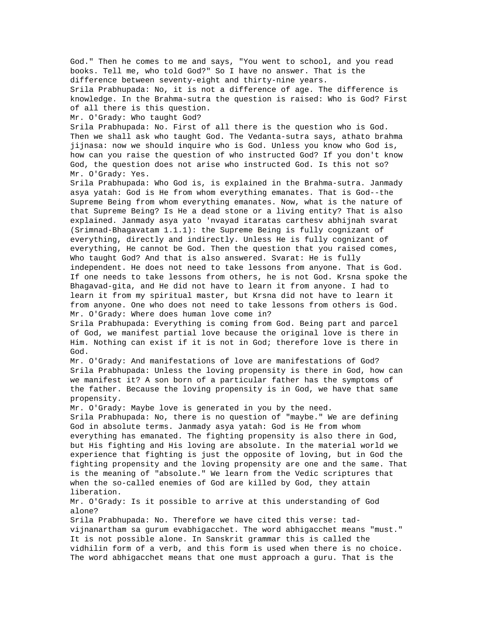God." Then he comes to me and says, "You went to school, and you read books. Tell me, who told God?" So I have no answer. That is the difference between seventy-eight and thirty-nine years. Srila Prabhupada: No, it is not a difference of age. The difference is knowledge. In the Brahma-sutra the question is raised: Who is God? First of all there is this question.

Mr. O'Grady: Who taught God?

Srila Prabhupada: No. First of all there is the question who is God. Then we shall ask who taught God. The Vedanta-sutra says, athato brahma jijnasa: now we should inquire who is God. Unless you know who God is, how can you raise the question of who instructed God? If you don't know God, the question does not arise who instructed God. Is this not so? Mr. O'Grady: Yes.

Srila Prabhupada: Who God is, is explained in the Brahma-sutra. Janmady asya yatah: God is He from whom everything emanates. That is God--the Supreme Being from whom everything emanates. Now, what is the nature of that Supreme Being? Is He a dead stone or a living entity? That is also explained. Janmady asya yato 'nvayad itaratas carthesv abhijnah svarat (Srimnad-Bhagavatam 1.1.1): the Supreme Being is fully cognizant of everything, directly and indirectly. Unless He is fully cognizant of everything, He cannot be God. Then the question that you raised comes, Who taught God? And that is also answered. Svarat: He is fully independent. He does not need to take lessons from anyone. That is God. If one needs to take lessons from others, he is not God. Krsna spoke the Bhagavad-gita, and He did not have to learn it from anyone. I had to learn it from my spiritual master, but Krsna did not have to learn it from anyone. One who does not need to take lessons from others is God. Mr. O'Grady: Where does human love come in?

Srila Prabhupada: Everything is coming from God. Being part and parcel of God, we manifest partial love because the original love is there in Him. Nothing can exist if it is not in God; therefore love is there in God.

Mr. O'Grady: And manifestations of love are manifestations of God? Srila Prabhupada: Unless the loving propensity is there in God, how can we manifest it? A son born of a particular father has the symptoms of the father. Because the loving propensity is in God, we have that same propensity.

Mr. O'Grady: Maybe love is generated in you by the need. Srila Prabhupada: No, there is no question of "maybe." We are defining God in absolute terms. Janmady asya yatah: God is He from whom everything has emanated. The fighting propensity is also there in God, but His fighting and His loving are absolute. In the material world we experience that fighting is just the opposite of loving, but in God the fighting propensity and the loving propensity are one and the same. That is the meaning of "absolute." We learn from the Vedic scriptures that when the so-called enemies of God are killed by God, they attain liberation.

Mr. O'Grady: Is it possible to arrive at this understanding of God alone?

Srila Prabhupada: No. Therefore we have cited this verse: tadvijnanartham sa gurum evabhigacchet. The word abhigacchet means "must." It is not possible alone. In Sanskrit grammar this is called the vidhilin form of a verb, and this form is used when there is no choice. The word abhigacchet means that one must approach a guru. That is the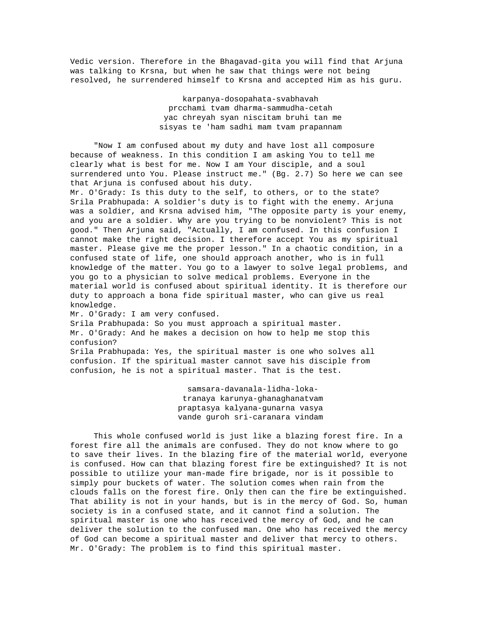Vedic version. Therefore in the Bhagavad-gita you will find that Arjuna was talking to Krsna, but when he saw that things were not being resolved, he surrendered himself to Krsna and accepted Him as his guru.

> karpanya-dosopahata-svabhavah prcchami tvam dharma-sammudha-cetah yac chreyah syan niscitam bruhi tan me sisyas te 'ham sadhi mam tvam prapannam

 "Now I am confused about my duty and have lost all composure because of weakness. In this condition I am asking You to tell me clearly what is best for me. Now I am Your disciple, and a soul surrendered unto You. Please instruct me." (Bg. 2.7) So here we can see that Arjuna is confused about his duty.

Mr. O'Grady: Is this duty to the self, to others, or to the state? Srila Prabhupada: A soldier's duty is to fight with the enemy. Arjuna was a soldier, and Krsna advised him, "The opposite party is your enemy, and you are a soldier. Why are you trying to be nonviolent? This is not good." Then Arjuna said, "Actually, I am confused. In this confusion I cannot make the right decision. I therefore accept You as my spiritual master. Please give me the proper lesson." In a chaotic condition, in a confused state of life, one should approach another, who is in full knowledge of the matter. You go to a lawyer to solve legal problems, and you go to a physician to solve medical problems. Everyone in the material world is confused about spiritual identity. It is therefore our duty to approach a bona fide spiritual master, who can give us real knowledge.

Mr. O'Grady: I am very confused.

Srila Prabhupada: So you must approach a spiritual master. Mr. O'Grady: And he makes a decision on how to help me stop this confusion?

Srila Prabhupada: Yes, the spiritual master is one who solves all confusion. If the spiritual master cannot save his disciple from confusion, he is not a spiritual master. That is the test.

> samsara-davanala-lidha-loka tranaya karunya-ghanaghanatvam praptasya kalyana-gunarna vasya vande guroh sri-caranara vindam

 This whole confused world is just like a blazing forest fire. In a forest fire all the animals are confused. They do not know where to go to save their lives. In the blazing fire of the material world, everyone is confused. How can that blazing forest fire be extinguished? It is not possible to utilize your man-made fire brigade, nor is it possible to simply pour buckets of water. The solution comes when rain from the clouds falls on the forest fire. Only then can the fire be extinguished. That ability is not in your hands, but is in the mercy of God. So, human society is in a confused state, and it cannot find a solution. The spiritual master is one who has received the mercy of God, and he can deliver the solution to the confused man. One who has received the mercy of God can become a spiritual master and deliver that mercy to others. Mr. O'Grady: The problem is to find this spiritual master.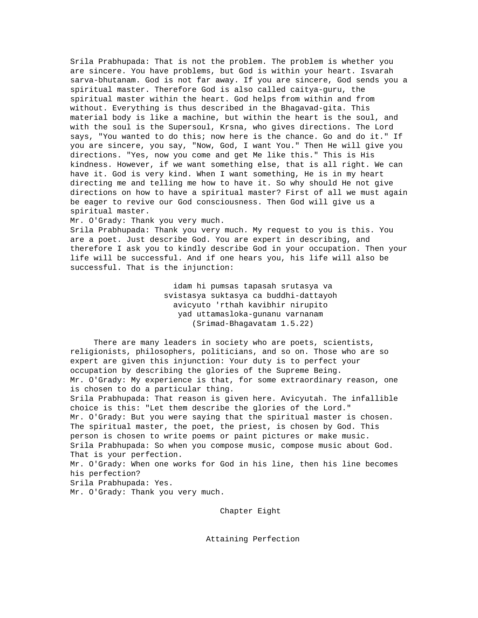Srila Prabhupada: That is not the problem. The problem is whether you are sincere. You have problems, but God is within your heart. Isvarah sarva-bhutanam. God is not far away. If you are sincere, God sends you a spiritual master. Therefore God is also called caitya-guru, the spiritual master within the heart. God helps from within and from without. Everything is thus described in the Bhagavad-gita. This material body is like a machine, but within the heart is the soul, and with the soul is the Supersoul, Krsna, who gives directions. The Lord says, "You wanted to do this; now here is the chance. Go and do it." If you are sincere, you say, "Now, God, I want You." Then He will give you directions. "Yes, now you come and get Me like this." This is His kindness. However, if we want something else, that is all right. We can have it. God is very kind. When I want something, He is in my heart directing me and telling me how to have it. So why should He not give directions on how to have a spiritual master? First of all we must again be eager to revive our God consciousness. Then God will give us a spiritual master.

Mr. O'Grady: Thank you very much.

Srila Prabhupada: Thank you very much. My request to you is this. You are a poet. Just describe God. You are expert in describing, and therefore I ask you to kindly describe God in your occupation. Then your life will be successful. And if one hears you, his life will also be successful. That is the injunction:

> idam hi pumsas tapasah srutasya va svistasya suktasya ca buddhi-dattayoh avicyuto 'rthah kavibhir nirupito yad uttamasloka-gunanu varnanam (Srimad-Bhagavatam 1.5.22)

 There are many leaders in society who are poets, scientists, religionists, philosophers, politicians, and so on. Those who are so expert are given this injunction: Your duty is to perfect your occupation by describing the glories of the Supreme Being. Mr. O'Grady: My experience is that, for some extraordinary reason, one is chosen to do a particular thing. Srila Prabhupada: That reason is given here. Avicyutah. The infallible choice is this: "Let them describe the glories of the Lord." Mr. O'Grady: But you were saying that the spiritual master is chosen. The spiritual master, the poet, the priest, is chosen by God. This person is chosen to write poems or paint pictures or make music. Srila Prabhupada: So when you compose music, compose music about God. That is your perfection. Mr. O'Grady: When one works for God in his line, then his line becomes his perfection?

Srila Prabhupada: Yes.

Mr. O'Grady: Thank you very much.

Chapter Eight

Attaining Perfection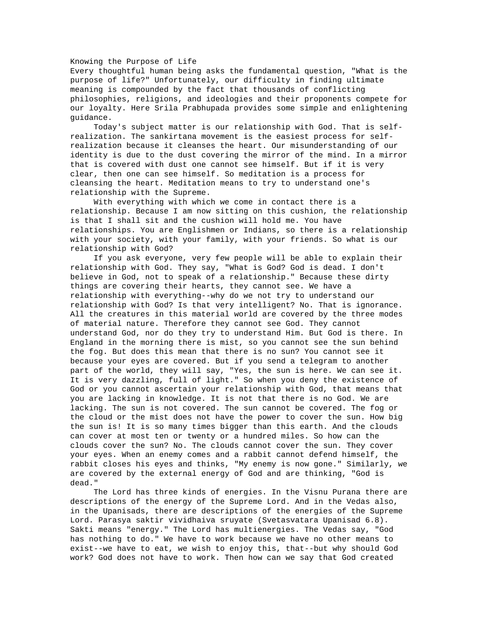## Knowing the Purpose of Life

Every thoughtful human being asks the fundamental question, "What is the purpose of life?" Unfortunately, our difficulty in finding ultimate meaning is compounded by the fact that thousands of conflicting philosophies, religions, and ideologies and their proponents compete for our loyalty. Here Srila Prabhupada provides some simple and enlightening guidance.

 Today's subject matter is our relationship with God. That is selfrealization. The sankirtana movement is the easiest process for selfrealization because it cleanses the heart. Our misunderstanding of our identity is due to the dust covering the mirror of the mind. In a mirror that is covered with dust one cannot see himself. But if it is very clear, then one can see himself. So meditation is a process for cleansing the heart. Meditation means to try to understand one's relationship with the Supreme.

 With everything with which we come in contact there is a relationship. Because I am now sitting on this cushion, the relationship is that I shall sit and the cushion will hold me. You have relationships. You are Englishmen or Indians, so there is a relationship with your society, with your family, with your friends. So what is our relationship with God?

 If you ask everyone, very few people will be able to explain their relationship with God. They say, "What is God? God is dead. I don't believe in God, not to speak of a relationship." Because these dirty things are covering their hearts, they cannot see. We have a relationship with everything--why do we not try to understand our relationship with God? Is that very intelligent? No. That is ignorance. All the creatures in this material world are covered by the three modes of material nature. Therefore they cannot see God. They cannot understand God, nor do they try to understand Him. But God is there. In England in the morning there is mist, so you cannot see the sun behind the fog. But does this mean that there is no sun? You cannot see it because your eyes are covered. But if you send a telegram to another part of the world, they will say, "Yes, the sun is here. We can see it. It is very dazzling, full of light." So when you deny the existence of God or you cannot ascertain your relationship with God, that means that you are lacking in knowledge. It is not that there is no God. We are lacking. The sun is not covered. The sun cannot be covered. The fog or the cloud or the mist does not have the power to cover the sun. How big the sun is! It is so many times bigger than this earth. And the clouds can cover at most ten or twenty or a hundred miles. So how can the clouds cover the sun? No. The clouds cannot cover the sun. They cover your eyes. When an enemy comes and a rabbit cannot defend himself, the rabbit closes his eyes and thinks, "My enemy is now gone." Similarly, we are covered by the external energy of God and are thinking, "God is dead."

 The Lord has three kinds of energies. In the Visnu Purana there are descriptions of the energy of the Supreme Lord. And in the Vedas also, in the Upanisads, there are descriptions of the energies of the Supreme Lord. Parasya saktir vividhaiva sruyate (Svetasvatara Upanisad 6.8). Sakti means "energy." The Lord has multienergies. The Vedas say, "God has nothing to do." We have to work because we have no other means to exist--we have to eat, we wish to enjoy this, that--but why should God work? God does not have to work. Then how can we say that God created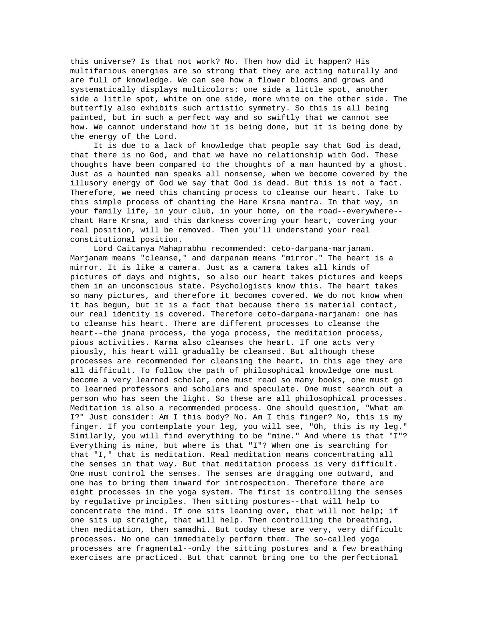this universe? Is that not work? No. Then how did it happen? His multifarious energies are so strong that they are acting naturally and are full of knowledge. We can see how a flower blooms and grows and systematically displays multicolors: one side a little spot, another side a little spot, white on one side, more white on the other side. The butterfly also exhibits such artistic symmetry. So this is all being painted, but in such a perfect way and so swiftly that we cannot see how. We cannot understand how it is being done, but it is being done by the energy of the Lord.

 It is due to a lack of knowledge that people say that God is dead, that there is no God, and that we have no relationship with God. These thoughts have been compared to the thoughts of a man haunted by a ghost. Just as a haunted man speaks all nonsense, when we become covered by the illusory energy of God we say that God is dead. But this is not a fact. Therefore, we need this chanting process to cleanse our heart. Take to this simple process of chanting the Hare Krsna mantra. In that way, in your family life, in your club, in your home, on the road--everywhere- chant Hare Krsna, and this darkness covering your heart, covering your real position, will be removed. Then you'll understand your real constitutional position.

 Lord Caitanya Mahaprabhu recommended: ceto-darpana-marjanam. Marjanam means "cleanse," and darpanam means "mirror." The heart is a mirror. It is like a camera. Just as a camera takes all kinds of pictures of days and nights, so also our heart takes pictures and keeps them in an unconscious state. Psychologists know this. The heart takes so many pictures, and therefore it becomes covered. We do not know when it has begun, but it is a fact that because there is material contact, our real identity is covered. Therefore ceto-darpana-marjanam: one has to cleanse his heart. There are different processes to cleanse the heart--the jnana process, the yoga process, the meditation process, pious activities. Karma also cleanses the heart. If one acts very piously, his heart will gradually be cleansed. But although these processes are recommended for cleansing the heart, in this age they are all difficult. To follow the path of philosophical knowledge one must become a very learned scholar, one must read so many books, one must go to learned professors and scholars and speculate. One must search out a person who has seen the light. So these are all philosophical processes. Meditation is also a recommended process. One should question, "What am I?" Just consider: Am I this body? No. Am I this finger? No, this is my finger. If you contemplate your leg, you will see, "Oh, this is my leg." Similarly, you will find everything to be "mine." And where is that "I"? Everything is mine, but where is that "I"? When one is searching for that "I," that is meditation. Real meditation means concentrating all the senses in that way. But that meditation process is very difficult. One must control the senses. The senses are dragging one outward, and one has to bring them inward for introspection. Therefore there are eight processes in the yoga system. The first is controlling the senses by regulative principles. Then sitting postures--that will help to concentrate the mind. If one sits leaning over, that will not help; if one sits up straight, that will help. Then controlling the breathing, then meditation, then samadhi. But today these are very, very difficult processes. No one can immediately perform them. The so-called yoga processes are fragmental--only the sitting postures and a few breathing exercises are practiced. But that cannot bring one to the perfectional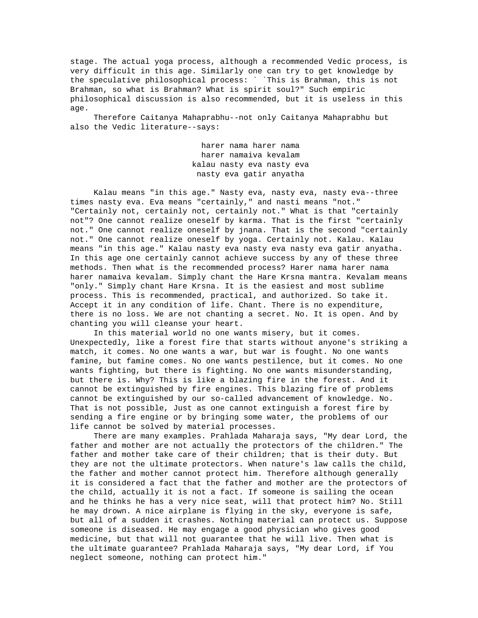stage. The actual yoga process, although a recommended Vedic process, is very difficult in this age. Similarly one can try to get knowledge by the speculative philosophical process: ` `This is Brahman, this is not Brahman, so what is Brahman? What is spirit soul?" Such empiric philosophical discussion is also recommended, but it is useless in this age.

 Therefore Caitanya Mahaprabhu--not only Caitanya Mahaprabhu but also the Vedic literature--says:

> harer nama harer nama harer namaiva kevalam kalau nasty eva nasty eva nasty eva gatir anyatha

 Kalau means "in this age." Nasty eva, nasty eva, nasty eva--three times nasty eva. Eva means "certainly," and nasti means "not." "Certainly not, certainly not, certainly not." What is that "certainly not"? One cannot realize oneself by karma. That is the first "certainly not." One cannot realize oneself by jnana. That is the second "certainly not." One cannot realize oneself by yoga. Certainly not. Kalau. Kalau means "in this age." Kalau nasty eva nasty eva nasty eva gatir anyatha. In this age one certainly cannot achieve success by any of these three methods. Then what is the recommended process? Harer nama harer nama harer namaiva kevalam. Simply chant the Hare Krsna mantra. Kevalam means "only." Simply chant Hare Krsna. It is the easiest and most sublime process. This is recommended, practical, and authorized. So take it. Accept it in any condition of life. Chant. There is no expenditure, there is no loss. We are not chanting a secret. No. It is open. And by chanting you will cleanse your heart.

 In this material world no one wants misery, but it comes. Unexpectedly, like a forest fire that starts without anyone's striking a match, it comes. No one wants a war, but war is fought. No one wants famine, but famine comes. No one wants pestilence, but it comes. No one wants fighting, but there is fighting. No one wants misunderstanding, but there is. Why? This is like a blazing fire in the forest. And it cannot be extinguished by fire engines. This blazing fire of problems cannot be extinguished by our so-called advancement of knowledge. No. That is not possible, Just as one cannot extinguish a forest fire by sending a fire engine or by bringing some water, the problems of our life cannot be solved by material processes.

 There are many examples. Prahlada Maharaja says, "My dear Lord, the father and mother are not actually the protectors of the children." The father and mother take care of their children; that is their duty. But they are not the ultimate protectors. When nature's law calls the child, the father and mother cannot protect him. Therefore although generally it is considered a fact that the father and mother are the protectors of the child, actually it is not a fact. If someone is sailing the ocean and he thinks he has a very nice seat, will that protect him? No. Still he may drown. A nice airplane is flying in the sky, everyone is safe, but all of a sudden it crashes. Nothing material can protect us. Suppose someone is diseased. He may engage a good physician who gives good medicine, but that will not guarantee that he will live. Then what is the ultimate guarantee? Prahlada Maharaja says, "My dear Lord, if You neglect someone, nothing can protect him."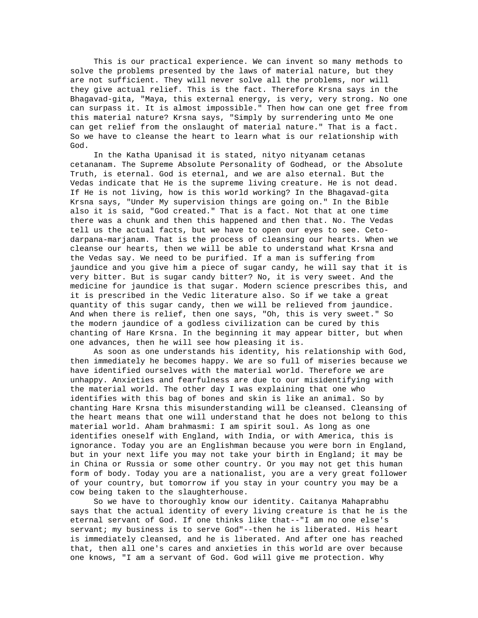This is our practical experience. We can invent so many methods to solve the problems presented by the laws of material nature, but they are not sufficient. They will never solve all the problems, nor will they give actual relief. This is the fact. Therefore Krsna says in the Bhagavad-gita, "Maya, this external energy, is very, very strong. No one can surpass it. It is almost impossible." Then how can one get free from this material nature? Krsna says, "Simply by surrendering unto Me one can get relief from the onslaught of material nature." That is a fact. So we have to cleanse the heart to learn what is our relationship with God.

 In the Katha Upanisad it is stated, nityo nityanam cetanas cetananam. The Supreme Absolute Personality of Godhead, or the Absolute Truth, is eternal. God is eternal, and we are also eternal. But the Vedas indicate that He is the supreme living creature. He is not dead. If He is not living, how is this world working? In the Bhagavad-gita Krsna says, "Under My supervision things are going on." In the Bible also it is said, "God created." That is a fact. Not that at one time there was a chunk and then this happened and then that. No. The Vedas tell us the actual facts, but we have to open our eyes to see. Cetodarpana-marjanam. That is the process of cleansing our hearts. When we cleanse our hearts, then we will be able to understand what Krsna and the Vedas say. We need to be purified. If a man is suffering from jaundice and you give him a piece of sugar candy, he will say that it is very bitter. But is sugar candy bitter? No, it is very sweet. And the medicine for jaundice is that sugar. Modern science prescribes this, and it is prescribed in the Vedic literature also. So if we take a great quantity of this sugar candy, then we will be relieved from jaundice. And when there is relief, then one says, "Oh, this is very sweet." So the modern jaundice of a godless civilization can be cured by this chanting of Hare Krsna. In the beginning it may appear bitter, but when one advances, then he will see how pleasing it is.

 As soon as one understands his identity, his relationship with God, then immediately he becomes happy. We are so full of miseries because we have identified ourselves with the material world. Therefore we are unhappy. Anxieties and fearfulness are due to our misidentifying with the material world. The other day I was explaining that one who identifies with this bag of bones and skin is like an animal. So by chanting Hare Krsna this misunderstanding will be cleansed. Cleansing of the heart means that one will understand that he does not belong to this material world. Aham brahmasmi: I am spirit soul. As long as one identifies oneself with England, with India, or with America, this is ignorance. Today you are an Englishman because you were born in England, but in your next life you may not take your birth in England; it may be in China or Russia or some other country. Or you may not get this human form of body. Today you are a nationalist, you are a very great follower of your country, but tomorrow if you stay in your country you may be a cow being taken to the slaughterhouse.

 So we have to thoroughly know our identity. Caitanya Mahaprabhu says that the actual identity of every living creature is that he is the eternal servant of God. If one thinks like that--"I am no one else's servant; my business is to serve God"--then he is liberated. His heart is immediately cleansed, and he is liberated. And after one has reached that, then all one's cares and anxieties in this world are over because one knows, "I am a servant of God. God will give me protection. Why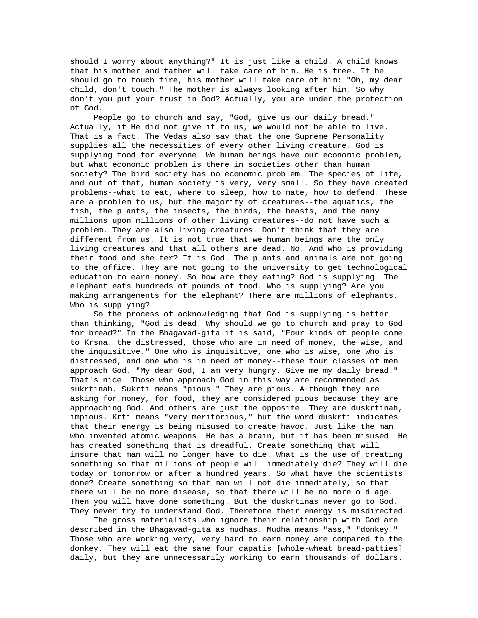should I worry about anything?" It is just like a child. A child knows that his mother and father will take care of him. He is free. If he should go to touch fire, his mother will take care of him: "Oh, my dear child, don't touch." The mother is always looking after him. So why don't you put your trust in God? Actually, you are under the protection of God.

 People go to church and say, "God, give us our daily bread." Actually, if He did not give it to us, we would not be able to live. That is a fact. The Vedas also say that the one Supreme Personality supplies all the necessities of every other living creature. God is supplying food for everyone. We human beings have our economic problem, but what economic problem is there in societies other than human society? The bird society has no economic problem. The species of life, and out of that, human society is very, very small. So they have created problems--what to eat, where to sleep, how to mate, how to defend. These are a problem to us, but the majority of creatures--the aquatics, the fish, the plants, the insects, the birds, the beasts, and the many millions upon millions of other living creatures--do not have such a problem. They are also living creatures. Don't think that they are different from us. It is not true that we human beings are the only living creatures and that all others are dead. No. And who is providing their food and shelter? It is God. The plants and animals are not going to the office. They are not going to the university to get technological education to earn money. So how are they eating? God is supplying. The elephant eats hundreds of pounds of food. Who is supplying? Are you making arrangements for the elephant? There are millions of elephants. Who is supplying?

 So the process of acknowledging that God is supplying is better than thinking, "God is dead. Why should we go to church and pray to God for bread?" In the Bhagavad-gita it is said, "Four kinds of people come to Krsna: the distressed, those who are in need of money, the wise, and the inquisitive." One who is inquisitive, one who is wise, one who is distressed, and one who is in need of money--these four classes of men approach God. "My dear God, I am very hungry. Give me my daily bread." That's nice. Those who approach God in this way are recommended as sukrtinah. Sukrti means "pious." They are pious. Although they are asking for money, for food, they are considered pious because they are approaching God. And others are just the opposite. They are duskrtinah, impious. Krti means "very meritorious," but the word duskrti indicates that their energy is being misused to create havoc. Just like the man who invented atomic weapons. He has a brain, but it has been misused. He has created something that is dreadful. Create something that will insure that man will no longer have to die. What is the use of creating something so that millions of people will immediately die? They will die today or tomorrow or after a hundred years. So what have the scientists done? Create something so that man will not die immediately, so that there will be no more disease, so that there will be no more old age. Then you will have done something. But the duskrtinas never go to God. They never try to understand God. Therefore their energy is misdirected.

 The gross materialists who ignore their relationship with God are described in the Bhagavad-gita as mudhas. Mudha means "ass," "donkey." Those who are working very, very hard to earn money are compared to the donkey. They will eat the same four capatis [whole-wheat bread-patties] daily, but they are unnecessarily working to earn thousands of dollars.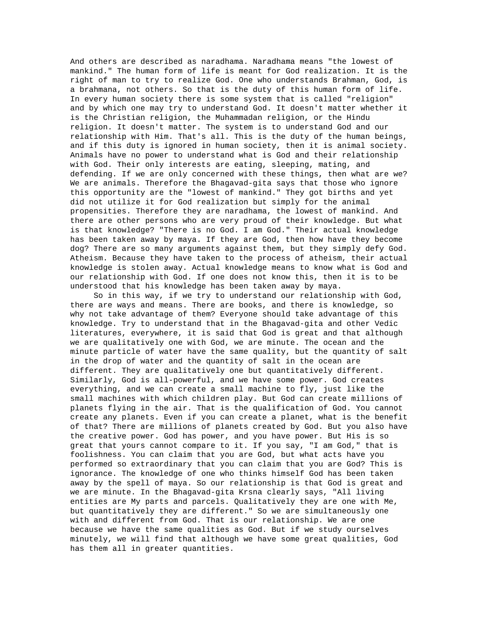And others are described as naradhama. Naradhama means "the lowest of mankind." The human form of life is meant for God realization. It is the right of man to try to realize God. One who understands Brahman, God, is a brahmana, not others. So that is the duty of this human form of life. In every human society there is some system that is called "religion" and by which one may try to understand God. It doesn't matter whether it is the Christian religion, the Muhammadan religion, or the Hindu religion. It doesn't matter. The system is to understand God and our relationship with Him. That's all. This is the duty of the human beings, and if this duty is ignored in human society, then it is animal society. Animals have no power to understand what is God and their relationship with God. Their only interests are eating, sleeping, mating, and defending. If we are only concerned with these things, then what are we? We are animals. Therefore the Bhagavad-gita says that those who ignore this opportunity are the "lowest of mankind." They got births and yet did not utilize it for God realization but simply for the animal propensities. Therefore they are naradhama, the lowest of mankind. And there are other persons who are very proud of their knowledge. But what is that knowledge? "There is no God. I am God." Their actual knowledge has been taken away by maya. If they are God, then how have they become dog? There are so many arguments against them, but they simply defy God. Atheism. Because they have taken to the process of atheism, their actual knowledge is stolen away. Actual knowledge means to know what is God and our relationship with God. If one does not know this, then it is to be understood that his knowledge has been taken away by maya.

 So in this way, if we try to understand our relationship with God, there are ways and means. There are books, and there is knowledge, so why not take advantage of them? Everyone should take advantage of this knowledge. Try to understand that in the Bhagavad-gita and other Vedic literatures, everywhere, it is said that God is great and that although we are qualitatively one with God, we are minute. The ocean and the minute particle of water have the same quality, but the quantity of salt in the drop of water and the quantity of salt in the ocean are different. They are qualitatively one but quantitatively different. Similarly, God is all-powerful, and we have some power. God creates everything, and we can create a small machine to fly, just like the small machines with which children play. But God can create millions of planets flying in the air. That is the qualification of God. You cannot create any planets. Even if you can create a planet, what is the benefit of that? There are millions of planets created by God. But you also have the creative power. God has power, and you have power. But His is so great that yours cannot compare to it. If you say, "I am God," that is foolishness. You can claim that you are God, but what acts have you performed so extraordinary that you can claim that you are God? This is ignorance. The knowledge of one who thinks himself God has been taken away by the spell of maya. So our relationship is that God is great and we are minute. In the Bhagavad-gita Krsna clearly says, "All living entities are My parts and parcels. Qualitatively they are one with Me, but quantitatively they are different." So we are simultaneously one with and different from God. That is our relationship. We are one because we have the same qualities as God. But if we study ourselves minutely, we will find that although we have some great qualities, God has them all in greater quantities.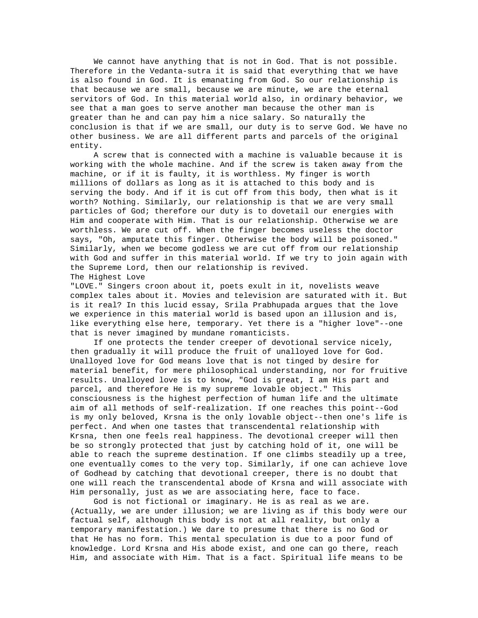We cannot have anything that is not in God. That is not possible. Therefore in the Vedanta-sutra it is said that everything that we have is also found in God. It is emanating from God. So our relationship is that because we are small, because we are minute, we are the eternal servitors of God. In this material world also, in ordinary behavior, we see that a man goes to serve another man because the other man is greater than he and can pay him a nice salary. So naturally the conclusion is that if we are small, our duty is to serve God. We have no other business. We are all different parts and parcels of the original entity.

 A screw that is connected with a machine is valuable because it is working with the whole machine. And if the screw is taken away from the machine, or if it is faulty, it is worthless. My finger is worth millions of dollars as long as it is attached to this body and is serving the body. And if it is cut off from this body, then what is it worth? Nothing. Similarly, our relationship is that we are very small particles of God; therefore our duty is to dovetail our energies with Him and cooperate with Him. That is our relationship. Otherwise we are worthless. We are cut off. When the finger becomes useless the doctor says, "Oh, amputate this finger. Otherwise the body will be poisoned." Similarly, when we become godless we are cut off from our relationship with God and suffer in this material world. If we try to join again with the Supreme Lord, then our relationship is revived. The Highest Love

"LOVE." Singers croon about it, poets exult in it, novelists weave complex tales about it. Movies and television are saturated with it. But is it real? In this lucid essay, Srila Prabhupada argues that the love we experience in this material world is based upon an illusion and is, like everything else here, temporary. Yet there is a "higher love"--one that is never imagined by mundane romanticists.

 If one protects the tender creeper of devotional service nicely, then gradually it will produce the fruit of unalloyed love for God. Unalloyed love for God means love that is not tinged by desire for material benefit, for mere philosophical understanding, nor for fruitive results. Unalloyed love is to know, "God is great, I am His part and parcel, and therefore He is my supreme lovable object." This consciousness is the highest perfection of human life and the ultimate aim of all methods of self-realization. If one reaches this point--God is my only beloved, Krsna is the only lovable object--then one's life is perfect. And when one tastes that transcendental relationship with Krsna, then one feels real happiness. The devotional creeper will then be so strongly protected that just by catching hold of it, one will be able to reach the supreme destination. If one climbs steadily up a tree, one eventually comes to the very top. Similarly, if one can achieve love of Godhead by catching that devotional creeper, there is no doubt that one will reach the transcendental abode of Krsna and will associate with Him personally, just as we are associating here, face to face.

 God is not fictional or imaginary. He is as real as we are. (Actually, we are under illusion; we are living as if this body were our factual self, although this body is not at all reality, but only a temporary manifestation.) We dare to presume that there is no God or that He has no form. This mental speculation is due to a poor fund of knowledge. Lord Krsna and His abode exist, and one can go there, reach Him, and associate with Him. That is a fact. Spiritual life means to be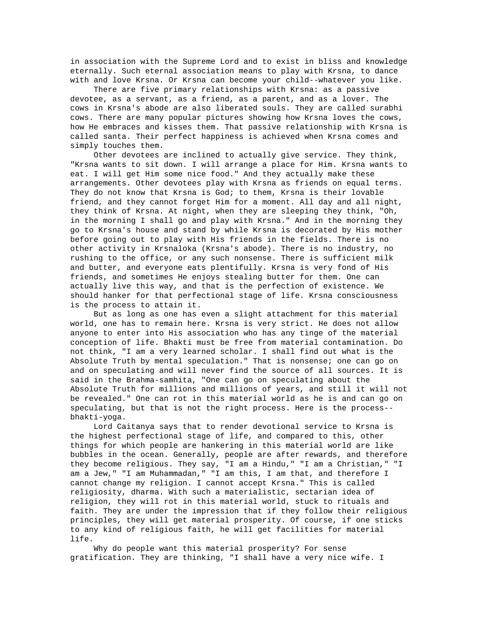in association with the Supreme Lord and to exist in bliss and knowledge eternally. Such eternal association means to play with Krsna, to dance with and love Krsna. Or Krsna can become your child--whatever you like.

 There are five primary relationships with Krsna: as a passive devotee, as a servant, as a friend, as a parent, and as a lover. The cows in Krsna's abode are also liberated souls. They are called surabhi cows. There are many popular pictures showing how Krsna loves the cows, how He embraces and kisses them. That passive relationship with Krsna is called santa. Their perfect happiness is achieved when Krsna comes and simply touches them.

 Other devotees are inclined to actually give service. They think, "Krsna wants to sit down. I will arrange a place for Him. Krsna wants to eat. I will get Him some nice food." And they actually make these arrangements. Other devotees play with Krsna as friends on equal terms. They do not know that Krsna is God; to them, Krsna is their lovable friend, and they cannot forget Him for a moment. All day and all night, they think of Krsna. At night, when they are sleeping they think, "Oh, in the morning I shall go and play with Krsna." And in the morning they go to Krsna's house and stand by while Krsna is decorated by His mother before going out to play with His friends in the fields. There is no other activity in Krsnaloka (Krsna's abode). There is no industry, no rushing to the office, or any such nonsense. There is sufficient milk and butter, and everyone eats plentifully. Krsna is very fond of His friends, and sometimes He enjoys stealing butter for them. One can actually live this way, and that is the perfection of existence. We should hanker for that perfectional stage of life. Krsna consciousness is the process to attain it.

 But as long as one has even a slight attachment for this material world, one has to remain here. Krsna is very strict. He does not allow anyone to enter into His association who has any tinge of the material conception of life. Bhakti must be free from material contamination. Do not think, "I am a very learned scholar. I shall find out what is the Absolute Truth by mental speculation." That is nonsense; one can go on and on speculating and will never find the source of all sources. It is said in the Brahma-samhita, "One can go on speculating about the Absolute Truth for millions and millions of years, and still it will not be revealed." One can rot in this material world as he is and can go on speculating, but that is not the right process. Here is the process- bhakti-yoga.

 Lord Caitanya says that to render devotional service to Krsna is the highest perfectional stage of life, and compared to this, other things for which people are hankering in this material world are like bubbles in the ocean. Generally, people are after rewards, and therefore they become religious. They say, "I am a Hindu," "I am a Christian," "I am a Jew," "I am Muhammadan," "I am this, I am that, and therefore I cannot change my religion. I cannot accept Krsna." This is called religiosity, dharma. With such a materialistic, sectarian idea of religion, they will rot in this material world, stuck to rituals and faith. They are under the impression that if they follow their religious principles, they will get material prosperity. Of course, if one sticks to any kind of religious faith, he will get facilities for material life.

 Why do people want this material prosperity? For sense gratification. They are thinking, "I shall have a very nice wife. I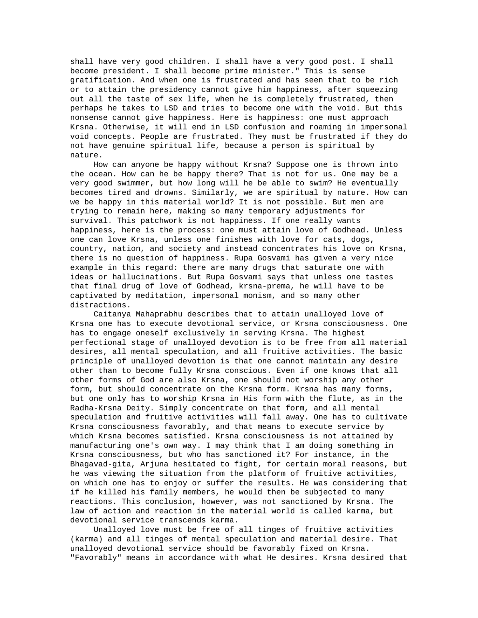shall have very good children. I shall have a very good post. I shall become president. I shall become prime minister." This is sense gratification. And when one is frustrated and has seen that to be rich or to attain the presidency cannot give him happiness, after squeezing out all the taste of sex life, when he is completely frustrated, then perhaps he takes to LSD and tries to become one with the void. But this nonsense cannot give happiness. Here is happiness: one must approach Krsna. Otherwise, it will end in LSD confusion and roaming in impersonal void concepts. People are frustrated. They must be frustrated if they do not have genuine spiritual life, because a person is spiritual by nature.

 How can anyone be happy without Krsna? Suppose one is thrown into the ocean. How can he be happy there? That is not for us. One may be a very good swimmer, but how long will he be able to swim? He eventually becomes tired and drowns. Similarly, we are spiritual by nature. How can we be happy in this material world? It is not possible. But men are trying to remain here, making so many temporary adjustments for survival. This patchwork is not happiness. If one really wants happiness, here is the process: one must attain love of Godhead. Unless one can love Krsna, unless one finishes with love for cats, dogs, country, nation, and society and instead concentrates his love on Krsna, there is no question of happiness. Rupa Gosvami has given a very nice example in this regard: there are many drugs that saturate one with ideas or hallucinations. But Rupa Gosvami says that unless one tastes that final drug of love of Godhead, krsna-prema, he will have to be captivated by meditation, impersonal monism, and so many other distractions.

 Caitanya Mahaprabhu describes that to attain unalloyed love of Krsna one has to execute devotional service, or Krsna consciousness. One has to engage oneself exclusively in serving Krsna. The highest perfectional stage of unalloyed devotion is to be free from all material desires, all mental speculation, and all fruitive activities. The basic principle of unalloyed devotion is that one cannot maintain any desire other than to become fully Krsna conscious. Even if one knows that all other forms of God are also Krsna, one should not worship any other form, but should concentrate on the Krsna form. Krsna has many forms, but one only has to worship Krsna in His form with the flute, as in the Radha-Krsna Deity. Simply concentrate on that form, and all mental speculation and fruitive activities will fall away. One has to cultivate Krsna consciousness favorably, and that means to execute service by which Krsna becomes satisfied. Krsna consciousness is not attained by manufacturing one's own way. I may think that I am doing something in Krsna consciousness, but who has sanctioned it? For instance, in the Bhagavad-gita, Arjuna hesitated to fight, for certain moral reasons, but he was viewing the situation from the platform of fruitive activities, on which one has to enjoy or suffer the results. He was considering that if he killed his family members, he would then be subjected to many reactions. This conclusion, however, was not sanctioned by Krsna. The law of action and reaction in the material world is called karma, but devotional service transcends karma.

 Unalloyed love must be free of all tinges of fruitive activities (karma) and all tinges of mental speculation and material desire. That unalloyed devotional service should be favorably fixed on Krsna. "Favorably" means in accordance with what He desires. Krsna desired that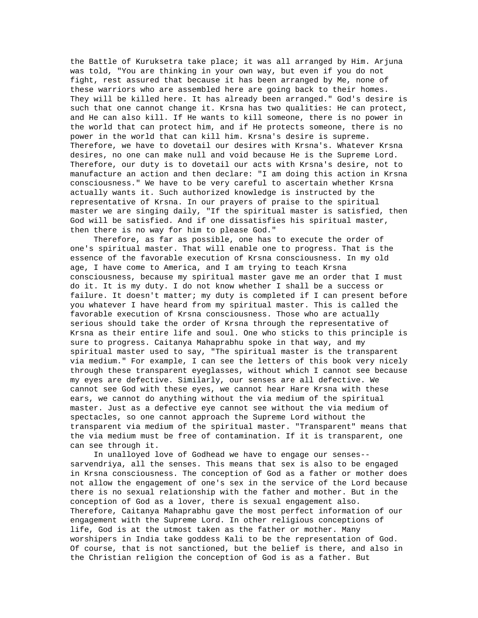the Battle of Kuruksetra take place; it was all arranged by Him. Arjuna was told, "You are thinking in your own way, but even if you do not fight, rest assured that because it has been arranged by Me, none of these warriors who are assembled here are going back to their homes. They will be killed here. It has already been arranged." God's desire is such that one cannot change it. Krsna has two qualities: He can protect, and He can also kill. If He wants to kill someone, there is no power in the world that can protect him, and if He protects someone, there is no power in the world that can kill him. Krsna's desire is supreme. Therefore, we have to dovetail our desires with Krsna's. Whatever Krsna desires, no one can make null and void because He is the Supreme Lord. Therefore, our duty is to dovetail our acts with Krsna's desire, not to manufacture an action and then declare: "I am doing this action in Krsna consciousness." We have to be very careful to ascertain whether Krsna actually wants it. Such authorized knowledge is instructed by the representative of Krsna. In our prayers of praise to the spiritual master we are singing daily, "If the spiritual master is satisfied, then God will be satisfied. And if one dissatisfies his spiritual master, then there is no way for him to please God."

 Therefore, as far as possible, one has to execute the order of one's spiritual master. That will enable one to progress. That is the essence of the favorable execution of Krsna consciousness. In my old age, I have come to America, and I am trying to teach Krsna consciousness, because my spiritual master gave me an order that I must do it. It is my duty. I do not know whether I shall be a success or failure. It doesn't matter; my duty is completed if I can present before you whatever I have heard from my spiritual master. This is called the favorable execution of Krsna consciousness. Those who are actually serious should take the order of Krsna through the representative of Krsna as their entire life and soul. One who sticks to this principle is sure to progress. Caitanya Mahaprabhu spoke in that way, and my spiritual master used to say, "The spiritual master is the transparent via medium." For example, I can see the letters of this book very nicely through these transparent eyeglasses, without which I cannot see because my eyes are defective. Similarly, our senses are all defective. We cannot see God with these eyes, we cannot hear Hare Krsna with these ears, we cannot do anything without the via medium of the spiritual master. Just as a defective eye cannot see without the via medium of spectacles, so one cannot approach the Supreme Lord without the transparent via medium of the spiritual master. "Transparent" means that the via medium must be free of contamination. If it is transparent, one can see through it.

 In unalloyed love of Godhead we have to engage our senses- sarvendriya, all the senses. This means that sex is also to be engaged in Krsna consciousness. The conception of God as a father or mother does not allow the engagement of one's sex in the service of the Lord because there is no sexual relationship with the father and mother. But in the conception of God as a lover, there is sexual engagement also. Therefore, Caitanya Mahaprabhu gave the most perfect information of our engagement with the Supreme Lord. In other religious conceptions of life, God is at the utmost taken as the father or mother. Many worshipers in India take goddess Kali to be the representation of God. Of course, that is not sanctioned, but the belief is there, and also in the Christian religion the conception of God is as a father. But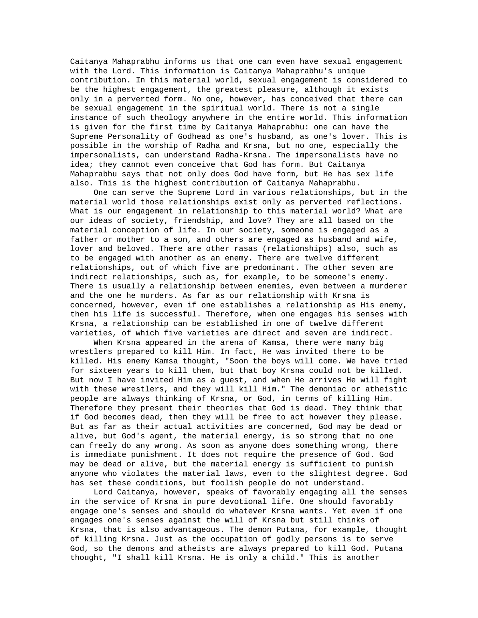Caitanya Mahaprabhu informs us that one can even have sexual engagement with the Lord. This information is Caitanya Mahaprabhu's unique contribution. In this material world, sexual engagement is considered to be the highest engagement, the greatest pleasure, although it exists only in a perverted form. No one, however, has conceived that there can be sexual engagement in the spiritual world. There is not a single instance of such theology anywhere in the entire world. This information is given for the first time by Caitanya Mahaprabhu: one can have the Supreme Personality of Godhead as one's husband, as one's lover. This is possible in the worship of Radha and Krsna, but no one, especially the impersonalists, can understand Radha-Krsna. The impersonalists have no idea; they cannot even conceive that God has form. But Caitanya Mahaprabhu says that not only does God have form, but He has sex life also. This is the highest contribution of Caitanya Mahaprabhu.

 One can serve the Supreme Lord in various relationships, but in the material world those relationships exist only as perverted reflections. What is our engagement in relationship to this material world? What are our ideas of society, friendship, and love? They are all based on the material conception of life. In our society, someone is engaged as a father or mother to a son, and others are engaged as husband and wife, lover and beloved. There are other rasas (relationships) also, such as to be engaged with another as an enemy. There are twelve different relationships, out of which five are predominant. The other seven are indirect relationships, such as, for example, to be someone's enemy. There is usually a relationship between enemies, even between a murderer and the one he murders. As far as our relationship with Krsna is concerned, however, even if one establishes a relationship as His enemy, then his life is successful. Therefore, when one engages his senses with Krsna, a relationship can be established in one of twelve different varieties, of which five varieties are direct and seven are indirect.

 When Krsna appeared in the arena of Kamsa, there were many big wrestlers prepared to kill Him. In fact, He was invited there to be killed. His enemy Kamsa thought, "Soon the boys will come. We have tried for sixteen years to kill them, but that boy Krsna could not be killed. But now I have invited Him as a guest, and when He arrives He will fight with these wrestlers, and they will kill Him." The demoniac or atheistic people are always thinking of Krsna, or God, in terms of killing Him. Therefore they present their theories that God is dead. They think that if God becomes dead, then they will be free to act however they please. But as far as their actual activities are concerned, God may be dead or alive, but God's agent, the material energy, is so strong that no one can freely do any wrong. As soon as anyone does something wrong, there is immediate punishment. It does not require the presence of God. God may be dead or alive, but the material energy is sufficient to punish anyone who violates the material laws, even to the slightest degree. God has set these conditions, but foolish people do not understand.

 Lord Caitanya, however, speaks of favorably engaging all the senses in the service of Krsna in pure devotional life. One should favorably engage one's senses and should do whatever Krsna wants. Yet even if one engages one's senses against the will of Krsna but still thinks of Krsna, that is also advantageous. The demon Putana, for example, thought of killing Krsna. Just as the occupation of godly persons is to serve God, so the demons and atheists are always prepared to kill God. Putana thought, "I shall kill Krsna. He is only a child." This is another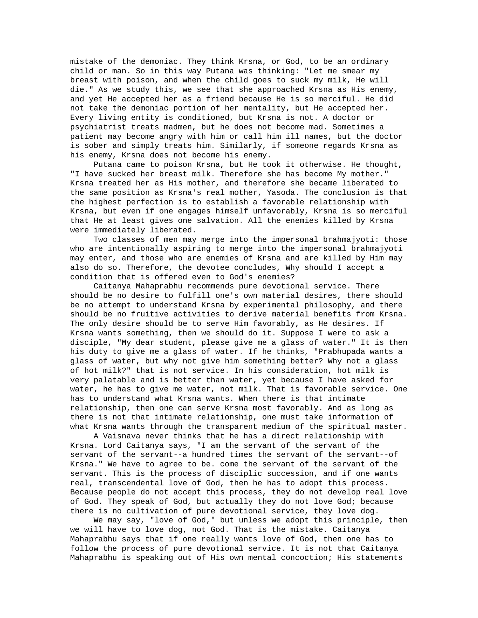mistake of the demoniac. They think Krsna, or God, to be an ordinary child or man. So in this way Putana was thinking: "Let me smear my breast with poison, and when the child goes to suck my milk, He will die." As we study this, we see that she approached Krsna as His enemy, and yet He accepted her as a friend because He is so merciful. He did not take the demoniac portion of her mentality, but He accepted her. Every living entity is conditioned, but Krsna is not. A doctor or psychiatrist treats madmen, but he does not become mad. Sometimes a patient may become angry with him or call him ill names, but the doctor is sober and simply treats him. Similarly, if someone regards Krsna as his enemy, Krsna does not become his enemy.

 Putana came to poison Krsna, but He took it otherwise. He thought, "I have sucked her breast milk. Therefore she has become My mother." Krsna treated her as His mother, and therefore she became liberated to the same position as Krsna's real mother, Yasoda. The conclusion is that the highest perfection is to establish a favorable relationship with Krsna, but even if one engages himself unfavorably, Krsna is so merciful that He at least gives one salvation. All the enemies killed by Krsna were immediately liberated.

 Two classes of men may merge into the impersonal brahmajyoti: those who are intentionally aspiring to merge into the impersonal brahmajyoti may enter, and those who are enemies of Krsna and are killed by Him may also do so. Therefore, the devotee concludes, Why should I accept a condition that is offered even to God's enemies?

 Caitanya Mahaprabhu recommends pure devotional service. There should be no desire to fulfill one's own material desires, there should be no attempt to understand Krsna by experimental philosophy, and there should be no fruitive activities to derive material benefits from Krsna. The only desire should be to serve Him favorably, as He desires. If Krsna wants something, then we should do it. Suppose I were to ask a disciple, "My dear student, please give me a glass of water." It is then his duty to give me a glass of water. If he thinks, "Prabhupada wants a glass of water, but why not give him something better? Why not a glass of hot milk?" that is not service. In his consideration, hot milk is very palatable and is better than water, yet because I have asked for water, he has to give me water, not milk. That is favorable service. One has to understand what Krsna wants. When there is that intimate relationship, then one can serve Krsna most favorably. And as long as there is not that intimate relationship, one must take information of what Krsna wants through the transparent medium of the spiritual master.

 A Vaisnava never thinks that he has a direct relationship with Krsna. Lord Caitanya says, "I am the servant of the servant of the servant of the servant--a hundred times the servant of the servant--of Krsna." We have to agree to be. come the servant of the servant of the servant. This is the process of disciplic succession, and if one wants real, transcendental love of God, then he has to adopt this process. Because people do not accept this process, they do not develop real love of God. They speak of God, but actually they do not love God; because there is no cultivation of pure devotional service, they love dog.

 We may say, "love of God," but unless we adopt this principle, then we will have to love dog, not God. That is the mistake. Caitanya Mahaprabhu says that if one really wants love of God, then one has to follow the process of pure devotional service. It is not that Caitanya Mahaprabhu is speaking out of His own mental concoction; His statements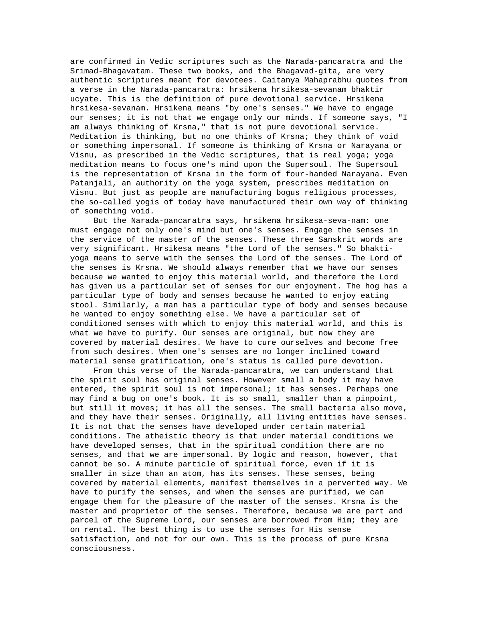are confirmed in Vedic scriptures such as the Narada-pancaratra and the Srimad-Bhagavatam. These two books, and the Bhagavad-gita, are very authentic scriptures meant for devotees. Caitanya Mahaprabhu quotes from a verse in the Narada-pancaratra: hrsikena hrsikesa-sevanam bhaktir ucyate. This is the definition of pure devotional service. Hrsikena hrsikesa-sevanam. Hrsikena means "by one's senses." We have to engage our senses; it is not that we engage only our minds. If someone says, "I am always thinking of Krsna," that is not pure devotional service. Meditation is thinking, but no one thinks of Krsna; they think of void or something impersonal. If someone is thinking of Krsna or Narayana or Visnu, as prescribed in the Vedic scriptures, that is real yoga; yoga meditation means to focus one's mind upon the Supersoul. The Supersoul is the representation of Krsna in the form of four-handed Narayana. Even Patanjali, an authority on the yoga system, prescribes meditation on Visnu. But just as people are manufacturing bogus religious processes, the so-called yogis of today have manufactured their own way of thinking of something void.

 But the Narada-pancaratra says, hrsikena hrsikesa-seva-nam: one must engage not only one's mind but one's senses. Engage the senses in the service of the master of the senses. These three Sanskrit words are very significant. Hrsikesa means "the Lord of the senses." So bhaktiyoga means to serve with the senses the Lord of the senses. The Lord of the senses is Krsna. We should always remember that we have our senses because we wanted to enjoy this material world, and therefore the Lord has given us a particular set of senses for our enjoyment. The hog has a particular type of body and senses because he wanted to enjoy eating stool. Similarly, a man has a particular type of body and senses because he wanted to enjoy something else. We have a particular set of conditioned senses with which to enjoy this material world, and this is what we have to purify. Our senses are original, but now they are covered by material desires. We have to cure ourselves and become free from such desires. When one's senses are no longer inclined toward material sense gratification, one's status is called pure devotion.

 From this verse of the Narada-pancaratra, we can understand that the spirit soul has original senses. However small a body it may have entered, the spirit soul is not impersonal; it has senses. Perhaps one may find a bug on one's book. It is so small, smaller than a pinpoint, but still it moves; it has all the senses. The small bacteria also move, and they have their senses. Originally, all living entities have senses. It is not that the senses have developed under certain material conditions. The atheistic theory is that under material conditions we have developed senses, that in the spiritual condition there are no senses, and that we are impersonal. By logic and reason, however, that cannot be so. A minute particle of spiritual force, even if it is smaller in size than an atom, has its senses. These senses, being covered by material elements, manifest themselves in a perverted way. We have to purify the senses, and when the senses are purified, we can engage them for the pleasure of the master of the senses. Krsna is the master and proprietor of the senses. Therefore, because we are part and parcel of the Supreme Lord, our senses are borrowed from Him; they are on rental. The best thing is to use the senses for His sense satisfaction, and not for our own. This is the process of pure Krsna consciousness.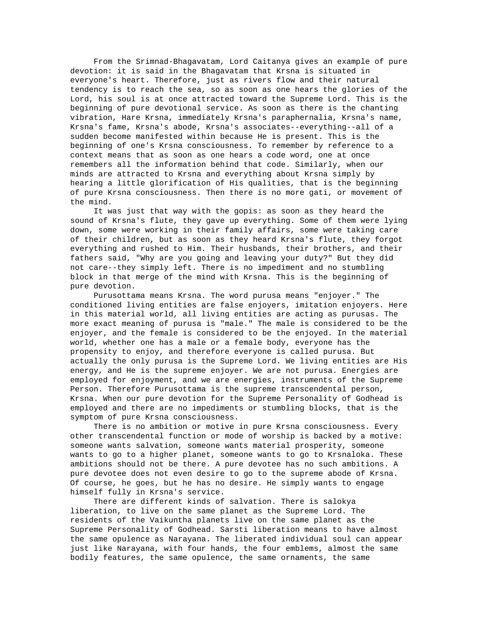From the Srimnad-Bhagavatam, Lord Caitanya gives an example of pure devotion: it is said in the Bhagavatam that Krsna is situated in everyone's heart. Therefore, just as rivers flow and their natural tendency is to reach the sea, so as soon as one hears the glories of the Lord, his soul is at once attracted toward the Supreme Lord. This is the beginning of pure devotional service. As soon as there is the chanting vibration, Hare Krsna, immediately Krsna's paraphernalia, Krsna's name, Krsna's fame, Krsna's abode, Krsna's associates--everything--all of a sudden become manifested within because He is present. This is the beginning of one's Krsna consciousness. To remember by reference to a context means that as soon as one hears a code word, one at once remembers all the information behind that code. Similarly, when our minds are attracted to Krsna and everything about Krsna simply by hearing a little glorification of His qualities, that is the beginning of pure Krsna consciousness. Then there is no more gati, or movement of the mind.

 It was just that way with the gopis: as soon as they heard the sound of Krsna's flute, they gave up everything. Some of them were lying down, some were working in their family affairs, some were taking care of their children, but as soon as they heard Krsna's flute, they forgot everything and rushed to Him. Their husbands, their brothers, and their fathers said, "Why are you going and leaving your duty?" But they did not care--they simply left. There is no impediment and no stumbling block in that merge of the mind with Krsna. This is the beginning of pure devotion.

 Purusottama means Krsna. The word purusa means "enjoyer." The conditioned living entities are false enjoyers, imitation enjoyers. Here in this material world, all living entities are acting as purusas. The more exact meaning of purusa is "male." The male is considered to be the enjoyer, and the female is considered to be the enjoyed. In the material world, whether one has a male or a female body, everyone has the propensity to enjoy, and therefore everyone is called purusa. But actually the only purusa is the Supreme Lord. We living entities are His energy, and He is the supreme enjoyer. We are not purusa. Energies are employed for enjoyment, and we are energies, instruments of the Supreme Person. Therefore Purusottama is the supreme transcendental person, Krsna. When our pure devotion for the Supreme Personality of Godhead is employed and there are no impediments or stumbling blocks, that is the symptom of pure Krsna consciousness.

 There is no ambition or motive in pure Krsna consciousness. Every other transcendental function or mode of worship is backed by a motive: someone wants salvation, someone wants material prosperity, someone wants to go to a higher planet, someone wants to go to Krsnaloka. These ambitions should not be there. A pure devotee has no such ambitions. A pure devotee does not even desire to go to the supreme abode of Krsna. Of course, he goes, but he has no desire. He simply wants to engage himself fully in Krsna's service.

 There are different kinds of salvation. There is salokya liberation, to live on the same planet as the Supreme Lord. The residents of the Vaikuntha planets live on the same planet as the Supreme Personality of Godhead. Sarsti liberation means to have almost the same opulence as Narayana. The liberated individual soul can appear just like Narayana, with four hands, the four emblems, almost the same bodily features, the same opulence, the same ornaments, the same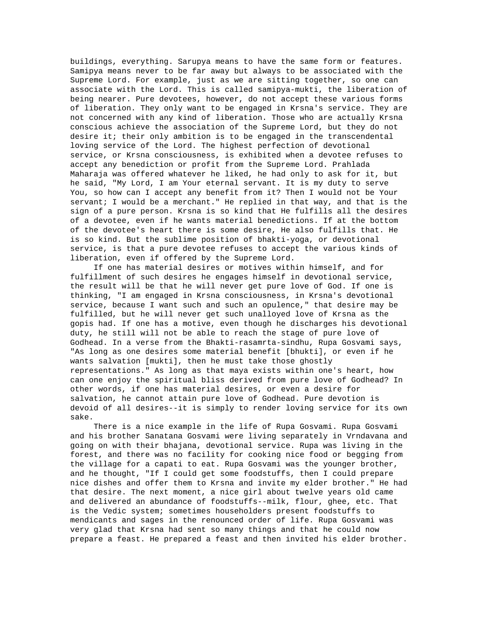buildings, everything. Sarupya means to have the same form or features. Samipya means never to be far away but always to be associated with the Supreme Lord. For example, just as we are sitting together, so one can associate with the Lord. This is called samipya-mukti, the liberation of being nearer. Pure devotees, however, do not accept these various forms of liberation. They only want to be engaged in Krsna's service. They are not concerned with any kind of liberation. Those who are actually Krsna conscious achieve the association of the Supreme Lord, but they do not desire it; their only ambition is to be engaged in the transcendental loving service of the Lord. The highest perfection of devotional service, or Krsna consciousness, is exhibited when a devotee refuses to accept any benediction or profit from the Supreme Lord. Prahlada Maharaja was offered whatever he liked, he had only to ask for it, but he said, "My Lord, I am Your eternal servant. It is my duty to serve You, so how can I accept any benefit from it? Then I would not be Your servant; I would be a merchant." He replied in that way, and that is the sign of a pure person. Krsna is so kind that He fulfills all the desires of a devotee, even if he wants material benedictions. If at the bottom of the devotee's heart there is some desire, He also fulfills that. He is so kind. But the sublime position of bhakti-yoga, or devotional service, is that a pure devotee refuses to accept the various kinds of liberation, even if offered by the Supreme Lord.

 If one has material desires or motives within himself, and for fulfillment of such desires he engages himself in devotional service, the result will be that he will never get pure love of God. If one is thinking, "I am engaged in Krsna consciousness, in Krsna's devotional service, because I want such and such an opulence," that desire may be fulfilled, but he will never get such unalloyed love of Krsna as the gopis had. If one has a motive, even though he discharges his devotional duty, he still will not be able to reach the stage of pure love of Godhead. In a verse from the Bhakti-rasamrta-sindhu, Rupa Gosvami says, "As long as one desires some material benefit [bhukti], or even if he wants salvation [mukti], then he must take those ghostly representations." As long as that maya exists within one's heart, how can one enjoy the spiritual bliss derived from pure love of Godhead? In other words, if one has material desires, or even a desire for salvation, he cannot attain pure love of Godhead. Pure devotion is devoid of all desires--it is simply to render loving service for its own sake.

 There is a nice example in the life of Rupa Gosvami. Rupa Gosvami and his brother Sanatana Gosvami were living separately in Vrndavana and going on with their bhajana, devotional service. Rupa was living in the forest, and there was no facility for cooking nice food or begging from the village for a capati to eat. Rupa Gosvami was the younger brother, and he thought, "If I could get some foodstuffs, then I could prepare nice dishes and offer them to Krsna and invite my elder brother." He had that desire. The next moment, a nice girl about twelve years old came and delivered an abundance of foodstuffs--milk, flour, ghee, etc. That is the Vedic system; sometimes householders present foodstuffs to mendicants and sages in the renounced order of life. Rupa Gosvami was very glad that Krsna had sent so many things and that he could now prepare a feast. He prepared a feast and then invited his elder brother.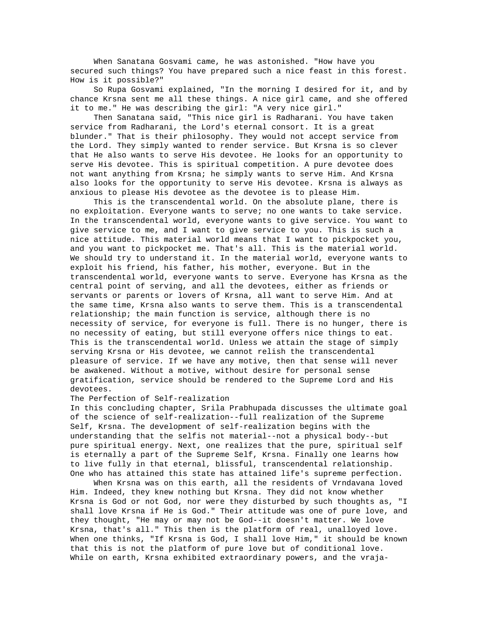When Sanatana Gosvami came, he was astonished. "How have you secured such things? You have prepared such a nice feast in this forest. How is it possible?"

 So Rupa Gosvami explained, "In the morning I desired for it, and by chance Krsna sent me all these things. A nice girl came, and she offered it to me." He was describing the girl: "A very nice girl."

 Then Sanatana said, "This nice girl is Radharani. You have taken service from Radharani, the Lord's eternal consort. It is a great blunder." That is their philosophy. They would not accept service from the Lord. They simply wanted to render service. But Krsna is so clever that He also wants to serve His devotee. He looks for an opportunity to serve His devotee. This is spiritual competition. A pure devotee does not want anything from Krsna; he simply wants to serve Him. And Krsna also looks for the opportunity to serve His devotee. Krsna is always as anxious to please His devotee as the devotee is to please Him.

 This is the transcendental world. On the absolute plane, there is no exploitation. Everyone wants to serve; no one wants to take service. In the transcendental world, everyone wants to give service. You want to give service to me, and I want to give service to you. This is such a nice attitude. This material world means that I want to pickpocket you, and you want to pickpocket me. That's all. This is the material world. We should try to understand it. In the material world, everyone wants to exploit his friend, his father, his mother, everyone. But in the transcendental world, everyone wants to serve. Everyone has Krsna as the central point of serving, and all the devotees, either as friends or servants or parents or lovers of Krsna, all want to serve Him. And at the same time, Krsna also wants to serve them. This is a transcendental relationship; the main function is service, although there is no necessity of service, for everyone is full. There is no hunger, there is no necessity of eating, but still everyone offers nice things to eat. This is the transcendental world. Unless we attain the stage of simply serving Krsna or His devotee, we cannot relish the transcendental pleasure of service. If we have any motive, then that sense will never be awakened. Without a motive, without desire for personal sense gratification, service should be rendered to the Supreme Lord and His devotees.

## The Perfection of Self-realization

In this concluding chapter, Srila Prabhupada discusses the ultimate goal of the science of self-realization--full realization of the Supreme Self, Krsna. The development of self-realization begins with the understanding that the selfis not material--not a physical body--but pure spiritual energy. Next, one realizes that the pure, spiritual self is eternally a part of the Supreme Self, Krsna. Finally one learns how to live fully in that eternal, blissful, transcendental relationship. One who has attained this state has attained life's supreme perfection.

 When Krsna was on this earth, all the residents of Vrndavana loved Him. Indeed, they knew nothing but Krsna. They did not know whether Krsna is God or not God, nor were they disturbed by such thoughts as, "I shall love Krsna if He is God." Their attitude was one of pure love, and they thought, "He may or may not be God--it doesn't matter. We love Krsna, that's all." This then is the platform of real, unalloyed love. When one thinks, "If Krsna is God, I shall love Him," it should be known that this is not the platform of pure love but of conditional love. While on earth, Krsna exhibited extraordinary powers, and the vraja-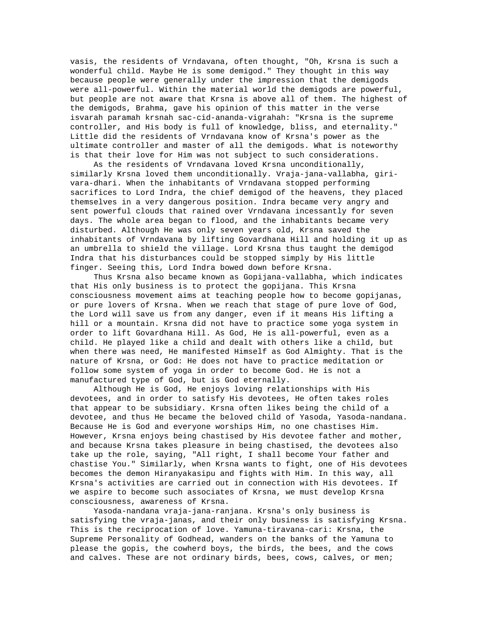vasis, the residents of Vrndavana, often thought, "Oh, Krsna is such a wonderful child. Maybe He is some demigod." They thought in this way because people were generally under the impression that the demigods were all-powerful. Within the material world the demigods are powerful, but people are not aware that Krsna is above all of them. The highest of the demigods, Brahma, gave his opinion of this matter in the verse isvarah paramah krsnah sac-cid-ananda-vigrahah: "Krsna is the supreme controller, and His body is full of knowledge, bliss, and eternality." Little did the residents of Vrndavana know of Krsna's power as the ultimate controller and master of all the demigods. What is noteworthy is that their love for Him was not subject to such considerations.

 As the residents of Vrndavana loved Krsna unconditionally, similarly Krsna loved them unconditionally. Vraja-jana-vallabha, girivara-dhari. When the inhabitants of Vrndavana stopped performing sacrifices to Lord Indra, the chief demigod of the heavens, they placed themselves in a very dangerous position. Indra became very angry and sent powerful clouds that rained over Vrndavana incessantly for seven days. The whole area began to flood, and the inhabitants became very disturbed. Although He was only seven years old, Krsna saved the inhabitants of Vrndavana by lifting Govardhana Hill and holding it up as an umbrella to shield the village. Lord Krsna thus taught the demigod Indra that his disturbances could be stopped simply by His little finger. Seeing this, Lord Indra bowed down before Krsna.

 Thus Krsna also became known as Gopijana-vallabha, which indicates that His only business is to protect the gopijana. This Krsna consciousness movement aims at teaching people how to become gopijanas, or pure lovers of Krsna. When we reach that stage of pure love of God, the Lord will save us from any danger, even if it means His lifting a hill or a mountain. Krsna did not have to practice some yoga system in order to lift Govardhana Hill. As God, He is all-powerful, even as a child. He played like a child and dealt with others like a child, but when there was need, He manifested Himself as God Almighty. That is the nature of Krsna, or God: He does not have to practice meditation or follow some system of yoga in order to become God. He is not a manufactured type of God, but is God eternally.

 Although He is God, He enjoys loving relationships with His devotees, and in order to satisfy His devotees, He often takes roles that appear to be subsidiary. Krsna often likes being the child of a devotee, and thus He became the beloved child of Yasoda, Yasoda-nandana. Because He is God and everyone worships Him, no one chastises Him. However, Krsna enjoys being chastised by His devotee father and mother, and because Krsna takes pleasure in being chastised, the devotees also take up the role, saying, "All right, I shall become Your father and chastise You." Similarly, when Krsna wants to fight, one of His devotees becomes the demon Hiranyakasipu and fights with Him. In this way, all Krsna's activities are carried out in connection with His devotees. If we aspire to become such associates of Krsna, we must develop Krsna consciousness, awareness of Krsna.

 Yasoda-nandana vraja-jana-ranjana. Krsna's only business is satisfying the vraja-janas, and their only business is satisfying Krsna. This is the reciprocation of love. Yamuna-tiravana-cari: Krsna, the Supreme Personality of Godhead, wanders on the banks of the Yamuna to please the gopis, the cowherd boys, the birds, the bees, and the cows and calves. These are not ordinary birds, bees, cows, calves, or men;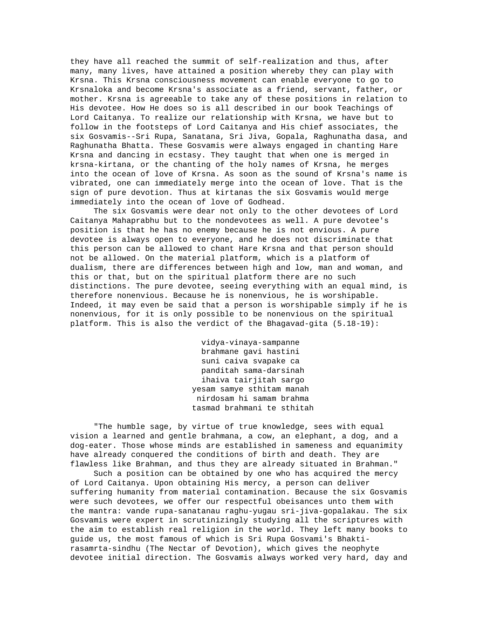they have all reached the summit of self-realization and thus, after many, many lives, have attained a position whereby they can play with Krsna. This Krsna consciousness movement can enable everyone to go to Krsnaloka and become Krsna's associate as a friend, servant, father, or mother. Krsna is agreeable to take any of these positions in relation to His devotee. How He does so is all described in our book Teachings of Lord Caitanya. To realize our relationship with Krsna, we have but to follow in the footsteps of Lord Caitanya and His chief associates, the six Gosvamis--Sri Rupa, Sanatana, Sri Jiva, Gopala, Raghunatha dasa, and Raghunatha Bhatta. These Gosvamis were always engaged in chanting Hare Krsna and dancing in ecstasy. They taught that when one is merged in krsna-kirtana, or the chanting of the holy names of Krsna, he merges into the ocean of love of Krsna. As soon as the sound of Krsna's name is vibrated, one can immediately merge into the ocean of love. That is the sign of pure devotion. Thus at kirtanas the six Gosvamis would merge immediately into the ocean of love of Godhead.

 The six Gosvamis were dear not only to the other devotees of Lord Caitanya Mahaprabhu but to the nondevotees as well. A pure devotee's position is that he has no enemy because he is not envious. A pure devotee is always open to everyone, and he does not discriminate that this person can be allowed to chant Hare Krsna and that person should not be allowed. On the material platform, which is a platform of dualism, there are differences between high and low, man and woman, and this or that, but on the spiritual platform there are no such distinctions. The pure devotee, seeing everything with an equal mind, is therefore nonenvious. Because he is nonenvious, he is worshipable. Indeed, it may even be said that a person is worshipable simply if he is nonenvious, for it is only possible to be nonenvious on the spiritual platform. This is also the verdict of the Bhagavad-gita (5.18-19):

> vidya-vinaya-sampanne brahmane gavi hastini suni caiva svapake ca panditah sama-darsinah ihaiva tairjitah sargo yesam samye sthitam manah nirdosam hi samam brahma tasmad brahmani te sthitah

 "The humble sage, by virtue of true knowledge, sees with equal vision a learned and gentle brahmana, a cow, an elephant, a dog, and a dog-eater. Those whose minds are established in sameness and equanimity have already conquered the conditions of birth and death. They are flawless like Brahman, and thus they are already situated in Brahman."

 Such a position can be obtained by one who has acquired the mercy of Lord Caitanya. Upon obtaining His mercy, a person can deliver suffering humanity from material contamination. Because the six Gosvamis were such devotees, we offer our respectful obeisances unto them with the mantra: vande rupa-sanatanau raghu-yugau sri-jiva-gopalakau. The six Gosvamis were expert in scrutinizingly studying all the scriptures with the aim to establish real religion in the world. They left many books to guide us, the most famous of which is Sri Rupa Gosvami's Bhaktirasamrta-sindhu (The Nectar of Devotion), which gives the neophyte devotee initial direction. The Gosvamis always worked very hard, day and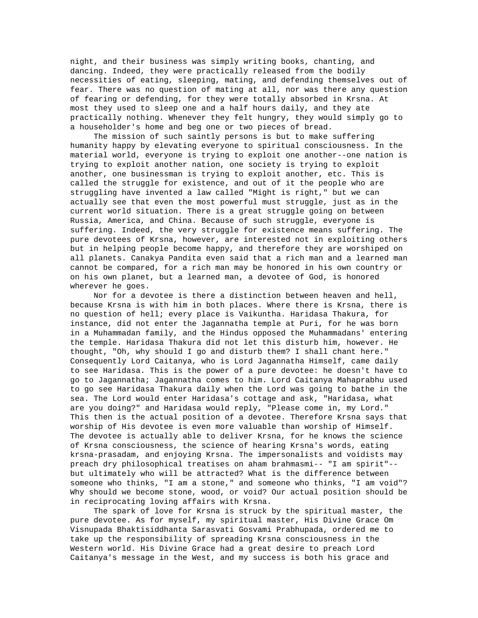night, and their business was simply writing books, chanting, and dancing. Indeed, they were practically released from the bodily necessities of eating, sleeping, mating, and defending themselves out of fear. There was no question of mating at all, nor was there any question of fearing or defending, for they were totally absorbed in Krsna. At most they used to sleep one and a half hours daily, and they ate practically nothing. Whenever they felt hungry, they would simply go to a householder's home and beg one or two pieces of bread.

 The mission of such saintly persons is but to make suffering humanity happy by elevating everyone to spiritual consciousness. In the material world, everyone is trying to exploit one another--one nation is trying to exploit another nation, one society is trying to exploit another, one businessman is trying to exploit another, etc. This is called the struggle for existence, and out of it the people who are struggling have invented a law called "Might is right," but we can actually see that even the most powerful must struggle, just as in the current world situation. There is a great struggle going on between Russia, America, and China. Because of such struggle, everyone is suffering. Indeed, the very struggle for existence means suffering. The pure devotees of Krsna, however, are interested not in exploiting others but in helping people become happy, and therefore they are worshiped on all planets. Canakya Pandita even said that a rich man and a learned man cannot be compared, for a rich man may be honored in his own country or on his own planet, but a learned man, a devotee of God, is honored wherever he goes.

 Nor for a devotee is there a distinction between heaven and hell, because Krsna is with him in both places. Where there is Krsna, there is no question of hell; every place is Vaikuntha. Haridasa Thakura, for instance, did not enter the Jagannatha temple at Puri, for he was born in a Muhammadan family, and the Hindus opposed the Muhammadans' entering the temple. Haridasa Thakura did not let this disturb him, however. He thought, "Oh, why should I go and disturb them? I shall chant here." Consequently Lord Caitanya, who is Lord Jagannatha Himself, came daily to see Haridasa. This is the power of a pure devotee: he doesn't have to go to Jagannatha; Jagannatha comes to him. Lord Caitanya Mahaprabhu used to go see Haridasa Thakura daily when the Lord was going to bathe in the sea. The Lord would enter Haridasa's cottage and ask, "Haridasa, what are you doing?" and Haridasa would reply, "Please come in, my Lord." This then is the actual position of a devotee. Therefore Krsna says that worship of His devotee is even more valuable than worship of Himself. The devotee is actually able to deliver Krsna, for he knows the science of Krsna consciousness, the science of hearing Krsna's words, eating krsna-prasadam, and enjoying Krsna. The impersonalists and voidists may preach dry philosophical treatises on aham brahmasmi-- "I am spirit"- but ultimately who will be attracted? What is the difference between someone who thinks, "I am a stone," and someone who thinks, "I am void"? Why should we become stone, wood, or void? Our actual position should be in reciprocating loving affairs with Krsna.

 The spark of love for Krsna is struck by the spiritual master, the pure devotee. As for myself, my spiritual master, His Divine Grace Om Visnupada Bhaktisiddhanta Sarasvati Gosvami Prabhupada, ordered me to take up the responsibility of spreading Krsna consciousness in the Western world. His Divine Grace had a great desire to preach Lord Caitanya's message in the West, and my success is both his grace and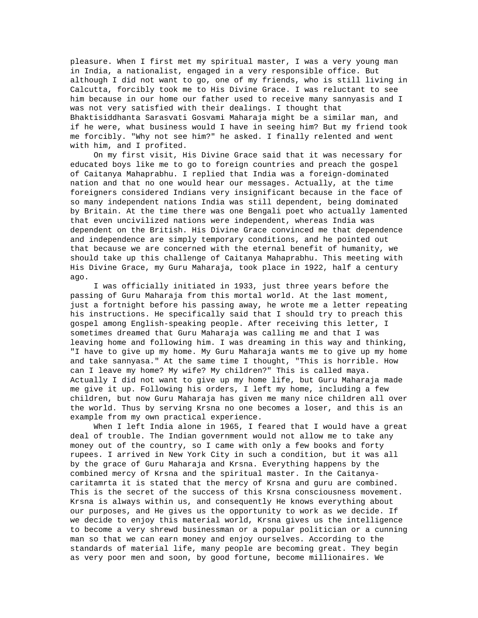pleasure. When I first met my spiritual master, I was a very young man in India, a nationalist, engaged in a very responsible office. But although I did not want to go, one of my friends, who is still living in Calcutta, forcibly took me to His Divine Grace. I was reluctant to see him because in our home our father used to receive many sannyasis and I was not very satisfied with their dealings. I thought that Bhaktisiddhanta Sarasvati Gosvami Maharaja might be a similar man, and if he were, what business would I have in seeing him? But my friend took me forcibly. "Why not see him?" he asked. I finally relented and went with him, and I profited.

 On my first visit, His Divine Grace said that it was necessary for educated boys like me to go to foreign countries and preach the gospel of Caitanya Mahaprabhu. I replied that India was a foreign-dominated nation and that no one would hear our messages. Actually, at the time foreigners considered Indians very insignificant because in the face of so many independent nations India was still dependent, being dominated by Britain. At the time there was one Bengali poet who actually lamented that even uncivilized nations were independent, whereas India was dependent on the British. His Divine Grace convinced me that dependence and independence are simply temporary conditions, and he pointed out that because we are concerned with the eternal benefit of humanity, we should take up this challenge of Caitanya Mahaprabhu. This meeting with His Divine Grace, my Guru Maharaja, took place in 1922, half a century ago.

 I was officially initiated in 1933, just three years before the passing of Guru Maharaja from this mortal world. At the last moment, just a fortnight before his passing away, he wrote me a letter repeating his instructions. He specifically said that I should try to preach this gospel among English-speaking people. After receiving this letter, I sometimes dreamed that Guru Maharaja was calling me and that I was leaving home and following him. I was dreaming in this way and thinking, "I have to give up my home. My Guru Maharaja wants me to give up my home and take sannyasa." At the same time I thought, "This is horrible. How can I leave my home? My wife? My children?" This is called maya. Actually I did not want to give up my home life, but Guru Maharaja made me give it up. Following his orders, I left my home, including a few children, but now Guru Maharaja has given me many nice children all over the world. Thus by serving Krsna no one becomes a loser, and this is an example from my own practical experience.

When I left India alone in 1965, I feared that I would have a great deal of trouble. The Indian government would not allow me to take any money out of the country, so I came with only a few books and forty rupees. I arrived in New York City in such a condition, but it was all by the grace of Guru Maharaja and Krsna. Everything happens by the combined mercy of Krsna and the spiritual master. In the Caitanyacaritamrta it is stated that the mercy of Krsna and guru are combined. This is the secret of the success of this Krsna consciousness movement. Krsna is always within us, and consequently He knows everything about our purposes, and He gives us the opportunity to work as we decide. If we decide to enjoy this material world, Krsna gives us the intelligence to become a very shrewd businessman or a popular politician or a cunning man so that we can earn money and enjoy ourselves. According to the standards of material life, many people are becoming great. They begin as very poor men and soon, by good fortune, become millionaires. We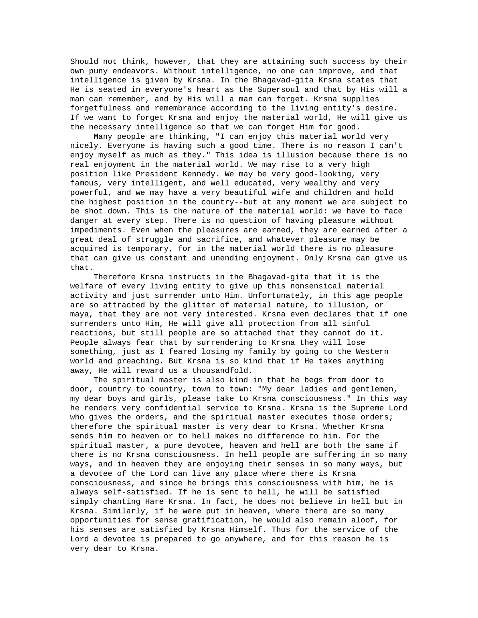Should not think, however, that they are attaining such success by their own puny endeavors. Without intelligence, no one can improve, and that intelligence is given by Krsna. In the Bhagavad-gita Krsna states that He is seated in everyone's heart as the Supersoul and that by His will a man can remember, and by His will a man can forget. Krsna supplies forgetfulness and remembrance according to the living entity's desire. If we want to forget Krsna and enjoy the material world, He will give us the necessary intelligence so that we can forget Him for good.

 Many people are thinking, "I can enjoy this material world very nicely. Everyone is having such a good time. There is no reason I can't enjoy myself as much as they." This idea is illusion because there is no real enjoyment in the material world. We may rise to a very high position like President Kennedy. We may be very good-looking, very famous, very intelligent, and well educated, very wealthy and very powerful, and we may have a very beautiful wife and children and hold the highest position in the country--but at any moment we are subject to be shot down. This is the nature of the material world: we have to face danger at every step. There is no question of having pleasure without impediments. Even when the pleasures are earned, they are earned after a great deal of struggle and sacrifice, and whatever pleasure may be acquired is temporary, for in the material world there is no pleasure that can give us constant and unending enjoyment. Only Krsna can give us that.

 Therefore Krsna instructs in the Bhagavad-gita that it is the welfare of every living entity to give up this nonsensical material activity and just surrender unto Him. Unfortunately, in this age people are so attracted by the glitter of material nature, to illusion, or maya, that they are not very interested. Krsna even declares that if one surrenders unto Him, He will give all protection from all sinful reactions, but still people are so attached that they cannot do it. People always fear that by surrendering to Krsna they will lose something, just as I feared losing my family by going to the Western world and preaching. But Krsna is so kind that if He takes anything away, He will reward us a thousandfold.

 The spiritual master is also kind in that he begs from door to door, country to country, town to town: "My dear ladies and gentlemen, my dear boys and girls, please take to Krsna consciousness." In this way he renders very confidential service to Krsna. Krsna is the Supreme Lord who gives the orders, and the spiritual master executes those orders; therefore the spiritual master is very dear to Krsna. Whether Krsna sends him to heaven or to hell makes no difference to him. For the spiritual master, a pure devotee, heaven and hell are both the same if there is no Krsna consciousness. In hell people are suffering in so many ways, and in heaven they are enjoying their senses in so many ways, but a devotee of the Lord can live any place where there is Krsna consciousness, and since he brings this consciousness with him, he is always self-satisfied. If he is sent to hell, he will be satisfied simply chanting Hare Krsna. In fact, he does not believe in hell but in Krsna. Similarly, if he were put in heaven, where there are so many opportunities for sense gratification, he would also remain aloof, for his senses are satisfied by Krsna Himself. Thus for the service of the Lord a devotee is prepared to go anywhere, and for this reason he is very dear to Krsna.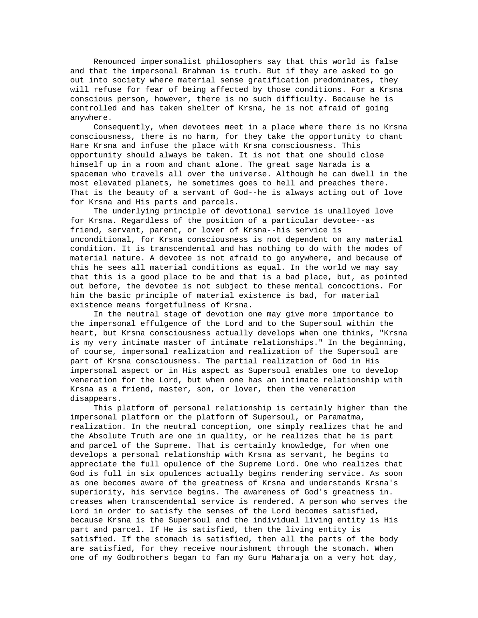Renounced impersonalist philosophers say that this world is false and that the impersonal Brahman is truth. But if they are asked to go out into society where material sense gratification predominates, they will refuse for fear of being affected by those conditions. For a Krsna conscious person, however, there is no such difficulty. Because he is controlled and has taken shelter of Krsna, he is not afraid of going anywhere.

 Consequently, when devotees meet in a place where there is no Krsna consciousness, there is no harm, for they take the opportunity to chant Hare Krsna and infuse the place with Krsna consciousness. This opportunity should always be taken. It is not that one should close himself up in a room and chant alone. The great sage Narada is a spaceman who travels all over the universe. Although he can dwell in the most elevated planets, he sometimes goes to hell and preaches there. That is the beauty of a servant of God--he is always acting out of love for Krsna and His parts and parcels.

 The underlying principle of devotional service is unalloyed love for Krsna. Regardless of the position of a particular devotee--as friend, servant, parent, or lover of Krsna--his service is unconditional, for Krsna consciousness is not dependent on any material condition. It is transcendental and has nothing to do with the modes of material nature. A devotee is not afraid to go anywhere, and because of this he sees all material conditions as equal. In the world we may say that this is a good place to be and that is a bad place, but, as pointed out before, the devotee is not subject to these mental concoctions. For him the basic principle of material existence is bad, for material existence means forgetfulness of Krsna.

 In the neutral stage of devotion one may give more importance to the impersonal effulgence of the Lord and to the Supersoul within the heart, but Krsna consciousness actually develops when one thinks, "Krsna is my very intimate master of intimate relationships." In the beginning, of course, impersonal realization and realization of the Supersoul are part of Krsna consciousness. The partial realization of God in His impersonal aspect or in His aspect as Supersoul enables one to develop veneration for the Lord, but when one has an intimate relationship with Krsna as a friend, master, son, or lover, then the veneration disappears.

 This platform of personal relationship is certainly higher than the impersonal platform or the platform of Supersoul, or Paramatma, realization. In the neutral conception, one simply realizes that he and the Absolute Truth are one in quality, or he realizes that he is part and parcel of the Supreme. That is certainly knowledge, for when one develops a personal relationship with Krsna as servant, he begins to appreciate the full opulence of the Supreme Lord. One who realizes that God is full in six opulences actually begins rendering service. As soon as one becomes aware of the greatness of Krsna and understands Krsna's superiority, his service begins. The awareness of God's greatness in. creases when transcendental service is rendered. A person who serves the Lord in order to satisfy the senses of the Lord becomes satisfied, because Krsna is the Supersoul and the individual living entity is His part and parcel. If He is satisfied, then the living entity is satisfied. If the stomach is satisfied, then all the parts of the body are satisfied, for they receive nourishment through the stomach. When one of my Godbrothers began to fan my Guru Maharaja on a very hot day,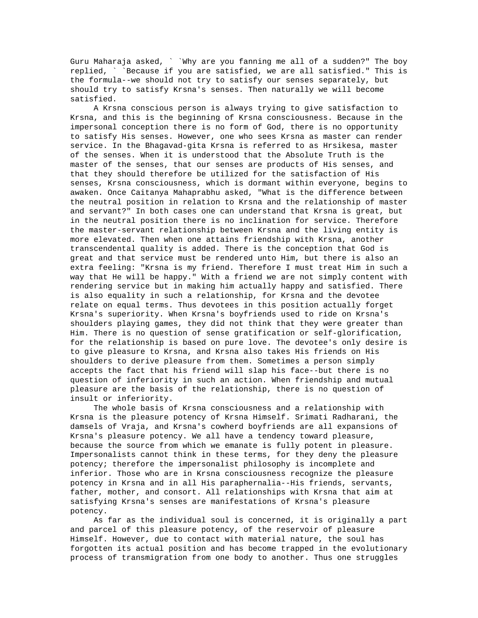Guru Maharaja asked, ` `Why are you fanning me all of a sudden?" The boy replied, ` `Because if you are satisfied, we are all satisfied." This is the formula--we should not try to satisfy our senses separately, but should try to satisfy Krsna's senses. Then naturally we will become satisfied.

 A Krsna conscious person is always trying to give satisfaction to Krsna, and this is the beginning of Krsna consciousness. Because in the impersonal conception there is no form of God, there is no opportunity to satisfy His senses. However, one who sees Krsna as master can render service. In the Bhagavad-gita Krsna is referred to as Hrsikesa, master of the senses. When it is understood that the Absolute Truth is the master of the senses, that our senses are products of His senses, and that they should therefore be utilized for the satisfaction of His senses, Krsna consciousness, which is dormant within everyone, begins to awaken. Once Caitanya Mahaprabhu asked, "What is the difference between the neutral position in relation to Krsna and the relationship of master and servant?" In both cases one can understand that Krsna is great, but in the neutral position there is no inclination for service. Therefore the master-servant relationship between Krsna and the living entity is more elevated. Then when one attains friendship with Krsna, another transcendental quality is added. There is the conception that God is great and that service must be rendered unto Him, but there is also an extra feeling: "Krsna is my friend. Therefore I must treat Him in such a way that He will be happy." With a friend we are not simply content with rendering service but in making him actually happy and satisfied. There is also equality in such a relationship, for Krsna and the devotee relate on equal terms. Thus devotees in this position actually forget Krsna's superiority. When Krsna's boyfriends used to ride on Krsna's shoulders playing games, they did not think that they were greater than Him. There is no question of sense gratification or self-glorification, for the relationship is based on pure love. The devotee's only desire is to give pleasure to Krsna, and Krsna also takes His friends on His shoulders to derive pleasure from them. Sometimes a person simply accepts the fact that his friend will slap his face--but there is no question of inferiority in such an action. When friendship and mutual pleasure are the basis of the relationship, there is no question of insult or inferiority.

 The whole basis of Krsna consciousness and a relationship with Krsna is the pleasure potency of Krsna Himself. Srimati Radharani, the damsels of Vraja, and Krsna's cowherd boyfriends are all expansions of Krsna's pleasure potency. We all have a tendency toward pleasure, because the source from which we emanate is fully potent in pleasure. Impersonalists cannot think in these terms, for they deny the pleasure potency; therefore the impersonalist philosophy is incomplete and inferior. Those who are in Krsna consciousness recognize the pleasure potency in Krsna and in all His paraphernalia--His friends, servants, father, mother, and consort. All relationships with Krsna that aim at satisfying Krsna's senses are manifestations of Krsna's pleasure potency.

 As far as the individual soul is concerned, it is originally a part and parcel of this pleasure potency, of the reservoir of pleasure Himself. However, due to contact with material nature, the soul has forgotten its actual position and has become trapped in the evolutionary process of transmigration from one body to another. Thus one struggles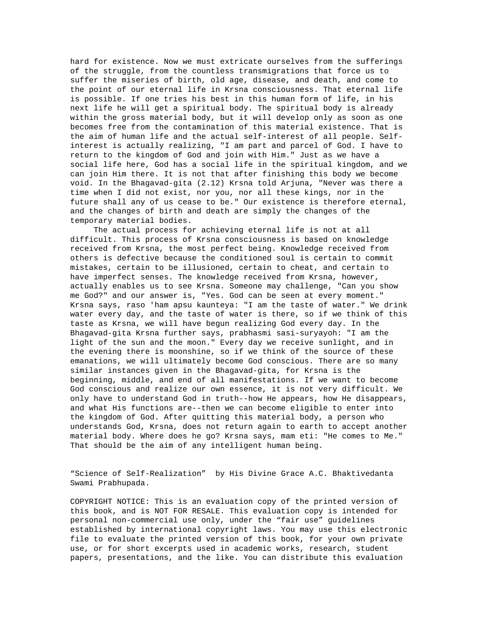hard for existence. Now we must extricate ourselves from the sufferings of the struggle, from the countless transmigrations that force us to suffer the miseries of birth, old age, disease, and death, and come to the point of our eternal life in Krsna consciousness. That eternal life is possible. If one tries his best in this human form of life, in his next life he will get a spiritual body. The spiritual body is already within the gross material body, but it will develop only as soon as one becomes free from the contamination of this material existence. That is the aim of human life and the actual self-interest of all people. Selfinterest is actually realizing, "I am part and parcel of God. I have to return to the kingdom of God and join with Him." Just as we have a social life here, God has a social life in the spiritual kingdom, and we can join Him there. It is not that after finishing this body we become void. In the Bhagavad-gita (2.12) Krsna told Arjuna, "Never was there a time when I did not exist, nor you, nor all these kings, nor in the future shall any of us cease to be." Our existence is therefore eternal, and the changes of birth and death are simply the changes of the temporary material bodies.

 The actual process for achieving eternal life is not at all difficult. This process of Krsna consciousness is based on knowledge received from Krsna, the most perfect being. Knowledge received from others is defective because the conditioned soul is certain to commit mistakes, certain to be illusioned, certain to cheat, and certain to have imperfect senses. The knowledge received from Krsna, however, actually enables us to see Krsna. Someone may challenge, "Can you show me God?" and our answer is, "Yes. God can be seen at every moment." Krsna says, raso 'ham apsu kaunteya: "I am the taste of water." We drink water every day, and the taste of water is there, so if we think of this taste as Krsna, we will have begun realizing God every day. In the Bhagavad-gita Krsna further says, prabhasmi sasi-suryayoh: "I am the light of the sun and the moon." Every day we receive sunlight, and in the evening there is moonshine, so if we think of the source of these emanations, we will ultimately become God conscious. There are so many similar instances given in the Bhagavad-gita, for Krsna is the beginning, middle, and end of all manifestations. If we want to become God conscious and realize our own essence, it is not very difficult. We only have to understand God in truth--how He appears, how He disappears, and what His functions are--then we can become eligible to enter into the kingdom of God. After quitting this material body, a person who understands God, Krsna, does not return again to earth to accept another material body. Where does he go? Krsna says, mam eti: "He comes to Me." That should be the aim of any intelligent human being.

"Science of Self-Realization" by His Divine Grace A.C. Bhaktivedanta Swami Prabhupada.

COPYRIGHT NOTICE: This is an evaluation copy of the printed version of this book, and is NOT FOR RESALE. This evaluation copy is intended for personal non-commercial use only, under the "fair use" guidelines established by international copyright laws. You may use this electronic file to evaluate the printed version of this book, for your own private use, or for short excerpts used in academic works, research, student papers, presentations, and the like. You can distribute this evaluation